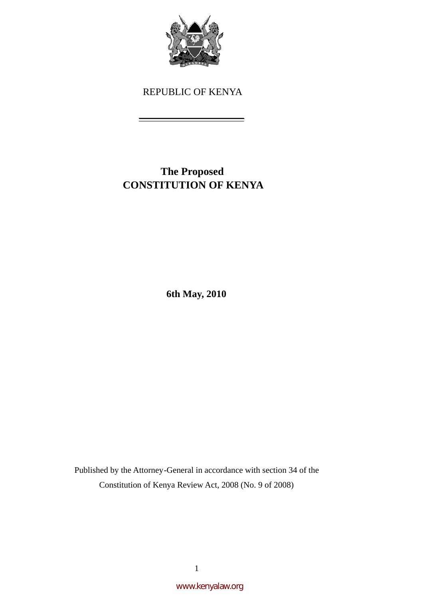

REPUBLIC OF KENYA

# **CONSTITUTION OF KENYA The Proposed**

**6th May, 2010**

Published by the Attorney-General in accordance with section 34 of the Constitution of Kenya Review Act, 2008 (No. 9 of 2008)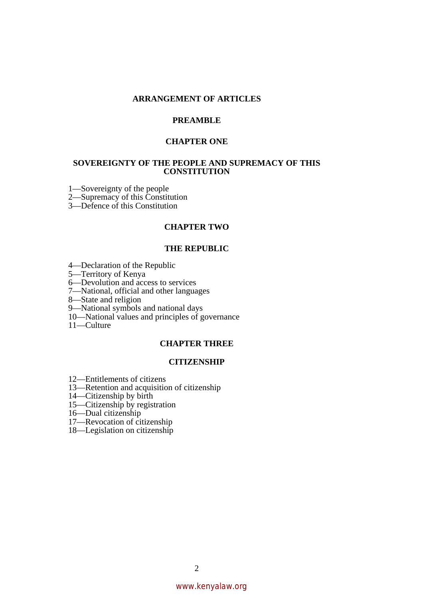# **ARRANGEMENT OF ARTICLES**

# **PREAMBLE**

#### **CHAPTER ONE**

#### **SOVEREIGNTY OF THE PEOPLE AND SUPREMACY OF THIS CONSTITUTION**

1—Sovereignty of the people

2—Supremacy of this Constitution

3—Defence of this Constitution

# **CHAPTER TWO**

#### **THE REPUBLIC**

4—Declaration of the Republic

5—Territory of Kenya

6—Devolution and access to services

7—National, official and other languages

8—State and religion

9—National symbols and national days

10—National values and principles of governance

11—Culture

#### **CHAPTER THREE**

### **CITIZENSHIP**

12—Entitlements of citizens

13—Retention and acquisition of citizenship

14—Citizenship by birth

15—Citizenship by registration

16—Dual citizenship

17—Revocation of citizenship

18—Legislation on citizenship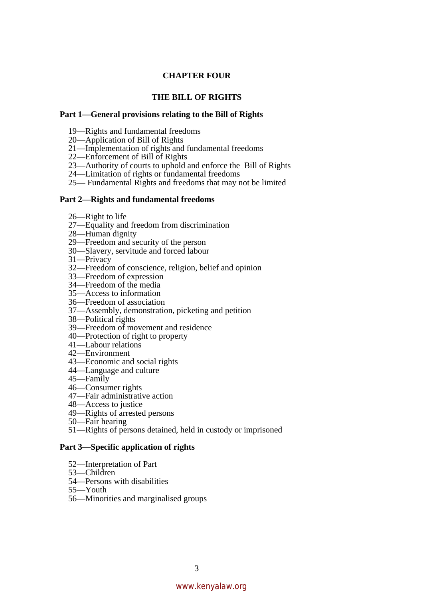# **CHAPTER FOUR**

# **THE BILL OF RIGHTS**

# **Part 1—General provisions relating to the Bill of Rights**

- 19—Rights and fundamental freedoms
- 20—Application of Bill of Rights
- 21—Implementation of rights and fundamental freedoms
- 22—Enforcement of Bill of Rights
- 23—Authority of courts to uphold and enforce the Bill of Rights
- 24—Limitation of rights or fundamental freedoms
- 25— Fundamental Rights and freedoms that may not be limited

#### **Part 2—Rights and fundamental freedoms**

- 26—Right to life
- 27—Equality and freedom from discrimination
- 28—Human dignity
- 29—Freedom and security of the person
- 30—Slavery, servitude and forced labour
- 31—Privacy
- 32—Freedom of conscience, religion, belief and opinion
- 33—Freedom of expression
- 34—Freedom of the media
- 35—Access to information
- 36—Freedom of association
- 37—Assembly, demonstration, picketing and petition
- 38—Political rights
- 39—Freedom of movement and residence
- 40—Protection of right to property
- 41—Labour relations
- 42—Environment
- 43—Economic and social rights
- 44—Language and culture
- 45—Family
- 46—Consumer rights
- 47—Fair administrative action
- 48—Access to justice
- 49—Rights of arrested persons
- 50—Fair hearing
- 51—Rights of persons detained, held in custody or imprisoned

### **Part 3—Specific application of rights**

- 52—Interpretation of Part
- 53—Children
- 54—Persons with disabilities
- 55—Youth
- 56—Minorities and marginalised groups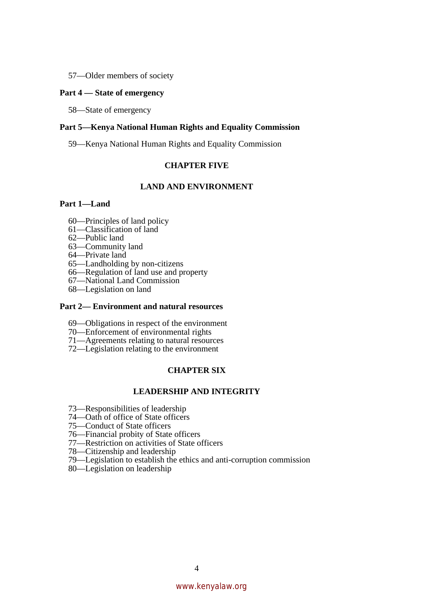57—Older members of society

#### **Part 4 — State of emergency**

58—State of emergency

### **Part 5—Kenya National Human Rights and Equality Commission**

59—Kenya National Human Rights and Equality Commission

#### **CHAPTER FIVE**

# **LAND AND ENVIRONMENT**

#### **Part 1—Land**

- 60—Principles of land policy
- 61—Classification of land
- 62—Public land
- 63—Community land
- 64—Private land
- 65—Landholding by non-citizens
- 66—Regulation of land use and property
- 67—National Land Commission
- 68—Legislation on land

#### **Part 2— Environment and natural resources**

- 69—Obligations in respect of the environment
- 70—Enforcement of environmental rights
- 71—Agreements relating to natural resources
- 72—Legislation relating to the environment

# **CHAPTER SIX**

#### **LEADERSHIP AND INTEGRITY**

- 73—Responsibilities of leadership
- 74—Oath of office of State officers
- 75—Conduct of State officers
- 76—Financial probity of State officers
- 77—Restriction on activities of State officers
- 78—Citizenship and leadership
- 79—Legislation to establish the ethics and anti-corruption commission
- 80—Legislation on leadership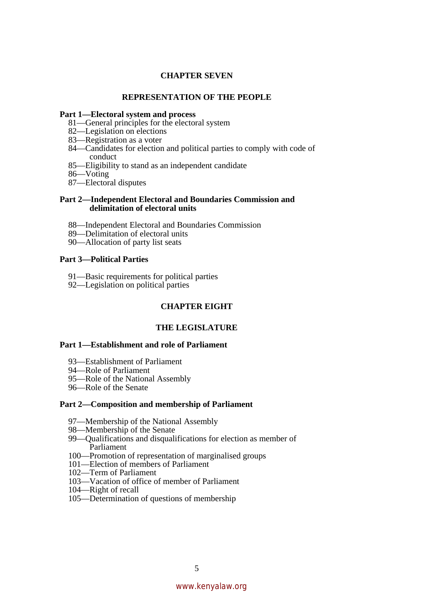# **CHAPTER SEVEN**

# **REPRESENTATION OF THE PEOPLE**

#### **Part 1—Electoral system and process**

- 81—General principles for the electoral system
- 82—Legislation on elections
- 83—Registration as a voter
- 84—Candidates for election and political parties to comply with code of conduct
- 85—Eligibility to stand as an independent candidate
- 86—Voting
- 87—Electoral disputes

#### **Part 2—Independent Electoral and Boundaries Commission and delimitation of electoral units**

- 88—Independent Electoral and Boundaries Commission
- 89—Delimitation of electoral units
- 90—Allocation of party list seats

#### **Part 3—Political Parties**

- 91—Basic requirements for political parties
- 92—Legislation on political parties

# **CHAPTER EIGHT**

### **THE LEGISLATURE**

### **Part 1—Establishment and role of Parliament**

- 93—Establishment of Parliament
- 94—Role of Parliament
- 95—Role of the National Assembly
- 96—Role of the Senate

#### **Part 2—Composition and membership of Parliament**

- 97—Membership of the National Assembly
- 98—Membership of the Senate
- 99—Qualifications and disqualifications for election as member of Parliament
- 100—Promotion of representation of marginalised groups
- 101—Election of members of Parliament
- 102—Term of Parliament
- 103—Vacation of office of member of Parliament
- 104—Right of recall
- 105—Determination of questions of membership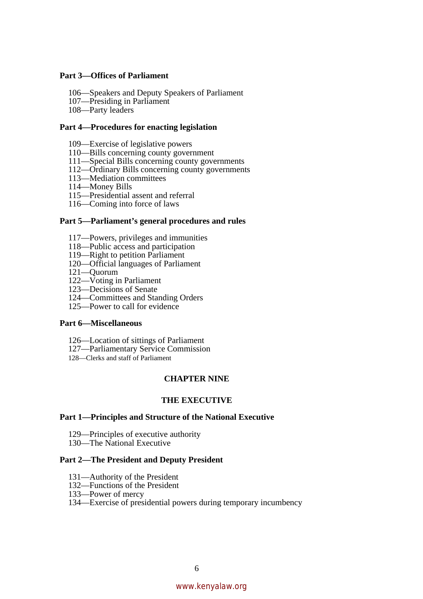# **Part 3—Offices of Parliament**

- 106—Speakers and Deputy Speakers of Parliament
- 107—Presiding in Parliament
- 108—Party leaders

#### **Part 4—Procedures for enacting legislation**

- 109—Exercise of legislative powers
- 110—Bills concerning county government
- 111—Special Bills concerning county governments
- 112—Ordinary Bills concerning county governments
- 113—Mediation committees
- 114—Money Bills
- 115—Presidential assent and referral
- 116—Coming into force of laws

### **Part 5—Parliament's general procedures and rules**

- 117—Powers, privileges and immunities
- 118—Public access and participation
- 119—Right to petition Parliament
- 120—Official languages of Parliament
- 121—Quorum
- 122—Voting in Parliament
- 123—Decisions of Senate
- 124—Committees and Standing Orders
- 125—Power to call for evidence

# **Part 6—Miscellaneous**

- 126—Location of sittings of Parliament
- 127—Parliamentary Service Commission
- 128—Clerks and staff of Parliament

# **CHAPTER NINE**

### **THE EXECUTIVE**

### **Part 1—Principles and Structure of the National Executive**

- 129—Principles of executive authority
- 130—The National Executive

### **Part 2—The President and Deputy President**

- 131—Authority of the President
- 132—Functions of the President
- 133—Power of mercy
- 134—Exercise of presidential powers during temporary incumbency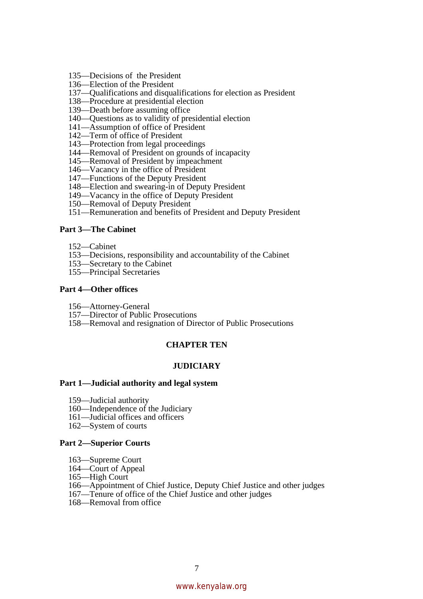- 135—Decisions of the President
- 136—Election of the President
- 137—Qualifications and disqualifications for election as President
- 138—Procedure at presidential election
- 139—Death before assuming office
- 140—Questions as to validity of presidential election
- 141—Assumption of office of President
- 142—Term of office of President
- 143—Protection from legal proceedings
- 144—Removal of President on grounds of incapacity
- 145—Removal of President by impeachment
- 146—Vacancy in the office of President
- 147—Functions of the Deputy President
- 148—Election and swearing-in of Deputy President
- 149—Vacancy in the office of Deputy President
- 150—Removal of Deputy President
- 151—Remuneration and benefits of President and Deputy President

# **Part 3—The Cabinet**

- 152—Cabinet
- 153—Decisions, responsibility and accountability of the Cabinet
- 153—Secretary to the Cabinet
- 155—Principal Secretaries

# **Part 4—Other offices**

- 156—Attorney-General
- 157—Director of Public Prosecutions
- 158—Removal and resignation of Director of Public Prosecutions

# **CHAPTER TEN**

# **JUDICIARY**

# **Part 1—Judicial authority and legal system**

- 
- 159—Judicial authority160—Independence of the Judiciary
- 161—Judicial offices and officers
- 162—System of courts

# **Part 2—Superior Courts**

- 163—Supreme Court
- 164—Court of Appeal
- 165—High Court
- 166—Appointment of Chief Justice, Deputy Chief Justice and other judges
- 167—Tenure of office of the Chief Justice and other judges
- 168—Removal from office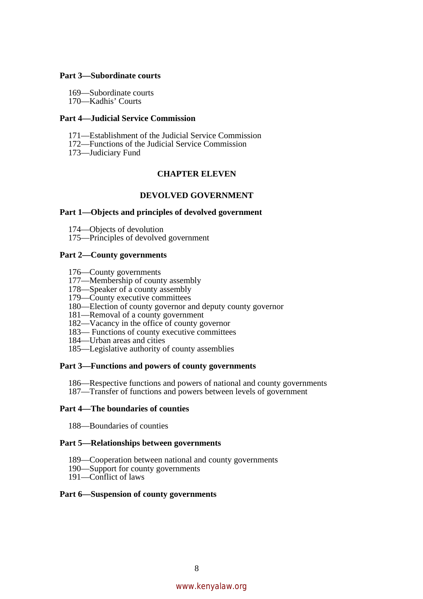#### **Part 3—Subordinate courts**

169—Subordinate courts

170—Kadhis' Courts

#### **Part 4—Judicial Service Commission**

171—Establishment of the Judicial Service Commission

172—Functions of the Judicial Service Commission

173—Judiciary Fund

### **CHAPTER ELEVEN**

# **DEVOLVED GOVERNMENT**

#### **Part 1—Objects and principles of devolved government**

- 174—Objects of devolution
- 175—Principles of devolved government

### **Part 2—County governments**

- 176—County governments
- 177—Membership of county assembly
- 178—Speaker of a county assembly
- 179—County executive committees
- 180—Election of county governor and deputy county governor
- 181—Removal of a county government
- 182—Vacancy in the office of county governor
- 183— Functions of county executive committees
- 184—Urban areas and cities
- 185—Legislative authority of county assemblies

#### **Part 3—Functions and powers of county governments**

- 186—Respective functions and powers of national and county governments
- 187—Transfer of functions and powers between levels of government

### **Part 4—The boundaries of counties**

188—Boundaries of counties

### **Part 5—Relationships between governments**

- 189—Cooperation between national and county governments
- 190—Support for county governments
- 191—Conflict of laws

#### **Part 6—Suspension of county governments**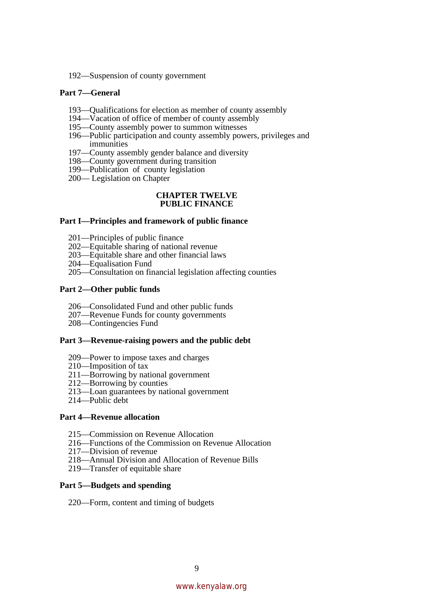192—Suspension of county government

#### **Part 7—General**

- 193—Qualifications for election as member of county assembly
- 194—Vacation of office of member of county assembly
- 195—County assembly power to summon witnesses
- 196—Public participation and county assembly powers, privileges and immunities
- 197—County assembly gender balance and diversity
- 198—County government during transition
- 199—Publication of county legislation
- 200— Legislation on Chapter

#### **CHAPTER TWELVE PUBLIC FINANCE**

### **Part I—Principles and framework of public finance**

- 201—Principles of public finance
- 202—Equitable sharing of national revenue
- 203—Equitable share and other financial laws
- 204—Equalisation Fund
- 205—Consultation on financial legislation affecting counties

### **Part 2—Other public funds**

- 206—Consolidated Fund and other public funds
- 207—Revenue Funds for county governments
- 208—Contingencies Fund

# **Part 3—Revenue-raising powers and the public debt**

- 209—Power to impose taxes and charges
- 210—Imposition of tax
- 211—Borrowing by national government
- 212—Borrowing by counties
- 213—Loan guarantees by national government
- 214—Public debt

### **Part 4—Revenue allocation**

- 215—Commission on Revenue Allocation
- 216—Functions of the Commission on Revenue Allocation
- 217—Division of revenue
- 218—Annual Division and Allocation of Revenue Bills
- 219—Transfer of equitable share

### **Part 5—Budgets and spending**

220—Form, content and timing of budgets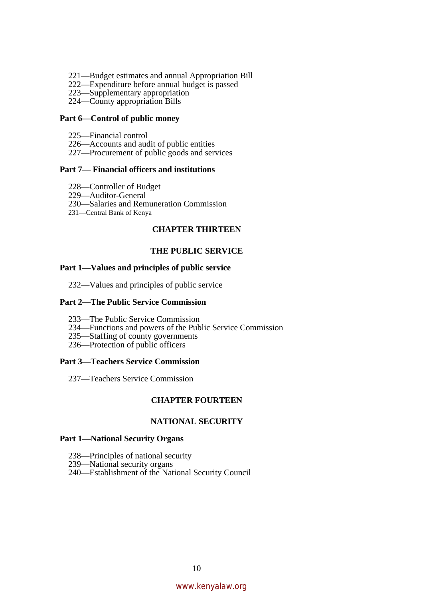- 221—Budget estimates and annual Appropriation Bill
- 222—Expenditure before annual budget is passed
- 223—Supplementary appropriation
- 224—County appropriation Bills

### **Part 6—Control of public money**

- 225—Financial control
- 226—Accounts and audit of public entities
- 227—Procurement of public goods and services

# **Part 7— Financial officers and institutions**

- 228—Controller of Budget
- 229—Auditor-General
- 230—Salaries and Remuneration Commission
- 231—Central Bank of Kenya

# **CHAPTER THIRTEEN**

# **THE PUBLIC SERVICE**

### **Part 1—Values and principles of public service**

232—Values and principles of public service

#### **Part 2—The Public Service Commission**

- 233—The Public Service Commission
- 234—Functions and powers of the Public Service Commission
- 235—Staffing of county governments
- 236—Protection of public officers

# **Part 3—Teachers Service Commission**

237—Teachers Service Commission

# **CHAPTER FOURTEEN**

### **NATIONAL SECURITY**

# **Part 1—National Security Organs**

- 238—Principles of national security
- 239—National security organs
- 240—Establishment of the National Security Council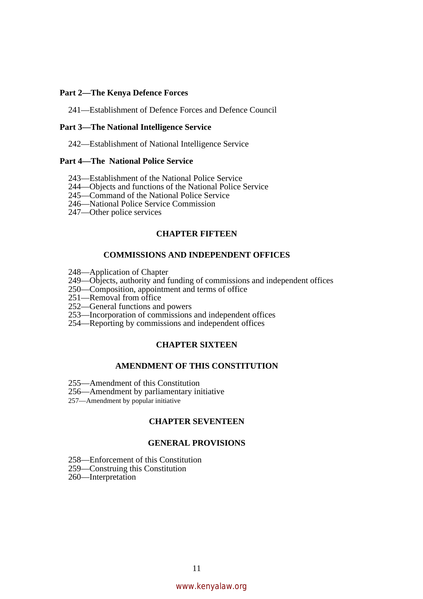#### **Part 2—The Kenya Defence Forces**

241—Establishment of Defence Forces and Defence Council

#### **Part 3—The National Intelligence Service**

242—Establishment of National Intelligence Service

#### **Part 4—The National Police Service**

- 243—Establishment of the National Police Service
- 244—Objects and functions of the National Police Service
- 245—Command of the National Police Service
- 246—National Police Service Commission
- 247—Other police services

### **CHAPTER FIFTEEN**

### **COMMISSIONS AND INDEPENDENT OFFICES**

- 248—Application of Chapter
- 249—Objects, authority and funding of commissions and independent offices
- 250—Composition, appointment and terms of office
- 251—Removal from office
- 252—General functions and powers
- 253—Incorporation of commissions and independent offices
- 254—Reporting by commissions and independent offices

### **CHAPTER SIXTEEN**

### **AMENDMENT OF THIS CONSTITUTION**

- 255—Amendment of this Constitution
- 256—Amendment by parliamentary initiative
- 257—Amendment by popular initiative

# **CHAPTER SEVENTEEN**

### **GENERAL PROVISIONS**

- 258—Enforcement of this Constitution
- 259—Construing this Constitution
- 260—Interpretation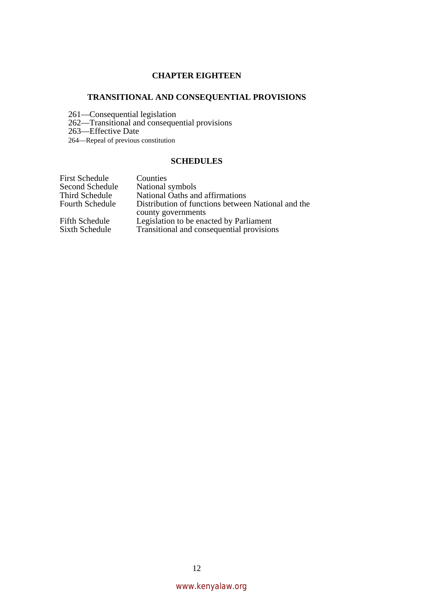# **CHAPTER EIGHTEEN**

# **TRANSITIONAL AND CONSEQUENTIAL PROVISIONS**

261—Consequential legislation

262—Transitional and consequential provisions

263—Effective Date

264—Repeal of previous constitution

# **SCHEDULES**

| <b>First Schedule</b>  | Counties                                           |
|------------------------|----------------------------------------------------|
| Second Schedule        | National symbols                                   |
| Third Schedule         | National Oaths and affirmations                    |
| <b>Fourth Schedule</b> | Distribution of functions between National and the |
|                        | county governments                                 |
| Fifth Schedule         | Legislation to be enacted by Parliament            |
| Sixth Schedule         | Transitional and consequential provisions          |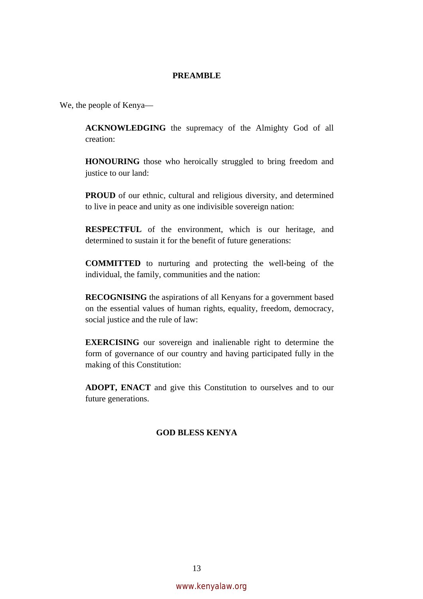# **PREAMBLE**

We, the people of Kenya—

**ACKNOWLEDGING** the supremacy of the Almighty God of all creation:

**HONOURING** those who heroically struggled to bring freedom and justice to our land:

**PROUD** of our ethnic, cultural and religious diversity, and determined to live in peace and unity as one indivisible sovereign nation:

**RESPECTFUL** of the environment, which is our heritage, and determined to sustain it for the benefit of future generations:

**COMMITTED** to nurturing and protecting the well-being of the individual, the family, communities and the nation:

**RECOGNISING** the aspirations of all Kenyans for a government based on the essential values of human rights, equality, freedom, democracy, social justice and the rule of law:

**EXERCISING** our sovereign and inalienable right to determine the form of governance of our country and having participated fully in the making of this Constitution:

**ADOPT, ENACT** and give this Constitution to ourselves and to our future generations.

# **GOD BLESS KENYA**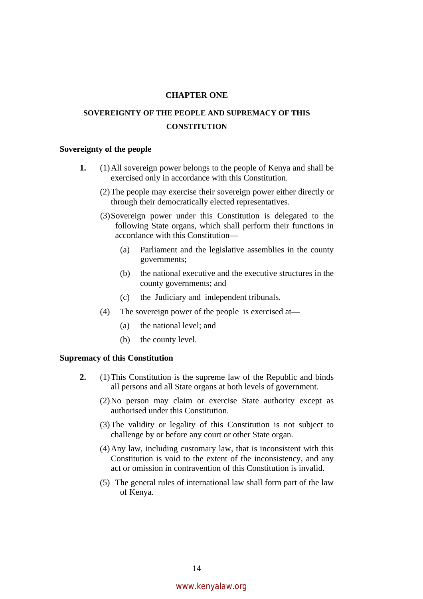#### **CHAPTER ONE**

# **SOVEREIGNTY OF THE PEOPLE AND SUPREMACY OF THIS CONSTITUTION**

#### **Sovereignty of the people**

- **1.** (1) All sovereign power belongs to the people of Kenya and shall be exercised only in accordance with this Constitution.
	- (2)The people may exercise their sovereign power either directly or through their democratically elected representatives.
	- (3)Sovereign power under this Constitution is delegated to the following State organs, which shall perform their functions in accordance with this Constitution––
		- (a) Parliament and the legislative assemblies in the county governments;
		- (b) the national executive and the executive structures in the county governments; and
		- (c) the Judiciary and independent tribunals.
	- (4) The sovereign power of the people is exercised at—
		- (a) the national level; and
		- (b) the county level.

#### **Supremacy of this Constitution**

- **2.** (1) This Constitution is the supreme law of the Republic and binds all persons and all State organs at both levels of government.
	- (2)No person may claim or exercise State authority except as authorised under this Constitution.
	- (3)The validity or legality of this Constitution is not subject to challenge by or before any court or other State organ.
	- (4)Any law, including customary law, that is inconsistent with this Constitution is void to the extent of the inconsistency, and any act or omission in contravention of this Constitution is invalid.
	- (5) The general rules of international law shall form part of the law of Kenya.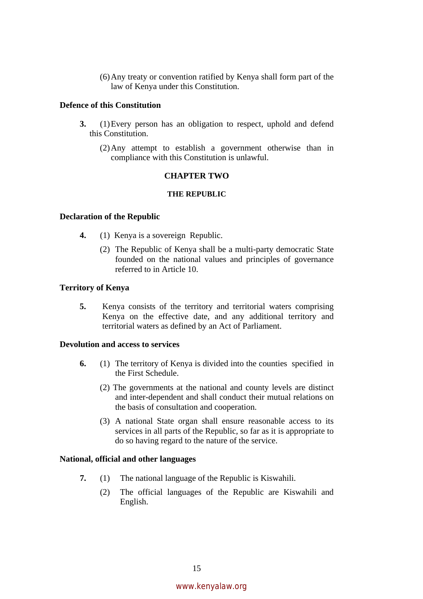(6)Any treaty or convention ratified by Kenya shall form part of the law of Kenya under this Constitution.

### **Defence of this Constitution**

- **3.** (1) Every person has an obligation to respect, uphold and defend this Constitution.
	- (2)Any attempt to establish a government otherwise than in compliance with this Constitution is unlawful.

### **CHAPTER TWO**

#### **THE REPUBLIC**

### **Declaration of the Republic**

- **4.** (1) Kenya is a sovereign Republic.
	- (2) The Republic of Kenya shall be a multi-party democratic State founded on the national values and principles of governance referred to in Article 10.

#### **Territory of Kenya**

**5.** Kenya consists of the territory and territorial waters comprising Kenya on the effective date, and any additional territory and territorial waters as defined by an Act of Parliament.

#### **Devolution and access to services**

- **6.** (1) The territory of Kenya is divided into the counties specified in the First Schedule.
	- (2) The governments at the national and county levels are distinct and inter-dependent and shall conduct their mutual relations on the basis of consultation and cooperation.
	- (3) A national State organ shall ensure reasonable access to its services in all parts of the Republic, so far as it is appropriate to do so having regard to the nature of the service.

### **National, official and other languages**

- **7.** (1) The national language of the Republic is Kiswahili.
	- (2) The official languages of the Republic are Kiswahili and English.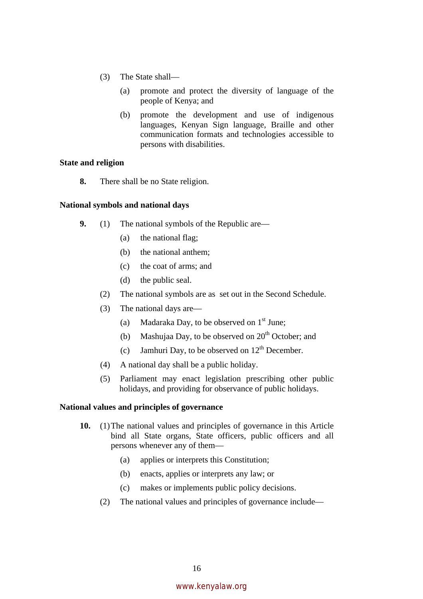- (3) The State shall––
	- (a) promote and protect the diversity of language of the people of Kenya; and
	- (b) promote the development and use of indigenous languages, Kenyan Sign language, Braille and other communication formats and technologies accessible to persons with disabilities.

# **State and religion**

**8.** There shall be no State religion.

# **National symbols and national days**

- **9.** (1) The national symbols of the Republic are—
	- (a) the national flag;
	- (b) the national anthem;
	- (c) the coat of arms; and
	- (d) the public seal.
	- (2) The national symbols are as set out in the Second Schedule.
	- (3) The national days are—
		- (a) Madaraka Day, to be observed on  $1<sup>st</sup>$  June;
		- (b) Mashujaa Day, to be observed on  $20<sup>th</sup>$  October; and
		- (c) Jamhuri Day, to be observed on  $12<sup>th</sup>$  December.
	- (4) A national day shall be a public holiday.
	- (5) Parliament may enact legislation prescribing other public holidays, and providing for observance of public holidays.

### **National values and principles of governance**

- **10.** (1) The national values and principles of governance in this Article bind all State organs, State officers, public officers and all persons whenever any of them—
	- (a) applies or interprets this Constitution;
	- (b) enacts, applies or interprets any law; or
	- (c) makes or implements public policy decisions.
	- (2) The national values and principles of governance include—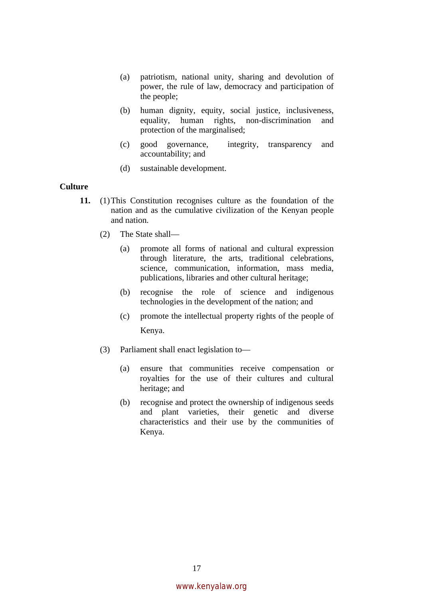- (a) patriotism, national unity, sharing and devolution of power, the rule of law, democracy and participation of the people;
- (b) human dignity, equity, social justice, inclusiveness, equality, human rights, non-discrimination and protection of the marginalised;
- (c) good governance, integrity, transparency and accountability; and
- (d) sustainable development.

# **Culture**

- **11.** (1) This Constitution recognises culture as the foundation of the nation and as the cumulative civilization of the Kenyan people and nation.
	- (2) The State shall—
		- (a) promote all forms of national and cultural expression through literature, the arts, traditional celebrations, science, communication, information, mass media, publications, libraries and other cultural heritage;
		- (b) recognise the role of science and indigenous technologies in the development of the nation; and
		- (c) promote the intellectual property rights of the people of Kenya.
	- (3) Parliament shall enact legislation to—
		- (a) ensure that communities receive compensation or royalties for the use of their cultures and cultural heritage; and
		- (b) recognise and protect the ownership of indigenous seeds and plant varieties, their genetic and diverse characteristics and their use by the communities of Kenya.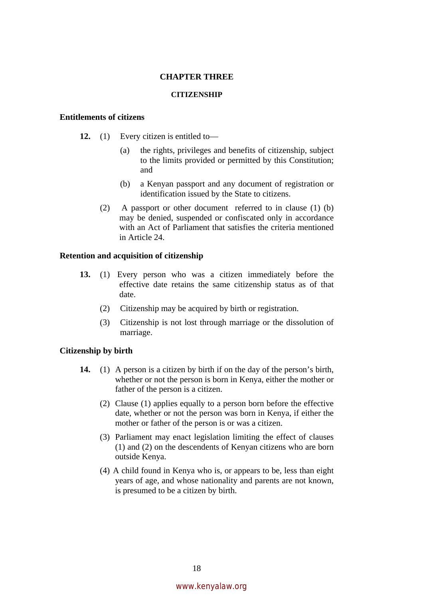### **CHAPTER THREE**

### **CITIZENSHIP**

# **Entitlements of citizens**

- **12.** (1) Every citizen is entitled to—
	- (a) the rights, privileges and benefits of citizenship, subject to the limits provided or permitted by this Constitution; and
	- (b) a Kenyan passport and any document of registration or identification issued by the State to citizens.
	- (2) A passport or other document referred to in clause (1) (b) may be denied, suspended or confiscated only in accordance with an Act of Parliament that satisfies the criteria mentioned in Article 24.

# **Retention and acquisition of citizenship**

- **13.** (1) Every person who was a citizen immediately before the effective date retains the same citizenship status as of that date.
	- (2) Citizenship may be acquired by birth or registration.
	- (3) Citizenship is not lost through marriage or the dissolution of marriage.

### **Citizenship by birth**

- **14.** (1) A person is a citizen by birth if on the day of the person's birth, whether or not the person is born in Kenya, either the mother or father of the person is a citizen.
	- (2) Clause (1) applies equally to a person born before the effective date, whether or not the person was born in Kenya, if either the mother or father of the person is or was a citizen.
	- (3) Parliament may enact legislation limiting the effect of clauses (1) and (2) on the descendents of Kenyan citizens who are born outside Kenya.
	- (4) A child found in Kenya who is, or appears to be, less than eight years of age, and whose nationality and parents are not known, is presumed to be a citizen by birth.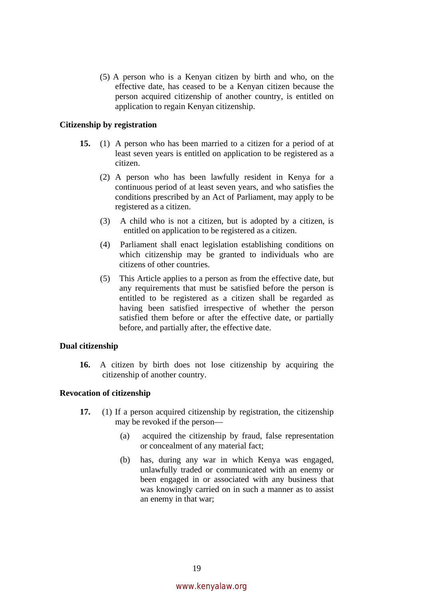(5) A person who is a Kenyan citizen by birth and who, on the effective date, has ceased to be a Kenyan citizen because the person acquired citizenship of another country, is entitled on application to regain Kenyan citizenship.

# **Citizenship by registration**

- **15.** (1) A person who has been married to a citizen for a period of at least seven years is entitled on application to be registered as a citizen.
	- (2) A person who has been lawfully resident in Kenya for a continuous period of at least seven years, and who satisfies the conditions prescribed by an Act of Parliament, may apply to be registered as a citizen.
	- (3) A child who is not a citizen, but is adopted by a citizen, is entitled on application to be registered as a citizen.
	- (4) Parliament shall enact legislation establishing conditions on which citizenship may be granted to individuals who are citizens of other countries.
	- (5) This Article applies to a person as from the effective date, but any requirements that must be satisfied before the person is entitled to be registered as a citizen shall be regarded as having been satisfied irrespective of whether the person satisfied them before or after the effective date, or partially before, and partially after, the effective date.

### **Dual citizenship**

**16.** A citizen by birth does not lose citizenship by acquiring the citizenship of another country.

### **Revocation of citizenship**

- **17.** (1) If a person acquired citizenship by registration, the citizenship may be revoked if the person—
	- (a) acquired the citizenship by fraud, false representation or concealment of any material fact;
	- (b) has, during any war in which Kenya was engaged, unlawfully traded or communicated with an enemy or been engaged in or associated with any business that was knowingly carried on in such a manner as to assist an enemy in that war;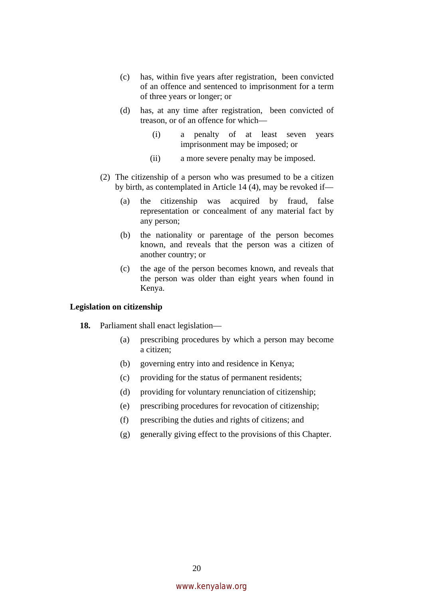- (c) has, within five years after registration, been convicted of an offence and sentenced to imprisonment for a term of three years or longer; or
- (d) has, at any time after registration, been convicted of treason, or of an offence for which––
	- (i) a penalty of at least seven years imprisonment may be imposed; or
	- (ii) a more severe penalty may be imposed.
- (2) The citizenship of a person who was presumed to be a citizen by birth, as contemplated in Article 14 (4), may be revoked if—
	- (a) the citizenship was acquired by fraud, false representation or concealment of any material fact by any person;
	- (b) the nationality or parentage of the person becomes known, and reveals that the person was a citizen of another country; or
	- (c) the age of the person becomes known, and reveals that the person was older than eight years when found in Kenya.

### **Legislation on citizenship**

- **18.** Parliament shall enact legislation—
	- (a) prescribing procedures by which a person may become a citizen;
	- (b) governing entry into and residence in Kenya;
	- (c) providing for the status of permanent residents;
	- (d) providing for voluntary renunciation of citizenship;
	- (e) prescribing procedures for revocation of citizenship;
	- (f) prescribing the duties and rights of citizens; and
	- (g) generally giving effect to the provisions of this Chapter.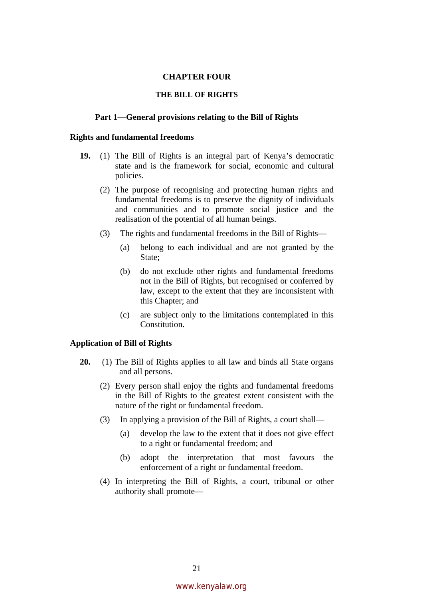#### **CHAPTER FOUR**

### **THE BILL OF RIGHTS**

#### **Part 1—General provisions relating to the Bill of Rights**

#### **Rights and fundamental freedoms**

- **19.** (1) The Bill of Rights is an integral part of Kenya's democratic state and is the framework for social, economic and cultural policies.
	- (2) The purpose of recognising and protecting human rights and fundamental freedoms is to preserve the dignity of individuals and communities and to promote social justice and the realisation of the potential of all human beings.
	- (3) The rights and fundamental freedoms in the Bill of Rights—
		- (a) belong to each individual and are not granted by the State:
		- (b) do not exclude other rights and fundamental freedoms not in the Bill of Rights, but recognised or conferred by law, except to the extent that they are inconsistent with this Chapter; and
		- (c) are subject only to the limitations contemplated in this Constitution.

#### **Application of Bill of Rights**

- **20.** (1) The Bill of Rights applies to all law and binds all State organs and all persons.
	- (2) Every person shall enjoy the rights and fundamental freedoms in the Bill of Rights to the greatest extent consistent with the nature of the right or fundamental freedom.
	- (3) In applying a provision of the Bill of Rights, a court shall—
		- (a) develop the law to the extent that it does not give effect to a right or fundamental freedom; and
		- (b) adopt the interpretation that most favours the enforcement of a right or fundamental freedom.
	- (4) In interpreting the Bill of Rights, a court, tribunal or other authority shall promote—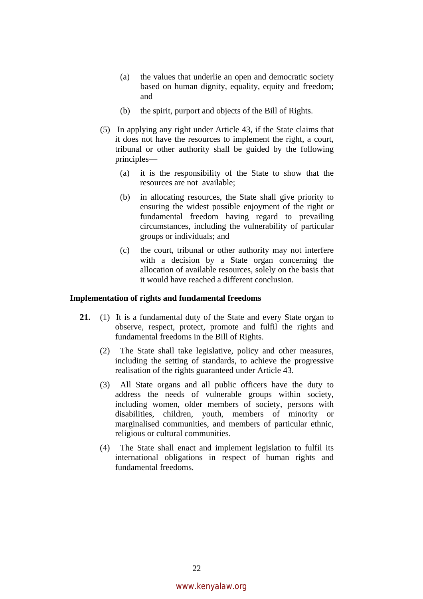- (a) the values that underlie an open and democratic society based on human dignity, equality, equity and freedom; and
- (b) the spirit, purport and objects of the Bill of Rights.
- (5) In applying any right under Article 43, if the State claims that it does not have the resources to implement the right, a court, tribunal or other authority shall be guided by the following principles––
	- (a) it is the responsibility of the State to show that the resources are not available;
	- (b) in allocating resources, the State shall give priority to ensuring the widest possible enjoyment of the right or fundamental freedom having regard to prevailing circumstances, including the vulnerability of particular groups or individuals; and
	- (c) the court, tribunal or other authority may not interfere with a decision by a State organ concerning the allocation of available resources, solely on the basis that it would have reached a different conclusion.

### **Implementation of rights and fundamental freedoms**

- **21.** (1) It is a fundamental duty of the State and every State organ to observe, respect, protect, promote and fulfil the rights and fundamental freedoms in the Bill of Rights.
	- (2) The State shall take legislative, policy and other measures, including the setting of standards, to achieve the progressive realisation of the rights guaranteed under Article 43.
	- (3) All State organs and all public officers have the duty to address the needs of vulnerable groups within society, including women, older members of society, persons with disabilities, children, youth, members of minority or marginalised communities, and members of particular ethnic, religious or cultural communities.
	- (4) The State shall enact and implement legislation to fulfil its international obligations in respect of human rights and fundamental freedoms.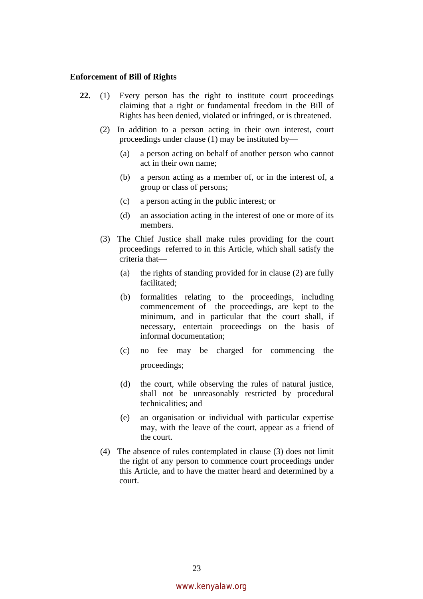#### **Enforcement of Bill of Rights**

- **22.** (1) Every person has the right to institute court proceedings claiming that a right or fundamental freedom in the Bill of Rights has been denied, violated or infringed, or is threatened.
	- (2) In addition to a person acting in their own interest, court proceedings under clause (1) may be instituted by––
		- (a) a person acting on behalf of another person who cannot act in their own name;
		- (b) a person acting as a member of, or in the interest of, a group or class of persons;
		- (c) a person acting in the public interest; or
		- (d) an association acting in the interest of one or more of its members.
	- (3) The Chief Justice shall make rules providing for the court proceedings referred to in this Article, which shall satisfy the criteria that—
		- (a) the rights of standing provided for in clause (2) are fully facilitated;
		- (b) formalities relating to the proceedings, including commencement of the proceedings, are kept to the minimum, and in particular that the court shall, if necessary, entertain proceedings on the basis of informal documentation;
		- (c) no fee may be charged for commencing the proceedings;
		- (d) the court, while observing the rules of natural justice, shall not be unreasonably restricted by procedural technicalities; and
		- (e) an organisation or individual with particular expertise may, with the leave of the court, appear as a friend of the court.
	- (4) The absence of rules contemplated in clause (3) does not limit the right of any person to commence court proceedings under this Article, and to have the matter heard and determined by a court.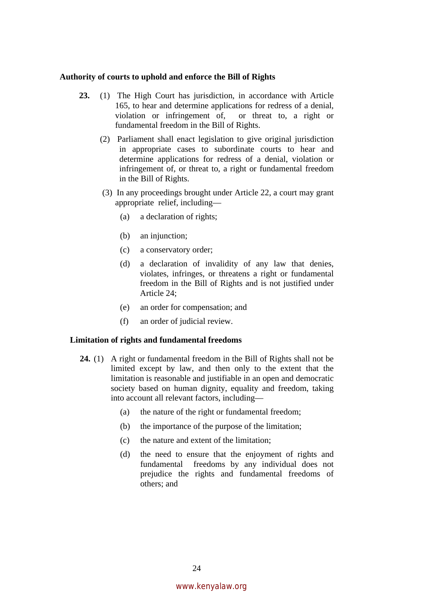### **Authority of courts to uphold and enforce the Bill of Rights**

- **23.** (1) The High Court has jurisdiction, in accordance with Article 165, to hear and determine applications for redress of a denial, violation or infringement of, or threat to, a right or fundamental freedom in the Bill of Rights.
	- (2) Parliament shall enact legislation to give original jurisdiction in appropriate cases to subordinate courts to hear and determine applications for redress of a denial, violation or infringement of, or threat to, a right or fundamental freedom in the Bill of Rights.
	- (3) In any proceedings brought under Article 22, a court may grant appropriate relief, including—
		- (a) a declaration of rights;
		- (b) an injunction;
		- (c) a conservatory order;
		- (d) a declaration of invalidity of any law that denies, violates, infringes, or threatens a right or fundamental freedom in the Bill of Rights and is not justified under Article 24;
		- (e) an order for compensation; and
		- (f) an order of judicial review.

### **Limitation of rights and fundamental freedoms**

- **24.** (1) A right or fundamental freedom in the Bill of Rights shall not be limited except by law, and then only to the extent that the limitation is reasonable and justifiable in an open and democratic society based on human dignity, equality and freedom, taking into account all relevant factors, including—
	- (a) the nature of the right or fundamental freedom;
	- (b) the importance of the purpose of the limitation;
	- (c) the nature and extent of the limitation;
	- (d) the need to ensure that the enjoyment of rights and fundamental freedoms by any individual does not prejudice the rights and fundamental freedoms of others; and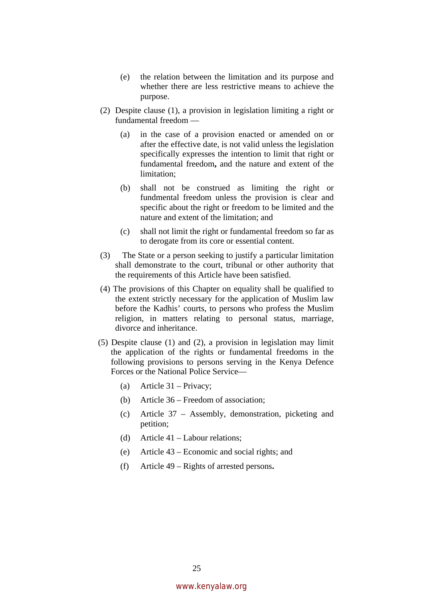- (e) the relation between the limitation and its purpose and whether there are less restrictive means to achieve the purpose.
- (2) Despite clause (1), a provision in legislation limiting a right or fundamental freedom —
	- (a) in the case of a provision enacted or amended on or after the effective date, is not valid unless the legislation specifically expresses the intention to limit that right or fundamental freedom**,** and the nature and extent of the limitation;
	- (b) shall not be construed as limiting the right or fundmental freedom unless the provision is clear and specific about the right or freedom to be limited and the nature and extent of the limitation; and
	- (c) shall not limit the right or fundamental freedom so far as to derogate from its core or essential content.
- (3) The State or a person seeking to justify a particular limitation shall demonstrate to the court, tribunal or other authority that the requirements of this Article have been satisfied.
- (4) The provisions of this Chapter on equality shall be qualified to the extent strictly necessary for the application of Muslim law before the Kadhis' courts, to persons who profess the Muslim religion, in matters relating to personal status, marriage, divorce and inheritance.
- (5) Despite clause (1) and (2), a provision in legislation may limit the application of the rights or fundamental freedoms in the following provisions to persons serving in the Kenya Defence Forces or the National Police Service––
	- (a) Article 31 Privacy;
	- (b) Article 36 Freedom of association;
	- (c) Article 37 Assembly, demonstration, picketing and petition;
	- (d) Article 41 Labour relations;
	- (e) Article 43 Economic and social rights; and
	- (f) Article 49 Rights of arrested persons**.**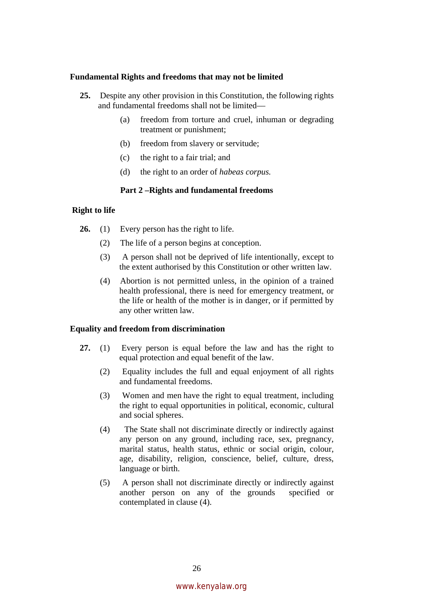# **Fundamental Rights and freedoms that may not be limited**

- **25.** Despite any other provision in this Constitution, the following rights and fundamental freedoms shall not be limited––
	- (a) freedom from torture and cruel, inhuman or degrading treatment or punishment;
	- (b) freedom from slavery or servitude;
	- (c) the right to a fair trial; and
	- (d) the right to an order of *habeas corpus.*

# **Part 2 –Rights and fundamental freedoms**

# **Right to life**

- **26.** (1) Every person has the right to life.
	- (2) The life of a person begins at conception.
	- (3) A person shall not be deprived of life intentionally, except to the extent authorised by this Constitution or other written law.
	- (4) Abortion is not permitted unless, in the opinion of a trained health professional, there is need for emergency treatment, or the life or health of the mother is in danger, or if permitted by any other written law.

### **Equality and freedom from discrimination**

- **27.** (1) Every person is equal before the law and has the right to equal protection and equal benefit of the law.
	- (2) Equality includes the full and equal enjoyment of all rights and fundamental freedoms.
	- (3) Women and men have the right to equal treatment, including the right to equal opportunities in political, economic, cultural and social spheres.
	- (4) The State shall not discriminate directly or indirectly against any person on any ground, including race, sex, pregnancy, marital status, health status, ethnic or social origin, colour, age, disability, religion, conscience, belief, culture, dress, language or birth.
	- (5) A person shall not discriminate directly or indirectly against another person on any of the grounds specified or contemplated in clause (4).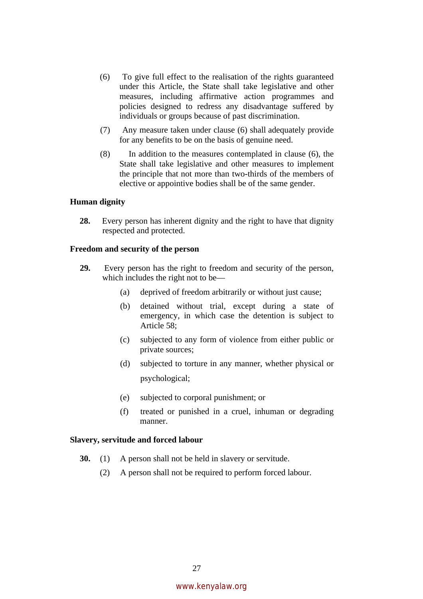- (6) To give full effect to the realisation of the rights guaranteed under this Article, the State shall take legislative and other measures, including affirmative action programmes and policies designed to redress any disadvantage suffered by individuals or groups because of past discrimination.
- (7) Any measure taken under clause (6) shall adequately provide for any benefits to be on the basis of genuine need.
- (8) In addition to the measures contemplated in clause (6), the State shall take legislative and other measures to implement the principle that not more than two-thirds of the members of elective or appointive bodies shall be of the same gender.

# **Human dignity**

**28.** Every person has inherent dignity and the right to have that dignity respected and protected.

### **Freedom and security of the person**

- **29.** Every person has the right to freedom and security of the person, which includes the right not to be—
	- (a) deprived of freedom arbitrarily or without just cause;
	- (b) detained without trial, except during a state of emergency, in which case the detention is subject to Article 58;
	- (c) subjected to any form of violence from either public or private sources;
	- (d) subjected to torture in any manner, whether physical or psychological;
	- (e) subjected to corporal punishment; or
	- (f) treated or punished in a cruel, inhuman or degrading manner.

### **Slavery, servitude and forced labour**

- **30.** (1) A person shall not be held in slavery or servitude.
	- (2) A person shall not be required to perform forced labour.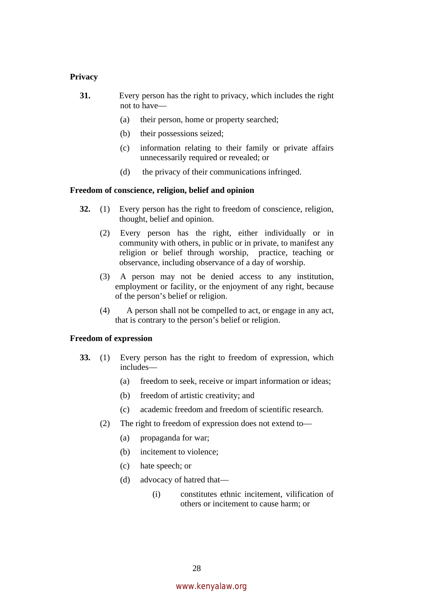# **Privacy**

- **31.** Every person has the right to privacy, which includes the right not to have—
	- (a) their person, home or property searched;
	- (b) their possessions seized;
	- (c) information relating to their family or private affairs unnecessarily required or revealed; or
	- (d) the privacy of their communications infringed.

### **Freedom of conscience, religion, belief and opinion**

- **32.** (1) Every person has the right to freedom of conscience, religion, thought, belief and opinion.
	- (2) Every person has the right, either individually or in community with others, in public or in private, to manifest any religion or belief through worship, practice, teaching or observance, including observance of a day of worship.
	- (3) A person may not be denied access to any institution, employment or facility, or the enjoyment of any right, because of the person's belief or religion.
	- (4) A person shall not be compelled to act, or engage in any act, that is contrary to the person's belief or religion.

### **Freedom of expression**

- **33.** (1) Every person has the right to freedom of expression, which includes—
	- (a) freedom to seek, receive or impart information or ideas;
	- (b) freedom of artistic creativity; and
	- (c) academic freedom and freedom of scientific research.
	- (2) The right to freedom of expression does not extend to—
		- (a) propaganda for war;
		- (b) incitement to violence;
		- (c) hate speech; or
		- (d) advocacy of hatred that—
			- (i) constitutes ethnic incitement, vilification of others or incitement to cause harm; or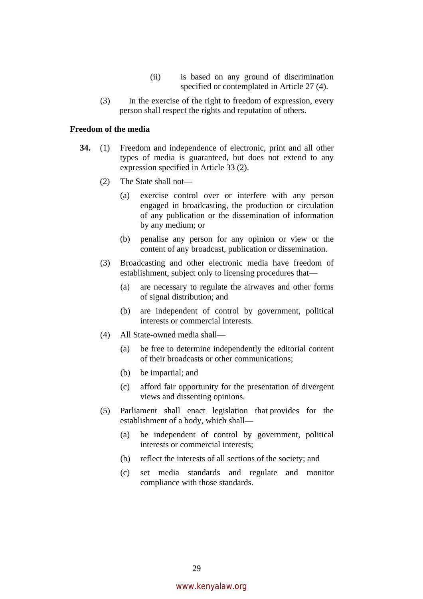- (ii) is based on any ground of discrimination specified or contemplated in Article 27 (4).
- (3) In the exercise of the right to freedom of expression, every person shall respect the rights and reputation of others.

# **Freedom of the media**

- **34.** (1) Freedom and independence of electronic, print and all other types of media is guaranteed, but does not extend to any expression specified in Article 33 (2).
	- (2) The State shall not—
		- (a) exercise control over or interfere with any person engaged in broadcasting, the production or circulation of any publication or the dissemination of information by any medium; or
		- (b) penalise any person for any opinion or view or the content of any broadcast, publication or dissemination.
	- (3) Broadcasting and other electronic media have freedom of establishment, subject only to licensing procedures that—
		- (a) are necessary to regulate the airwaves and other forms of signal distribution; and
		- (b) are independent of control by government, political interests or commercial interests.
	- (4) All State-owned media shall—
		- (a) be free to determine independently the editorial content of their broadcasts or other communications;
		- (b) be impartial; and
		- (c) afford fair opportunity for the presentation of divergent views and dissenting opinions.
	- (5) Parliament shall enact legislation that provides for the establishment of a body, which shall—
		- (a) be independent of control by government, political interests or commercial interests;
		- (b) reflect the interests of all sections of the society; and
		- (c) set media standards and regulate and monitor compliance with those standards.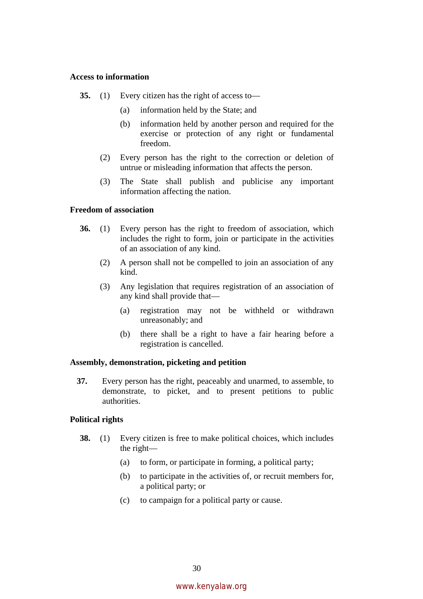#### **Access to information**

- **35.** (1) Every citizen has the right of access to—
	- (a) information held by the State; and
	- (b) information held by another person and required for the exercise or protection of any right or fundamental freedom.
	- (2) Every person has the right to the correction or deletion of untrue or misleading information that affects the person.
	- (3) The State shall publish and publicise any important information affecting the nation.

### **Freedom of association**

- **36.** (1) Every person has the right to freedom of association, which includes the right to form, join or participate in the activities of an association of any kind.
	- (2) A person shall not be compelled to join an association of any kind.
	- (3) Any legislation that requires registration of an association of any kind shall provide that—
		- (a) registration may not be withheld or withdrawn unreasonably; and
		- (b) there shall be a right to have a fair hearing before a registration is cancelled.

#### **Assembly, demonstration, picketing and petition**

**37.** Every person has the right, peaceably and unarmed, to assemble, to demonstrate, to picket, and to present petitions to public authorities.

### **Political rights**

- **38.** (1) Every citizen is free to make political choices, which includes the right—
	- (a) to form, or participate in forming, a political party;
	- (b) to participate in the activities of, or recruit members for, a political party; or
	- (c) to campaign for a political party or cause.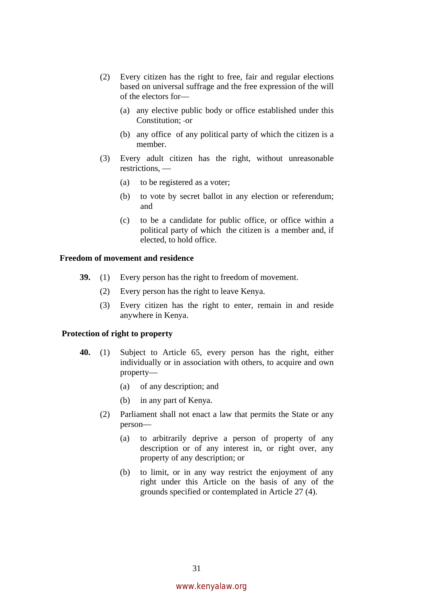- (2) Every citizen has the right to free, fair and regular elections based on universal suffrage and the free expression of the will of the electors for—
	- (a) any elective public body or office established under this Constitution; -or
	- (b) any office of any political party of which the citizen is a member.
- (3) Every adult citizen has the right, without unreasonable restrictions, —
	- (a) to be registered as a voter;
	- (b) to vote by secret ballot in any election or referendum; and
	- (c) to be a candidate for public office, or office within a political party of which the citizen is a member and, if elected, to hold office.

# **Freedom of movement and residence**

- **39.** (1) Every person has the right to freedom of movement.
	- (2) Every person has the right to leave Kenya.
	- (3) Every citizen has the right to enter, remain in and reside anywhere in Kenya.

### **Protection of right to property**

- **40.** (1) Subject to Article 65, every person has the right, either individually or in association with others, to acquire and own property––
	- (a) of any description; and
	- (b) in any part of Kenya.
	- (2) Parliament shall not enact a law that permits the State or any person—
		- (a) to arbitrarily deprive a person of property of any description or of any interest in, or right over, any property of any description; or
		- (b) to limit, or in any way restrict the enjoyment of any right under this Article on the basis of any of the grounds specified or contemplated in Article 27 (4).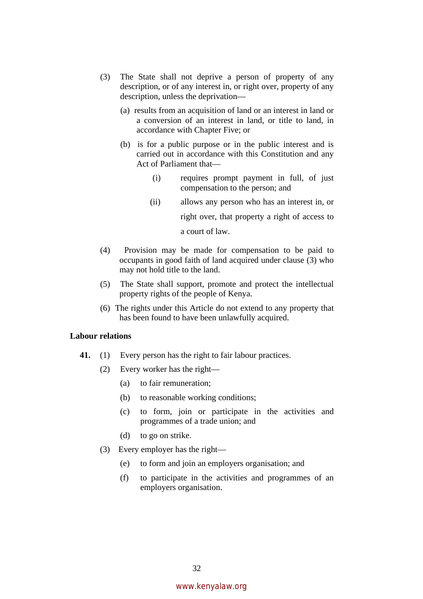- (3) The State shall not deprive a person of property of any description, or of any interest in, or right over, property of any description, unless the deprivation—
	- (a) results from an acquisition of land or an interest in land or a conversion of an interest in land, or title to land, in accordance with Chapter Five; or
	- (b) is for a public purpose or in the public interest and is carried out in accordance with this Constitution and any Act of Parliament that—
		- (i) requires prompt payment in full, of just compensation to the person; and
		- (ii) allows any person who has an interest in, or right over, that property a right of access to a court of law.
- (4) Provision may be made for compensation to be paid to occupants in good faith of land acquired under clause (3) who may not hold title to the land.
- (5) The State shall support, promote and protect the intellectual property rights of the people of Kenya.
- (6) The rights under this Article do not extend to any property that has been found to have been unlawfully acquired.

### **Labour relations**

- **41.** (1) Every person has the right to fair labour practices.
	- (2) Every worker has the right—
		- (a) to fair remuneration;
		- (b) to reasonable working conditions;
		- (c) to form, join or participate in the activities and programmes of a trade union; and
		- (d) to go on strike.
	- (3) Every employer has the right—
		- (e) to form and join an employers organisation; and
		- (f) to participate in the activities and programmes of an employers organisation.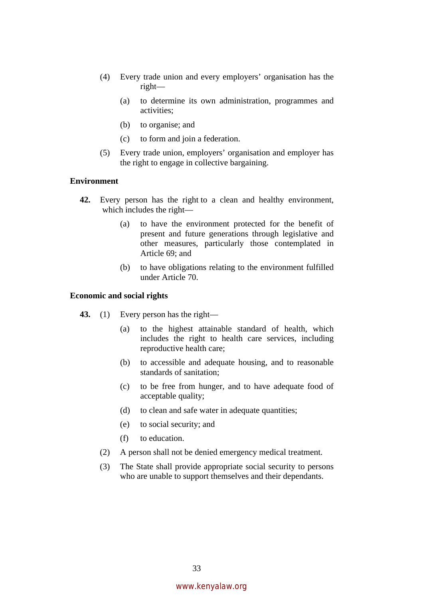- (4) Every trade union and every employers' organisation has the right—
	- (a) to determine its own administration, programmes and activities;
	- (b) to organise; and
	- (c) to form and join a federation.
- (5) Every trade union, employers' organisation and employer has the right to engage in collective bargaining.

# **Environment**

- **42.** Every person has the right to a clean and healthy environment, which includes the right—
	- (a) to have the environment protected for the benefit of present and future generations through legislative and other measures, particularly those contemplated in Article 69; and
	- (b) to have obligations relating to the environment fulfilled under Article 70.

### **Economic and social rights**

- **43.** (1) Every person has the right—
	- (a) to the highest attainable standard of health, which includes the right to health care services, including reproductive health care;
	- (b) to accessible and adequate housing, and to reasonable standards of sanitation;
	- (c) to be free from hunger, and to have adequate food of acceptable quality;
	- (d) to clean and safe water in adequate quantities;
	- (e) to social security; and
	- (f) to education.
	- (2) A person shall not be denied emergency medical treatment.
	- (3) The State shall provide appropriate social security to persons who are unable to support themselves and their dependants.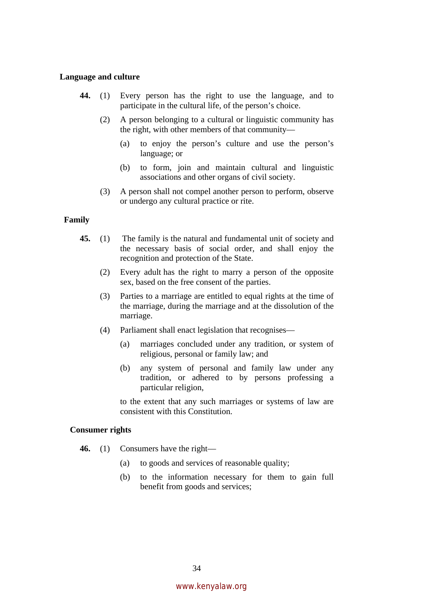### **Language and culture**

- **44.** (1) Every person has the right to use the language, and to participate in the cultural life, of the person's choice.
	- (2) A person belonging to a cultural or linguistic community has the right, with other members of that community—
		- (a) to enjoy the person's culture and use the person's language; or
		- (b) to form, join and maintain cultural and linguistic associations and other organs of civil society.
	- (3) A person shall not compel another person to perform, observe or undergo any cultural practice or rite.

# **Family**

- **45.** (1) The family is the natural and fundamental unit of society and the necessary basis of social order, and shall enjoy the recognition and protection of the State.
	- (2) Every adult has the right to marry a person of the opposite sex, based on the free consent of the parties.
	- (3) Parties to a marriage are entitled to equal rights at the time of the marriage, during the marriage and at the dissolution of the marriage.
	- (4) Parliament shall enact legislation that recognises—
		- (a) marriages concluded under any tradition, or system of religious, personal or family law; and
		- (b) any system of personal and family law under any tradition, or adhered to by persons professing a particular religion,

to the extent that any such marriages or systems of law are consistent with this Constitution.

### **Consumer rights**

- **46.** (1) Consumers have the right—
	- (a) to goods and services of reasonable quality;
	- (b) to the information necessary for them to gain full benefit from goods and services;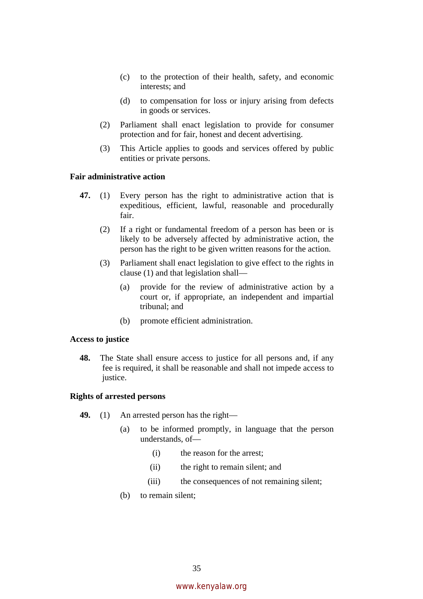- (c) to the protection of their health, safety, and economic interests; and
- (d) to compensation for loss or injury arising from defects in goods or services.
- (2) Parliament shall enact legislation to provide for consumer protection and for fair, honest and decent advertising.
- (3) This Article applies to goods and services offered by public entities or private persons.

#### **Fair administrative action**

- **47.** (1) Every person has the right to administrative action that is expeditious, efficient, lawful, reasonable and procedurally fair.
	- (2) If a right or fundamental freedom of a person has been or is likely to be adversely affected by administrative action, the person has the right to be given written reasons for the action.
	- (3) Parliament shall enact legislation to give effect to the rights in clause (1) and that legislation shall—
		- (a) provide for the review of administrative action by a court or, if appropriate, an independent and impartial tribunal; and
		- (b) promote efficient administration.

#### **Access to justice**

**48.** The State shall ensure access to justice for all persons and, if any fee is required, it shall be reasonable and shall not impede access to justice.

#### **Rights of arrested persons**

- **49.** (1) An arrested person has the right—
	- (a) to be informed promptly, in language that the person understands, of—
		- (i) the reason for the arrest;
		- (ii) the right to remain silent; and
		- (iii) the consequences of not remaining silent;
	- (b) to remain silent;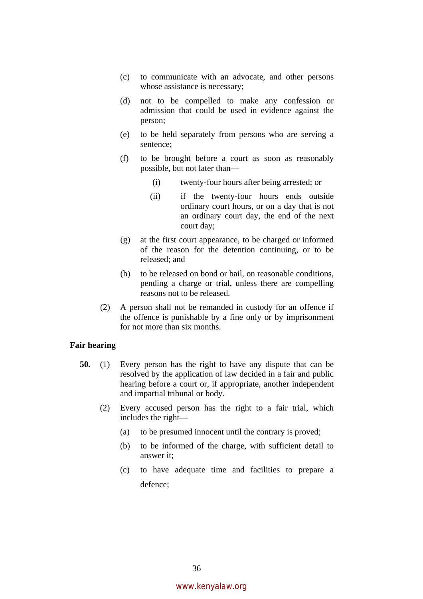- (c) to communicate with an advocate, and other persons whose assistance is necessary;
- (d) not to be compelled to make any confession or admission that could be used in evidence against the person;
- (e) to be held separately from persons who are serving a sentence;
- (f) to be brought before a court as soon as reasonably possible, but not later than––
	- (i) twenty-four hours after being arrested; or
	- (ii) if the twenty-four hours ends outside ordinary court hours, or on a day that is not an ordinary court day, the end of the next court day;
- (g) at the first court appearance, to be charged or informed of the reason for the detention continuing, or to be released; and
- (h) to be released on bond or bail, on reasonable conditions, pending a charge or trial, unless there are compelling reasons not to be released.
- (2) A person shall not be remanded in custody for an offence if the offence is punishable by a fine only or by imprisonment for not more than six months.

# **Fair hearing**

- **50.** (1) Every person has the right to have any dispute that can be resolved by the application of law decided in a fair and public hearing before a court or, if appropriate, another independent and impartial tribunal or body.
	- (2) Every accused person has the right to a fair trial, which includes the right—
		- (a) to be presumed innocent until the contrary is proved;
		- (b) to be informed of the charge, with sufficient detail to answer it;
		- (c) to have adequate time and facilities to prepare a defence;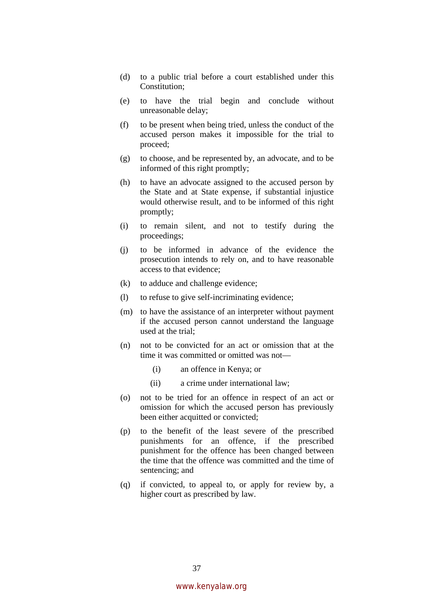- (d) to a public trial before a court established under this Constitution;
- (e) to have the trial begin and conclude without unreasonable delay;
- (f) to be present when being tried, unless the conduct of the accused person makes it impossible for the trial to proceed;
- (g) to choose, and be represented by, an advocate, and to be informed of this right promptly;
- (h) to have an advocate assigned to the accused person by the State and at State expense, if substantial injustice would otherwise result, and to be informed of this right promptly;
- (i) to remain silent, and not to testify during the proceedings;
- (j) to be informed in advance of the evidence the prosecution intends to rely on, and to have reasonable access to that evidence;
- (k) to adduce and challenge evidence;
- (l) to refuse to give self-incriminating evidence;
- (m) to have the assistance of an interpreter without payment if the accused person cannot understand the language used at the trial;
- (n) not to be convicted for an act or omission that at the time it was committed or omitted was not—
	- (i) an offence in Kenya; or
	- (ii) a crime under international law;
- (o) not to be tried for an offence in respect of an act or omission for which the accused person has previously been either acquitted or convicted;
- (p) to the benefit of the least severe of the prescribed punishments for an offence, if the prescribed punishment for the offence has been changed between the time that the offence was committed and the time of sentencing; and
- (q) if convicted, to appeal to, or apply for review by, a higher court as prescribed by law.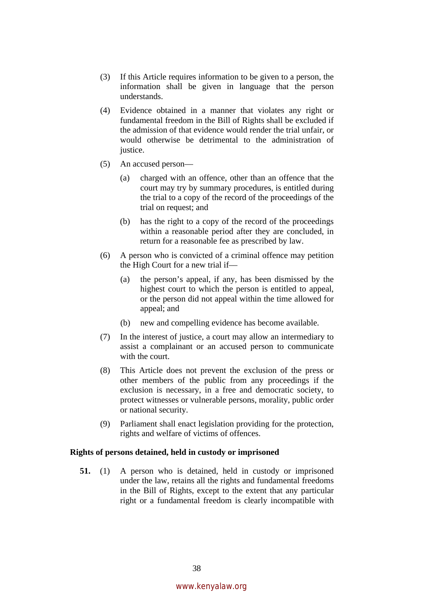- (3) If this Article requires information to be given to a person, the information shall be given in language that the person understands.
- (4) Evidence obtained in a manner that violates any right or fundamental freedom in the Bill of Rights shall be excluded if the admission of that evidence would render the trial unfair, or would otherwise be detrimental to the administration of justice.
- (5) An accused person—
	- (a) charged with an offence, other than an offence that the court may try by summary procedures, is entitled during the trial to a copy of the record of the proceedings of the trial on request; and
	- (b) has the right to a copy of the record of the proceedings within a reasonable period after they are concluded, in return for a reasonable fee as prescribed by law.
- (6) A person who is convicted of a criminal offence may petition the High Court for a new trial if––
	- (a) the person's appeal, if any, has been dismissed by the highest court to which the person is entitled to appeal, or the person did not appeal within the time allowed for appeal; and
	- (b) new and compelling evidence has become available.
- (7) In the interest of justice, a court may allow an intermediary to assist a complainant or an accused person to communicate with the court.
- (8) This Article does not prevent the exclusion of the press or other members of the public from any proceedings if the exclusion is necessary, in a free and democratic society, to protect witnesses or vulnerable persons, morality, public order or national security.
- (9) Parliament shall enact legislation providing for the protection, rights and welfare of victims of offences.

## **Rights of persons detained, held in custody or imprisoned**

**51.** (1) A person who is detained, held in custody or imprisoned under the law, retains all the rights and fundamental freedoms in the Bill of Rights, except to the extent that any particular right or a fundamental freedom is clearly incompatible with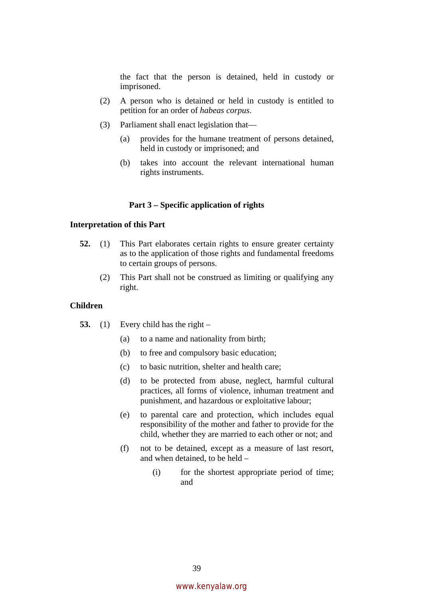the fact that the person is detained, held in custody or imprisoned.

- (2) A person who is detained or held in custody is entitled to petition for an order of *habeas corpus*.
- (3) Parliament shall enact legislation that––
	- (a) provides for the humane treatment of persons detained, held in custody or imprisoned; and
	- (b) takes into account the relevant international human rights instruments.

### **Part 3 – Specific application of rights**

## **Interpretation of this Part**

- **52.** (1) This Part elaborates certain rights to ensure greater certainty as to the application of those rights and fundamental freedoms to certain groups of persons.
	- (2) This Part shall not be construed as limiting or qualifying any right.

### **Children**

- **53.** (1) Every child has the right
	- (a) to a name and nationality from birth;
	- (b) to free and compulsory basic education;
	- (c) to basic nutrition, shelter and health care;
	- (d) to be protected from abuse, neglect, harmful cultural practices, all forms of violence, inhuman treatment and punishment, and hazardous or exploitative labour;
	- (e) to parental care and protection, which includes equal responsibility of the mother and father to provide for the child, whether they are married to each other or not; and
	- (f) not to be detained, except as a measure of last resort, and when detained, to be held –
		- (i) for the shortest appropriate period of time; and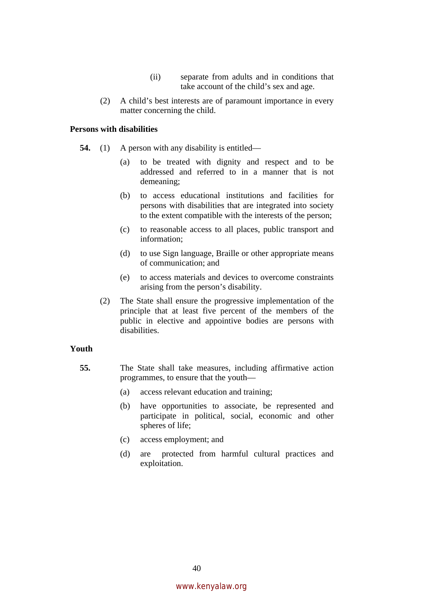- (ii) separate from adults and in conditions that take account of the child's sex and age.
- (2) A child's best interests are of paramount importance in every matter concerning the child.

## **Persons with disabilities**

- **54.** (1) A person with any disability is entitled—
	- (a) to be treated with dignity and respect and to be addressed and referred to in a manner that is not demeaning;
	- (b) to access educational institutions and facilities for persons with disabilities that are integrated into society to the extent compatible with the interests of the person;
	- (c) to reasonable access to all places, public transport and information;
	- (d) to use Sign language, Braille or other appropriate means of communication; and
	- (e) to access materials and devices to overcome constraints arising from the person's disability.
	- (2) The State shall ensure the progressive implementation of the principle that at least five percent of the members of the public in elective and appointive bodies are persons with disabilities.

### **Youth**

- **55.** The State shall take measures, including affirmative action programmes, to ensure that the youth—
	- (a) access relevant education and training;
	- (b) have opportunities to associate, be represented and participate in political, social, economic and other spheres of life;
	- (c) access employment; and
	- (d) are protected from harmful cultural practices and exploitation.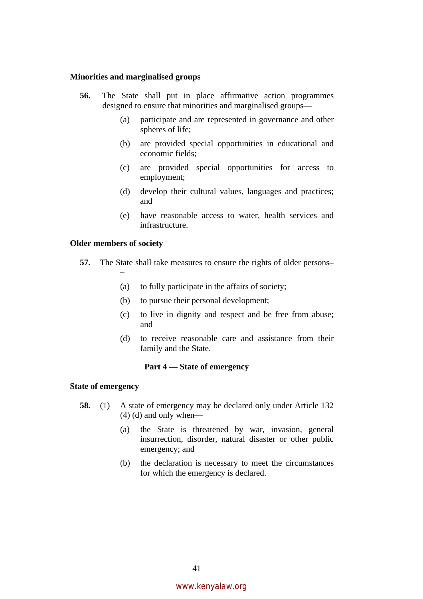### **Minorities and marginalised groups**

- **56.** The State shall put in place affirmative action programmes designed to ensure that minorities and marginalised groups—
	- (a) participate and are represented in governance and other spheres of life;
	- (b) are provided special opportunities in educational and economic fields;
	- (c) are provided special opportunities for access to employment;
	- (d) develop their cultural values, languages and practices; and
	- (e) have reasonable access to water, health services and infrastructure.

### **Older members of society**

–

- **57.** The State shall take measures to ensure the rights of older persons–
	- (a) to fully participate in the affairs of society;
	- (b) to pursue their personal development;
	- (c) to live in dignity and respect and be free from abuse; and
	- (d) to receive reasonable care and assistance from their family and the State.

## **Part 4 — State of emergency**

## **State of emergency**

- **58.** (1) A state of emergency may be declared only under Article 132  $(4)$  (d) and only when—
	- (a) the State is threatened by war, invasion, general insurrection, disorder, natural disaster or other public emergency; and
	- (b) the declaration is necessary to meet the circumstances for which the emergency is declared.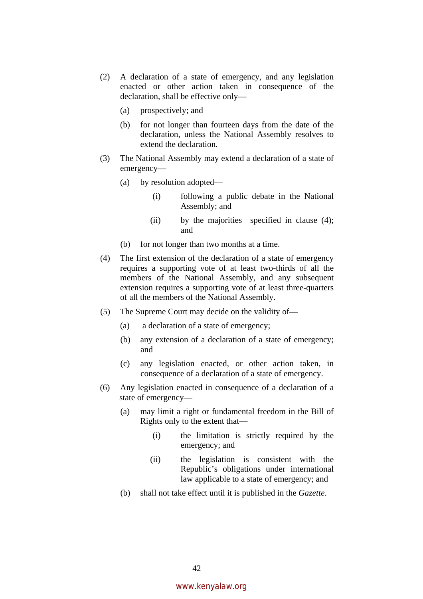- (2) A declaration of a state of emergency, and any legislation enacted or other action taken in consequence of the declaration, shall be effective only—
	- (a) prospectively; and
	- (b) for not longer than fourteen days from the date of the declaration, unless the National Assembly resolves to extend the declaration.
- (3) The National Assembly may extend a declaration of a state of emergency—
	- (a) by resolution adopted—
		- (i) following a public debate in the National Assembly; and
		- (ii) by the majorities specified in clause (4); and
	- (b) for not longer than two months at a time.
- (4) The first extension of the declaration of a state of emergency requires a supporting vote of at least two-thirds of all the members of the National Assembly, and any subsequent extension requires a supporting vote of at least three-quarters of all the members of the National Assembly.
- (5) The Supreme Court may decide on the validity of—
	- (a) a declaration of a state of emergency;
	- (b) any extension of a declaration of a state of emergency; and
	- (c) any legislation enacted, or other action taken, in consequence of a declaration of a state of emergency.
- (6) Any legislation enacted in consequence of a declaration of a state of emergency––
	- (a) may limit a right or fundamental freedom in the Bill of Rights only to the extent that—
		- (i) the limitation is strictly required by the emergency; and
		- (ii) the legislation is consistent with the Republic's obligations under international law applicable to a state of emergency; and
	- (b) shall not take effect until it is published in the *Gazette*.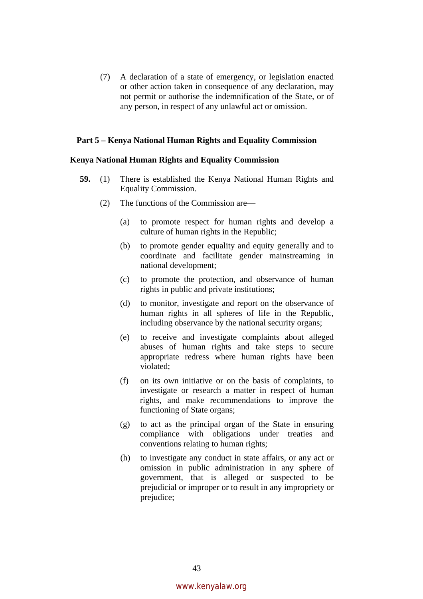(7) A declaration of a state of emergency, or legislation enacted or other action taken in consequence of any declaration, may not permit or authorise the indemnification of the State, or of any person, in respect of any unlawful act or omission.

## **Part 5 – Kenya National Human Rights and Equality Commission**

## **Kenya National Human Rights and Equality Commission**

- **59.** (1) There is established the Kenya National Human Rights and Equality Commission.
	- (2) The functions of the Commission are—
		- (a) to promote respect for human rights and develop a culture of human rights in the Republic;
		- (b) to promote gender equality and equity generally and to coordinate and facilitate gender mainstreaming in national development;
		- (c) to promote the protection, and observance of human rights in public and private institutions;
		- (d) to monitor, investigate and report on the observance of human rights in all spheres of life in the Republic, including observance by the national security organs;
		- (e) to receive and investigate complaints about alleged abuses of human rights and take steps to secure appropriate redress where human rights have been violated;
		- (f) on its own initiative or on the basis of complaints, to investigate or research a matter in respect of human rights, and make recommendations to improve the functioning of State organs;
		- (g) to act as the principal organ of the State in ensuring compliance with obligations under treaties and conventions relating to human rights;
		- (h) to investigate any conduct in state affairs, or any act or omission in public administration in any sphere of government, that is alleged or suspected to be prejudicial or improper or to result in any impropriety or prejudice;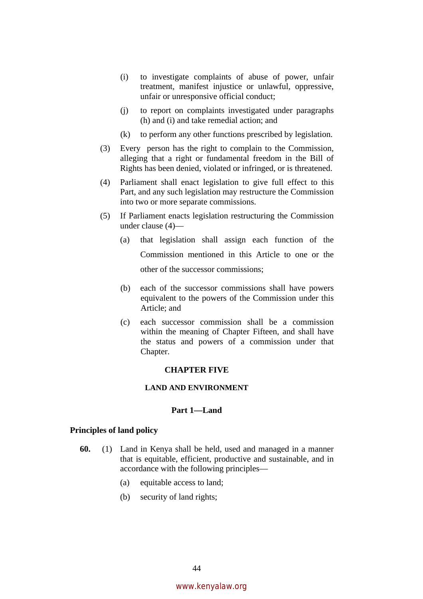- (i) to investigate complaints of abuse of power, unfair treatment, manifest injustice or unlawful, oppressive, unfair or unresponsive official conduct;
- (j) to report on complaints investigated under paragraphs (h) and (i) and take remedial action; and
- (k) to perform any other functions prescribed by legislation.
- (3) Every person has the right to complain to the Commission, alleging that a right or fundamental freedom in the Bill of Rights has been denied, violated or infringed, or is threatened.
- (4) Parliament shall enact legislation to give full effect to this Part, and any such legislation may restructure the Commission into two or more separate commissions.
- (5) If Parliament enacts legislation restructuring the Commission under clause (4)––
	- (a) that legislation shall assign each function of the Commission mentioned in this Article to one or the other of the successor commissions;
	- (b) each of the successor commissions shall have powers equivalent to the powers of the Commission under this Article; and
	- (c) each successor commission shall be a commission within the meaning of Chapter Fifteen, and shall have the status and powers of a commission under that Chapter.

# **CHAPTER FIVE**

## **LAND AND ENVIRONMENT**

# **Part 1—Land**

### **Principles of land policy**

- **60.** (1) Land in Kenya shall be held, used and managed in a manner that is equitable, efficient, productive and sustainable, and in accordance with the following principles—
	- (a) equitable access to land;
	- (b) security of land rights;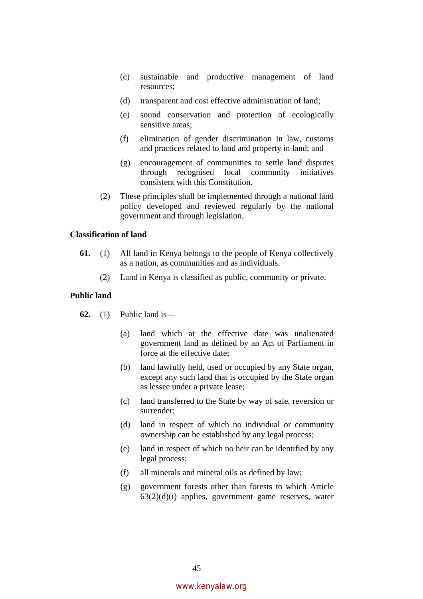- (c) sustainable and productive management of land resources;
- (d) transparent and cost effective administration of land;
- (e) sound conservation and protection of ecologically sensitive areas;
- (f) elimination of gender discrimination in law, customs and practices related to land and property in land; and
- (g) encouragement of communities to settle land disputes through recognised local community initiatives consistent with this Constitution.
- (2) These principles shall be implemented through a national land policy developed and reviewed regularly by the national government and through legislation.

### **Classification of land**

- **61.** (1)All land in Kenya belongs to the people of Kenya collectively as a nation, as communities and as individuals.
	- (2) Land in Kenya is classified as public, community or private.

### **Public land**

- **62.** (1) Public land is—
	- (a) land which at the effective date was unalienated government land as defined by an Act of Parliament in force at the effective date;
	- (b) land lawfully held, used or occupied by any State organ, except any such land that is occupied by the State organ as lessee under a private lease;
	- (c) land transferred to the State by way of sale, reversion or surrender;
	- (d) land in respect of which no individual or community ownership can be established by any legal process;
	- (e) land in respect of which no heir can be identified by any legal process;
	- (f) all minerals and mineral oils as defined by law;
	- (g) government forests other than forests to which Article 63(2)(d)(i) applies, government game reserves, water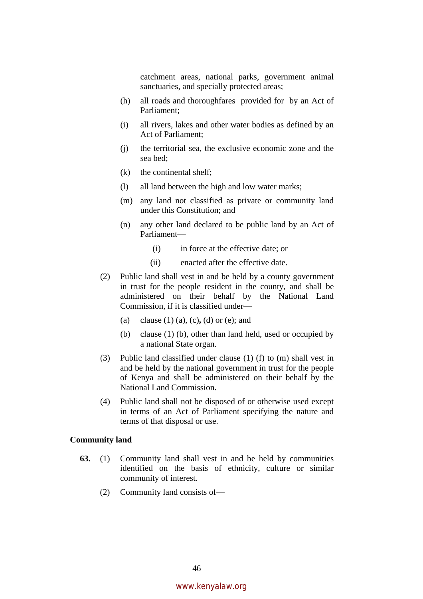catchment areas, national parks, government animal sanctuaries, and specially protected areas;

- (h) all roads and thoroughfares provided for by an Act of Parliament;
- (i) all rivers, lakes and other water bodies as defined by an Act of Parliament;
- (j) the territorial sea, the exclusive economic zone and the sea bed;
- (k) the continental shelf;
- (l) all land between the high and low water marks;
- (m) any land not classified as private or community land under this Constitution; and
- (n) any other land declared to be public land by an Act of Parliament—
	- (i) in force at the effective date; or
	- (ii) enacted after the effective date.
- (2) Public land shall vest in and be held by a county government in trust for the people resident in the county, and shall be administered on their behalf by the National Land Commission, if it is classified under—
	- (a) clause (1) (a), (c)**,** (d) or (e); and
	- (b) clause (1) (b), other than land held, used or occupied by a national State organ.
- (3) Public land classified under clause (1) (f) to (m) shall vest in and be held by the national government in trust for the people of Kenya and shall be administered on their behalf by the National Land Commission.
- (4) Public land shall not be disposed of or otherwise used except in terms of an Act of Parliament specifying the nature and terms of that disposal or use.

# **Community land**

- **63.** (1)Community land shall vest in and be held by communities identified on the basis of ethnicity, culture or similar community of interest.
	- (2) Community land consists of—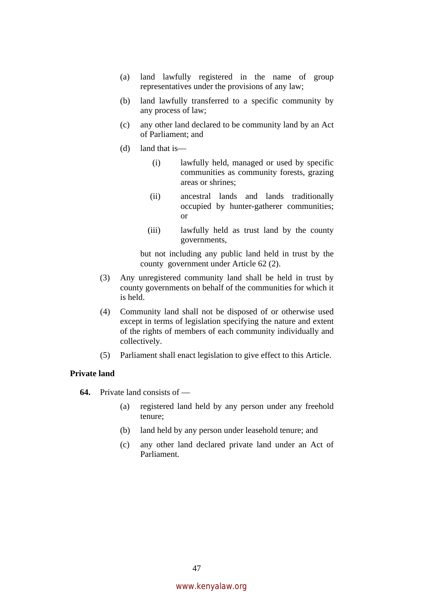- (a) land lawfully registered in the name of group representatives under the provisions of any law;
- (b) land lawfully transferred to a specific community by any process of law;
- (c) any other land declared to be community land by an Act of Parliament; and
- (d) land that is—
	- (i) lawfully held, managed or used by specific communities as community forests, grazing areas or shrines;
	- (ii) ancestral lands and lands traditionally occupied by hunter-gatherer communities; or
	- (iii) lawfully held as trust land by the county governments,

but not including any public land held in trust by the county government under Article 62 (2).

- (3) Any unregistered community land shall be held in trust by county governments on behalf of the communities for which it is held.
- (4) Community land shall not be disposed of or otherwise used except in terms of legislation specifying the nature and extent of the rights of members of each community individually and collectively.
- (5) Parliament shall enact legislation to give effect to this Article.

# **Private land**

**64.** Private land consists of —

- (a) registered land held by any person under any freehold tenure;
- (b) land held by any person under leasehold tenure; and
- (c) any other land declared private land under an Act of Parliament.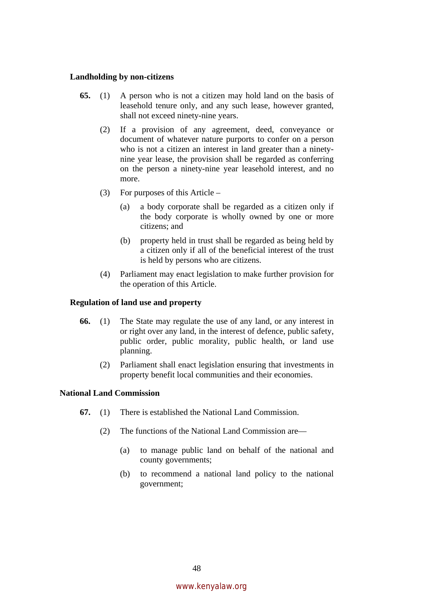# **Landholding by non-citizens**

- **65.** (1) A person who is not a citizen may hold land on the basis of leasehold tenure only, and any such lease, however granted, shall not exceed ninety-nine years.
	- (2) If a provision of any agreement, deed, conveyance or document of whatever nature purports to confer on a person who is not a citizen an interest in land greater than a ninetynine year lease, the provision shall be regarded as conferring on the person a ninety-nine year leasehold interest, and no more.
	- (3) For purposes of this Article
		- (a) a body corporate shall be regarded as a citizen only if the body corporate is wholly owned by one or more citizens; and
		- (b) property held in trust shall be regarded as being held by a citizen only if all of the beneficial interest of the trust is held by persons who are citizens.
	- (4) Parliament may enact legislation to make further provision for the operation of this Article.

## **Regulation of land use and property**

- **66.** (1) The State may regulate the use of any land, or any interest in or right over any land, in the interest of defence, public safety, public order, public morality, public health, or land use planning.
	- (2) Parliament shall enact legislation ensuring that investments in property benefit local communities and their economies.

## **National Land Commission**

- **67.** (1) There is established the National Land Commission.
	- (2) The functions of the National Land Commission are—
		- (a) to manage public land on behalf of the national and county governments;
		- (b) to recommend a national land policy to the national government;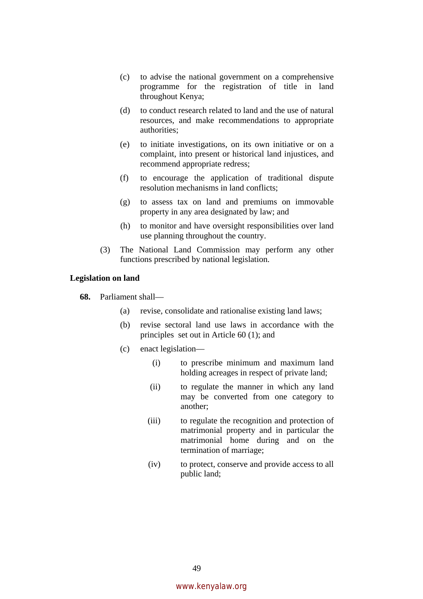- (c) to advise the national government on a comprehensive programme for the registration of title in land throughout Kenya;
- (d) to conduct research related to land and the use of natural resources, and make recommendations to appropriate authorities;
- (e) to initiate investigations, on its own initiative or on a complaint, into present or historical land injustices, and recommend appropriate redress;
- (f) to encourage the application of traditional dispute resolution mechanisms in land conflicts;
- (g) to assess tax on land and premiums on immovable property in any area designated by law; and
- (h) to monitor and have oversight responsibilities over land use planning throughout the country.
- (3) The National Land Commission may perform any other functions prescribed by national legislation.

# **Legislation on land**

**68.** Parliament shall—

- (a) revise, consolidate and rationalise existing land laws;
- (b) revise sectoral land use laws in accordance with the principles set out in Article 60 (1); and
- (c) enact legislation—
	- (i) to prescribe minimum and maximum land holding acreages in respect of private land;
	- (ii) to regulate the manner in which any land may be converted from one category to another;
	- (iii) to regulate the recognition and protection of matrimonial property and in particular the matrimonial home during and on the termination of marriage;
	- (iv) to protect, conserve and provide access to all public land;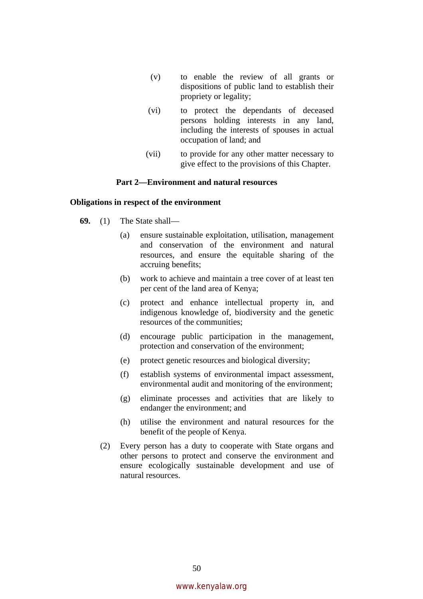- (v) to enable the review of all grants or dispositions of public land to establish their propriety or legality;
- (vi) to protect the dependants of deceased persons holding interests in any land, including the interests of spouses in actual occupation of land; and
- (vii) to provide for any other matter necessary to give effect to the provisions of this Chapter.

## **Part 2—Environment and natural resources**

### **Obligations in respect of the environment**

- **69.** (1) The State shall—
	- (a) ensure sustainable exploitation, utilisation, management and conservation of the environment and natural resources, and ensure the equitable sharing of the accruing benefits;
	- (b) work to achieve and maintain a tree cover of at least ten per cent of the land area of Kenya;
	- (c) protect and enhance intellectual property in, and indigenous knowledge of, biodiversity and the genetic resources of the communities;
	- (d) encourage public participation in the management, protection and conservation of the environment;
	- (e) protect genetic resources and biological diversity;
	- (f) establish systems of environmental impact assessment, environmental audit and monitoring of the environment;
	- (g) eliminate processes and activities that are likely to endanger the environment; and
	- (h) utilise the environment and natural resources for the benefit of the people of Kenya.
	- (2) Every person has a duty to cooperate with State organs and other persons to protect and conserve the environment and ensure ecologically sustainable development and use of natural resources.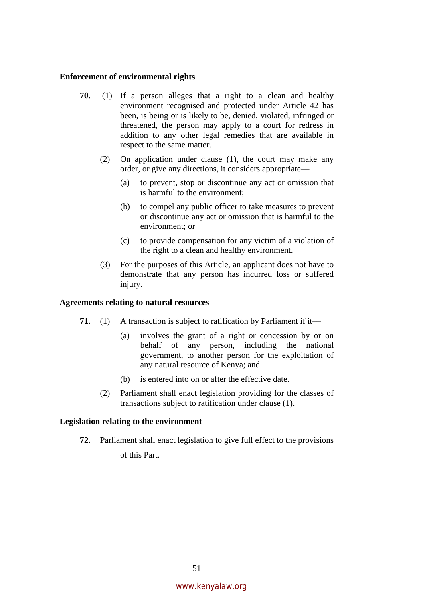# **Enforcement of environmental rights**

- **70.** (1) If a person alleges that a right to a clean and healthy environment recognised and protected under Article 42 has been, is being or is likely to be, denied, violated, infringed or threatened, the person may apply to a court for redress in addition to any other legal remedies that are available in respect to the same matter.
	- (2) On application under clause (1), the court may make any order, or give any directions, it considers appropriate––
		- (a) to prevent, stop or discontinue any act or omission that is harmful to the environment;
		- (b) to compel any public officer to take measures to prevent or discontinue any act or omission that is harmful to the environment; or
		- (c) to provide compensation for any victim of a violation of the right to a clean and healthy environment.
	- (3) For the purposes of this Article, an applicant does not have to demonstrate that any person has incurred loss or suffered injury.

### **Agreements relating to natural resources**

- **71.** (1) A transaction is subject to ratification by Parliament if it—
	- (a) involves the grant of a right or concession by or on behalf of any person, including the national government, to another person for the exploitation of any natural resource of Kenya; and
	- (b) is entered into on or after the effective date.
	- (2) Parliament shall enact legislation providing for the classes of transactions subject to ratification under clause (1).

## **Legislation relating to the environment**

**72.** Parliament shall enact legislation to give full effect to the provisions of this Part.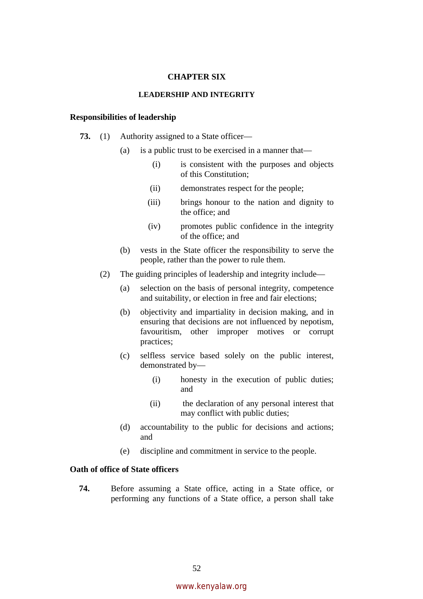## **CHAPTER SIX**

### **LEADERSHIP AND INTEGRITY**

### **Responsibilities of leadership**

- **73.** (1) Authority assigned to a State officer—
	- (a) is a public trust to be exercised in a manner that—
		- (i) is consistent with the purposes and objects of this Constitution;
		- (ii) demonstrates respect for the people;
		- (iii) brings honour to the nation and dignity to the office; and
		- (iv) promotes public confidence in the integrity of the office; and
	- (b) vests in the State officer the responsibility to serve the people, rather than the power to rule them.
	- (2) The guiding principles of leadership and integrity include—
		- (a) selection on the basis of personal integrity, competence and suitability, or election in free and fair elections;
		- (b) objectivity and impartiality in decision making, and in ensuring that decisions are not influenced by nepotism, favouritism, other improper motives or corrupt practices;
		- (c) selfless service based solely on the public interest, demonstrated by—
			- (i) honesty in the execution of public duties; and
			- (ii) the declaration of any personal interest that may conflict with public duties;
		- (d) accountability to the public for decisions and actions; and
		- (e) discipline and commitment in service to the people.

### **Oath of office of State officers**

**74.** Before assuming a State office, acting in a State office, or performing any functions of a State office, a person shall take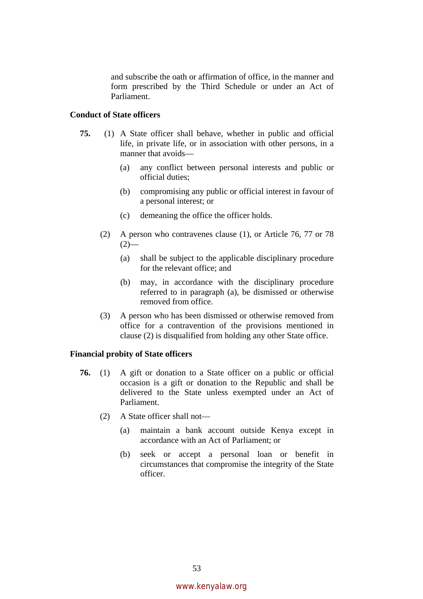and subscribe the oath or affirmation of office, in the manner and form prescribed by the Third Schedule or under an Act of Parliament.

# **Conduct of State officers**

- **75.** (1) A State officer shall behave, whether in public and official life, in private life, or in association with other persons, in a manner that avoids—
	- (a) any conflict between personal interests and public or official duties;
	- (b) compromising any public or official interest in favour of a personal interest; or
	- (c) demeaning the office the officer holds.
	- (2) A person who contravenes clause (1), or Article 76, 77 or 78  $(2)$ —
		- (a) shall be subject to the applicable disciplinary procedure for the relevant office; and
		- (b) may, in accordance with the disciplinary procedure referred to in paragraph (a), be dismissed or otherwise removed from office.
	- (3) A person who has been dismissed or otherwise removed from office for a contravention of the provisions mentioned in clause (2) is disqualified from holding any other State office.

# **Financial probity of State officers**

- **76.** (1)A gift or donation to a State officer on a public or official occasion is a gift or donation to the Republic and shall be delivered to the State unless exempted under an Act of Parliament.
	- (2) A State officer shall not—
		- (a) maintain a bank account outside Kenya except in accordance with an Act of Parliament; or
		- (b) seek or accept a personal loan or benefit in circumstances that compromise the integrity of the State officer.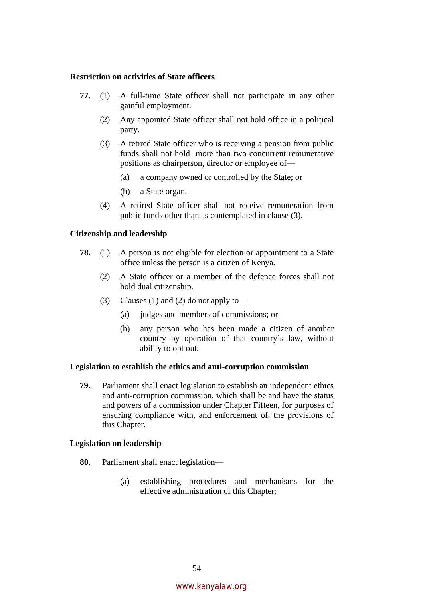## **Restriction on activities of State officers**

- **77.** (1) A full-time State officer shall not participate in any other gainful employment.
	- (2) Any appointed State officer shall not hold office in a political party.
	- (3) A retired State officer who is receiving a pension from public funds shall not hold more than two concurrent remunerative positions as chairperson, director or employee of—
		- (a) a company owned or controlled by the State; or
		- (b) a State organ.
	- (4) A retired State officer shall not receive remuneration from public funds other than as contemplated in clause (3).

### **Citizenship and leadership**

- **78.** (1) A person is not eligible for election or appointment to a State office unless the person is a citizen of Kenya.
	- (2) A State officer or a member of the defence forces shall not hold dual citizenship.
	- (3) Clauses (1) and (2) do not apply to—
		- (a) judges and members of commissions; or
		- (b) any person who has been made a citizen of another country by operation of that country's law, without ability to opt out.

### **Legislation to establish the ethics and anti-corruption commission**

**79.** Parliament shall enact legislation to establish an independent ethics and anti-corruption commission, which shall be and have the status and powers of a commission under Chapter Fifteen, for purposes of ensuring compliance with, and enforcement of, the provisions of this Chapter.

# **Legislation on leadership**

- **80.** Parliament shall enact legislation—
	- (a) establishing procedures and mechanisms for the effective administration of this Chapter;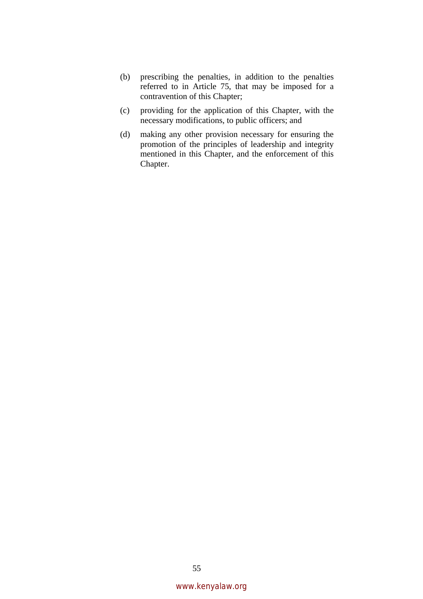- (b) prescribing the penalties, in addition to the penalties referred to in Article 75, that may be imposed for a contravention of this Chapter;
- (c) providing for the application of this Chapter, with the necessary modifications, to public officers; and
- (d) making any other provision necessary for ensuring the promotion of the principles of leadership and integrity mentioned in this Chapter, and the enforcement of this Chapter.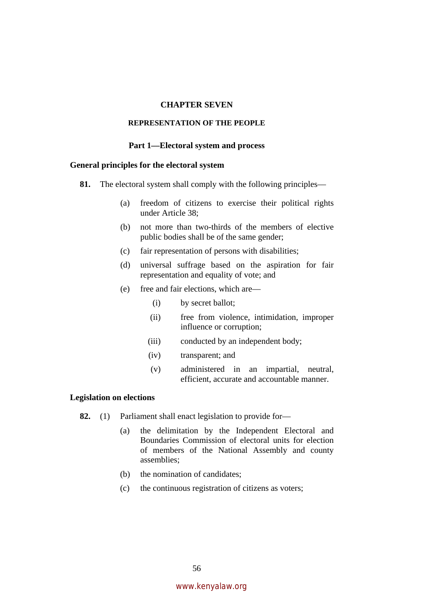# **CHAPTER SEVEN**

# **REPRESENTATION OF THE PEOPLE**

### **Part 1––Electoral system and process**

### **General principles for the electoral system**

- **81.** The electoral system shall comply with the following principles*––*
	- (a) freedom of citizens to exercise their political rights under Article 38;
	- (b) not more than two-thirds of the members of elective public bodies shall be of the same gender;
	- (c) fair representation of persons with disabilities;
	- (d) universal suffrage based on the aspiration for fair representation and equality of vote; and
	- (e) free and fair elections, which are—
		- (i) by secret ballot;
		- (ii) free from violence, intimidation, improper influence or corruption;
		- (iii) conducted by an independent body;
		- (iv) transparent; and
		- (v) administered in an impartial, neutral, efficient, accurate and accountable manner.

### **Legislation on elections**

- **82.** (1) Parliament shall enact legislation to provide for—
	- (a) the delimitation by the Independent Electoral and Boundaries Commission of electoral units for election of members of the National Assembly and county assemblies;
	- (b) the nomination of candidates;
	- (c) the continuous registration of citizens as voters;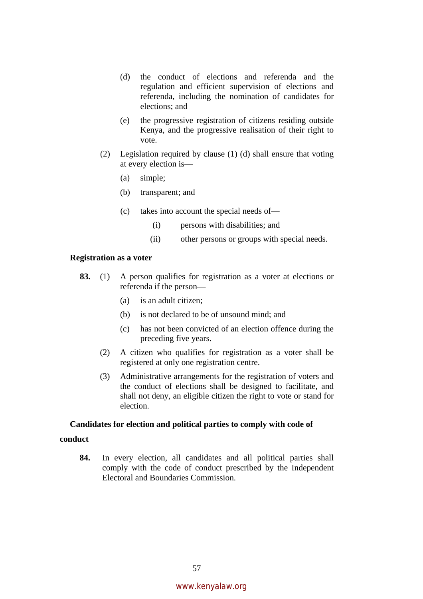- (d) the conduct of elections and referenda and the regulation and efficient supervision of elections and referenda, including the nomination of candidates for elections; and
- (e) the progressive registration of citizens residing outside Kenya, and the progressive realisation of their right to vote.
- (2) Legislation required by clause (1) (d) shall ensure that voting at every election is—
	- (a) simple;
	- (b) transparent; and
	- (c) takes into account the special needs of—
		- (i) persons with disabilities; and
		- (ii) other persons or groups with special needs.

## **Registration as a voter**

- **83.** (1) A person qualifies for registration as a voter at elections or referenda if the person—
	- (a) is an adult citizen;
	- (b) is not declared to be of unsound mind; and
	- (c) has not been convicted of an election offence during the preceding five years.
	- (2) A citizen who qualifies for registration as a voter shall be registered at only one registration centre.
	- (3) Administrative arrangements for the registration of voters and the conduct of elections shall be designed to facilitate, and shall not deny, an eligible citizen the right to vote or stand for election.

# **Candidates for election and political parties to comply with code of**

# **conduct**

**84.** In every election, all candidates and all political parties shall comply with the code of conduct prescribed by the Independent Electoral and Boundaries Commission.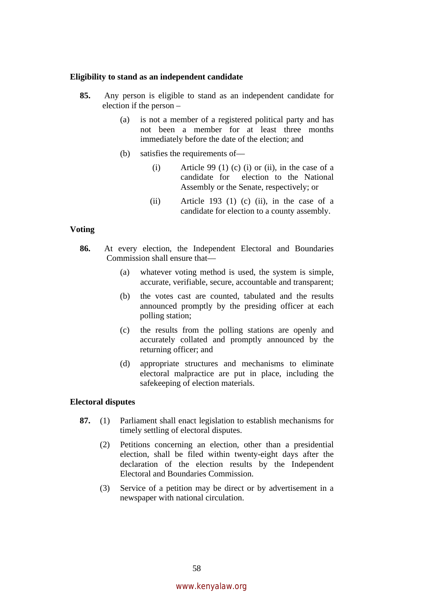## **Eligibility to stand as an independent candidate**

- **85.** Any person is eligible to stand as an independent candidate for election if the person –
	- (a) is not a member of a registered political party and has not been a member for at least three months immediately before the date of the election; and
	- (b) satisfies the requirements of—
		- (i) Article 99 (1) (c) (i) or (ii), in the case of a candidate for election to the National Assembly or the Senate, respectively; or
		- (ii) Article 193 (1) (c) (ii), in the case of a candidate for election to a county assembly.

# **Voting**

- **86.** At every election, the Independent Electoral and Boundaries Commission shall ensure that—
	- (a) whatever voting method is used, the system is simple, accurate, verifiable, secure, accountable and transparent;
	- (b) the votes cast are counted, tabulated and the results announced promptly by the presiding officer at each polling station;
	- (c) the results from the polling stations are openly and accurately collated and promptly announced by the returning officer; and
	- (d) appropriate structures and mechanisms to eliminate electoral malpractice are put in place, including the safekeeping of election materials.

## **Electoral disputes**

- **87.** (1) Parliament shall enact legislation to establish mechanisms for timely settling of electoral disputes.
	- (2) Petitions concerning an election, other than a presidential election, shall be filed within twenty-eight days after the declaration of the election results by the Independent Electoral and Boundaries Commission.
	- (3) Service of a petition may be direct or by advertisement in a newspaper with national circulation.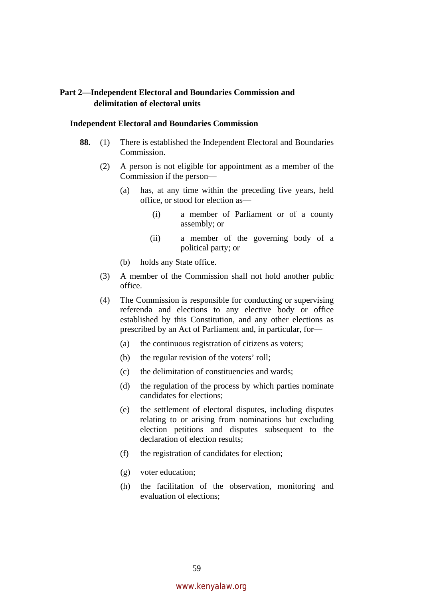# **Part 2—Independent Electoral and Boundaries Commission and delimitation of electoral units**

### **Independent Electoral and Boundaries Commission**

- **88.** (1) There is established the Independent Electoral and Boundaries Commission.
	- (2) A person is not eligible for appointment as a member of the Commission if the person—
		- (a) has, at any time within the preceding five years, held office, or stood for election as—
			- (i) a member of Parliament or of a county assembly; or
			- (ii) a member of the governing body of a political party; or
		- (b) holds any State office.
	- (3) A member of the Commission shall not hold another public office.
	- (4) The Commission is responsible for conducting or supervising referenda and elections to any elective body or office established by this Constitution, and any other elections as prescribed by an Act of Parliament and, in particular, for—
		- (a) the continuous registration of citizens as voters;
		- (b) the regular revision of the voters' roll;
		- (c) the delimitation of constituencies and wards;
		- (d) the regulation of the process by which parties nominate candidates for elections;
		- (e) the settlement of electoral disputes, including disputes relating to or arising from nominations but excluding election petitions and disputes subsequent to the declaration of election results;
		- (f) the registration of candidates for election;
		- (g) voter education;
		- (h) the facilitation of the observation, monitoring and evaluation of elections;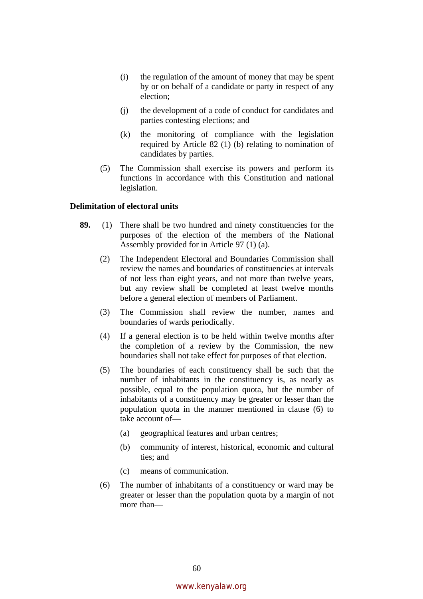- (i) the regulation of the amount of money that may be spent by or on behalf of a candidate or party in respect of any election;
- (j) the development of a code of conduct for candidates and parties contesting elections; and
- (k) the monitoring of compliance with the legislation required by Article 82 (1) (b) relating to nomination of candidates by parties.
- (5) The Commission shall exercise its powers and perform its functions in accordance with this Constitution and national legislation.

# **Delimitation of electoral units**

- **89.** (1) There shall be two hundred and ninety constituencies for the purposes of the election of the members of the National Assembly provided for in Article 97 (1) (a).
	- (2) The Independent Electoral and Boundaries Commission shall review the names and boundaries of constituencies at intervals of not less than eight years, and not more than twelve years, but any review shall be completed at least twelve months before a general election of members of Parliament.
	- (3) The Commission shall review the number, names and boundaries of wards periodically.
	- (4) If a general election is to be held within twelve months after the completion of a review by the Commission, the new boundaries shall not take effect for purposes of that election.
	- (5) The boundaries of each constituency shall be such that the number of inhabitants in the constituency is, as nearly as possible, equal to the population quota, but the number of inhabitants of a constituency may be greater or lesser than the population quota in the manner mentioned in clause (6) to take account of—
		- (a) geographical features and urban centres;
		- (b) community of interest, historical, economic and cultural ties; and
		- (c) means of communication.
	- (6) The number of inhabitants of a constituency or ward may be greater or lesser than the population quota by a margin of not more than—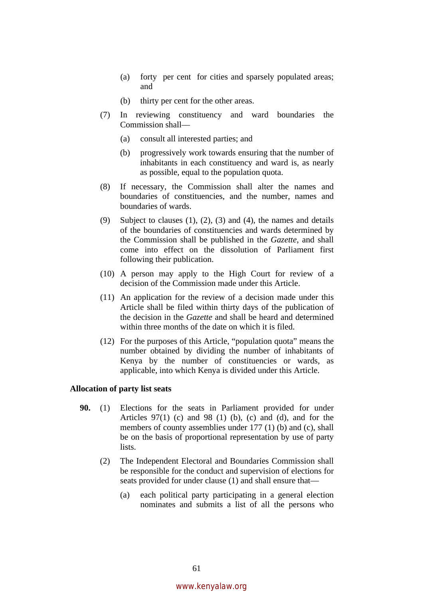- (a) forty per cent for cities and sparsely populated areas; and
- (b) thirty per cent for the other areas.
- (7) In reviewing constituency and ward boundaries the Commission shall––
	- (a) consult all interested parties; and
	- (b) progressively work towards ensuring that the number of inhabitants in each constituency and ward is, as nearly as possible, equal to the population quota.
- (8) If necessary, the Commission shall alter the names and boundaries of constituencies, and the number, names and boundaries of wards.
- (9) Subject to clauses  $(1)$ ,  $(2)$ ,  $(3)$  and  $(4)$ , the names and details of the boundaries of constituencies and wards determined by the Commission shall be published in the *Gazette*, and shall come into effect on the dissolution of Parliament first following their publication.
- (10) A person may apply to the High Court for review of a decision of the Commission made under this Article.
- (11) An application for the review of a decision made under this Article shall be filed within thirty days of the publication of the decision in the *Gazette* and shall be heard and determined within three months of the date on which it is filed.
- (12) For the purposes of this Article, "population quota" means the number obtained by dividing the number of inhabitants of Kenya by the number of constituencies or wards, as applicable, into which Kenya is divided under this Article.

# **Allocation of party list seats**

- **90.** (1) Elections for the seats in Parliament provided for under Articles  $97(1)$  (c) and  $98(1)$  (b), (c) and (d), and for the members of county assemblies under 177 (1) (b) and (c), shall be on the basis of proportional representation by use of party lists.
	- (2) The Independent Electoral and Boundaries Commission shall be responsible for the conduct and supervision of elections for seats provided for under clause (1) and shall ensure that—
		- (a) each political party participating in a general election nominates and submits a list of all the persons who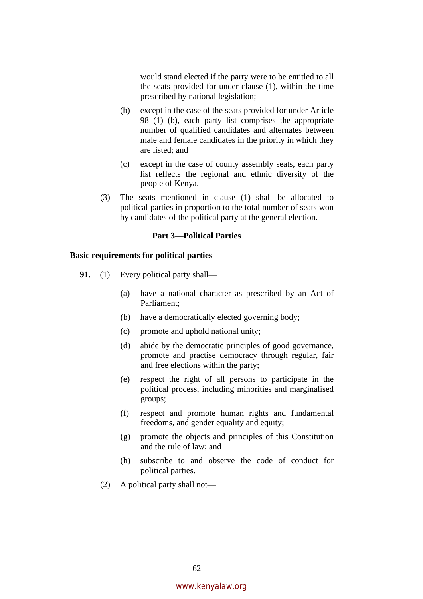would stand elected if the party were to be entitled to all the seats provided for under clause (1), within the time prescribed by national legislation;

- (b) except in the case of the seats provided for under Article 98 (1) (b), each party list comprises the appropriate number of qualified candidates and alternates between male and female candidates in the priority in which they are listed; and
- (c) except in the case of county assembly seats, each party list reflects the regional and ethnic diversity of the people of Kenya.
- (3) The seats mentioned in clause (1) shall be allocated to political parties in proportion to the total number of seats won by candidates of the political party at the general election.

# **Part 3—Political Parties**

## **Basic requirements for political parties**

- **91.** (1) Every political party shall—
	- (a) have a national character as prescribed by an Act of Parliament;
	- (b) have a democratically elected governing body;
	- (c) promote and uphold national unity;
	- (d) abide by the democratic principles of good governance, promote and practise democracy through regular, fair and free elections within the party;
	- (e) respect the right of all persons to participate in the political process, including minorities and marginalised groups;
	- (f) respect and promote human rights and fundamental freedoms, and gender equality and equity;
	- (g) promote the objects and principles of this Constitution and the rule of law; and
	- (h) subscribe to and observe the code of conduct for political parties.
	- (2) A political party shall not—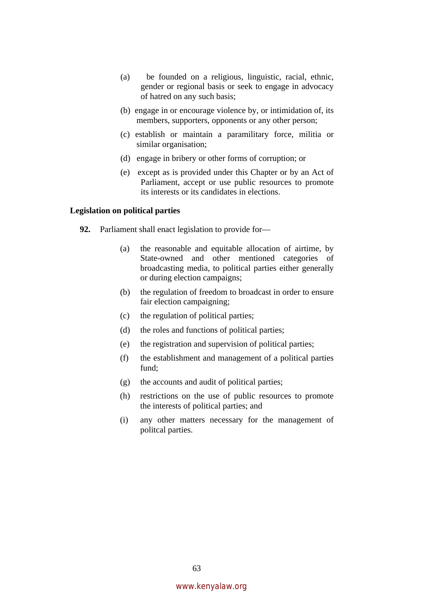- (a) be founded on a religious, linguistic, racial, ethnic, gender or regional basis or seek to engage in advocacy of hatred on any such basis;
- (b) engage in or encourage violence by, or intimidation of, its members, supporters, opponents or any other person;
- (c) establish or maintain a paramilitary force, militia or similar organisation;
- (d) engage in bribery or other forms of corruption; or
- (e) except as is provided under this Chapter or by an Act of Parliament, accept or use public resources to promote its interests or its candidates in elections.

## **Legislation on political parties**

- **92.** Parliament shall enact legislation to provide for—
	- (a) the reasonable and equitable allocation of airtime, by State-owned and other mentioned categories of broadcasting media, to political parties either generally or during election campaigns;
	- (b) the regulation of freedom to broadcast in order to ensure fair election campaigning;
	- (c) the regulation of political parties;
	- (d) the roles and functions of political parties;
	- (e) the registration and supervision of political parties;
	- (f) the establishment and management of a political parties fund;
	- (g) the accounts and audit of political parties;
	- (h) restrictions on the use of public resources to promote the interests of political parties; and
	- (i) any other matters necessary for the management of politcal parties.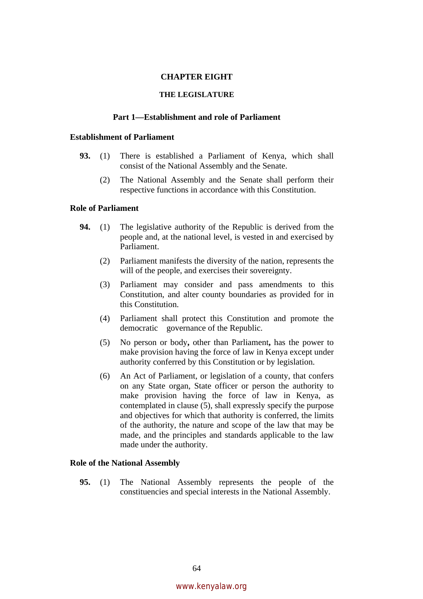## **CHAPTER EIGHT**

### **THE LEGISLATURE**

# **Part 1—Establishment and role of Parliament**

# **Establishment of Parliament**

- **93.** (1) There is established a Parliament of Kenya, which shall consist of the National Assembly and the Senate.
	- (2) The National Assembly and the Senate shall perform their respective functions in accordance with this Constitution.

# **Role of Parliament**

- **94.** (1) The legislative authority of the Republic is derived from the people and, at the national level, is vested in and exercised by Parliament.
	- (2) Parliament manifests the diversity of the nation, represents the will of the people, and exercises their sovereignty.
	- (3) Parliament may consider and pass amendments to this Constitution, and alter county boundaries as provided for in this Constitution.
	- (4) Parliament shall protect this Constitution and promote the democratic governance of the Republic.
	- (5) No person or body**,** other than Parliament**,** has the power to make provision having the force of law in Kenya except under authority conferred by this Constitution or by legislation.
	- (6) An Act of Parliament, or legislation of a county, that confers on any State organ, State officer or person the authority to make provision having the force of law in Kenya, as contemplated in clause (5), shall expressly specify the purpose and objectives for which that authority is conferred, the limits of the authority, the nature and scope of the law that may be made, and the principles and standards applicable to the law made under the authority.

# **Role of the National Assembly**

**95.** (1) The National Assembly represents the people of the constituencies and special interests in the National Assembly.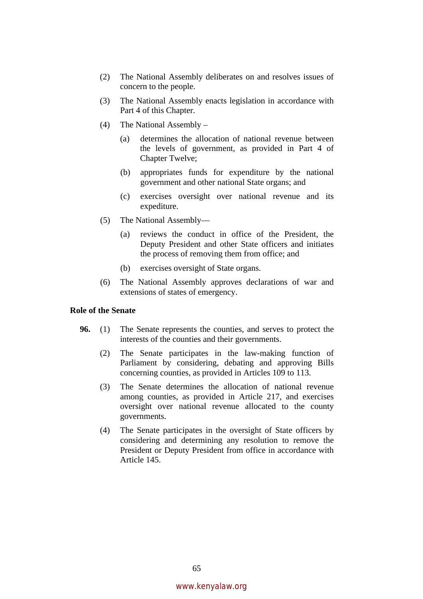- (2) The National Assembly deliberates on and resolves issues of concern to the people.
- (3) The National Assembly enacts legislation in accordance with Part 4 of this Chapter.
- (4) The National Assembly
	- (a) determines the allocation of national revenue between the levels of government, as provided in Part 4 of Chapter Twelve;
	- (b) appropriates funds for expenditure by the national government and other national State organs; and
	- (c) exercises oversight over national revenue and its expediture.
- (5) The National Assembly––
	- (a) reviews the conduct in office of the President, the Deputy President and other State officers and initiates the process of removing them from office; and
	- (b) exercises oversight of State organs.
- (6) The National Assembly approves declarations of war and extensions of states of emergency.

## **Role of the Senate**

- **96.** (1) The Senate represents the counties, and serves to protect the interests of the counties and their governments.
	- (2) The Senate participates in the law-making function of Parliament by considering, debating and approving Bills concerning counties, as provided in Articles 109 to 113.
	- (3) The Senate determines the allocation of national revenue among counties, as provided in Article 217, and exercises oversight over national revenue allocated to the county governments.
	- (4) The Senate participates in the oversight of State officers by considering and determining any resolution to remove the President or Deputy President from office in accordance with Article 145.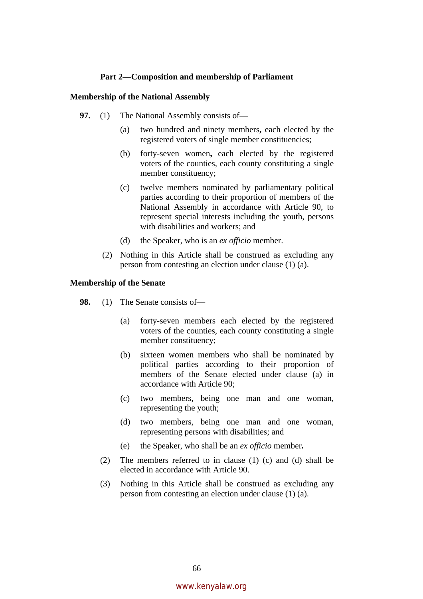# **Part 2—Composition and membership of Parliament**

### **Membership of the National Assembly**

- **97.** (1) The National Assembly consists of—
	- (a) two hundred and ninety members**,** each elected by the registered voters of single member constituencies;
	- (b) forty-seven women**,** each elected by the registered voters of the counties, each county constituting a single member constituency;
	- (c) twelve members nominated by parliamentary political parties according to their proportion of members of the National Assembly in accordance with Article 90, to represent special interests including the youth, persons with disabilities and workers; and
	- (d) the Speaker, who is an *ex officio* member.
	- (2) Nothing in this Article shall be construed as excluding any person from contesting an election under clause (1) (a).

#### **Membership of the Senate**

- **98.** (1) The Senate consists of—
	- (a) forty-seven members each elected by the registered voters of the counties, each county constituting a single member constituency;
	- (b) sixteen women members who shall be nominated by political parties according to their proportion of members of the Senate elected under clause (a) in accordance with Article 90;
	- (c) two members, being one man and one woman, representing the youth;
	- (d) two members, being one man and one woman, representing persons with disabilities; and
	- (e) the Speaker, who shall be an *ex officio* member**.**
	- (2) The members referred to in clause (1) (c) and (d) shall be elected in accordance with Article 90.
	- (3) Nothing in this Article shall be construed as excluding any person from contesting an election under clause (1) (a).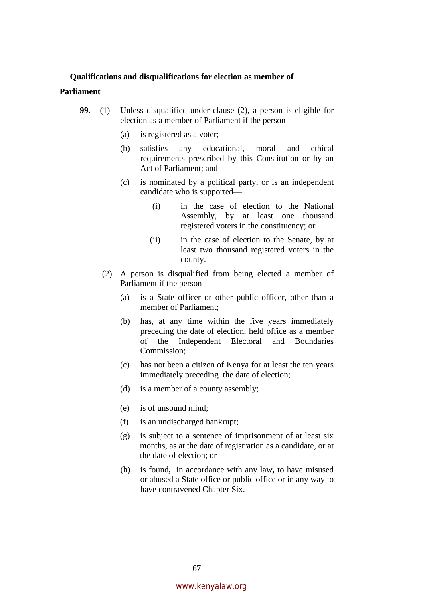## **Qualifications and disqualifications for election as member of**

# **Parliament**

- **99.** (1) Unless disqualified under clause (2), a person is eligible for election as a member of Parliament if the person—
	- (a) is registered as a voter;
	- (b) satisfies any educational, moral and ethical requirements prescribed by this Constitution or by an Act of Parliament; and
	- (c) is nominated by a political party, or is an independent candidate who is supported––
		- (i) in the case of election to the National Assembly, by at least one thousand registered voters in the constituency; or
		- (ii) in the case of election to the Senate, by at least two thousand registered voters in the county.
	- (2) A person is disqualified from being elected a member of Parliament if the person—
		- (a) is a State officer or other public officer, other than a member of Parliament;
		- (b) has, at any time within the five years immediately preceding the date of election, held office as a member of the Independent Electoral and Boundaries Commission;
		- (c) has not been a citizen of Kenya for at least the ten years immediately preceding the date of election;
		- (d) is a member of a county assembly;
		- (e) is of unsound mind;
		- (f) is an undischarged bankrupt;
		- (g) is subject to a sentence of imprisonment of at least six months, as at the date of registration as a candidate, or at the date of election; or
		- (h) is found**,** in accordance with any law**,** to have misused or abused a State office or public office or in any way to have contravened Chapter Six.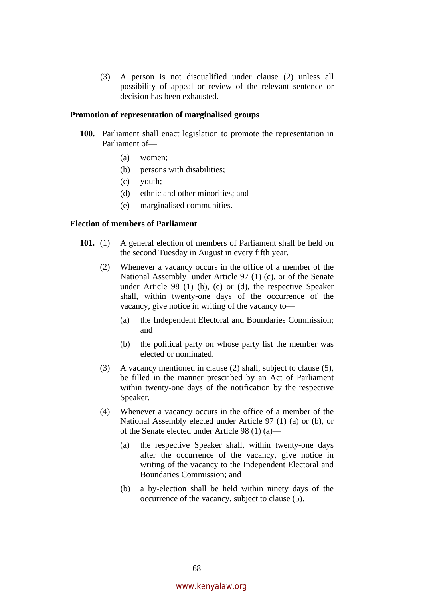(3) A person is not disqualified under clause (2) unless all possibility of appeal or review of the relevant sentence or decision has been exhausted.

### **Promotion of representation of marginalised groups**

- **100.** Parliament shall enact legislation to promote the representation in Parliament of—
	- (a) women;
	- (b) persons with disabilities;
	- (c) youth;
	- (d) ethnic and other minorities; and
	- (e) marginalised communities.

## **Election of members of Parliament**

- **101.** (1) A general election of members of Parliament shall be held on the second Tuesday in August in every fifth year.
	- (2) Whenever a vacancy occurs in the office of a member of the National Assembly under Article 97 (1) (c), or of the Senate under Article 98 (1) (b), (c) or (d), the respective Speaker shall, within twenty-one days of the occurrence of the vacancy, give notice in writing of the vacancy to—
		- (a) the Independent Electoral and Boundaries Commission; and
		- (b) the political party on whose party list the member was elected or nominated.
	- (3) A vacancy mentioned in clause (2) shall, subject to clause (5), be filled in the manner prescribed by an Act of Parliament within twenty-one days of the notification by the respective Speaker.
	- (4) Whenever a vacancy occurs in the office of a member of the National Assembly elected under Article 97 (1) (a) or (b), or of the Senate elected under Article 98 (1) (a)—
		- (a) the respective Speaker shall, within twenty-one days after the occurrence of the vacancy, give notice in writing of the vacancy to the Independent Electoral and Boundaries Commission; and
		- (b) a by-election shall be held within ninety days of the occurrence of the vacancy, subject to clause (5).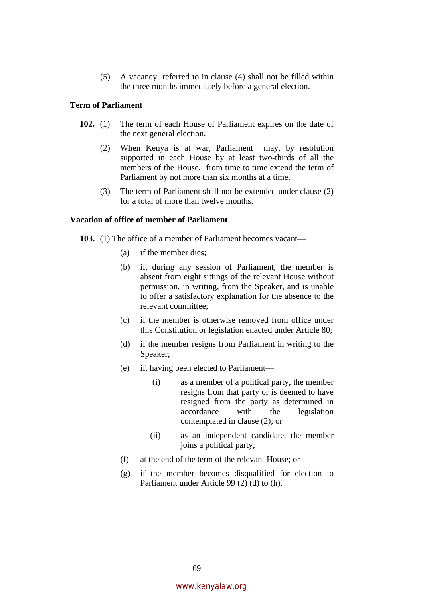(5) A vacancy referred to in clause (4) shall not be filled within the three months immediately before a general election.

# **Term of Parliament**

- **102.** (1) The term of each House of Parliament expires on the date of the next general election.
	- (2) When Kenya is at war, Parliament may, by resolution supported in each House by at least two-thirds of all the members of the House, from time to time extend the term of Parliament by not more than six months at a time.
	- (3) The term of Parliament shall not be extended under clause (2) for a total of more than twelve months.

## **Vacation of office of member of Parliament**

- **103.** (1) The office of a member of Parliament becomes vacant—
	- (a) if the member dies;
	- (b) if, during any session of Parliament, the member is absent from eight sittings of the relevant House without permission, in writing, from the Speaker, and is unable to offer a satisfactory explanation for the absence to the relevant committee;
	- (c) if the member is otherwise removed from office under this Constitution or legislation enacted under Article 80;
	- (d) if the member resigns from Parliament in writing to the Speaker;
	- (e) if, having been elected to Parliament––
		- (i) as a member of a political party, the member resigns from that party or is deemed to have resigned from the party as determined in accordance with the legislation contemplated in clause (2); or
		- (ii) as an independent candidate, the member joins a political party;
	- (f) at the end of the term of the relevant House; or
	- (g) if the member becomes disqualified for election to Parliament under Article 99 (2) (d) to (h).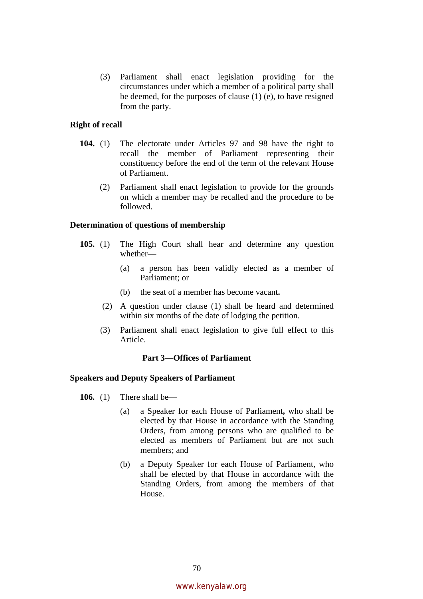(3) Parliament shall enact legislation providing for the circumstances under which a member of a political party shall be deemed, for the purposes of clause (1) (e), to have resigned from the party.

# **Right of recall**

- **104.** (1) The electorate under Articles 97 and 98 have the right to recall the member of Parliament representing their constituency before the end of the term of the relevant House of Parliament.
	- (2) Parliament shall enact legislation to provide for the grounds on which a member may be recalled and the procedure to be followed.

# **Determination of questions of membership**

- **105.** (1) The High Court shall hear and determine any question whether—
	- (a) a person has been validly elected as a member of Parliament; or
	- (b) the seat of a member has become vacant**.**
	- (2) A question under clause (1) shall be heard and determined within six months of the date of lodging the petition.
	- (3) Parliament shall enact legislation to give full effect to this Article.

# **Part 3—Offices of Parliament**

# **Speakers and Deputy Speakers of Parliament**

- **106.** (1) There shall be—
	- (a) a Speaker for each House of Parliament**,** who shall be elected by that House in accordance with the Standing Orders, from among persons who are qualified to be elected as members of Parliament but are not such members; and
	- (b) a Deputy Speaker for each House of Parliament, who shall be elected by that House in accordance with the Standing Orders, from among the members of that House.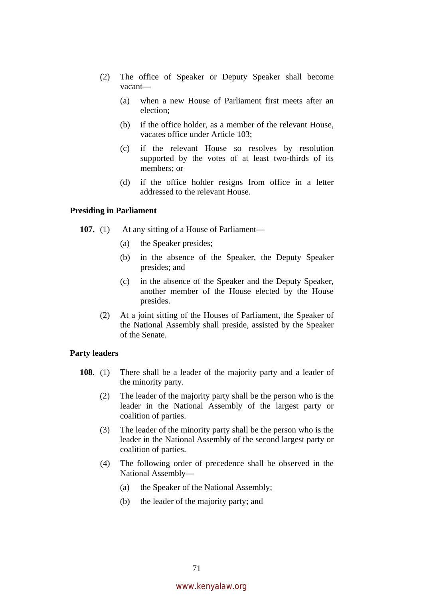- (2)The office of Speaker or Deputy Speaker shall become vacant—
	- (a) when a new House of Parliament first meets after an election;
	- (b) if the office holder, as a member of the relevant House, vacates office under Article 103;
	- (c) if the relevant House so resolves by resolution supported by the votes of at least two-thirds of its members; or
	- (d) if the office holder resigns from office in a letter addressed to the relevant House.

# **Presiding in Parliament**

- **107.** (1) At any sitting of a House of Parliament—
	- (a) the Speaker presides;
	- (b) in the absence of the Speaker, the Deputy Speaker presides; and
	- (c) in the absence of the Speaker and the Deputy Speaker, another member of the House elected by the House presides.
	- (2) At a joint sitting of the Houses of Parliament, the Speaker of the National Assembly shall preside, assisted by the Speaker of the Senate.

### **Party leaders**

- **108.** (1) There shall be a leader of the majority party and a leader of the minority party.
	- (2) The leader of the majority party shall be the person who is the leader in the National Assembly of the largest party or coalition of parties.
	- (3) The leader of the minority party shall be the person who is the leader in the National Assembly of the second largest party or coalition of parties.
	- (4) The following order of precedence shall be observed in the National Assembly*––*
		- (a) the Speaker of the National Assembly;
		- (b) the leader of the majority party; and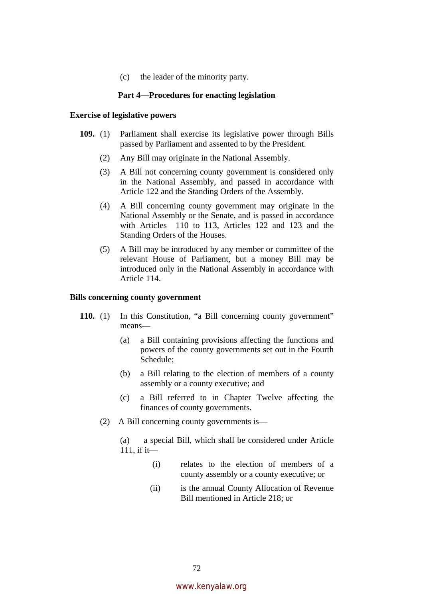(c) the leader of the minority party.

### **Part 4—Procedures for enacting legislation**

### **Exercise of legislative powers**

- **109.** (1) Parliament shall exercise its legislative power through Bills passed by Parliament and assented to by the President.
	- (2) Any Bill may originate in the National Assembly.
	- (3) A Bill not concerning county government is considered only in the National Assembly, and passed in accordance with Article 122 and the Standing Orders of the Assembly.
	- (4) A Bill concerning county government may originate in the National Assembly or the Senate, and is passed in accordance with Articles 110 to 113, Articles 122 and 123 and the Standing Orders of the Houses.
	- (5) A Bill may be introduced by any member or committee of the relevant House of Parliament, but a money Bill may be introduced only in the National Assembly in accordance with Article 114.

### **Bills concerning county government**

- **110.** (1) In this Constitution, "a Bill concerning county government" means––
	- (a) a Bill containing provisions affecting the functions and powers of the county governments set out in the Fourth Schedule;
	- (b) a Bill relating to the election of members of a county assembly or a county executive; and
	- (c) a Bill referred to in Chapter Twelve affecting the finances of county governments.
	- (2) A Bill concerning county governments is––
		- (a) a special Bill, which shall be considered under Article 111, if it––
			- (i) relates to the election of members of a county assembly or a county executive; or
			- (ii) is the annual County Allocation of Revenue Bill mentioned in Article 218; or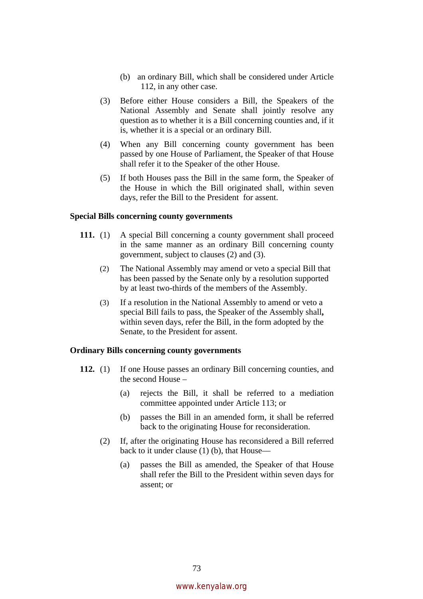- (b) an ordinary Bill, which shall be considered under Article 112, in any other case.
- (3) Before either House considers a Bill, the Speakers of the National Assembly and Senate shall jointly resolve any question as to whether it is a Bill concerning counties and, if it is, whether it is a special or an ordinary Bill.
- (4) When any Bill concerning county government has been passed by one House of Parliament, the Speaker of that House shall refer it to the Speaker of the other House.
- (5) If both Houses pass the Bill in the same form, the Speaker of the House in which the Bill originated shall, within seven days, refer the Bill to the President for assent.

### **Special Bills concerning county governments**

- **111.** (1) A special Bill concerning a county government shall proceed in the same manner as an ordinary Bill concerning county government, subject to clauses (2) and (3).
	- (2) The National Assembly may amend or veto a special Bill that has been passed by the Senate only by a resolution supported by at least two-thirds of the members of the Assembly.
	- (3) If a resolution in the National Assembly to amend or veto a special Bill fails to pass, the Speaker of the Assembly shall**,**  within seven days, refer the Bill, in the form adopted by the Senate, to the President for assent.

## **Ordinary Bills concerning county governments**

- **112.** (1) If one House passes an ordinary Bill concerning counties, and the second House –
	- (a) rejects the Bill, it shall be referred to a mediation committee appointed under Article 113; or
	- (b) passes the Bill in an amended form, it shall be referred back to the originating House for reconsideration.
	- (2) If, after the originating House has reconsidered a Bill referred back to it under clause (1) (b), that House––
		- (a) passes the Bill as amended, the Speaker of that House shall refer the Bill to the President within seven days for assent; or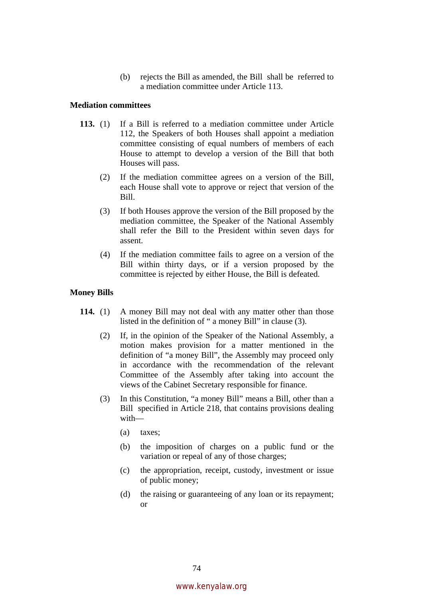(b) rejects the Bill as amended, the Bill shall be referred to a mediation committee under Article 113.

### **Mediation committees**

- **113.** (1) If a Bill is referred to a mediation committee under Article 112, the Speakers of both Houses shall appoint a mediation committee consisting of equal numbers of members of each House to attempt to develop a version of the Bill that both Houses will pass.
	- (2) If the mediation committee agrees on a version of the Bill, each House shall vote to approve or reject that version of the Bill.
	- (3) If both Houses approve the version of the Bill proposed by the mediation committee, the Speaker of the National Assembly shall refer the Bill to the President within seven days for assent.
	- (4) If the mediation committee fails to agree on a version of the Bill within thirty days, or if a version proposed by the committee is rejected by either House, the Bill is defeated.

## **Money Bills**

- **114.** (1) A money Bill may not deal with any matter other than those listed in the definition of " a money Bill" in clause (3).
	- (2) If, in the opinion of the Speaker of the National Assembly, a motion makes provision for a matter mentioned in the definition of "a money Bill", the Assembly may proceed only in accordance with the recommendation of the relevant Committee of the Assembly after taking into account the views of the Cabinet Secretary responsible for finance.
	- (3) In this Constitution, "a money Bill" means a Bill, other than a Bill specified in Article 218, that contains provisions dealing with—
		- (a) taxes;
		- (b) the imposition of charges on a public fund or the variation or repeal of any of those charges;
		- (c) the appropriation, receipt, custody, investment or issue of public money;
		- (d) the raising or guaranteeing of any loan or its repayment; or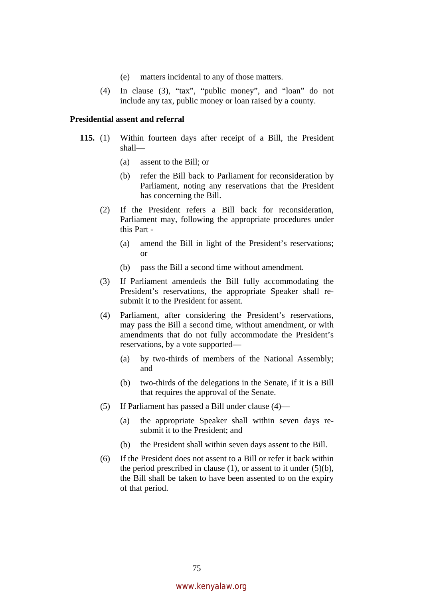- (e) matters incidental to any of those matters.
- (4) In clause (3), "tax", "public money", and "loan" do not include any tax, public money or loan raised by a county.

#### **Presidential assent and referral**

- **115.** (1) Within fourteen days after receipt of a Bill, the President shall—
	- (a) assent to the Bill; or
	- (b) refer the Bill back to Parliament for reconsideration by Parliament, noting any reservations that the President has concerning the Bill.
	- (2) If the President refers a Bill back for reconsideration, Parliament may, following the appropriate procedures under this Part -
		- (a) amend the Bill in light of the President's reservations; or
		- (b) pass the Bill a second time without amendment.
	- (3) If Parliament amendeds the Bill fully accommodating the President's reservations, the appropriate Speaker shall resubmit it to the President for assent.
	- (4) Parliament, after considering the President's reservations, may pass the Bill a second time, without amendment, or with amendments that do not fully accommodate the President's reservations, by a vote supported—
		- (a) by two-thirds of members of the National Assembly; and
		- (b) two-thirds of the delegations in the Senate, if it is a Bill that requires the approval of the Senate.
	- (5) If Parliament has passed a Bill under clause (4)—
		- (a) the appropriate Speaker shall within seven days resubmit it to the President; and
		- (b) the President shall within seven days assent to the Bill.
	- (6) If the President does not assent to a Bill or refer it back within the period prescribed in clause  $(1)$ , or assent to it under  $(5)(b)$ , the Bill shall be taken to have been assented to on the expiry of that period.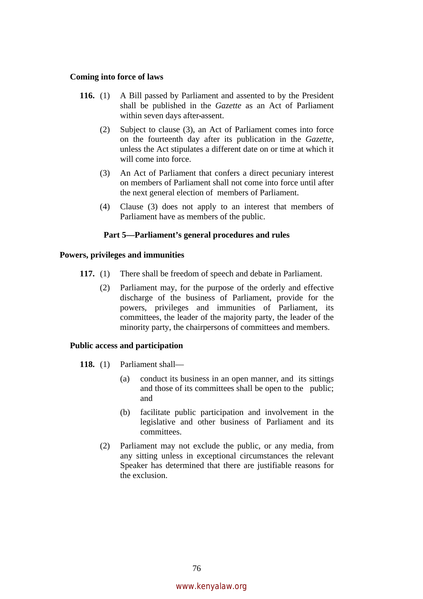## **Coming into force of laws**

- **116.** (1) A Bill passed by Parliament and assented to by the President shall be published in the *Gazette* as an Act of Parliament within seven days after-assent.
	- (2) Subject to clause (3), an Act of Parliament comes into force on the fourteenth day after its publication in the *Gazette*, unless the Act stipulates a different date on or time at which it will come into force.
	- (3) An Act of Parliament that confers a direct pecuniary interest on members of Parliament shall not come into force until after the next general election of members of Parliament.
	- (4) Clause (3) does not apply to an interest that members of Parliament have as members of the public.

## **Part 5—Parliament's general procedures and rules**

### **Powers, privileges and immunities**

- **117.** (1) There shall be freedom of speech and debate in Parliament.
	- (2) Parliament may, for the purpose of the orderly and effective discharge of the business of Parliament, provide for the powers, privileges and immunities of Parliament, its committees, the leader of the majority party, the leader of the minority party, the chairpersons of committees and members.

## **Public access and participation**

- **118.** (1)Parliament shall—
	- (a) conduct its business in an open manner, and its sittings and those of its committees shall be open to the public; and
	- (b) facilitate public participation and involvement in the legislative and other business of Parliament and its committees.
	- (2) Parliament may not exclude the public, or any media, from any sitting unless in exceptional circumstances the relevant Speaker has determined that there are justifiable reasons for the exclusion.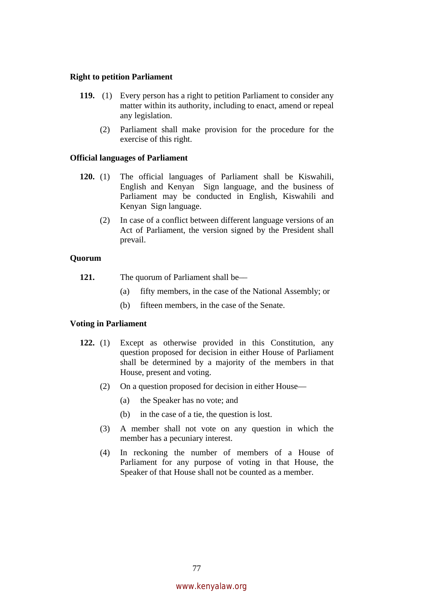## **Right to petition Parliament**

- **119.** (1) Every person has a right to petition Parliament to consider any matter within its authority, including to enact, amend or repeal any legislation.
	- (2) Parliament shall make provision for the procedure for the exercise of this right.

## **Official languages of Parliament**

- **120.** (1) The official languages of Parliament shall be Kiswahili, English and Kenyan Sign language, and the business of Parliament may be conducted in English, Kiswahili and Kenyan Sign language.
	- (2) In case of a conflict between different language versions of an Act of Parliament, the version signed by the President shall prevail.

## **Quorum**

- 121. The quorum of Parliament shall be—
	- (a) fifty members, in the case of the National Assembly; or
	- (b) fifteen members, in the case of the Senate.

### **Voting in Parliament**

- **122.** (1) Except as otherwise provided in this Constitution, any question proposed for decision in either House of Parliament shall be determined by a majority of the members in that House, present and voting.
	- (2) On a question proposed for decision in either House—
		- (a) the Speaker has no vote; and
		- (b) in the case of a tie, the question is lost.
	- (3) A member shall not vote on any question in which the member has a pecuniary interest.
	- (4) In reckoning the number of members of a House of Parliament for any purpose of voting in that House, the Speaker of that House shall not be counted as a member.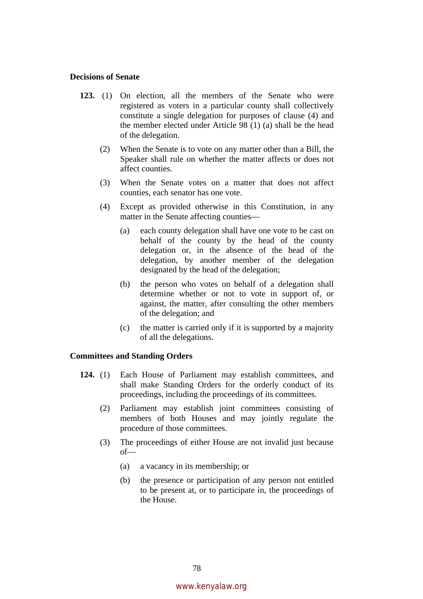## **Decisions of Senate**

- **123.** (1) On election, all the members of the Senate who were registered as voters in a particular county shall collectively constitute a single delegation for purposes of clause (4) and the member elected under Article 98 (1) (a) shall be the head of the delegation.
	- (2) When the Senate is to vote on any matter other than a Bill, the Speaker shall rule on whether the matter affects or does not affect counties.
	- (3) When the Senate votes on a matter that does not affect counties, each senator has one vote.
	- (4) Except as provided otherwise in this Constitution, in any matter in the Senate affecting counties—
		- (a) each county delegation shall have one vote to be cast on behalf of the county by the head of the county delegation or, in the absence of the head of the delegation, by another member of the delegation designated by the head of the delegation;
		- (b) the person who votes on behalf of a delegation shall determine whether or not to vote in support of, or against, the matter, after consulting the other members of the delegation; and
		- (c) the matter is carried only if it is supported by a majority of all the delegations.

## **Committees and Standing Orders**

- **124.** (1) Each House of Parliament may establish committees, and shall make Standing Orders for the orderly conduct of its proceedings, including the proceedings of its committees.
	- (2) Parliament may establish joint committees consisting of members of both Houses and may jointly regulate the procedure of those committees.
	- (3) The proceedings of either House are not invalid just because of—
		- (a) a vacancy in its membership; or
		- (b) the presence or participation of any person not entitled to be present at, or to participate in, the proceedings of the House.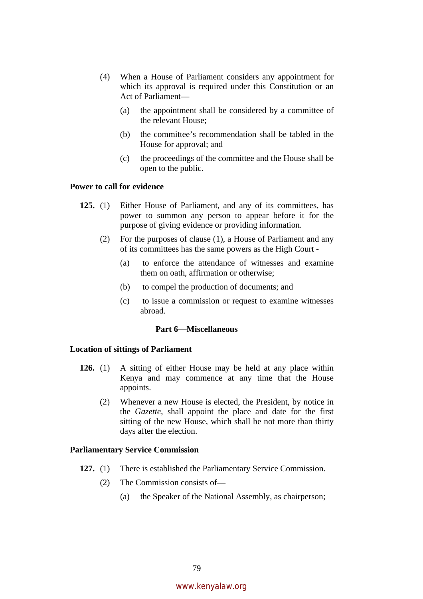- (4) When a House of Parliament considers any appointment for which its approval is required under this Constitution or an Act of Parliament––
	- (a) the appointment shall be considered by a committee of the relevant House;
	- (b) the committee's recommendation shall be tabled in the House for approval; and
	- (c) the proceedings of the committee and the House shall be open to the public.

## **Power to call for evidence**

- **125.** (1) Either House of Parliament, and any of its committees, has power to summon any person to appear before it for the purpose of giving evidence or providing information.
	- (2) For the purposes of clause (1), a House of Parliament and any of its committees has the same powers as the High Court -
		- (a) to enforce the attendance of witnesses and examine them on oath, affirmation or otherwise;
		- (b) to compel the production of documents; and
		- (c) to issue a commission or request to examine witnesses abroad.

### **Part 6—Miscellaneous**

### **Location of sittings of Parliament**

- **126.** (1) A sitting of either House may be held at any place within Kenya and may commence at any time that the House appoints.
	- (2) Whenever a new House is elected, the President, by notice in the *Gazette*, shall appoint the place and date for the first sitting of the new House, which shall be not more than thirty days after the election.

## **Parliamentary Service Commission**

- **127.** (1) There is established the Parliamentary Service Commission.
	- (2) The Commission consists of—
		- (a) the Speaker of the National Assembly, as chairperson;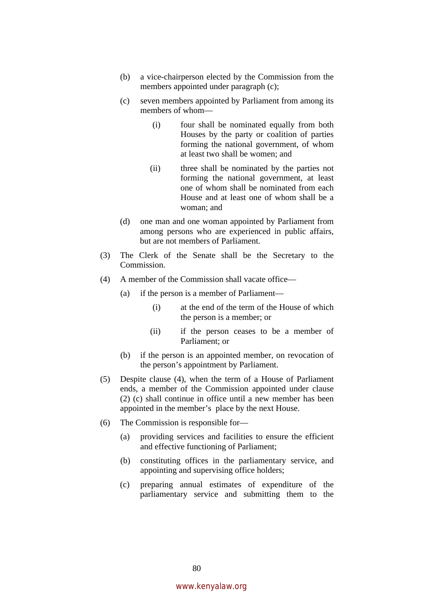- (b) a vice-chairperson elected by the Commission from the members appointed under paragraph (c);
- (c) seven members appointed by Parliament from among its members of whom—
	- (i) four shall be nominated equally from both Houses by the party or coalition of parties forming the national government, of whom at least two shall be women; and
	- (ii) three shall be nominated by the parties not forming the national government, at least one of whom shall be nominated from each House and at least one of whom shall be a woman; and
- (d) one man and one woman appointed by Parliament from among persons who are experienced in public affairs, but are not members of Parliament.
- (3) The Clerk of the Senate shall be the Secretary to the Commission.
- (4) A member of the Commission shall vacate office—
	- (a) if the person is a member of Parliament—
		- (i) at the end of the term of the House of which the person is a member; or
		- (ii) if the person ceases to be a member of Parliament; or
	- (b) if the person is an appointed member, on revocation of the person's appointment by Parliament.
- (5) Despite clause (4), when the term of a House of Parliament ends, a member of the Commission appointed under clause (2) (c) shall continue in office until a new member has been appointed in the member's place by the next House.
- (6) The Commission is responsible for—
	- (a) providing services and facilities to ensure the efficient and effective functioning of Parliament;
	- (b) constituting offices in the parliamentary service, and appointing and supervising office holders;
	- (c) preparing annual estimates of expenditure of the parliamentary service and submitting them to the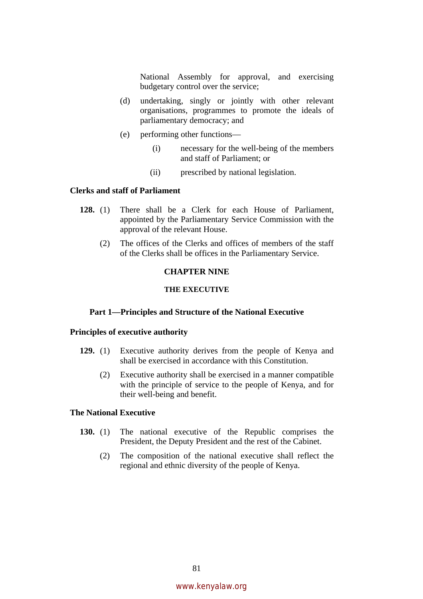National Assembly for approval, and exercising budgetary control over the service;

- (d) undertaking, singly or jointly with other relevant organisations, programmes to promote the ideals of parliamentary democracy; and
- (e) performing other functions—
	- (i) necessary for the well-being of the members and staff of Parliament; or
	- (ii) prescribed by national legislation.

## **Clerks and staff of Parliament**

- **128.** (1) There shall be a Clerk for each House of Parliament, appointed by the Parliamentary Service Commission with the approval of the relevant House.
	- (2) The offices of the Clerks and offices of members of the staff of the Clerks shall be offices in the Parliamentary Service.

### **CHAPTER NINE**

### **THE EXECUTIVE**

### **Part 1—Principles and Structure of the National Executive**

## **Principles of executive authority**

- **129.** (1) Executive authority derives from the people of Kenya and shall be exercised in accordance with this Constitution.
	- (2) Executive authority shall be exercised in a manner compatible with the principle of service to the people of Kenya, and for their well-being and benefit.

## **The National Executive**

- **130.** (1) The national executive of the Republic comprises the President, the Deputy President and the rest of the Cabinet.
	- (2) The composition of the national executive shall reflect the regional and ethnic diversity of the people of Kenya.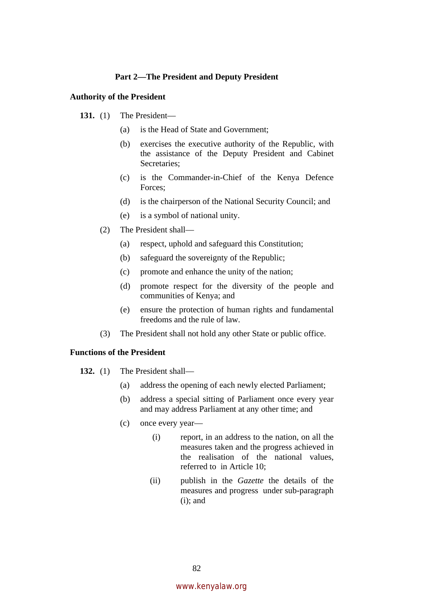# **Part 2—The President and Deputy President**

## **Authority of the President**

- **131.** (1) The President—
	- (a) is the Head of State and Government;
	- (b) exercises the executive authority of the Republic, with the assistance of the Deputy President and Cabinet Secretaries;
	- (c) is the Commander-in-Chief of the Kenya Defence Forces;
	- (d) is the chairperson of the National Security Council; and
	- (e) is a symbol of national unity.
	- (2) The President shall—
		- (a) respect, uphold and safeguard this Constitution;
		- (b) safeguard the sovereignty of the Republic;
		- (c) promote and enhance the unity of the nation;
		- (d) promote respect for the diversity of the people and communities of Kenya; and
		- (e) ensure the protection of human rights and fundamental freedoms and the rule of law.
	- (3) The President shall not hold any other State or public office.

### **Functions of the President**

- **132.** (1) The President shall—
	- (a) address the opening of each newly elected Parliament;
	- (b) address a special sitting of Parliament once every year and may address Parliament at any other time; and
	- (c) once every year—
		- (i) report, in an address to the nation, on all the measures taken and the progress achieved in the realisation of the national values, referred to in Article 10;
		- (ii) publish in the *Gazette* the details of the measures and progress under sub-paragraph  $(i)$ ; and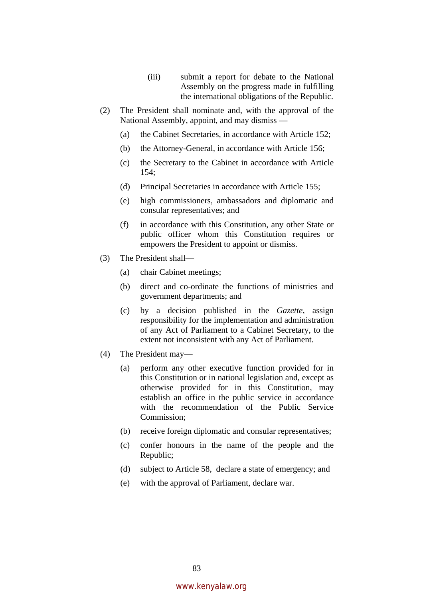- (iii) submit a report for debate to the National Assembly on the progress made in fulfilling the international obligations of the Republic.
- (2) The President shall nominate and, with the approval of the National Assembly, appoint, and may dismiss —
	- (a) the Cabinet Secretaries, in accordance with Article 152;
	- (b) the Attorney-General, in accordance with Article 156;
	- (c) the Secretary to the Cabinet in accordance with Article 154;
	- (d) Principal Secretaries in accordance with Article 155;
	- (e) high commissioners, ambassadors and diplomatic and consular representatives; and
	- (f) in accordance with this Constitution, any other State or public officer whom this Constitution requires or empowers the President to appoint or dismiss.
- (3) The President shall—
	- (a) chair Cabinet meetings;
	- (b) direct and co-ordinate the functions of ministries and government departments; and
	- (c) by a decision published in the *Gazette*, assign responsibility for the implementation and administration of any Act of Parliament to a Cabinet Secretary, to the extent not inconsistent with any Act of Parliament.
- (4) The President may—
	- (a) perform any other executive function provided for in this Constitution or in national legislation and, except as otherwise provided for in this Constitution, may establish an office in the public service in accordance with the recommendation of the Public Service Commission;
	- (b) receive foreign diplomatic and consular representatives;
	- (c) confer honours in the name of the people and the Republic;
	- (d) subject to Article 58,declare a state of emergency; and
	- (e) with the approval of Parliament, declare war.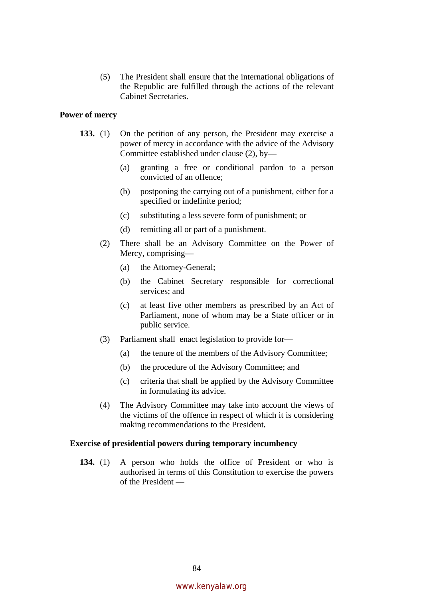(5) The President shall ensure that the international obligations of the Republic are fulfilled through the actions of the relevant Cabinet Secretaries.

## **Power of mercy**

- **133.** (1) On the petition of any person, the President may exercise a power of mercy in accordance with the advice of the Advisory Committee established under clause (2), by—
	- (a) granting a free or conditional pardon to a person convicted of an offence;
	- (b) postponing the carrying out of a punishment, either for a specified or indefinite period;
	- (c) substituting a less severe form of punishment; or
	- (d) remitting all or part of a punishment.
	- (2) There shall be an Advisory Committee on the Power of Mercy, comprising—
		- (a) the Attorney-General;
		- (b) the Cabinet Secretary responsible for correctional services; and
		- (c) at least five other members as prescribed by an Act of Parliament, none of whom may be a State officer or in public service.
	- (3) Parliament shall enact legislation to provide for—
		- (a) the tenure of the members of the Advisory Committee;
		- (b) the procedure of the Advisory Committee; and
		- (c) criteria that shall be applied by the Advisory Committee in formulating its advice.
	- (4) The Advisory Committee may take into account the views of the victims of the offence in respect of which it is considering making recommendations to the President*.*

### **Exercise of presidential powers during temporary incumbency**

**134.** (1) A person who holds the office of President or who is authorised in terms of this Constitution to exercise the powers of the President —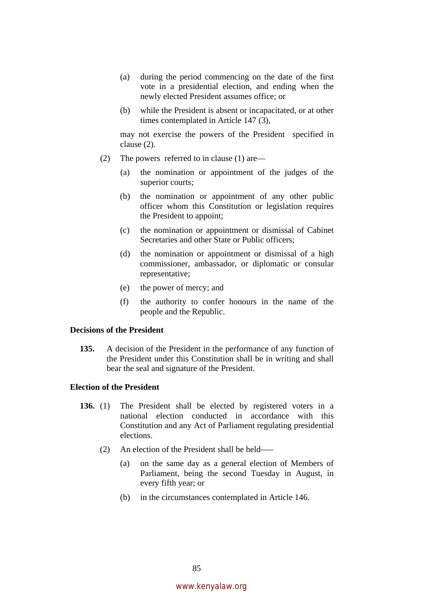- (a) during the period commencing on the date of the first vote in a presidential election, and ending when the newly elected President assumes office; or
- (b) while the President is absent or incapacitated, or at other times contemplated in Article 147 (3),

may not exercise the powers of the President specified in clause (2).

- (2) The powers referred to in clause (1) are—
	- (a) the nomination or appointment of the judges of the superior courts;
	- (b) the nomination or appointment of any other public officer whom this Constitution or legislation requires the President to appoint;
	- (c) the nomination or appointment or dismissal of Cabinet Secretaries and other State or Public officers:
	- (d) the nomination or appointment or dismissal of a high commissioner, ambassador, or diplomatic or consular representative;
	- (e) the power of mercy; and
	- (f) the authority to confer honours in the name of the people and the Republic.

### **Decisions of the President**

**135.** A decision of the President in the performance of any function of the President under this Constitution shall be in writing and shall bear the seal and signature of the President.

## **Election of the President**

- **136.** (1) The President shall be elected by registered voters in a national election conducted in accordance with this Constitution and any Act of Parliament regulating presidential elections.
	- (2) An election of the President shall be held–––
		- (a) on the same day as a general election of Members of Parliament, being the second Tuesday in August, in every fifth year; or
		- (b) in the circumstances contemplated in Article 146.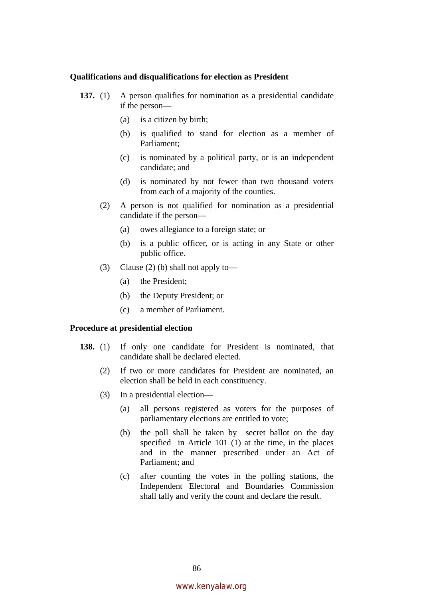### **Qualifications and disqualifications for election as President**

- **137.** (1) A person qualifies for nomination as a presidential candidate if the person—
	- (a) is a citizen by birth;
	- (b) is qualified to stand for election as a member of Parliament;
	- (c) is nominated by a political party, or is an independent candidate; and
	- (d) is nominated by not fewer than two thousand voters from each of a majority of the counties.
	- (2) A person is not qualified for nomination as a presidential candidate if the person—
		- (a) owes allegiance to a foreign state; or
		- (b) is a public officer, or is acting in any State or other public office.
	- (3) Clause (2) (b) shall not apply to—
		- (a) the President;
		- (b) the Deputy President; or
		- (c) a member of Parliament.

### **Procedure at presidential election**

- **138.** (1) If only one candidate for President is nominated, that candidate shall be declared elected.
	- (2) If two or more candidates for President are nominated, an election shall be held in each constituency.
	- (3) In a presidential election—
		- (a) all persons registered as voters for the purposes of parliamentary elections are entitled to vote;
		- (b) the poll shall be taken by secret ballot on the day specified in Article 101 (1) at the time, in the places and in the manner prescribed under an Act of Parliament; and
		- (c) after counting the votes in the polling stations, the Independent Electoral and Boundaries Commission shall tally and verify the count and declare the result.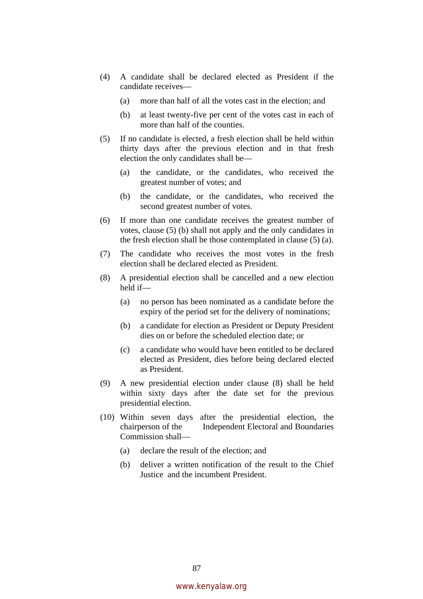- (4) A candidate shall be declared elected as President if the candidate receives—
	- (a) more than half of all the votes cast in the election; and
	- (b) at least twenty-five per cent of the votes cast in each of more than half of the counties.
- (5) If no candidate is elected, a fresh election shall be held within thirty days after the previous election and in that fresh election the only candidates shall be—
	- (a) the candidate, or the candidates, who received the greatest number of votes; and
	- (b) the candidate, or the candidates, who received the second greatest number of votes.
- (6) If more than one candidate receives the greatest number of votes, clause (5) (b) shall not apply and the only candidates in the fresh election shall be those contemplated in clause (5) (a).
- (7) The candidate who receives the most votes in the fresh election shall be declared elected as President.
- (8) A presidential election shall be cancelled and a new election held if—
	- (a) no person has been nominated as a candidate before the expiry of the period set for the delivery of nominations;
	- (b) a candidate for election as President or Deputy President dies on or before the scheduled election date; or
	- (c) a candidate who would have been entitled to be declared elected as President, dies before being declared elected as President.
- (9) A new presidential election under clause (8) shall be held within sixty days after the date set for the previous presidential election.
- (10) Within seven days after the presidential election, the chairperson of the Independent Electoral and Boundaries Commission shall—
	- (a) declare the result of the election; and
	- (b) deliver a written notification of the result to the Chief Justice and the incumbent President.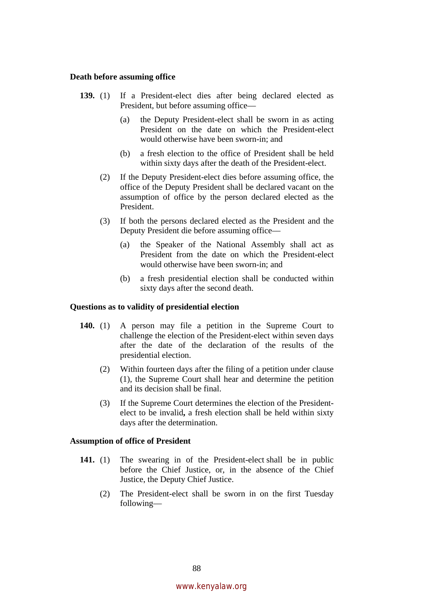### **Death before assuming office**

- **139.** (1) If a President-elect dies after being declared elected as President, but before assuming office––
	- (a) the Deputy President-elect shall be sworn in as acting President on the date on which the President-elect would otherwise have been sworn-in; and
	- (b) a fresh election to the office of President shall be held within sixty days after the death of the President-elect.
	- (2) If the Deputy President-elect dies before assuming office, the office of the Deputy President shall be declared vacant on the assumption of office by the person declared elected as the President.
	- (3) If both the persons declared elected as the President and the Deputy President die before assuming office––
		- (a) the Speaker of the National Assembly shall act as President from the date on which the President-elect would otherwise have been sworn-in; and
		- (b) a fresh presidential election shall be conducted within sixty days after the second death.

#### **Questions as to validity of presidential election**

- **140.** (1) A person may file a petition in the Supreme Court to challenge the election of the President-elect within seven days after the date of the declaration of the results of the presidential election.
	- (2) Within fourteen days after the filing of a petition under clause (1), the Supreme Court shall hear and determine the petition and its decision shall be final.
	- (3) If the Supreme Court determines the election of the Presidentelect to be invalid**,** a fresh election shall be held within sixty days after the determination.

### **Assumption of office of President**

- **141.** (1) The swearing in of the President-elect shall be in public before the Chief Justice, or, in the absence of the Chief Justice, the Deputy Chief Justice.
	- (2) The President-elect shall be sworn in on the first Tuesday following––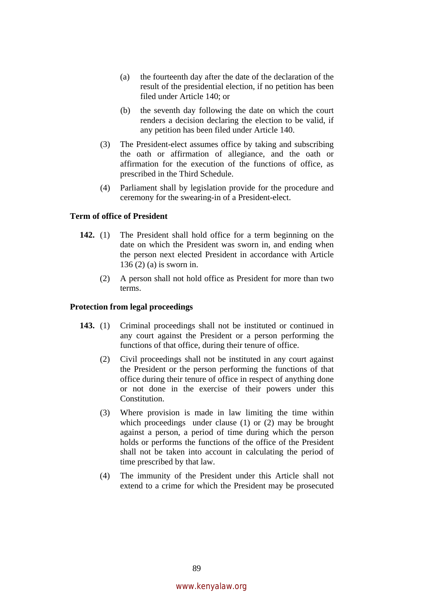- (a) the fourteenth day after the date of the declaration of the result of the presidential election, if no petition has been filed under Article 140; or
- (b) the seventh day following the date on which the court renders a decision declaring the election to be valid, if any petition has been filed under Article 140.
- (3) The President-elect assumes office by taking and subscribing the oath or affirmation of allegiance, and the oath or affirmation for the execution of the functions of office, as prescribed in the Third Schedule.
- (4) Parliament shall by legislation provide for the procedure and ceremony for the swearing-in of a President-elect.

## **Term of office of President**

- **142.** (1) The President shall hold office for a term beginning on the date on which the President was sworn in, and ending when the person next elected President in accordance with Article 136 (2) (a) is sworn in.
	- (2) A person shall not hold office as President for more than two terms.

### **Protection from legal proceedings**

- **143.** (1) Criminal proceedings shall not be instituted or continued in any court against the President or a person performing the functions of that office, during their tenure of office.
	- (2) Civil proceedings shall not be instituted in any court against the President or the person performing the functions of that office during their tenure of office in respect of anything done or not done in the exercise of their powers under this Constitution.
	- (3) Where provision is made in law limiting the time within which proceedings under clause (1) or (2) may be brought against a person, a period of time during which the person holds or performs the functions of the office of the President shall not be taken into account in calculating the period of time prescribed by that law.
	- (4) The immunity of the President under this Article shall not extend to a crime for which the President may be prosecuted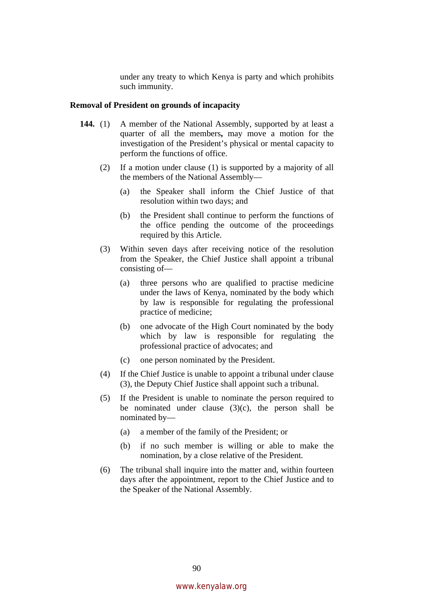under any treaty to which Kenya is party and which prohibits such immunity.

## **Removal of President on grounds of incapacity**

- 144. (1) A member of the National Assembly, supported by at least a quarter of all the members**,** may move a motion for the investigation of the President's physical or mental capacity to perform the functions of office.
	- (2) If a motion under clause (1) is supported by a majority of all the members of the National Assembly—
		- (a) the Speaker shall inform the Chief Justice of that resolution within two days; and
		- (b) the President shall continue to perform the functions of the office pending the outcome of the proceedings required by this Article.
	- (3) Within seven days after receiving notice of the resolution from the Speaker, the Chief Justice shall appoint a tribunal consisting of—
		- (a) three persons who are qualified to practise medicine under the laws of Kenya, nominated by the body which by law is responsible for regulating the professional practice of medicine;
		- (b) one advocate of the High Court nominated by the body which by law is responsible for regulating the professional practice of advocates; and
		- (c) one person nominated by the President.
	- (4) If the Chief Justice is unable to appoint a tribunal under clause (3), the Deputy Chief Justice shall appoint such a tribunal.
	- (5) If the President is unable to nominate the person required to be nominated under clause  $(3)(c)$ , the person shall be nominated by––
		- (a) a member of the family of the President; or
		- (b) if no such member is willing or able to make the nomination, by a close relative of the President.
	- (6) The tribunal shall inquire into the matter and, within fourteen days after the appointment, report to the Chief Justice and to the Speaker of the National Assembly.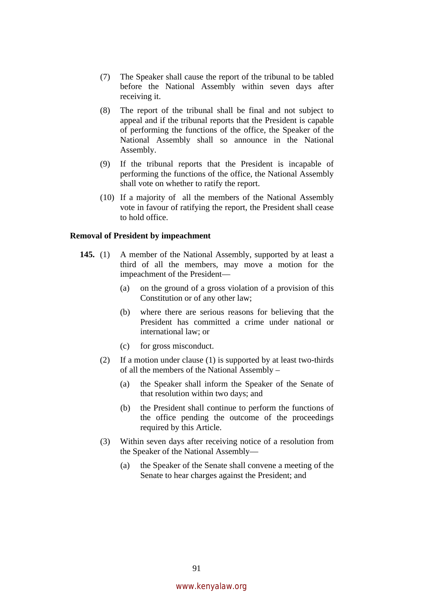- (7) The Speaker shall cause the report of the tribunal to be tabled before the National Assembly within seven days after receiving it.
- (8) The report of the tribunal shall be final and not subject to appeal and if the tribunal reports that the President is capable of performing the functions of the office, the Speaker of the National Assembly shall so announce in the National Assembly.
- (9) If the tribunal reports that the President is incapable of performing the functions of the office, the National Assembly shall vote on whether to ratify the report.
- (10) If a majority of all the members of the National Assembly vote in favour of ratifying the report, the President shall cease to hold office.

### **Removal of President by impeachment**

- **145.** (1) A member of the National Assembly, supported by at least a third of all the members, may move a motion for the impeachment of the President—
	- (a) on the ground of a gross violation of a provision of this Constitution or of any other law;
	- (b) where there are serious reasons for believing that the President has committed a crime under national or international law; or
	- (c) for gross misconduct.
	- (2) If a motion under clause (1) is supported by at least two-thirds of all the members of the National Assembly –
		- (a) the Speaker shall inform the Speaker of the Senate of that resolution within two days; and
		- (b) the President shall continue to perform the functions of the office pending the outcome of the proceedings required by this Article.
	- (3) Within seven days after receiving notice of a resolution from the Speaker of the National Assembly—
		- (a) the Speaker of the Senate shall convene a meeting of the Senate to hear charges against the President; and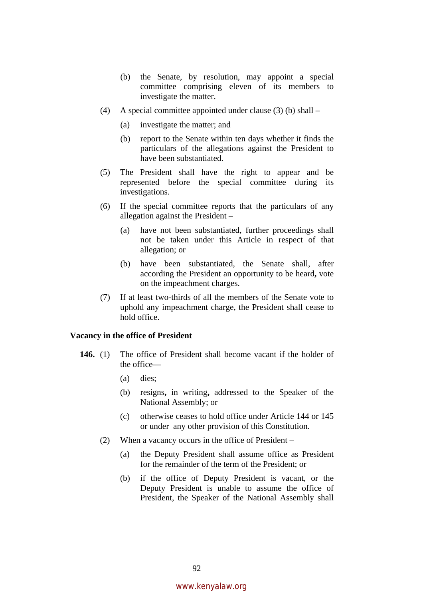- (b) the Senate, by resolution, may appoint a special committee comprising eleven of its members to investigate the matter.
- (4) A special committee appointed under clause (3) (b) shall
	- (a) investigate the matter; and
	- (b) report to the Senate within ten days whether it finds the particulars of the allegations against the President to have been substantiated.
- (5) The President shall have the right to appear and be represented before the special committee during its investigations.
- (6) If the special committee reports that the particulars of any allegation against the President –
	- (a) have not been substantiated, further proceedings shall not be taken under this Article in respect of that allegation; or
	- (b) have been substantiated, the Senate shall, after according the President an opportunity to be heard**,** vote on the impeachment charges.
- (7) If at least two-thirds of all the members of the Senate vote to uphold any impeachment charge, the President shall cease to hold office.

## **Vacancy in the office of President**

- **146.** (1) The office of President shall become vacant if the holder of the office—
	- (a) dies;
	- (b) resigns**,** in writing**,** addressed to the Speaker of the National Assembly; or
	- (c) otherwise ceases to hold office under Article 144 or 145 or under any other provision of this Constitution.
	- (2) When a vacancy occurs in the office of President
		- (a) the Deputy President shall assume office as President for the remainder of the term of the President; or
		- (b) if the office of Deputy President is vacant, or the Deputy President is unable to assume the office of President, the Speaker of the National Assembly shall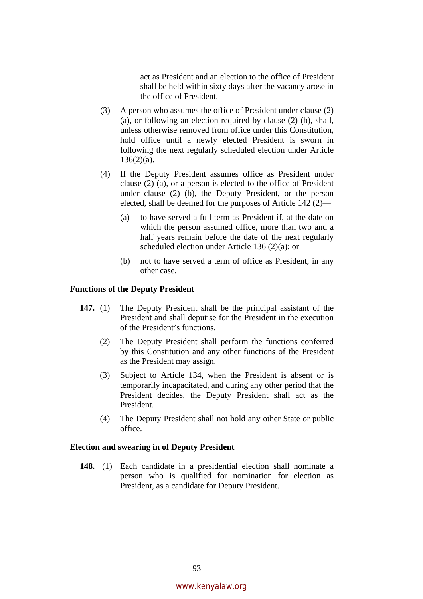act as President and an election to the office of President shall be held within sixty days after the vacancy arose in the office of President.

- (3) A person who assumes the office of President under clause (2) (a), or following an election required by clause (2) (b), shall, unless otherwise removed from office under this Constitution, hold office until a newly elected President is sworn in following the next regularly scheduled election under Article  $136(2)(a)$ .
- (4) If the Deputy President assumes office as President under clause (2) (a), or a person is elected to the office of President under clause (2) (b), the Deputy President, or the person elected, shall be deemed for the purposes of Article 142 (2)—
	- (a) to have served a full term as President if, at the date on which the person assumed office, more than two and a half years remain before the date of the next regularly scheduled election under Article 136 (2)(a); or
	- (b) not to have served a term of office as President, in any other case.

### **Functions of the Deputy President**

- **147.** (1) The Deputy President shall be the principal assistant of the President and shall deputise for the President in the execution of the President's functions.
	- (2) The Deputy President shall perform the functions conferred by this Constitution and any other functions of the President as the President may assign.
	- (3) Subject to Article 134, when the President is absent or is temporarily incapacitated, and during any other period that the President decides, the Deputy President shall act as the President.
	- (4) The Deputy President shall not hold any other State or public office.

### **Election and swearing in of Deputy President**

**148.** (1) Each candidate in a presidential election shall nominate a person who is qualified for nomination for election as President, as a candidate for Deputy President.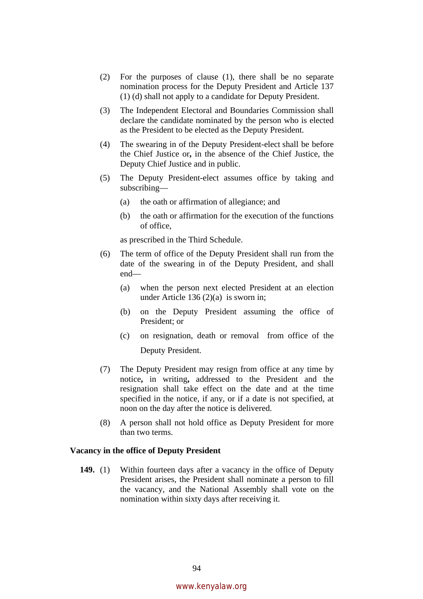- (2) For the purposes of clause (1), there shall be no separate nomination process for the Deputy President and Article 137 (1) (d) shall not apply to a candidate for Deputy President.
- (3) The Independent Electoral and Boundaries Commission shall declare the candidate nominated by the person who is elected as the President to be elected as the Deputy President.
- (4) The swearing in of the Deputy President-elect shall be before the Chief Justice or**,** in the absence of the Chief Justice, the Deputy Chief Justice and in public.
- (5) The Deputy President-elect assumes office by taking and subscribing—
	- (a) the oath or affirmation of allegiance; and
	- (b) the oath or affirmation for the execution of the functions of office,

as prescribed in the Third Schedule.

- (6) The term of office of the Deputy President shall run from the date of the swearing in of the Deputy President, and shall end—
	- (a) when the person next elected President at an election under Article 136 (2)(a) is sworn in;
	- (b) on the Deputy President assuming the office of President; or
	- (c) on resignation, death or removal from office of the Deputy President.
- (7) The Deputy President may resign from office at any time by notice**,** in writing**,** addressed to the President and the resignation shall take effect on the date and at the time specified in the notice, if any, or if a date is not specified, at noon on the day after the notice is delivered.
- (8) A person shall not hold office as Deputy President for more than two terms.

### **Vacancy in the office of Deputy President**

**149.** (1) Within fourteen days after a vacancy in the office of Deputy President arises, the President shall nominate a person to fill the vacancy, and the National Assembly shall vote on the nomination within sixty days after receiving it.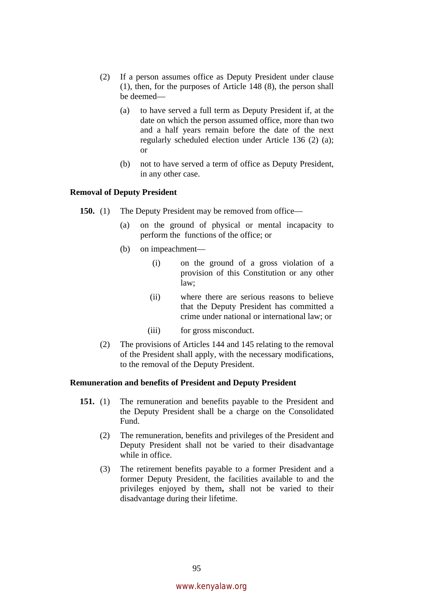- (2) If a person assumes office as Deputy President under clause (1), then, for the purposes of Article 148 (8), the person shall be deemed—
	- (a) to have served a full term as Deputy President if, at the date on which the person assumed office, more than two and a half years remain before the date of the next regularly scheduled election under Article 136 (2) (a); or
	- (b) not to have served a term of office as Deputy President, in any other case.

## **Removal of Deputy President**

- **150.** (1) The Deputy President may be removed from office—
	- (a) on the ground of physical or mental incapacity to perform the functions of the office; or
	- (b) on impeachment—
		- (i) on the ground of a gross violation of a provision of this Constitution or any other law;
		- (ii) where there are serious reasons to believe that the Deputy President has committed a crime under national or international law; or
		- (iii) for gross misconduct.
	- (2)The provisions of Articles 144 and 145 relating to the removal of the President shall apply, with the necessary modifications, to the removal of the Deputy President.

### **Remuneration and benefits of President and Deputy President**

- **151.** (1) The remuneration and benefits payable to the President and the Deputy President shall be a charge on the Consolidated Fund.
	- (2) The remuneration, benefits and privileges of the President and Deputy President shall not be varied to their disadvantage while in office.
	- (3) The retirement benefits payable to a former President and a former Deputy President, the facilities available to and the privileges enjoyed by them**,** shall not be varied to their disadvantage during their lifetime.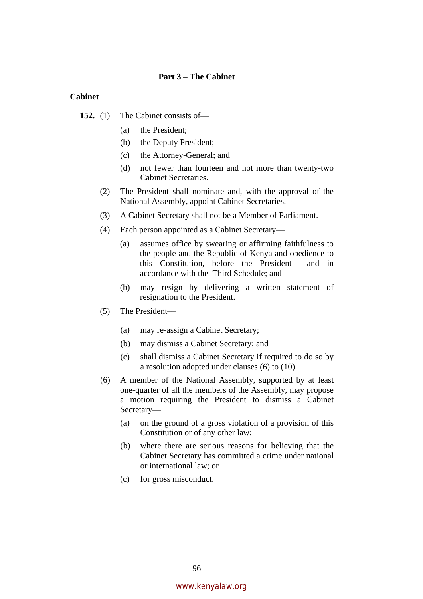## **Part 3 – The Cabinet**

### **Cabinet**

**152.** (1) The Cabinet consists of—

- (a) the President;
- (b) the Deputy President;
- (c) the Attorney-General; and
- (d) not fewer than fourteen and not more than twenty-two Cabinet Secretaries.
- (2) The President shall nominate and, with the approval of the National Assembly, appoint Cabinet Secretaries.
- (3) A Cabinet Secretary shall not be a Member of Parliament.
- (4) Each person appointed as a Cabinet Secretary—
	- (a) assumes office by swearing or affirming faithfulness to the people and the Republic of Kenya and obedience to this Constitution, before the President and in accordance with the Third Schedule; and
	- (b) may resign by delivering a written statement of resignation to the President.
- (5) The President––
	- (a) may re-assign a Cabinet Secretary;
	- (b) may dismiss a Cabinet Secretary; and
	- (c) shall dismiss a Cabinet Secretary if required to do so by a resolution adopted under clauses (6) to (10).
- (6) A member of the National Assembly, supported by at least one-quarter of all the members of the Assembly, may propose a motion requiring the President to dismiss a Cabinet Secretary—
	- (a) on the ground of a gross violation of a provision of this Constitution or of any other law;
	- (b) where there are serious reasons for believing that the Cabinet Secretary has committed a crime under national or international law; or
	- (c) for gross misconduct.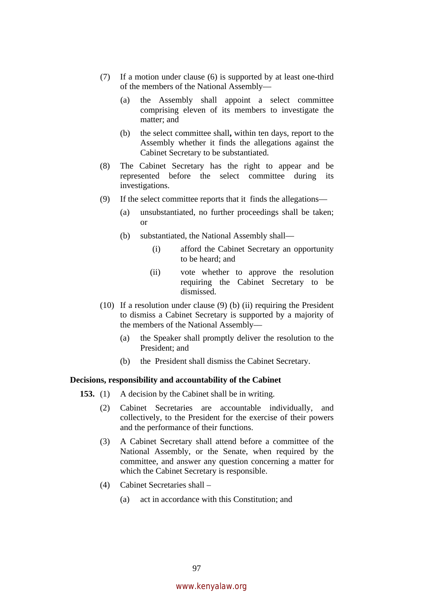- (7) If a motion under clause (6) is supported by at least one-third of the members of the National Assembly—
	- (a) the Assembly shall appoint a select committee comprising eleven of its members to investigate the matter; and
	- (b) the select committee shall**,** within ten days, report to the Assembly whether it finds the allegations against the Cabinet Secretary to be substantiated.
- (8) The Cabinet Secretary has the right to appear and be represented before the select committee during its investigations.
- (9) If the select committee reports that it finds the allegations––
	- (a) unsubstantiated, no further proceedings shall be taken; or
	- (b) substantiated, the National Assembly shall––
		- (i) afford the Cabinet Secretary an opportunity to be heard; and
		- (ii) vote whether to approve the resolution requiring the Cabinet Secretary to be dismissed.
- (10) If a resolution under clause (9) (b) (ii) requiring the President to dismiss a Cabinet Secretary is supported by a majority of the members of the National Assembly––
	- (a) the Speaker shall promptly deliver the resolution to the President; and
	- (b) the President shall dismiss the Cabinet Secretary.

### **Decisions, responsibility and accountability of the Cabinet**

- **153.** (1) A decision by the Cabinet shall be in writing.
	- (2) Cabinet Secretaries are accountable individually, and collectively, to the President for the exercise of their powers and the performance of their functions.
	- (3) A Cabinet Secretary shall attend before a committee of the National Assembly, or the Senate, when required by the committee, and answer any question concerning a matter for which the Cabinet Secretary is responsible.
	- (4) Cabinet Secretaries shall
		- (a) act in accordance with this Constitution; and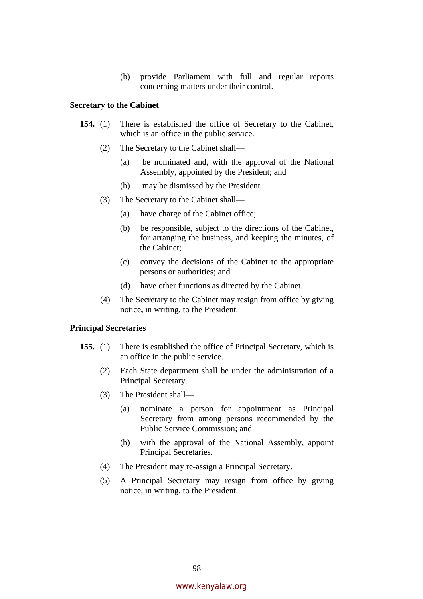(b) provide Parliament with full and regular reports concerning matters under their control.

#### **Secretary to the Cabinet**

- **154.** (1) There is established the office of Secretary to the Cabinet, which is an office in the public service.
	- (2) The Secretary to the Cabinet shall—
		- (a) be nominated and, with the approval of the National Assembly, appointed by the President; and
		- (b) may be dismissed by the President.
	- (3) The Secretary to the Cabinet shall—
		- (a) have charge of the Cabinet office;
		- (b) be responsible, subject to the directions of the Cabinet, for arranging the business, and keeping the minutes, of the Cabinet;
		- (c) convey the decisions of the Cabinet to the appropriate persons or authorities; and
		- (d) have other functions as directed by the Cabinet.
	- (4) The Secretary to the Cabinet may resign from office by giving notice**,** in writing**,** to the President.

### **Principal Secretaries**

- **155.** (1) There is established the office of Principal Secretary, which is an office in the public service.
	- (2) Each State department shall be under the administration of a Principal Secretary.
	- (3) The President shall—
		- (a) nominate a person for appointment as Principal Secretary from among persons recommended by the Public Service Commission; and
		- (b) with the approval of the National Assembly, appoint Principal Secretaries.
	- (4) The President may re-assign a Principal Secretary.
	- (5) A Principal Secretary may resign from office by giving notice, in writing, to the President.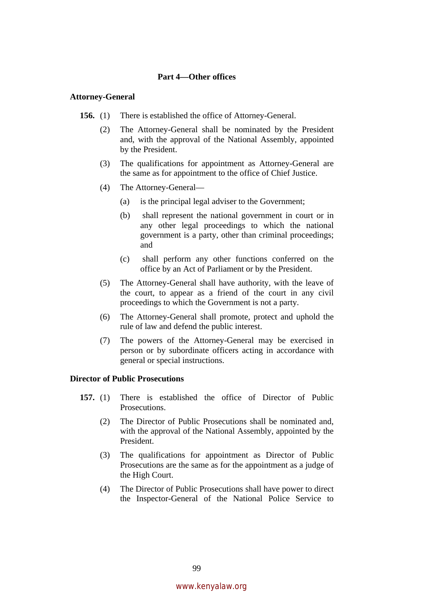## **Part 4—Other offices**

### **Attorney-General**

- **156.** (1) There is established the office of Attorney-General.
	- (2) The Attorney-General shall be nominated by the President and, with the approval of the National Assembly, appointed by the President.
	- (3) The qualifications for appointment as Attorney-General are the same as for appointment to the office of Chief Justice.
	- (4) The Attorney-General—
		- (a) is the principal legal adviser to the Government;
		- (b) shall represent the national government in court or in any other legal proceedings to which the national government is a party, other than criminal proceedings; and
		- (c) shall perform any other functions conferred on the office by an Act of Parliament or by the President.
	- (5) The Attorney-General shall have authority, with the leave of the court, to appear as a friend of the court in any civil proceedings to which the Government is not a party.
	- (6) The Attorney-General shall promote, protect and uphold the rule of law and defend the public interest.
	- (7) The powers of the Attorney-General may be exercised in person or by subordinate officers acting in accordance with general or special instructions.

# **Director of Public Prosecutions**

- **157.** (1) There is established the office of Director of Public Prosecutions.
	- (2) The Director of Public Prosecutions shall be nominated and, with the approval of the National Assembly, appointed by the President.
	- (3) The qualifications for appointment as Director of Public Prosecutions are the same as for the appointment as a judge of the High Court.
	- (4) The Director of Public Prosecutions shall have power to direct the Inspector-General of the National Police Service to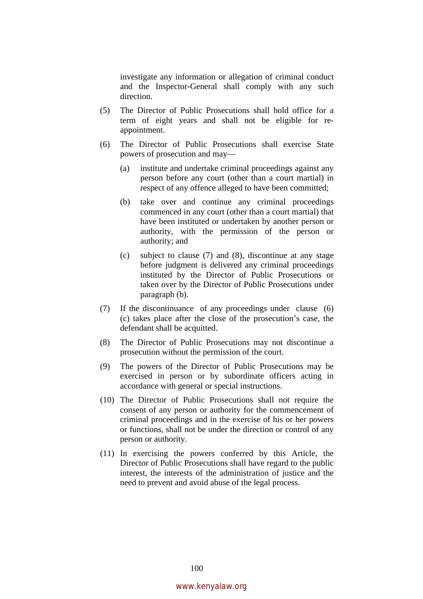investigate any information or allegation of criminal conduct and the Inspector-General shall comply with any such direction.

- (5) The Director of Public Prosecutions shall hold office for a term of eight years and shall not be eligible for reappointment.
- (6) The Director of Public Prosecutions shall exercise State powers of prosecution and may—
	- (a) institute and undertake criminal proceedings against any person before any court (other than a court martial) in respect of any offence alleged to have been committed;
	- (b) take over and continue any criminal proceedings commenced in any court (other than a court martial) that have been instituted or undertaken by another person or authority, with the permission of the person or authority; and
	- (c) subject to clause (7) and (8), discontinue at any stage before judgment is delivered any criminal proceedings instituted by the Director of Public Prosecutions or taken over by the Director of Public Prosecutions under paragraph (b).
- (7) If the discontinuance of any proceedings under clause (6) (c) takes place after the close of the prosecution's case, the defendant shall be acquitted.
- (8) The Director of Public Prosecutions may not discontinue a prosecution without the permission of the court.
- (9) The powers of the Director of Public Prosecutions may be exercised in person or by subordinate officers acting in accordance with general or special instructions.
- (10) The Director of Public Prosecutions shall not require the consent of any person or authority for the commencement of criminal proceedings and in the exercise of his or her powers or functions, shall not be under the direction or control of any person or authority.
- (11) In exercising the powers conferred by this Article, the Director of Public Prosecutions shall have regard to the public interest, the interests of the administration of justice and the need to prevent and avoid abuse of the legal process.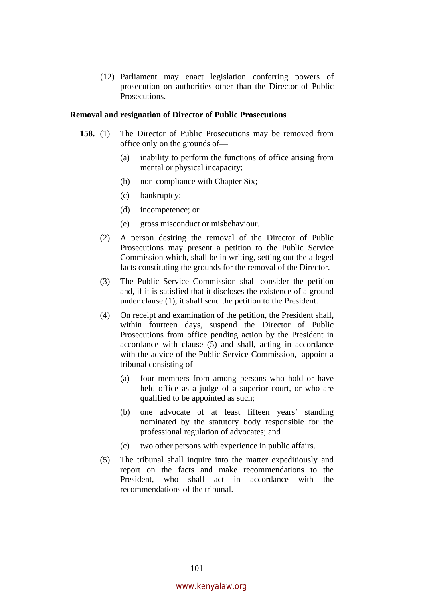(12) Parliament may enact legislation conferring powers of prosecution on authorities other than the Director of Public **Prosecutions** 

#### **Removal and resignation of Director of Public Prosecutions**

- **158.** (1) The Director of Public Prosecutions may be removed from office only on the grounds of—
	- (a) inability to perform the functions of office arising from mental or physical incapacity;
	- (b) non-compliance with Chapter Six;
	- (c) bankruptcy;
	- (d) incompetence; or
	- (e) gross misconduct or misbehaviour.
	- (2) A person desiring the removal of the Director of Public Prosecutions may present a petition to the Public Service Commission which, shall be in writing, setting out the alleged facts constituting the grounds for the removal of the Director.
	- (3) The Public Service Commission shall consider the petition and, if it is satisfied that it discloses the existence of a ground under clause (1), it shall send the petition to the President.
	- (4) On receipt and examination of the petition, the President shall**,** within fourteen days, suspend the Director of Public Prosecutions from office pending action by the President in accordance with clause (5) and shall, acting in accordance with the advice of the Public Service Commission, appoint a tribunal consisting of—
		- (a) four members from among persons who hold or have held office as a judge of a superior court, or who are qualified to be appointed as such;
		- (b) one advocate of at least fifteen years' standing nominated by the statutory body responsible for the professional regulation of advocates; and
		- (c) two other persons with experience in public affairs.
	- (5) The tribunal shall inquire into the matter expeditiously and report on the facts and make recommendations to the President, who shall act in accordance with the recommendations of the tribunal.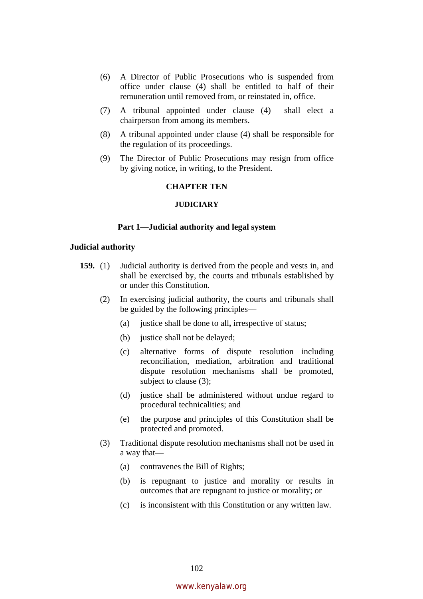- (6) A Director of Public Prosecutions who is suspended from office under clause (4) shall be entitled to half of their remuneration until removed from, or reinstated in, office.
- (7) A tribunal appointed under clause (4) shall elect a chairperson from among its members.
- (8) A tribunal appointed under clause (4) shall be responsible for the regulation of its proceedings.
- (9) The Director of Public Prosecutions may resign from office by giving notice, in writing, to the President.

# **CHAPTER TEN**

#### **JUDICIARY**

#### **Part 1—Judicial authority and legal system**

### **Judicial authority**

- **159.** (1) Judicial authority is derived from the people and vests in, and shall be exercised by, the courts and tribunals established by or under this Constitution.
	- (2) In exercising judicial authority, the courts and tribunals shall be guided by the following principles—
		- (a) justice shall be done to all**,** irrespective of status;
		- (b) justice shall not be delayed;
		- (c) alternative forms of dispute resolution including reconciliation, mediation, arbitration and traditional dispute resolution mechanisms shall be promoted, subject to clause (3);
		- (d) justice shall be administered without undue regard to procedural technicalities; and
		- (e) the purpose and principles of this Constitution shall be protected and promoted.
	- (3) Traditional dispute resolution mechanisms shall not be used in a way that—
		- (a) contravenes the Bill of Rights;
		- (b) is repugnant to justice and morality or results in outcomes that are repugnant to justice or morality; or
		- (c) is inconsistent with this Constitution or any written law*.*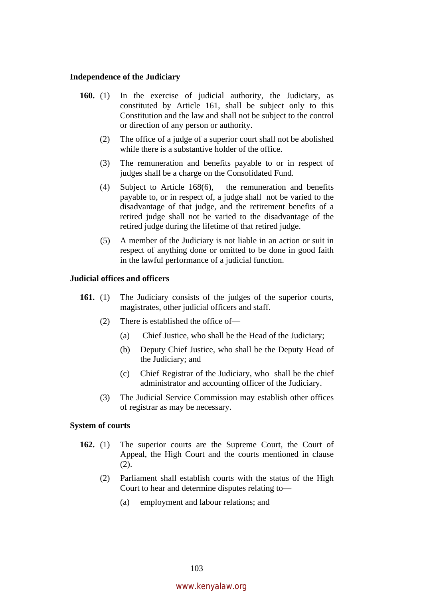## **Independence of the Judiciary**

- **160.** (1) In the exercise of judicial authority, the Judiciary, as constituted by Article 161, shall be subject only to this Constitution and the law and shall not be subject to the control or direction of any person or authority.
	- (2) The office of a judge of a superior court shall not be abolished while there is a substantive holder of the office.
	- (3) The remuneration and benefits payable to or in respect of judges shall be a charge on the Consolidated Fund.
	- (4) Subject to Article 168(6), the remuneration and benefits payable to, or in respect of, a judge shall not be varied to the disadvantage of that judge, and the retirement benefits of a retired judge shall not be varied to the disadvantage of the retired judge during the lifetime of that retired judge.
	- (5) A member of the Judiciary is not liable in an action or suit in respect of anything done or omitted to be done in good faith in the lawful performance of a judicial function.

## **Judicial offices and officers**

- **161.** (1) The Judiciary consists of the judges of the superior courts, magistrates, other judicial officers and staff.
	- (2) There is established the office of––
		- (a) Chief Justice, who shall be the Head of the Judiciary;
		- (b) Deputy Chief Justice, who shall be the Deputy Head of the Judiciary; and
		- (c) Chief Registrar of the Judiciary, who shall be the chief administrator and accounting officer of the Judiciary.
	- (3) The Judicial Service Commission may establish other offices of registrar as may be necessary.

## **System of courts**

- **162.** (1) The superior courts are the Supreme Court, the Court of Appeal, the High Court and the courts mentioned in clause (2).
	- (2) Parliament shall establish courts with the status of the High Court to hear and determine disputes relating to—
		- (a) employment and labour relations; and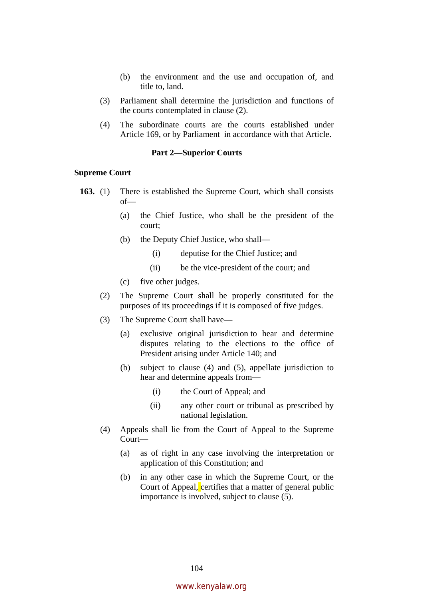- (b) the environment and the use and occupation of, and title to, land.
- (3) Parliament shall determine the jurisdiction and functions of the courts contemplated in clause (2).
- (4) The subordinate courts are the courts established under Article 169, or by Parliament in accordance with that Article.

## **Part 2—Superior Courts**

#### **Supreme Court**

- **163.** (1) There is established the Supreme Court, which shall consists of—
	- (a) the Chief Justice, who shall be the president of the court;
	- (b) the Deputy Chief Justice, who shall—
		- (i) deputise for the Chief Justice; and
		- (ii) be the vice-president of the court; and
	- (c) five other judges.
	- (2) The Supreme Court shall be properly constituted for the purposes of its proceedings if it is composed of five judges.
	- (3) The Supreme Court shall have—
		- (a) exclusive original jurisdiction to hear and determine disputes relating to the elections to the office of President arising under Article 140; and
		- (b) subject to clause (4) and (5), appellate jurisdiction to hear and determine appeals from—
			- (i) the Court of Appeal; and
			- (ii) any other court or tribunal as prescribed by national legislation.
	- (4) Appeals shall lie from the Court of Appeal to the Supreme Court—
		- (a) as of right in any case involving the interpretation or application of this Constitution; and
		- (b) in any other case in which the Supreme Court, or the Court of Appeal, certifies that a matter of general public importance is involved, subject to clause (5).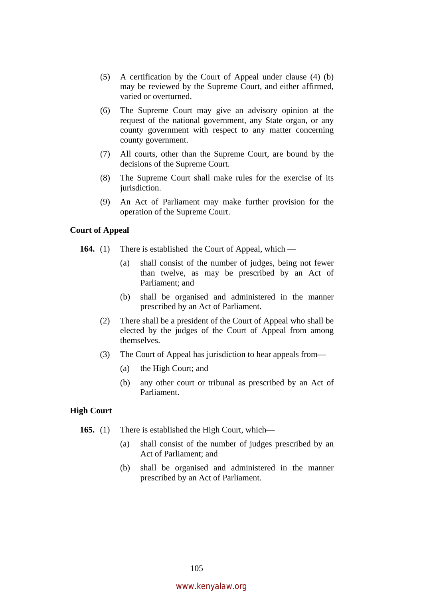- (5) A certification by the Court of Appeal under clause (4) (b) may be reviewed by the Supreme Court, and either affirmed, varied or overturned.
- (6) The Supreme Court may give an advisory opinion at the request of the national government, any State organ, or any county government with respect to any matter concerning county government.
- (7) All courts, other than the Supreme Court, are bound by the decisions of the Supreme Court.
- (8) The Supreme Court shall make rules for the exercise of its jurisdiction.
- (9) An Act of Parliament may make further provision for the operation of the Supreme Court.

## **Court of Appeal**

- **164.** (1) There is established the Court of Appeal, which
	- (a) shall consist of the number of judges, being not fewer than twelve, as may be prescribed by an Act of Parliament; and
	- (b) shall be organised and administered in the manner prescribed by an Act of Parliament.
	- (2) There shall be a president of the Court of Appeal who shall be elected by the judges of the Court of Appeal from among themselves.
	- (3) The Court of Appeal has jurisdiction to hear appeals from—
		- (a) the High Court; and
		- (b) any other court or tribunal as prescribed by an Act of Parliament.

## **High Court**

- **165.** (1) There is established the High Court, which—
	- (a) shall consist of the number of judges prescribed by an Act of Parliament; and
	- (b) shall be organised and administered in the manner prescribed by an Act of Parliament.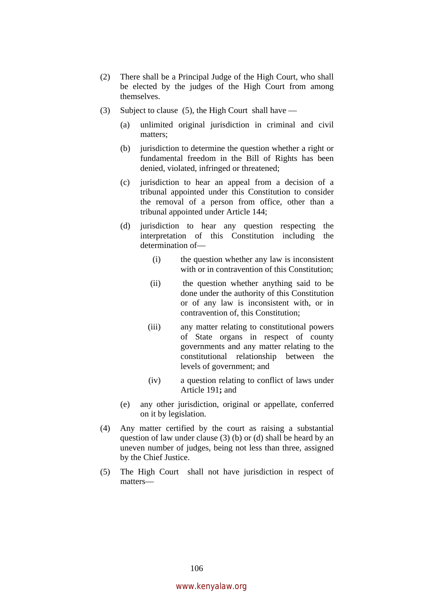- (2) There shall be a Principal Judge of the High Court, who shall be elected by the judges of the High Court from among themselves.
- (3) Subject to clause (5), the High Court shall have
	- (a) unlimited original jurisdiction in criminal and civil matters;
	- (b) jurisdiction to determine the question whether a right or fundamental freedom in the Bill of Rights has been denied, violated, infringed or threatened;
	- (c) jurisdiction to hear an appeal from a decision of a tribunal appointed under this Constitution to consider the removal of a person from office, other than a tribunal appointed under Article 144;
	- (d) jurisdiction to hear any question respecting the interpretation of this Constitution including the determination of—
		- (i) the question whether any law is inconsistent with or in contravention of this Constitution:
		- (ii) the question whether anything said to be done under the authority of this Constitution or of any law is inconsistent with, or in contravention of, this Constitution;
		- (iii) any matter relating to constitutional powers of State organs in respect of county governments and any matter relating to the constitutional relationship between the levels of government; and
		- (iv) a question relating to conflict of laws under Article 191**;** and
	- (e) any other jurisdiction, original or appellate, conferred on it by legislation.
- (4) Any matter certified by the court as raising a substantial question of law under clause (3) (b) or (d) shall be heard by an uneven number of judges, being not less than three, assigned by the Chief Justice.
- (5) The High Court shall not have jurisdiction in respect of matters—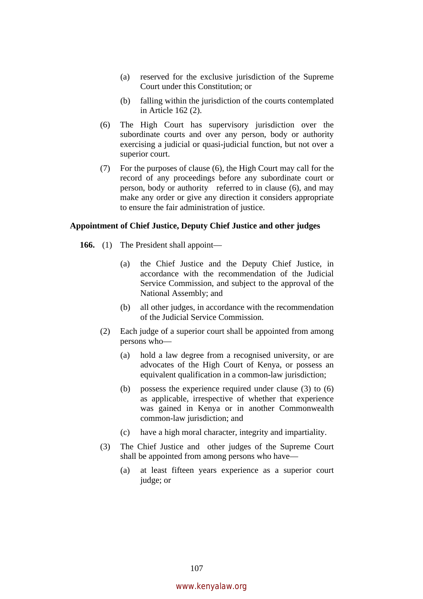- (a) reserved for the exclusive jurisdiction of the Supreme Court under this Constitution; or
- (b) falling within the jurisdiction of the courts contemplated in Article 162 (2).
- (6) The High Court has supervisory jurisdiction over the subordinate courts and over any person, body or authority exercising a judicial or quasi-judicial function, but not over a superior court.
- (7) For the purposes of clause (6), the High Court may call for the record of any proceedings before any subordinate court or person, body or authority referred to in clause (6), and may make any order or give any direction it considers appropriate to ensure the fair administration of justice.

## **Appointment of Chief Justice, Deputy Chief Justice and other judges**

- 166. (1) The President shall appoint—
	- (a) the Chief Justice and the Deputy Chief Justice, in accordance with the recommendation of the Judicial Service Commission, and subject to the approval of the National Assembly; and
	- (b) all other judges, in accordance with the recommendation of the Judicial Service Commission.
	- (2) Each judge of a superior court shall be appointed from among persons who—
		- (a) hold a law degree from a recognised university, or are advocates of the High Court of Kenya, or possess an equivalent qualification in a common-law jurisdiction;
		- (b) possess the experience required under clause (3) to (6) as applicable, irrespective of whether that experience was gained in Kenya or in another Commonwealth common-law jurisdiction; and
		- (c) have a high moral character, integrity and impartiality.
	- (3) The Chief Justice and other judges of the Supreme Court shall be appointed from among persons who have—
		- (a) at least fifteen years experience as a superior court judge; or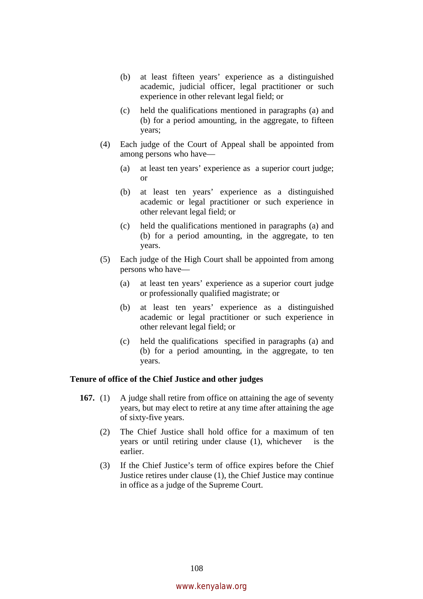- (b) at least fifteen years' experience as a distinguished academic, judicial officer, legal practitioner or such experience in other relevant legal field; or
- (c) held the qualifications mentioned in paragraphs (a) and (b) for a period amounting, in the aggregate, to fifteen years;
- (4) Each judge of the Court of Appeal shall be appointed from among persons who have—
	- (a) at least ten years' experience as a superior court judge; or
	- (b) at least ten years' experience as a distinguished academic or legal practitioner or such experience in other relevant legal field; or
	- (c) held the qualifications mentioned in paragraphs (a) and (b) for a period amounting, in the aggregate, to ten years.
- (5) Each judge of the High Court shall be appointed from among persons who have—
	- (a) at least ten years' experience as a superior court judge or professionally qualified magistrate; or
	- (b) at least ten years' experience as a distinguished academic or legal practitioner or such experience in other relevant legal field; or
	- (c) held the qualifications specified in paragraphs (a) and (b) for a period amounting, in the aggregate, to ten years.

### **Tenure of office of the Chief Justice and other judges**

- **167.** (1) A judge shall retire from office on attaining the age of seventy years, but may elect to retire at any time after attaining the age of sixty-five years.
	- (2) The Chief Justice shall hold office for a maximum of ten years or until retiring under clause (1), whichever is the earlier.
	- (3) If the Chief Justice's term of office expires before the Chief Justice retires under clause (1), the Chief Justice may continue in office as a judge of the Supreme Court.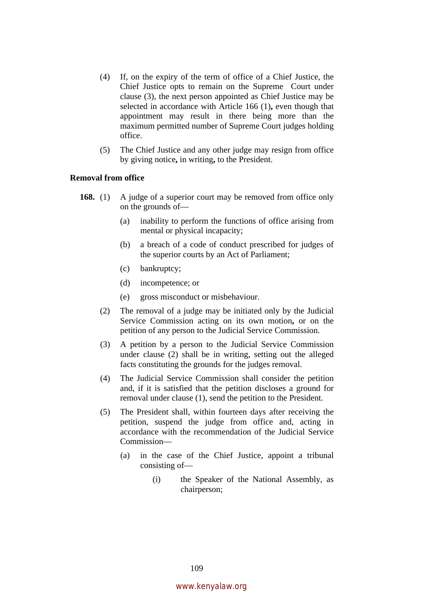- (4) If, on the expiry of the term of office of a Chief Justice, the Chief Justice opts to remain on the Supreme Court under clause (3), the next person appointed as Chief Justice may be selected in accordance with Article 166 (1)**,** even though that appointment may result in there being more than the maximum permitted number of Supreme Court judges holding office.
- (5) The Chief Justice and any other judge may resign from office by giving notice**,** in writing**,** to the President.

## **Removal from office**

- 168. (1) A judge of a superior court may be removed from office only on the grounds of—
	- (a) inability to perform the functions of office arising from mental or physical incapacity;
	- (b) a breach of a code of conduct prescribed for judges of the superior courts by an Act of Parliament;
	- (c) bankruptcy;
	- (d) incompetence; or
	- (e) gross misconduct or misbehaviour.
	- (2) The removal of a judge may be initiated only by the Judicial Service Commission acting on its own motion**,** or on the petition of any person to the Judicial Service Commission.
	- (3) A petition by a person to the Judicial Service Commission under clause (2) shall be in writing, setting out the alleged facts constituting the grounds for the judges removal.
	- (4) The Judicial Service Commission shall consider the petition and, if it is satisfied that the petition discloses a ground for removal under clause (1), send the petition to the President.
	- (5) The President shall, within fourteen days after receiving the petition, suspend the judge from office and, acting in accordance with the recommendation of the Judicial Service Commission—
		- (a) in the case of the Chief Justice, appoint a tribunal consisting of—
			- (i) the Speaker of the National Assembly, as chairperson;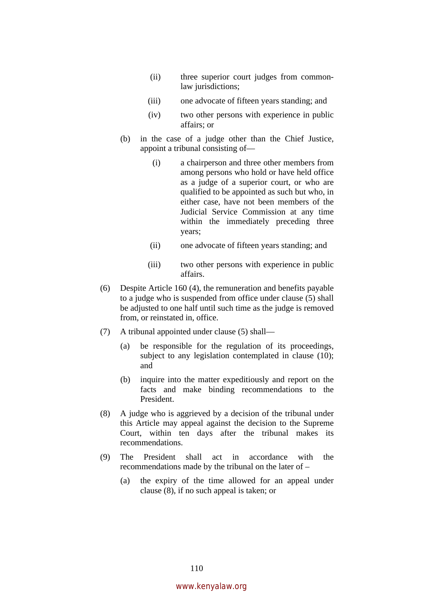- (ii) three superior court judges from commonlaw jurisdictions;
- (iii) one advocate of fifteen years standing; and
- (iv) two other persons with experience in public affairs; or
- (b) in the case of a judge other than the Chief Justice, appoint a tribunal consisting of—
	- (i) a chairperson and three other members from among persons who hold or have held office as a judge of a superior court, or who are qualified to be appointed as such but who, in either case, have not been members of the Judicial Service Commission at any time within the immediately preceding three years;
	- (ii) one advocate of fifteen years standing; and
	- (iii) two other persons with experience in public affairs.
- (6) Despite Article 160 (4), the remuneration and benefits payable to a judge who is suspended from office under clause (5) shall be adjusted to one half until such time as the judge is removed from, or reinstated in, office.
- (7) A tribunal appointed under clause (5) shall—
	- (a) be responsible for the regulation of its proceedings, subject to any legislation contemplated in clause (10); and
	- (b) inquire into the matter expeditiously and report on the facts and make binding recommendations to the President.
- (8) A judge who is aggrieved by a decision of the tribunal under this Article may appeal against the decision to the Supreme Court, within ten days after the tribunal makes its recommendations.
- (9) The President shall act in accordance with the recommendations made by the tribunal on the later of –
	- (a) the expiry of the time allowed for an appeal under clause (8), if no such appeal is taken; or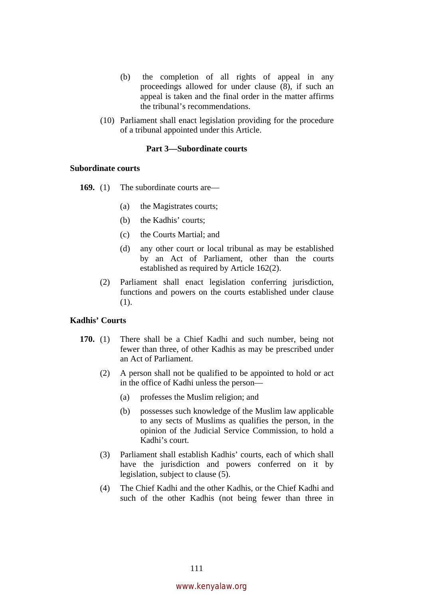- (b) the completion of all rights of appeal in any proceedings allowed for under clause (8), if such an appeal is taken and the final order in the matter affirms the tribunal's recommendations.
- (10) Parliament shall enact legislation providing for the procedure of a tribunal appointed under this Article.

## **Part 3—Subordinate courts**

## **Subordinate courts**

- **169.** (1) The subordinate courts are—
	- (a) the Magistrates courts;
	- (b) the Kadhis' courts;
	- (c) the Courts Martial; and
	- (d) any other court or local tribunal as may be established by an Act of Parliament, other than the courts established as required by Article 162(2).
	- (2) Parliament shall enact legislation conferring jurisdiction, functions and powers on the courts established under clause (1).

### **Kadhis' Courts**

- **170.** (1) There shall be a Chief Kadhi and such number, being not fewer than three, of other Kadhis as may be prescribed under an Act of Parliament.
	- (2) A person shall not be qualified to be appointed to hold or act in the office of Kadhi unless the person—
		- (a) professes the Muslim religion; and
		- (b) possesses such knowledge of the Muslim law applicable to any sects of Muslims as qualifies the person, in the opinion of the Judicial Service Commission, to hold a Kadhi's court.
	- (3) Parliament shall establish Kadhis' courts, each of which shall have the jurisdiction and powers conferred on it by legislation, subject to clause (5).
	- (4) The Chief Kadhi and the other Kadhis, or the Chief Kadhi and such of the other Kadhis (not being fewer than three in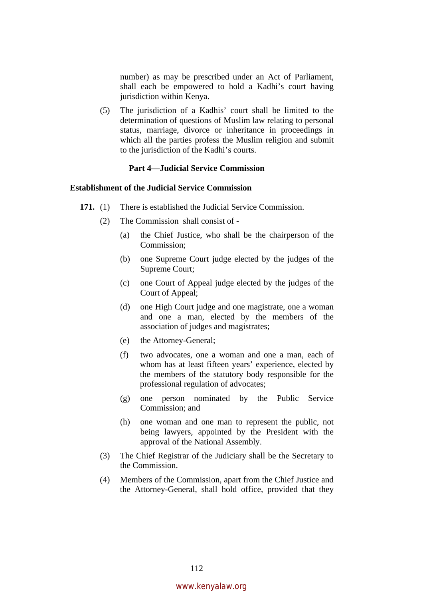number) as may be prescribed under an Act of Parliament, shall each be empowered to hold a Kadhi's court having jurisdiction within Kenya.

(5) The jurisdiction of a Kadhis' court shall be limited to the determination of questions of Muslim law relating to personal status, marriage, divorce or inheritance in proceedings in which all the parties profess the Muslim religion and submit to the jurisdiction of the Kadhi's courts.

# **Part 4—Judicial Service Commission**

## **Establishment of the Judicial Service Commission**

- **171.** (1) There is established the Judicial Service Commission.
	- (2) The Commission shall consist of
		- (a) the Chief Justice, who shall be the chairperson of the Commission;
		- (b) one Supreme Court judge elected by the judges of the Supreme Court;
		- (c) one Court of Appeal judge elected by the judges of the Court of Appeal;
		- (d) one High Court judge and one magistrate, one a woman and one a man, elected by the members of the association of judges and magistrates;
		- (e) the Attorney-General;
		- (f) two advocates, one a woman and one a man, each of whom has at least fifteen years' experience, elected by the members of the statutory body responsible for the professional regulation of advocates;
		- (g) one person nominated by the Public Service Commission; and
		- (h) one woman and one man to represent the public, not being lawyers, appointed by the President with the approval of the National Assembly.
	- (3) The Chief Registrar of the Judiciary shall be the Secretary to the Commission.
	- (4) Members of the Commission, apart from the Chief Justice and the Attorney-General, shall hold office, provided that they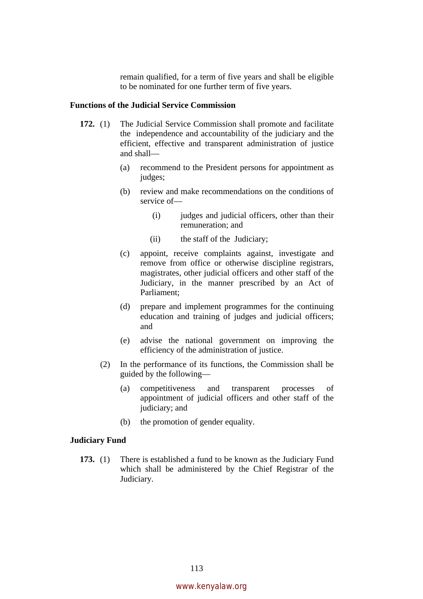remain qualified, for a term of five years and shall be eligible to be nominated for one further term of five years.

# **Functions of the Judicial Service Commission**

- **172.** (1) The Judicial Service Commission shall promote and facilitate the independence and accountability of the judiciary and the efficient, effective and transparent administration of justice and shall—
	- (a) recommend to the President persons for appointment as judges;
	- (b) review and make recommendations on the conditions of service of—
		- (i) judges and judicial officers, other than their remuneration; and
		- (ii) the staff of the Judiciary;
	- (c) appoint, receive complaints against, investigate and remove from office or otherwise discipline registrars, magistrates, other judicial officers and other staff of the Judiciary, in the manner prescribed by an Act of Parliament;
	- (d) prepare and implement programmes for the continuing education and training of judges and judicial officers; and
	- (e) advise the national government on improving the efficiency of the administration of justice.
	- (2) In the performance of its functions, the Commission shall be guided by the following—
		- (a) competitiveness and transparent processes of appointment of judicial officers and other staff of the judiciary; and
		- (b) the promotion of gender equality.

## **Judiciary Fund**

**173.** (1) There is established a fund to be known as the Judiciary Fund which shall be administered by the Chief Registrar of the Judiciary.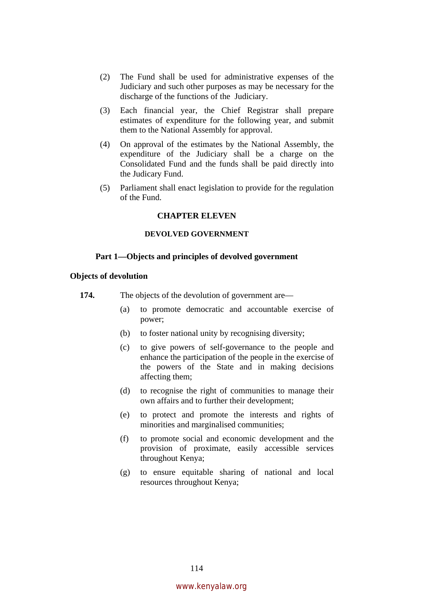- (2) The Fund shall be used for administrative expenses of the Judiciary and such other purposes as may be necessary for the discharge of the functions of the Judiciary.
- (3) Each financial year, the Chief Registrar shall prepare estimates of expenditure for the following year, and submit them to the National Assembly for approval.
- (4) On approval of the estimates by the National Assembly, the expenditure of the Judiciary shall be a charge on the Consolidated Fund and the funds shall be paid directly into the Judicary Fund.
- (5) Parliament shall enact legislation to provide for the regulation of the Fund.

# **CHAPTER ELEVEN**

### **DEVOLVED GOVERNMENT**

## **Part 1—Objects and principles of devolved government**

# **Objects of devolution**

- **174.** The objects of the devolution of government are—
	- (a) to promote democratic and accountable exercise of power;
	- (b) to foster national unity by recognising diversity;
	- (c) to give powers of self-governance to the people and enhance the participation of the people in the exercise of the powers of the State and in making decisions affecting them;
	- (d) to recognise the right of communities to manage their own affairs and to further their development;
	- (e) to protect and promote the interests and rights of minorities and marginalised communities;
	- (f) to promote social and economic development and the provision of proximate, easily accessible services throughout Kenya;
	- (g) to ensure equitable sharing of national and local resources throughout Kenya;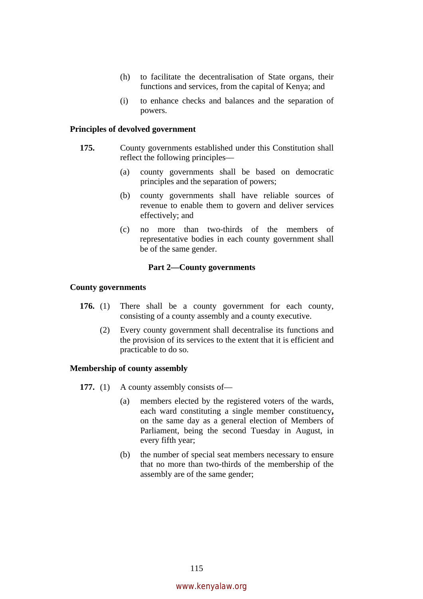- (h) to facilitate the decentralisation of State organs, their functions and services, from the capital of Kenya; and
- (i) to enhance checks and balances and the separation of powers.

## **Principles of devolved government**

- **175.** County governments established under this Constitution shall reflect the following principles––
	- (a) county governments shall be based on democratic principles and the separation of powers;
	- (b) county governments shall have reliable sources of revenue to enable them to govern and deliver services effectively; and
	- (c) no more than two-thirds of the members of representative bodies in each county government shall be of the same gender.

# **Part 2—County governments**

### **County governments**

- **176.** (1) There shall be a county government for each county, consisting of a county assembly and a county executive.
	- (2) Every county government shall decentralise its functions and the provision of its services to the extent that it is efficient and practicable to do so.

### **Membership of county assembly**

- **177.** (1) A county assembly consists of—
	- (a) members elected by the registered voters of the wards, each ward constituting a single member constituency**,**  on the same day as a general election of Members of Parliament, being the second Tuesday in August, in every fifth year;
	- (b) the number of special seat members necessary to ensure that no more than two-thirds of the membership of the assembly are of the same gender;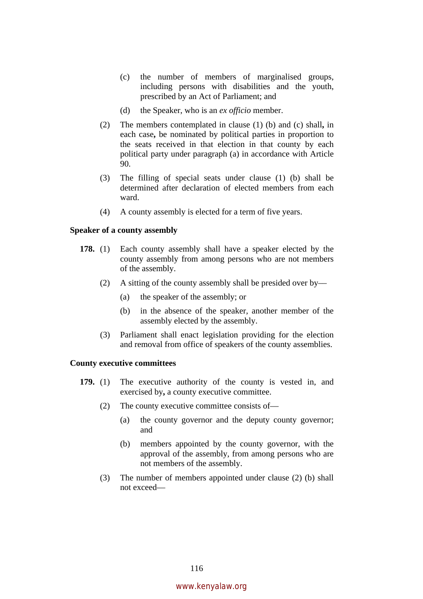- (c) the number of members of marginalised groups, including persons with disabilities and the youth, prescribed by an Act of Parliament; and
- (d) the Speaker, who is an *ex officio* member.
- (2) The members contemplated in clause (1) (b) and (c) shall**,** in each case**,** be nominated by political parties in proportion to the seats received in that election in that county by each political party under paragraph (a) in accordance with Article 90.
- (3) The filling of special seats under clause (1) (b) shall be determined after declaration of elected members from each ward.
- (4) A county assembly is elected for a term of five years.

## **Speaker of a county assembly**

- **178.** (1) Each county assembly shall have a speaker elected by the county assembly from among persons who are not members of the assembly.
	- (2) A sitting of the county assembly shall be presided over by—
		- (a) the speaker of the assembly; or
		- (b) in the absence of the speaker, another member of the assembly elected by the assembly.
	- (3) Parliament shall enact legislation providing for the election and removal from office of speakers of the county assemblies.

# **County executive committees**

- **179.** (1) The executive authority of the county is vested in, and exercised by**,** a county executive committee.
	- (2) The county executive committee consists of—
		- (a) the county governor and the deputy county governor; and
		- (b) members appointed by the county governor, with the approval of the assembly, from among persons who are not members of the assembly.
	- (3) The number of members appointed under clause (2) (b) shall not exceed—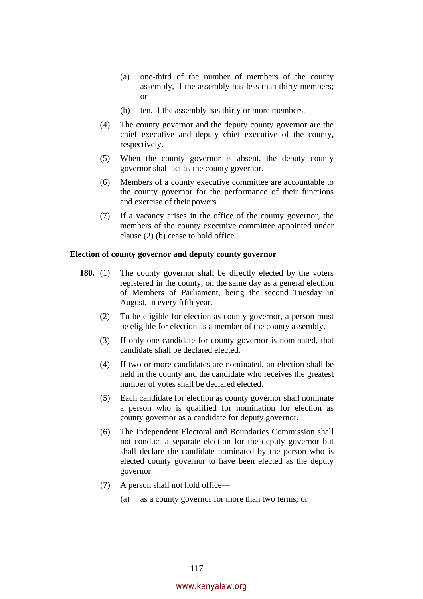- (a) one-third of the number of members of the county assembly, if the assembly has less than thirty members; or
- (b) ten, if the assembly has thirty or more members.
- (4) The county governor and the deputy county governor are the chief executive and deputy chief executive of the county**,** respectively.
- (5) When the county governor is absent, the deputy county governor shall act as the county governor.
- (6) Members of a county executive committee are accountable to the county governor for the performance of their functions and exercise of their powers.
- (7) If a vacancy arises in the office of the county governor, the members of the county executive committee appointed under clause (2) (b) cease to hold office.

## **Election of county governor and deputy county governor**

- **180.** (1) The county governor shall be directly elected by the voters registered in the county, on the same day as a general election of Members of Parliament, being the second Tuesday in August, in every fifth year.
	- (2) To be eligible for election as county governor, a person must be eligible for election as a member of the county assembly.
	- (3) If only one candidate for county governor is nominated, that candidate shall be declared elected.
	- (4) If two or more candidates are nominated, an election shall be held in the county and the candidate who receives the greatest number of votes shall be declared elected.
	- (5) Each candidate for election as county governor shall nominate a person who is qualified for nomination for election as county governor as a candidate for deputy governor.
	- (6) The Independent Electoral and Boundaries Commission shall not conduct a separate election for the deputy governor but shall declare the candidate nominated by the person who is elected county governor to have been elected as the deputy governor.
	- (7) A person shall not hold office––
		- (a) as a county governor for more than two terms; or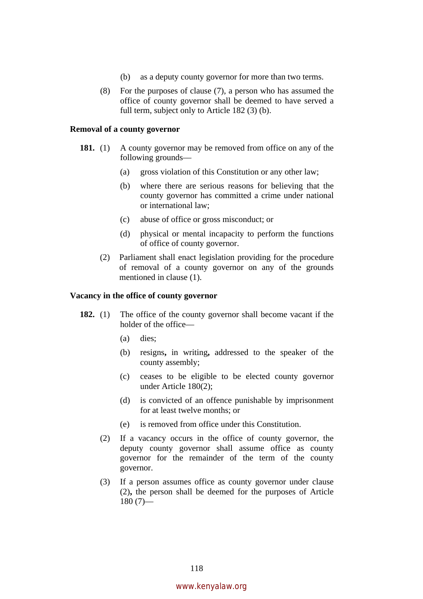- (b) as a deputy county governor for more than two terms.
- (8) For the purposes of clause (7), a person who has assumed the office of county governor shall be deemed to have served a full term, subject only to Article 182 (3) (b).

## **Removal of a county governor**

- 181. (1) A county governor may be removed from office on any of the following grounds––
	- (a) gross violation of this Constitution or any other law;
	- (b) where there are serious reasons for believing that the county governor has committed a crime under national or international law;
	- (c) abuse of office or gross misconduct; or
	- (d) physical or mental incapacity to perform the functions of office of county governor.
	- (2) Parliament shall enact legislation providing for the procedure of removal of a county governor on any of the grounds mentioned in clause (1).

#### **Vacancy in the office of county governor**

- **182.** (1) The office of the county governor shall become vacant if the holder of the office—
	- (a) dies;
	- (b) resigns**,** in writing**,** addressed to the speaker of the county assembly;
	- (c) ceases to be eligible to be elected county governor under Article 180(2);
	- (d) is convicted of an offence punishable by imprisonment for at least twelve months; or
	- (e) is removed from office under this Constitution.
	- (2) If a vacancy occurs in the office of county governor, the deputy county governor shall assume office as county governor for the remainder of the term of the county governor.
	- (3) If a person assumes office as county governor under clause (2)**,** the person shall be deemed for the purposes of Article  $180(7)$ —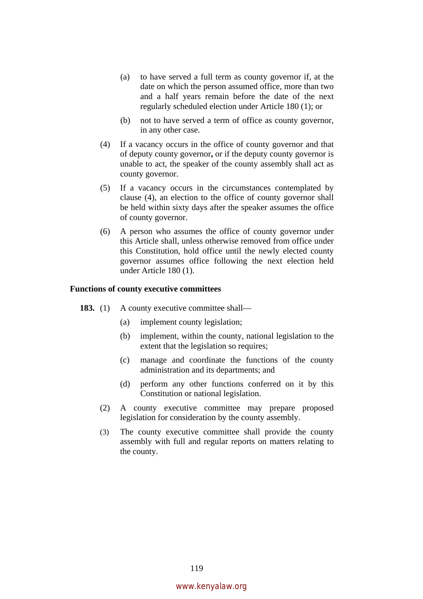- (a) to have served a full term as county governor if, at the date on which the person assumed office, more than two and a half years remain before the date of the next regularly scheduled election under Article 180 (1); or
- (b) not to have served a term of office as county governor, in any other case.
- (4) If a vacancy occurs in the office of county governor and that of deputy county governor**,** or if the deputy county governor is unable to act, the speaker of the county assembly shall act as county governor.
- (5) If a vacancy occurs in the circumstances contemplated by clause (4), an election to the office of county governor shall be held within sixty days after the speaker assumes the office of county governor.
- (6) A person who assumes the office of county governor under this Article shall, unless otherwise removed from office under this Constitution, hold office until the newly elected county governor assumes office following the next election held under Article 180 (1).

## **Functions of county executive committees**

- **183.** (1) A county executive committee shall—
	- (a) implement county legislation;
	- (b) implement, within the county, national legislation to the extent that the legislation so requires;
	- (c) manage and coordinate the functions of the county administration and its departments; and
	- (d) perform any other functions conferred on it by this Constitution or national legislation.
	- (2) A county executive committee may prepare proposed legislation for consideration by the county assembly.
	- (3) The county executive committee shall provide the county assembly with full and regular reports on matters relating to the county.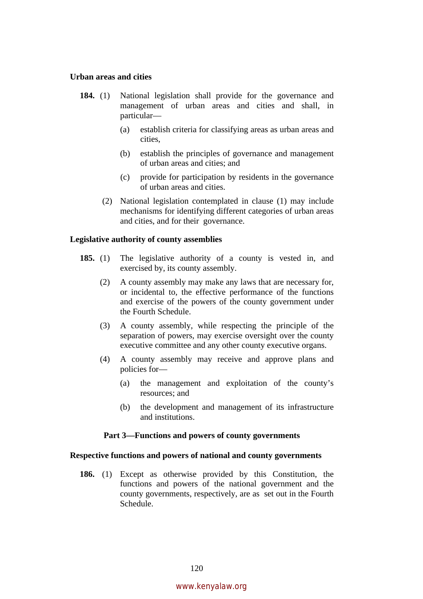# **Urban areas and cities**

- **184.** (1) National legislation shall provide for the governance and management of urban areas and cities and shall, in particular—
	- (a) establish criteria for classifying areas as urban areas and cities,
	- (b) establish the principles of governance and management of urban areas and cities; and
	- (c) provide for participation by residents in the governance of urban areas and cities.
	- (2) National legislation contemplated in clause (1) may include mechanisms for identifying different categories of urban areas and cities, and for their governance.

# **Legislative authority of county assemblies**

- **185.** (1) The legislative authority of a county is vested in, and exercised by, its county assembly.
	- (2) A county assembly may make any laws that are necessary for, or incidental to, the effective performance of the functions and exercise of the powers of the county government under the Fourth Schedule.
	- (3) A county assembly, while respecting the principle of the separation of powers, may exercise oversight over the county executive committee and any other county executive organs.
	- (4) A county assembly may receive and approve plans and policies for—
		- (a) the management and exploitation of the county's resources; and
		- (b) the development and management of its infrastructure and institutions.

# **Part 3—Functions and powers of county governments**

## **Respective functions and powers of national and county governments**

**186.** (1) Except as otherwise provided by this Constitution, the functions and powers of the national government and the county governments, respectively, are as set out in the Fourth Schedule.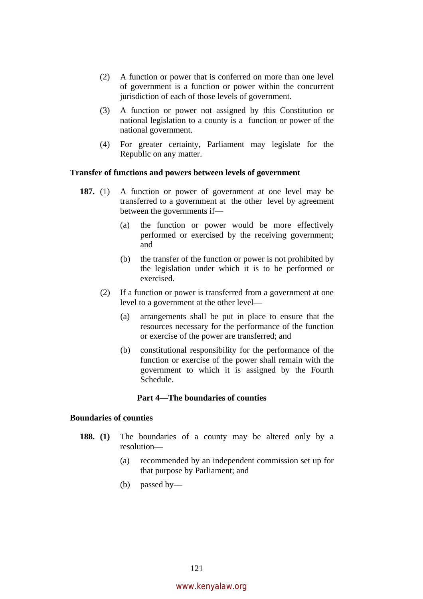- (2) A function or power that is conferred on more than one level of government is a function or power within the concurrent jurisdiction of each of those levels of government.
- (3) A function or power not assigned by this Constitution or national legislation to a county is a function or power of the national government.
- (4) For greater certainty, Parliament may legislate for the Republic on any matter.

## **Transfer of functions and powers between levels of government**

- **187.** (1) A function or power of government at one level may be transferred to a government at the other level by agreement between the governments if—
	- (a) the function or power would be more effectively performed or exercised by the receiving government; and
	- (b) the transfer of the function or power is not prohibited by the legislation under which it is to be performed or exercised.
	- (2) If a function or power is transferred from a government at one level to a government at the other level—
		- (a) arrangements shall be put in place to ensure that the resources necessary for the performance of the function or exercise of the power are transferred; and
		- (b) constitutional responsibility for the performance of the function or exercise of the power shall remain with the government to which it is assigned by the Fourth Schedule.

## **Part 4—The boundaries of counties**

# **Boundaries of counties**

- **188. (1)** The boundaries of a county may be altered only by a resolution––
	- (a) recommended by an independent commission set up for that purpose by Parliament; and
	- (b) passed by––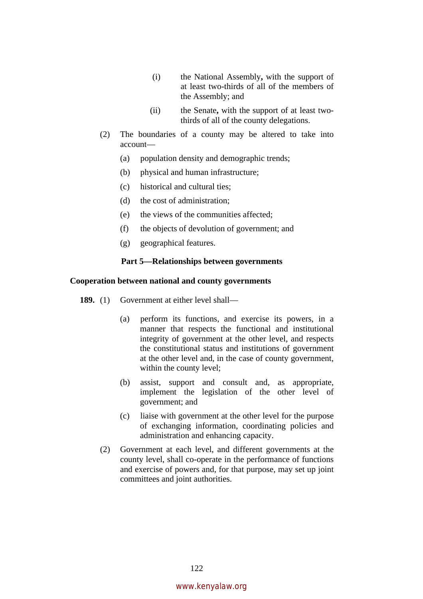- (i) the National Assembly**,** with the support of at least two-thirds of all of the members of the Assembly; and
- (ii) the Senate**,** with the support of at least twothirds of all of the county delegations.
- (2) The boundaries of a county may be altered to take into account—
	- (a) population density and demographic trends;
	- (b) physical and human infrastructure;
	- (c) historical and cultural ties;
	- (d) the cost of administration;
	- (e) the views of the communities affected;
	- (f) the objects of devolution of government; and
	- (g) geographical features.

# **Part 5—Relationships between governments**

## **Cooperation between national and county governments**

- **189.** (1) Government at either level shall—
	- (a) perform its functions, and exercise its powers, in a manner that respects the functional and institutional integrity of government at the other level, and respects the constitutional status and institutions of government at the other level and, in the case of county government, within the county level;
	- (b) assist, support and consult and, as appropriate, implement the legislation of the other level of government; and
	- (c) liaise with government at the other level for the purpose of exchanging information, coordinating policies and administration and enhancing capacity.
	- (2) Government at each level, and different governments at the county level, shall co-operate in the performance of functions and exercise of powers and, for that purpose, may set up joint committees and joint authorities.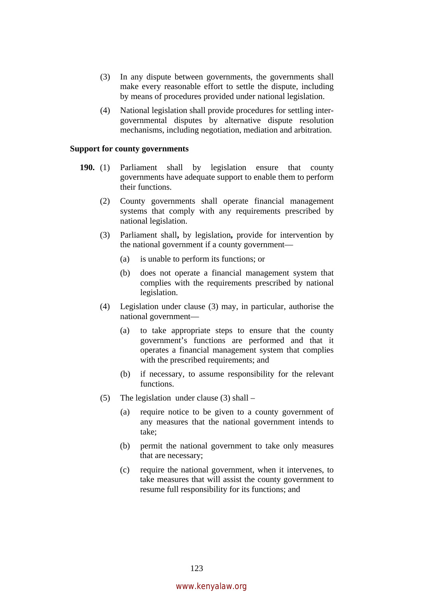- (3) In any dispute between governments, the governments shall make every reasonable effort to settle the dispute, including by means of procedures provided under national legislation.
- (4) National legislation shall provide procedures for settling intergovernmental disputes by alternative dispute resolution mechanisms, including negotiation, mediation and arbitration.

## **Support for county governments**

- **190.** (1) Parliament shall by legislation ensure that county governments have adequate support to enable them to perform their functions.
	- (2) County governments shall operate financial management systems that comply with any requirements prescribed by national legislation.
	- (3) Parliament shall**,** by legislation**,** provide for intervention by the national government if a county government—
		- (a) is unable to perform its functions; or
		- (b) does not operate a financial management system that complies with the requirements prescribed by national legislation.
	- (4) Legislation under clause (3) may, in particular, authorise the national government—
		- (a) to take appropriate steps to ensure that the county government's functions are performed and that it operates a financial management system that complies with the prescribed requirements; and
		- (b) if necessary, to assume responsibility for the relevant functions.
	- (5) The legislation under clause (3) shall
		- (a) require notice to be given to a county government of any measures that the national government intends to take;
		- (b) permit the national government to take only measures that are necessary;
		- (c) require the national government, when it intervenes, to take measures that will assist the county government to resume full responsibility for its functions; and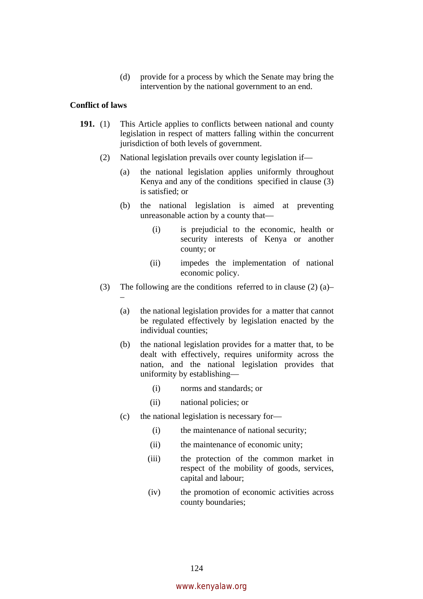(d) provide for a process by which the Senate may bring the intervention by the national government to an end.

# **Conflict of laws**

–

- **191.** (1) This Article applies to conflicts between national and county legislation in respect of matters falling within the concurrent jurisdiction of both levels of government.
	- (2) National legislation prevails over county legislation if—
		- (a) the national legislation applies uniformly throughout Kenya and any of the conditions specified in clause (3) is satisfied; or
		- (b) the national legislation is aimed at preventing unreasonable action by a county that—
			- (i) is prejudicial to the economic, health or security interests of Kenya or another county; or
			- (ii) impedes the implementation of national economic policy.
	- (3) The following are the conditions referred to in clause (2) (a)–
		- (a) the national legislation provides for a matter that cannot be regulated effectively by legislation enacted by the individual counties;
		- (b) the national legislation provides for a matter that, to be dealt with effectively, requires uniformity across the nation, and the national legislation provides that uniformity by establishing—
			- (i) norms and standards; or
			- (ii) national policies; or
		- (c) the national legislation is necessary for—
			- (i) the maintenance of national security;
			- (ii) the maintenance of economic unity;
			- (iii) the protection of the common market in respect of the mobility of goods, services, capital and labour;
			- (iv) the promotion of economic activities across county boundaries;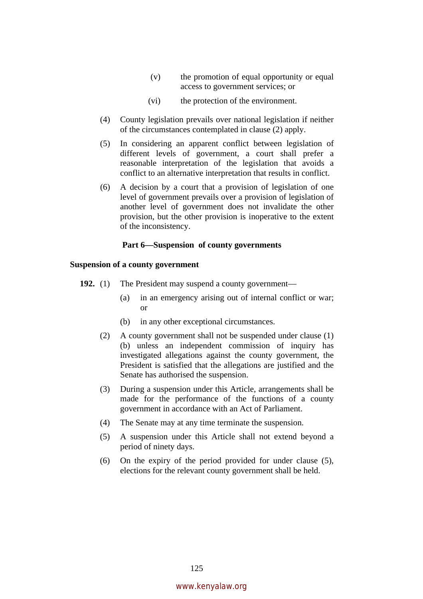- (v) the promotion of equal opportunity or equal access to government services; or
- (vi) the protection of the environment.
- (4) County legislation prevails over national legislation if neither of the circumstances contemplated in clause (2) apply.
- (5) In considering an apparent conflict between legislation of different levels of government, a court shall prefer a reasonable interpretation of the legislation that avoids a conflict to an alternative interpretation that results in conflict.
- (6) A decision by a court that a provision of legislation of one level of government prevails over a provision of legislation of another level of government does not invalidate the other provision, but the other provision is inoperative to the extent of the inconsistency.

# **Part 6—Suspension of county governments**

## **Suspension of a county government**

- **192.** (1) The President may suspend a county government—
	- (a) in an emergency arising out of internal conflict or war; or
	- (b) in any other exceptional circumstances.
	- (2) A county government shall not be suspended under clause (1) (b) unless an independent commission of inquiry has investigated allegations against the county government, the President is satisfied that the allegations are justified and the Senate has authorised the suspension.
	- (3) During a suspension under this Article, arrangements shall be made for the performance of the functions of a county government in accordance with an Act of Parliament.
	- (4) The Senate may at any time terminate the suspension.
	- (5) A suspension under this Article shall not extend beyond a period of ninety days.
	- (6) On the expiry of the period provided for under clause (5), elections for the relevant county government shall be held.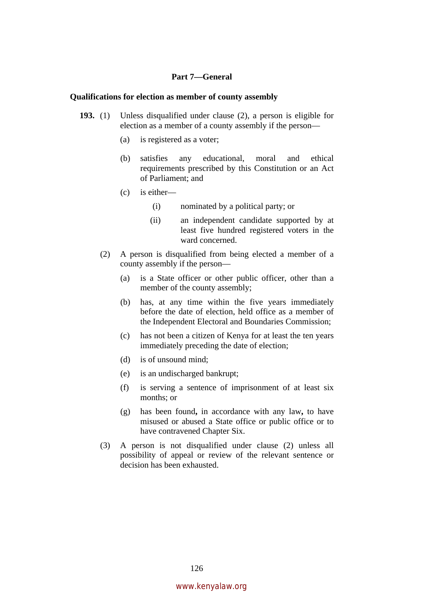# **Part 7—General**

## **Qualifications for election as member of county assembly**

- **193.** (1) Unless disqualified under clause (2), a person is eligible for election as a member of a county assembly if the person—
	- (a) is registered as a voter;
	- (b) satisfies any educational, moral and ethical requirements prescribed by this Constitution or an Act of Parliament; and
	- (c) is either—
		- (i) nominated by a political party; or
		- (ii) an independent candidate supported by at least five hundred registered voters in the ward concerned.
	- (2) A person is disqualified from being elected a member of a county assembly if the person—
		- (a) is a State officer or other public officer, other than a member of the county assembly;
		- (b) has, at any time within the five years immediately before the date of election, held office as a member of the Independent Electoral and Boundaries Commission;
		- (c) has not been a citizen of Kenya for at least the ten years immediately preceding the date of election;
		- (d) is of unsound mind;
		- (e) is an undischarged bankrupt;
		- (f) is serving a sentence of imprisonment of at least six months; or
		- (g) has been found**,** in accordance with any law**,** to have misused or abused a State office or public office or to have contravened Chapter Six.
	- (3) A person is not disqualified under clause (2) unless all possibility of appeal or review of the relevant sentence or decision has been exhausted.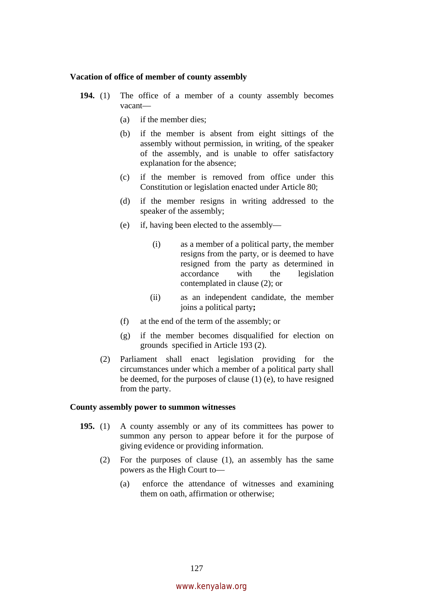## **Vacation of office of member of county assembly**

- **194.** (1) The office of a member of a county assembly becomes vacant—
	- (a) if the member dies;
	- (b) if the member is absent from eight sittings of the assembly without permission, in writing, of the speaker of the assembly, and is unable to offer satisfactory explanation for the absence;
	- (c) if the member is removed from office under this Constitution or legislation enacted under Article 80;
	- (d) if the member resigns in writing addressed to the speaker of the assembly;
	- (e) if, having been elected to the assembly––
		- (i) as a member of a political party, the member resigns from the party, or is deemed to have resigned from the party as determined in accordance with the legislation contemplated in clause (2); or
		- (ii) as an independent candidate, the member joins a political party**;**
	- (f) at the end of the term of the assembly; or
	- (g) if the member becomes disqualified for election on grounds specified in Article 193 (2).
	- (2) Parliament shall enact legislation providing for the circumstances under which a member of a political party shall be deemed, for the purposes of clause (1) (e), to have resigned from the party.

### **County assembly power to summon witnesses**

- **195.** (1) A county assembly or any of its committees has power to summon any person to appear before it for the purpose of giving evidence or providing information.
	- (2) For the purposes of clause (1), an assembly has the same powers as the High Court to—
		- (a) enforce the attendance of witnesses and examining them on oath, affirmation or otherwise;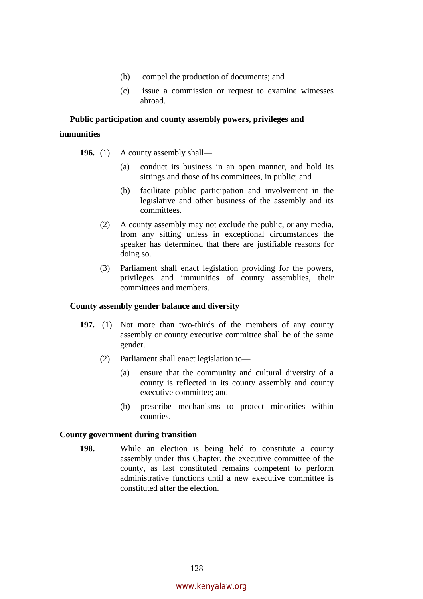- (b) compel the production of documents; and
- (c) issue a commission or request to examine witnesses abroad.

# **Public participation and county assembly powers, privileges and immunities**

- **196.** (1)A county assembly shall—
	- (a) conduct its business in an open manner, and hold its sittings and those of its committees, in public; and
	- (b) facilitate public participation and involvement in the legislative and other business of the assembly and its committees.
	- (2) A county assembly may not exclude the public, or any media, from any sitting unless in exceptional circumstances the speaker has determined that there are justifiable reasons for doing so.
	- (3) Parliament shall enact legislation providing for the powers, privileges and immunities of county assemblies, their committees and members.

# **County assembly gender balance and diversity**

- **197.** (1) Not more than two-thirds of the members of any county assembly or county executive committee shall be of the same gender.
	- (2) Parliament shall enact legislation to—
		- (a) ensure that the community and cultural diversity of a county is reflected in its county assembly and county executive committee; and
		- (b) prescribe mechanisms to protect minorities within counties.

## **County government during transition**

**198.** While an election is being held to constitute a county assembly under this Chapter, the executive committee of the county, as last constituted remains competent to perform administrative functions until a new executive committee is constituted after the election.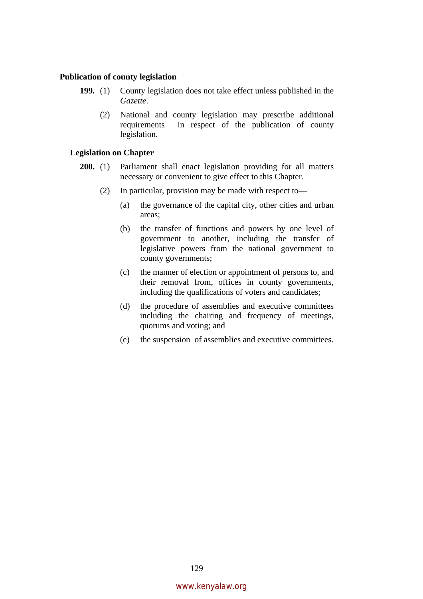# **Publication of county legislation**

- **199.** (1) County legislation does not take effect unless published in the *Gazette*.
	- (2) National and county legislation may prescribe additional requirements in respect of the publication of county legislation.

# **Legislation on Chapter**

- **200.** (1) Parliament shall enact legislation providing for all matters necessary or convenient to give effect to this Chapter.
	- (2) In particular, provision may be made with respect to—
		- (a) the governance of the capital city, other cities and urban areas;
		- (b) the transfer of functions and powers by one level of government to another, including the transfer of legislative powers from the national government to county governments;
		- (c) the manner of election or appointment of persons to, and their removal from, offices in county governments, including the qualifications of voters and candidates;
		- (d) the procedure of assemblies and executive committees including the chairing and frequency of meetings, quorums and voting; and
		- (e) the suspension of assemblies and executive committees.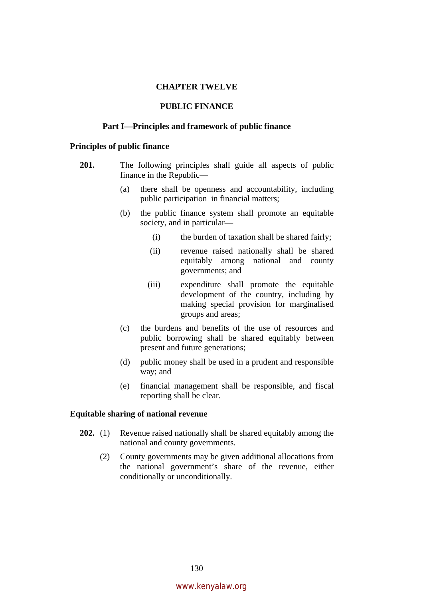## **CHAPTER TWELVE**

# **PUBLIC FINANCE**

### **Part I—Principles and framework of public finance**

### **Principles of public finance**

- **201.** The following principles shall guide all aspects of public finance in the Republic—
	- (a) there shall be openness and accountability, including public participation in financial matters;
	- (b) the public finance system shall promote an equitable society, and in particular—
		- (i) the burden of taxation shall be shared fairly;
		- (ii) revenue raised nationally shall be shared equitably among national and county governments; and
		- (iii) expenditure shall promote the equitable development of the country, including by making special provision for marginalised groups and areas;
	- (c) the burdens and benefits of the use of resources and public borrowing shall be shared equitably between present and future generations;
	- (d) public money shall be used in a prudent and responsible way; and
	- (e) financial management shall be responsible, and fiscal reporting shall be clear.

## **Equitable sharing of national revenue**

- **202.** (1) Revenue raised nationally shall be shared equitably among the national and county governments.
	- (2) County governments may be given additional allocations from the national government's share of the revenue, either conditionally or unconditionally.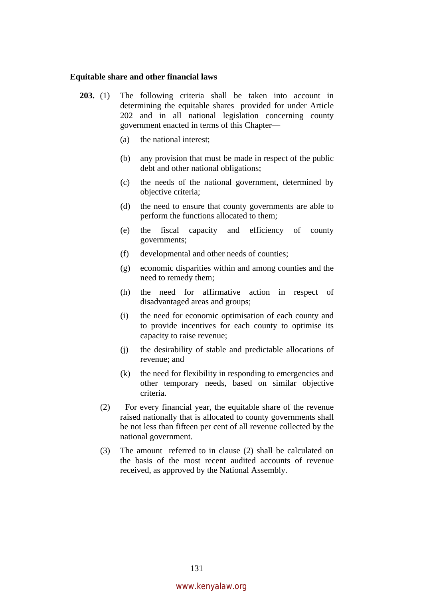### **Equitable share and other financial laws**

- **203.** (1) The following criteria shall be taken into account in determining the equitable shares provided for under Article 202 and in all national legislation concerning county government enacted in terms of this Chapter—
	- (a) the national interest;
	- (b) any provision that must be made in respect of the public debt and other national obligations;
	- (c) the needs of the national government, determined by objective criteria;
	- (d) the need to ensure that county governments are able to perform the functions allocated to them;
	- (e) the fiscal capacity and efficiency of county governments;
	- (f) developmental and other needs of counties;
	- (g) economic disparities within and among counties and the need to remedy them;
	- (h) the need for affirmative action in respect of disadvantaged areas and groups;
	- (i) the need for economic optimisation of each county and to provide incentives for each county to optimise its capacity to raise revenue;
	- (j) the desirability of stable and predictable allocations of revenue; and
	- (k) the need for flexibility in responding to emergencies and other temporary needs, based on similar objective criteria.
	- (2) For every financial year, the equitable share of the revenue raised nationally that is allocated to county governments shall be not less than fifteen per cent of all revenue collected by the national government.
	- (3) The amount referred to in clause (2) shall be calculated on the basis of the most recent audited accounts of revenue received, as approved by the National Assembly.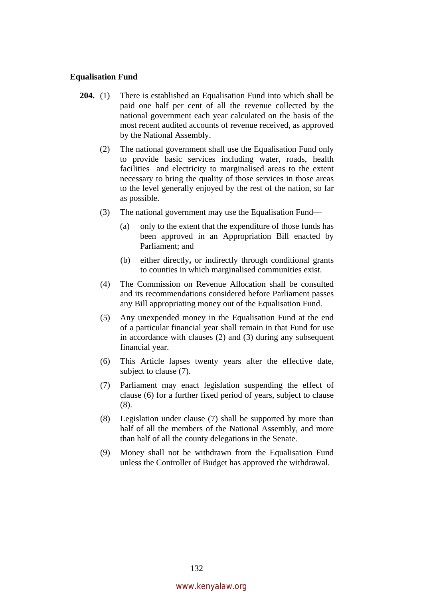## **Equalisation Fund**

- **204.** (1) There is established an Equalisation Fund into which shall be paid one half per cent of all the revenue collected by the national government each year calculated on the basis of the most recent audited accounts of revenue received, as approved by the National Assembly.
	- (2) The national government shall use the Equalisation Fund only to provide basic services including water, roads, health facilities and electricity to marginalised areas to the extent necessary to bring the quality of those services in those areas to the level generally enjoyed by the rest of the nation, so far as possible.
	- (3) The national government may use the Equalisation Fund––
		- (a) only to the extent that the expenditure of those funds has been approved in an Appropriation Bill enacted by Parliament; and
		- (b) either directly**,** or indirectly through conditional grants to counties in which marginalised communities exist.
	- (4) The Commission on Revenue Allocation shall be consulted and its recommendations considered before Parliament passes any Bill appropriating money out of the Equalisation Fund.
	- (5) Any unexpended money in the Equalisation Fund at the end of a particular financial year shall remain in that Fund for use in accordance with clauses (2) and (3) during any subsequent financial year.
	- (6) This Article lapses twenty years after the effective date, subject to clause (7).
	- (7) Parliament may enact legislation suspending the effect of clause (6) for a further fixed period of years, subject to clause (8).
	- (8) Legislation under clause (7) shall be supported by more than half of all the members of the National Assembly, and more than half of all the county delegations in the Senate.
	- (9) Money shall not be withdrawn from the Equalisation Fund unless the Controller of Budget has approved the withdrawal.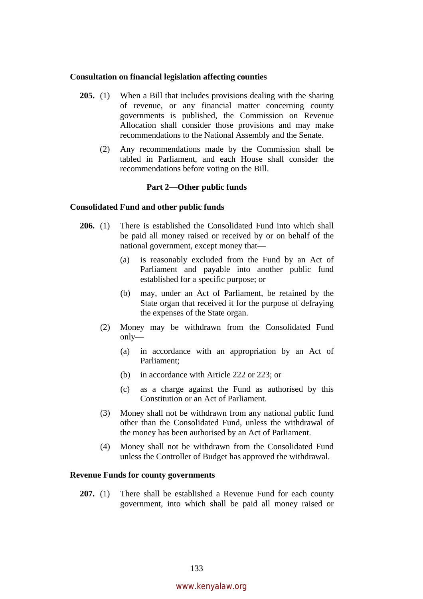# **Consultation on financial legislation affecting counties**

- **205.** (1) When a Bill that includes provisions dealing with the sharing of revenue, or any financial matter concerning county governments is published, the Commission on Revenue Allocation shall consider those provisions and may make recommendations to the National Assembly and the Senate.
	- (2) Any recommendations made by the Commission shall be tabled in Parliament, and each House shall consider the recommendations before voting on the Bill.

# **Part 2—Other public funds**

# **Consolidated Fund and other public funds**

- **206.** (1) There is established the Consolidated Fund into which shall be paid all money raised or received by or on behalf of the national government, except money that—
	- (a) is reasonably excluded from the Fund by an Act of Parliament and payable into another public fund established for a specific purpose; or
	- (b) may, under an Act of Parliament, be retained by the State organ that received it for the purpose of defraying the expenses of the State organ.
	- (2) Money may be withdrawn from the Consolidated Fund only—
		- (a) in accordance with an appropriation by an Act of Parliament;
		- (b) in accordance with Article 222 or 223; or
		- (c) as a charge against the Fund as authorised by this Constitution or an Act of Parliament.
	- (3) Money shall not be withdrawn from any national public fund other than the Consolidated Fund, unless the withdrawal of the money has been authorised by an Act of Parliament.
	- (4) Money shall not be withdrawn from the Consolidated Fund unless the Controller of Budget has approved the withdrawal.

# **Revenue Funds for county governments**

**207.** (1) There shall be established a Revenue Fund for each county government, into which shall be paid all money raised or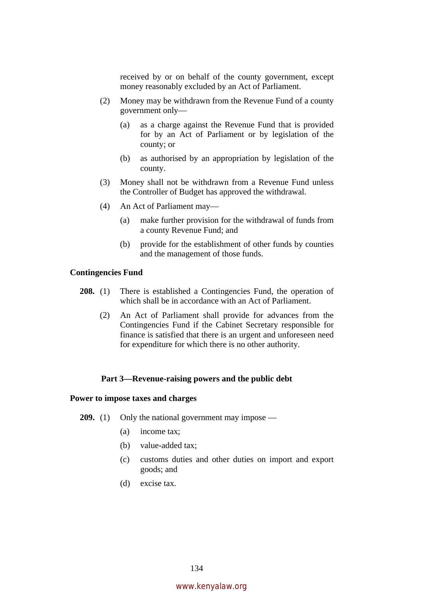received by or on behalf of the county government, except money reasonably excluded by an Act of Parliament.

- (2) Money may be withdrawn from the Revenue Fund of a county government only—
	- (a) as a charge against the Revenue Fund that is provided for by an Act of Parliament or by legislation of the county; or
	- (b) as authorised by an appropriation by legislation of the county.
- (3) Money shall not be withdrawn from a Revenue Fund unless the Controller of Budget has approved the withdrawal.
- (4) An Act of Parliament may—
	- (a) make further provision for the withdrawal of funds from a county Revenue Fund; and
	- (b) provide for the establishment of other funds by counties and the management of those funds.

# **Contingencies Fund**

- 208. (1) There is established a Contingencies Fund, the operation of which shall be in accordance with an Act of Parliament.
	- (2) An Act of Parliament shall provide for advances from the Contingencies Fund if the Cabinet Secretary responsible for finance is satisfied that there is an urgent and unforeseen need for expenditure for which there is no other authority.

### **Part 3—Revenue-raising powers and the public debt**

# **Power to impose taxes and charges**

- **209.** (1) Only the national government may impose
	- (a) income tax;
	- (b) value-added tax;
	- (c) customs duties and other duties on import and export goods; and
	- (d) excise tax.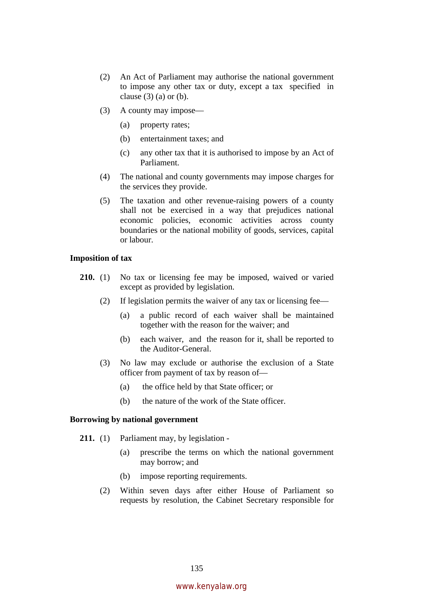- (2) An Act of Parliament may authorise the national government to impose any other tax or duty, except a tax specified in clause  $(3)$  (a) or (b).
- (3) A county may impose—
	- (a) property rates;
	- (b) entertainment taxes; and
	- (c) any other tax that it is authorised to impose by an Act of Parliament.
- (4) The national and county governments may impose charges for the services they provide.
- (5) The taxation and other revenue-raising powers of a county shall not be exercised in a way that prejudices national economic policies, economic activities across county boundaries or the national mobility of goods, services, capital or labour.

# **Imposition of tax**

- **210.** (1) No tax or licensing fee may be imposed, waived or varied except as provided by legislation.
	- (2) If legislation permits the waiver of any tax or licensing fee—
		- (a) a public record of each waiver shall be maintained together with the reason for the waiver; and
		- (b) each waiver, and the reason for it, shall be reported to the Auditor-General.
	- (3) No law may exclude or authorise the exclusion of a State officer from payment of tax by reason of—
		- (a) the office held by that State officer; or
		- (b) the nature of the work of the State officer.

# **Borrowing by national government**

- **211.** (1) Parliament may, by legislation
	- (a) prescribe the terms on which the national government may borrow; and
	- (b) impose reporting requirements.
	- (2) Within seven days after either House of Parliament so requests by resolution, the Cabinet Secretary responsible for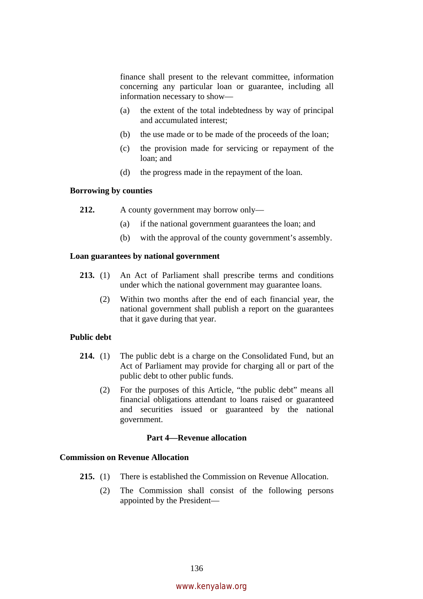finance shall present to the relevant committee, information concerning any particular loan or guarantee, including all information necessary to show—

- (a) the extent of the total indebtedness by way of principal and accumulated interest;
- (b) the use made or to be made of the proceeds of the loan;
- (c) the provision made for servicing or repayment of the loan; and
- (d) the progress made in the repayment of the loan.

### **Borrowing by counties**

- **212.** A county government may borrow only—
	- (a) if the national government guarantees the loan; and
	- (b) with the approval of the county government's assembly.

### **Loan guarantees by national government**

- **213.** (1) An Act of Parliament shall prescribe terms and conditions under which the national government may guarantee loans.
	- (2) Within two months after the end of each financial year, the national government shall publish a report on the guarantees that it gave during that year.

## **Public debt**

- **214.** (1) The public debt is a charge on the Consolidated Fund, but an Act of Parliament may provide for charging all or part of the public debt to other public funds.
	- (2) For the purposes of this Article, "the public debt" means all financial obligations attendant to loans raised or guaranteed and securities issued or guaranteed by the national government.

## **Part 4—Revenue allocation**

## **Commission on Revenue Allocation**

- **215.** (1) There is established the Commission on Revenue Allocation.
	- (2) The Commission shall consist of the following persons appointed by the President—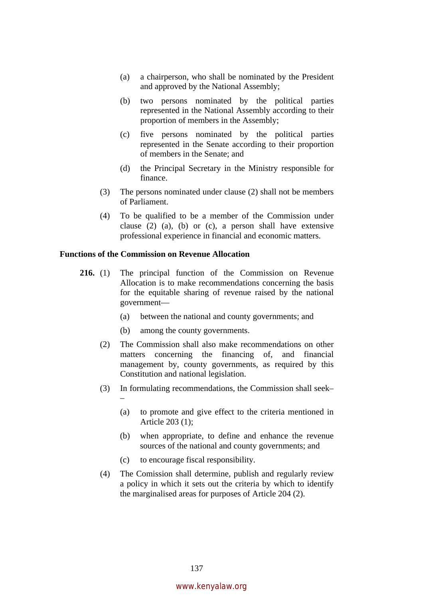- (a) a chairperson, who shall be nominated by the President and approved by the National Assembly;
- (b) two persons nominated by the political parties represented in the National Assembly according to their proportion of members in the Assembly;
- (c) five persons nominated by the political parties represented in the Senate according to their proportion of members in the Senate; and
- (d) the Principal Secretary in the Ministry responsible for finance.
- (3) The persons nominated under clause (2) shall not be members of Parliament.
- (4) To be qualified to be a member of the Commission under clause (2) (a), (b) or (c), a person shall have extensive professional experience in financial and economic matters.

# **Functions of the Commission on Revenue Allocation**

–

- **216.** (1) The principal function of the Commission on Revenue Allocation is to make recommendations concerning the basis for the equitable sharing of revenue raised by the national government––
	- (a) between the national and county governments; and
	- (b) among the county governments.
	- (2) The Commission shall also make recommendations on other matters concerning the financing of, and financial management by, county governments, as required by this Constitution and national legislation.
	- (3) In formulating recommendations, the Commission shall seek–
		- (a) to promote and give effect to the criteria mentioned in Article 203 (1);
		- (b) when appropriate, to define and enhance the revenue sources of the national and county governments; and
		- (c) to encourage fiscal responsibility.
	- (4) The Comission shall determine, publish and regularly review a policy in which it sets out the criteria by which to identify the marginalised areas for purposes of Article 204 (2).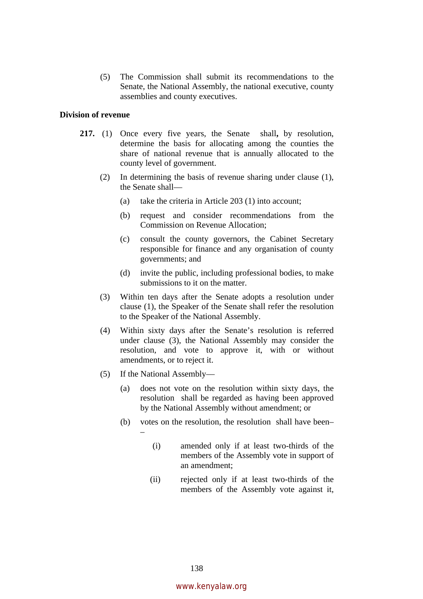(5) The Commission shall submit its recommendations to the Senate, the National Assembly, the national executive, county assemblies and county executives.

# **Division of revenue**

- **217.** (1) Once every five years, the Senate shall**,** by resolution, determine the basis for allocating among the counties the share of national revenue that is annually allocated to the county level of government.
	- (2) In determining the basis of revenue sharing under clause (1), the Senate shall—
		- (a) take the criteria in Article 203 (1) into account;
		- (b) request and consider recommendations from the Commission on Revenue Allocation;
		- (c) consult the county governors, the Cabinet Secretary responsible for finance and any organisation of county governments; and
		- (d) invite the public, including professional bodies, to make submissions to it on the matter.
	- (3) Within ten days after the Senate adopts a resolution under clause (1), the Speaker of the Senate shall refer the resolution to the Speaker of the National Assembly.
	- (4) Within sixty days after the Senate's resolution is referred under clause (3), the National Assembly may consider the resolution, and vote to approve it, with or without amendments, or to reject it.
	- (5) If the National Assembly––

–

- (a) does not vote on the resolution within sixty days, the resolution shall be regarded as having been approved by the National Assembly without amendment; or
- (b) votes on the resolution, the resolution shall have been–
	- (i) amended only if at least two-thirds of the members of the Assembly vote in support of an amendment;
	- (ii) rejected only if at least two-thirds of the members of the Assembly vote against it,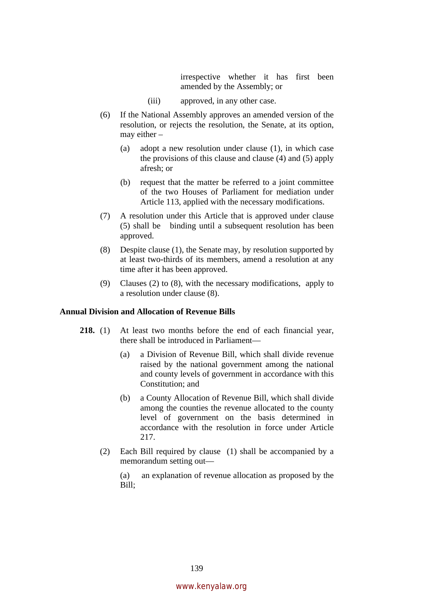irrespective whether it has first been amended by the Assembly; or

- (iii) approved, in any other case.
- (6) If the National Assembly approves an amended version of the resolution, or rejects the resolution, the Senate, at its option, may either –
	- (a) adopt a new resolution under clause (1), in which case the provisions of this clause and clause (4) and (5) apply afresh; or
	- (b) request that the matter be referred to a joint committee of the two Houses of Parliament for mediation under Article 113, applied with the necessary modifications.
- (7) A resolution under this Article that is approved under clause (5) shall be binding until a subsequent resolution has been approved.
- (8) Despite clause (1), the Senate may, by resolution supported by at least two-thirds of its members, amend a resolution at any time after it has been approved.
- (9) Clauses (2) to (8), with the necessary modifications, apply to a resolution under clause (8).

## **Annual Division and Allocation of Revenue Bills**

- **218.** (1) At least two months before the end of each financial year, there shall be introduced in Parliament—
	- (a) a Division of Revenue Bill, which shall divide revenue raised by the national government among the national and county levels of government in accordance with this Constitution; and
	- (b) a County Allocation of Revenue Bill, which shall divide among the counties the revenue allocated to the county level of government on the basis determined in accordance with the resolution in force under Article 217.
	- (2) Each Bill required by clause (1) shall be accompanied by a memorandum setting out––

(a) an explanation of revenue allocation as proposed by the Bill;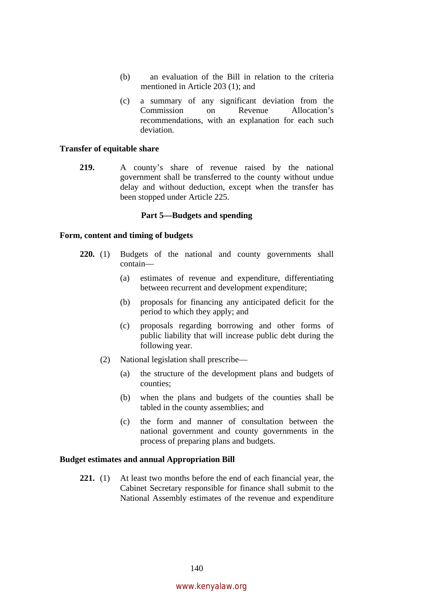- (b) an evaluation of the Bill in relation to the criteria mentioned in Article 203 (1); and
- (c) a summary of any significant deviation from the Commission on Revenue Allocation's recommendations, with an explanation for each such deviation.

## **Transfer of equitable share**

**219.** A county's share of revenue raised by the national government shall be transferred to the county without undue delay and without deduction, except when the transfer has been stopped under Article 225.

## **Part 5—Budgets and spending**

### **Form, content and timing of budgets**

- **220.** (1) Budgets of the national and county governments shall contain—
	- (a) estimates of revenue and expenditure, differentiating between recurrent and development expenditure;
	- (b) proposals for financing any anticipated deficit for the period to which they apply; and
	- (c) proposals regarding borrowing and other forms of public liability that will increase public debt during the following year.
	- (2) National legislation shall prescribe—
		- (a) the structure of the development plans and budgets of counties;
		- (b) when the plans and budgets of the counties shall be tabled in the county assemblies; and
		- (c) the form and manner of consultation between the national government and county governments in the process of preparing plans and budgets.

# **Budget estimates and annual Appropriation Bill**

**221.** (1)At least two months before the end of each financial year, the Cabinet Secretary responsible for finance shall submit to the National Assembly estimates of the revenue and expenditure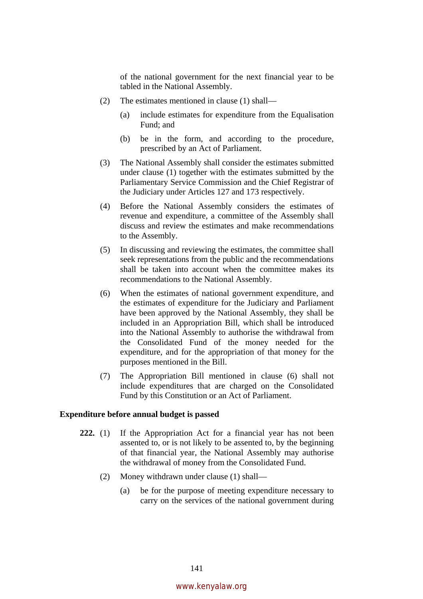of the national government for the next financial year to be tabled in the National Assembly.

- (2) The estimates mentioned in clause  $(1)$  shall—
	- (a) include estimates for expenditure from the Equalisation Fund; and
	- (b) be in the form, and according to the procedure, prescribed by an Act of Parliament.
- (3) The National Assembly shall consider the estimates submitted under clause (1) together with the estimates submitted by the Parliamentary Service Commission and the Chief Registrar of the Judiciary under Articles 127 and 173 respectively.
- (4) Before the National Assembly considers the estimates of revenue and expenditure, a committee of the Assembly shall discuss and review the estimates and make recommendations to the Assembly.
- (5) In discussing and reviewing the estimates, the committee shall seek representations from the public and the recommendations shall be taken into account when the committee makes its recommendations to the National Assembly.
- (6) When the estimates of national government expenditure, and the estimates of expenditure for the Judiciary and Parliament have been approved by the National Assembly, they shall be included in an Appropriation Bill, which shall be introduced into the National Assembly to authorise the withdrawal from the Consolidated Fund of the money needed for the expenditure, and for the appropriation of that money for the purposes mentioned in the Bill.
- (7) The Appropriation Bill mentioned in clause (6) shall not include expenditures that are charged on the Consolidated Fund by this Constitution or an Act of Parliament.

### **Expenditure before annual budget is passed**

- **222.** (1) If the Appropriation Act for a financial year has not been assented to, or is not likely to be assented to, by the beginning of that financial year, the National Assembly may authorise the withdrawal of money from the Consolidated Fund.
	- (2) Money withdrawn under clause (1) shall—
		- (a) be for the purpose of meeting expenditure necessary to carry on the services of the national government during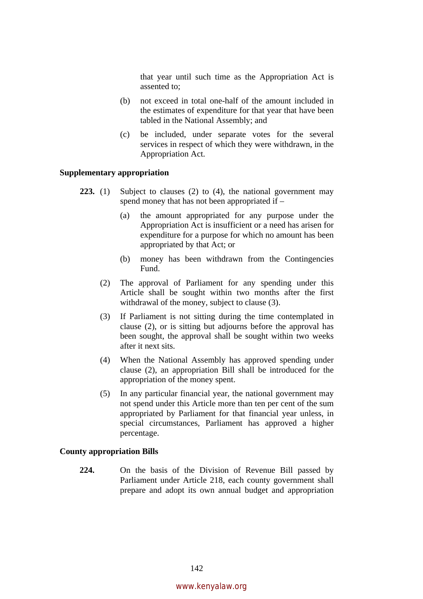that year until such time as the Appropriation Act is assented to;

- (b) not exceed in total one-half of the amount included in the estimates of expenditure for that year that have been tabled in the National Assembly; and
- (c) be included, under separate votes for the several services in respect of which they were withdrawn, in the Appropriation Act.

## **Supplementary appropriation**

- **223.** (1) Subject to clauses (2) to (4), the national government may spend money that has not been appropriated if –
	- (a) the amount appropriated for any purpose under the Appropriation Act is insufficient or a need has arisen for expenditure for a purpose for which no amount has been appropriated by that Act; or
	- (b) money has been withdrawn from the Contingencies Fund.
	- (2) The approval of Parliament for any spending under this Article shall be sought within two months after the first withdrawal of the money, subject to clause (3).
	- (3) If Parliament is not sitting during the time contemplated in clause (2), or is sitting but adjourns before the approval has been sought, the approval shall be sought within two weeks after it next sits.
	- (4) When the National Assembly has approved spending under clause (2), an appropriation Bill shall be introduced for the appropriation of the money spent.
	- (5) In any particular financial year, the national government may not spend under this Article more than ten per cent of the sum appropriated by Parliament for that financial year unless, in special circumstances, Parliament has approved a higher percentage.

## **County appropriation Bills**

**224.** On the basis of the Division of Revenue Bill passed by Parliament under Article 218, each county government shall prepare and adopt its own annual budget and appropriation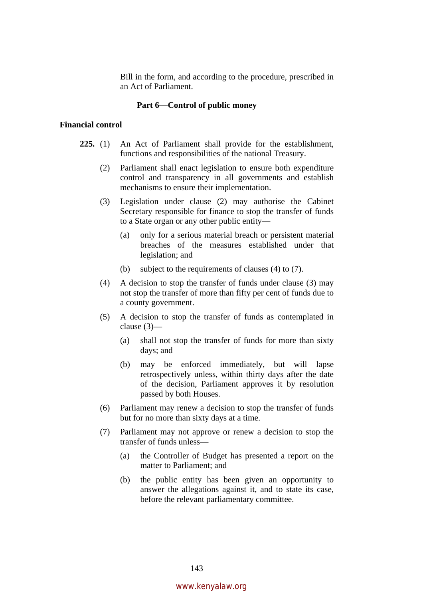Bill in the form, and according to the procedure, prescribed in an Act of Parliament.

# **Part 6—Control of public money**

## **Financial control**

- **225.** (1) An Act of Parliament shall provide for the establishment, functions and responsibilities of the national Treasury.
	- (2) Parliament shall enact legislation to ensure both expenditure control and transparency in all governments and establish mechanisms to ensure their implementation.
	- (3) Legislation under clause (2) may authorise the Cabinet Secretary responsible for finance to stop the transfer of funds to a State organ or any other public entity—
		- (a) only for a serious material breach or persistent material breaches of the measures established under that legislation; and
		- (b) subject to the requirements of clauses (4) to (7).
	- (4) A decision to stop the transfer of funds under clause (3) may not stop the transfer of more than fifty per cent of funds due to a county government.
	- (5) A decision to stop the transfer of funds as contemplated in clause (3)—
		- (a) shall not stop the transfer of funds for more than sixty days; and
		- (b) may be enforced immediately, but will lapse retrospectively unless, within thirty days after the date of the decision, Parliament approves it by resolution passed by both Houses.
	- (6) Parliament may renew a decision to stop the transfer of funds but for no more than sixty days at a time.
	- (7) Parliament may not approve or renew a decision to stop the transfer of funds unless—
		- (a) the Controller of Budget has presented a report on the matter to Parliament; and
		- (b) the public entity has been given an opportunity to answer the allegations against it, and to state its case, before the relevant parliamentary committee.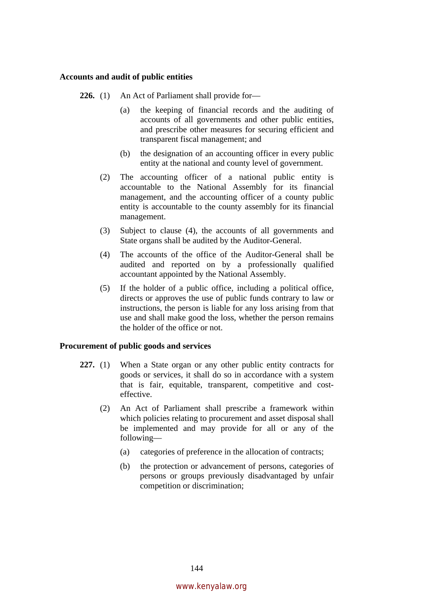## **Accounts and audit of public entities**

- **226.** (1) An Act of Parliament shall provide for—
	- (a) the keeping of financial records and the auditing of accounts of all governments and other public entities, and prescribe other measures for securing efficient and transparent fiscal management; and
	- (b) the designation of an accounting officer in every public entity at the national and county level of government.
	- (2) The accounting officer of a national public entity is accountable to the National Assembly for its financial management, and the accounting officer of a county public entity is accountable to the county assembly for its financial management.
	- (3) Subject to clause (4), the accounts of all governments and State organs shall be audited by the Auditor-General.
	- (4) The accounts of the office of the Auditor-General shall be audited and reported on by a professionally qualified accountant appointed by the National Assembly.
	- (5) If the holder of a public office, including a political office, directs or approves the use of public funds contrary to law or instructions, the person is liable for any loss arising from that use and shall make good the loss, whether the person remains the holder of the office or not.

## **Procurement of public goods and services**

- **227.** (1) When a State organ or any other public entity contracts for goods or services, it shall do so in accordance with a system that is fair, equitable, transparent, competitive and costeffective.
	- (2) An Act of Parliament shall prescribe a framework within which policies relating to procurement and asset disposal shall be implemented and may provide for all or any of the following—
		- (a) categories of preference in the allocation of contracts;
		- (b) the protection or advancement of persons, categories of persons or groups previously disadvantaged by unfair competition or discrimination;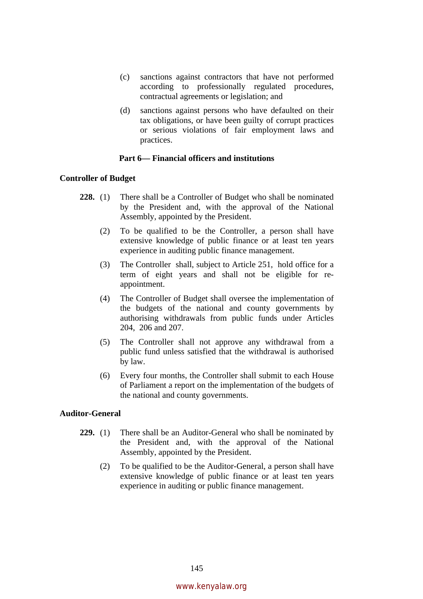- (c) sanctions against contractors that have not performed according to professionally regulated procedures, contractual agreements or legislation; and
- (d) sanctions against persons who have defaulted on their tax obligations, or have been guilty of corrupt practices or serious violations of fair employment laws and practices.

## **Part 6— Financial officers and institutions**

## **Controller of Budget**

- **228.** (1) There shall be a Controller of Budget who shall be nominated by the President and, with the approval of the National Assembly, appointed by the President.
	- (2) To be qualified to be the Controller, a person shall have extensive knowledge of public finance or at least ten years experience in auditing public finance management.
	- (3) The Controller shall, subject to Article 251, hold office for a term of eight years and shall not be eligible for reappointment.
	- (4) The Controller of Budget shall oversee the implementation of the budgets of the national and county governments by authorising withdrawals from public funds under Articles 204, 206 and 207.
	- (5) The Controller shall not approve any withdrawal from a public fund unless satisfied that the withdrawal is authorised by law.
	- (6) Every four months, the Controller shall submit to each House of Parliament a report on the implementation of the budgets of the national and county governments.

### **Auditor-General**

- **229.** (1) There shall be an Auditor-General who shall be nominated by the President and, with the approval of the National Assembly, appointed by the President.
	- (2) To be qualified to be the Auditor-General, a person shall have extensive knowledge of public finance or at least ten years experience in auditing or public finance management.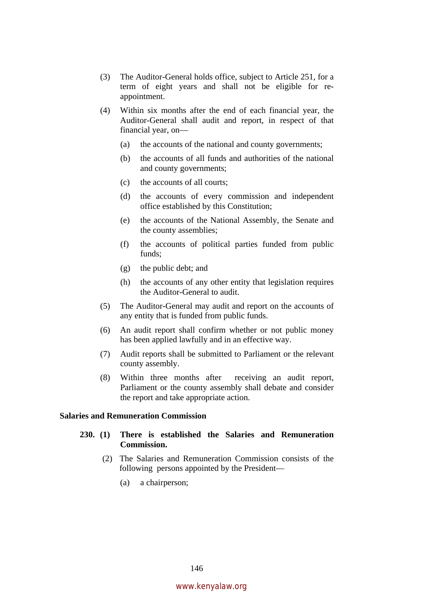- (3) The Auditor-General holds office, subject to Article 251, for a term of eight years and shall not be eligible for reappointment.
- (4) Within six months after the end of each financial year, the Auditor-General shall audit and report, in respect of that financial year, on—
	- (a) the accounts of the national and county governments;
	- (b) the accounts of all funds and authorities of the national and county governments;
	- (c) the accounts of all courts;
	- (d) the accounts of every commission and independent office established by this Constitution;
	- (e) the accounts of the National Assembly, the Senate and the county assemblies;
	- (f) the accounts of political parties funded from public funds;
	- (g) the public debt; and
	- (h) the accounts of any other entity that legislation requires the Auditor-General to audit.
- (5) The Auditor-General may audit and report on the accounts of any entity that is funded from public funds.
- (6) An audit report shall confirm whether or not public money has been applied lawfully and in an effective way.
- (7) Audit reports shall be submitted to Parliament or the relevant county assembly.
- (8) Within three months after receiving an audit report, Parliament or the county assembly shall debate and consider the report and take appropriate action.

## **Salaries and Remuneration Commission**

## **230. (1) There is established the Salaries and Remuneration Commission.**

- (2) The Salaries and Remuneration Commission consists of the following persons appointed by the President—
	- (a) a chairperson;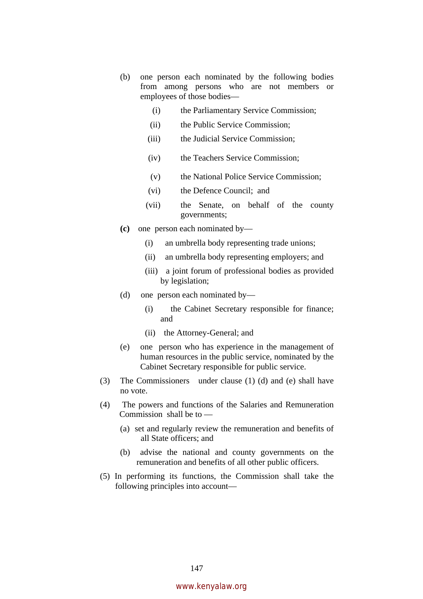- (b) one person each nominated by the following bodies from among persons who are not members or employees of those bodies—
	- (i) the Parliamentary Service Commission;
	- (ii) the Public Service Commission;
	- (iii) the Judicial Service Commission;
	- (iv) the Teachers Service Commission;
	- (v) the National Police Service Commission;
	- (vi) the Defence Council; and
	- (vii) the Senate, on behalf of the county governments;
- **(c)** one person each nominated by—
	- (i) an umbrella body representing trade unions;
	- (ii) an umbrella body representing employers; and
	- (iii) a joint forum of professional bodies as provided by legislation;
- (d) one person each nominated by—
	- (i) the Cabinet Secretary responsible for finance; and
	- (ii) the Attorney-General; and
- (e) one person who has experience in the management of human resources in the public service, nominated by the Cabinet Secretary responsible for public service.
- (3) The Commissioners under clause (1) (d) and (e) shall have no vote.
- (4) The powers and functions of the Salaries and Remuneration Commission shall be to —
	- (a) set and regularly review the remuneration and benefits of all State officers; and
	- (b) advise the national and county governments on the remuneration and benefits of all other public officers.
- (5) In performing its functions, the Commission shall take the following principles into account—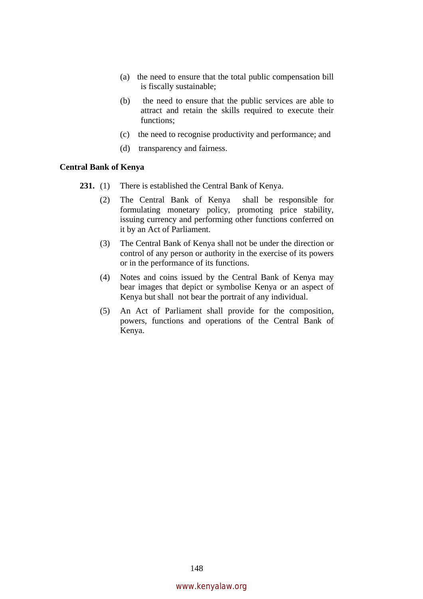- (a) the need to ensure that the total public compensation bill is fiscally sustainable;
- (b) the need to ensure that the public services are able to attract and retain the skills required to execute their functions;
- (c) the need to recognise productivity and performance; and
- (d) transparency and fairness.

### **Central Bank of Kenya**

- **231.** (1) There is established the Central Bank of Kenya.
	- (2) The Central Bank of Kenya shall be responsible for formulating monetary policy, promoting price stability, issuing currency and performing other functions conferred on it by an Act of Parliament.
	- (3) The Central Bank of Kenya shall not be under the direction or control of any person or authority in the exercise of its powers or in the performance of its functions.
	- (4) Notes and coins issued by the Central Bank of Kenya may bear images that depict or symbolise Kenya or an aspect of Kenya but shall not bear the portrait of any individual.
	- (5) An Act of Parliament shall provide for the composition, powers, functions and operations of the Central Bank of Kenya.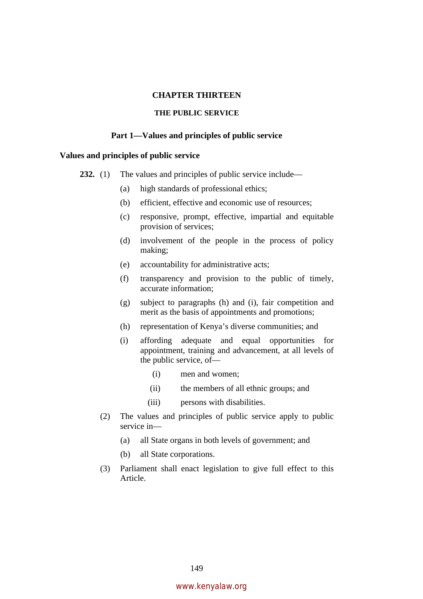#### **CHAPTER THIRTEEN**

## **THE PUBLIC SERVICE**

### **Part 1—Values and principles of public service**

#### **Values and principles of public service**

- **232.** (1) The values and principles of public service include—
	- (a) high standards of professional ethics;
	- (b) efficient, effective and economic use of resources;
	- (c) responsive, prompt, effective, impartial and equitable provision of services;
	- (d) involvement of the people in the process of policy making;
	- (e) accountability for administrative acts;
	- (f) transparency and provision to the public of timely, accurate information;
	- (g) subject to paragraphs (h) and (i), fair competition and merit as the basis of appointments and promotions;
	- (h) representation of Kenya's diverse communities; and
	- (i) affording adequate and equal opportunities for appointment, training and advancement, at all levels of the public service, of––
		- (i) men and women;
		- (ii) the members of all ethnic groups; and
		- (iii) persons with disabilities.
	- (2) The values and principles of public service apply to public service in—
		- (a) all State organs in both levels of government; and
		- (b) all State corporations.
	- (3) Parliament shall enact legislation to give full effect to this Article.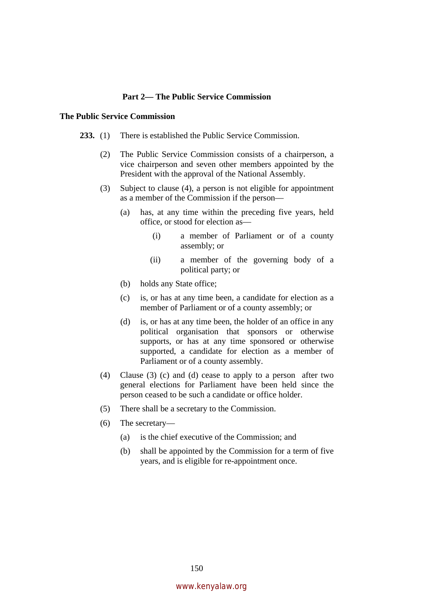## **Part 2— The Public Service Commission**

### **The Public Service Commission**

- **233.** (1) There is established the Public Service Commission.
	- (2) The Public Service Commission consists of a chairperson, a vice chairperson and seven other members appointed by the President with the approval of the National Assembly.
	- (3) Subject to clause (4), a person is not eligible for appointment as a member of the Commission if the person––
		- (a) has, at any time within the preceding five years, held office, or stood for election as—
			- (i) a member of Parliament or of a county assembly; or
			- (ii) a member of the governing body of a political party; or
		- (b) holds any State office;
		- (c) is, or has at any time been, a candidate for election as a member of Parliament or of a county assembly; or
		- (d) is, or has at any time been, the holder of an office in any political organisation that sponsors or otherwise supports, or has at any time sponsored or otherwise supported, a candidate for election as a member of Parliament or of a county assembly.
	- (4) Clause (3) (c) and (d) cease to apply to a person after two general elections for Parliament have been held since the person ceased to be such a candidate or office holder.
	- (5) There shall be a secretary to the Commission.
	- (6) The secretary––
		- (a) is the chief executive of the Commission; and
		- (b) shall be appointed by the Commission for a term of five years, and is eligible for re-appointment once.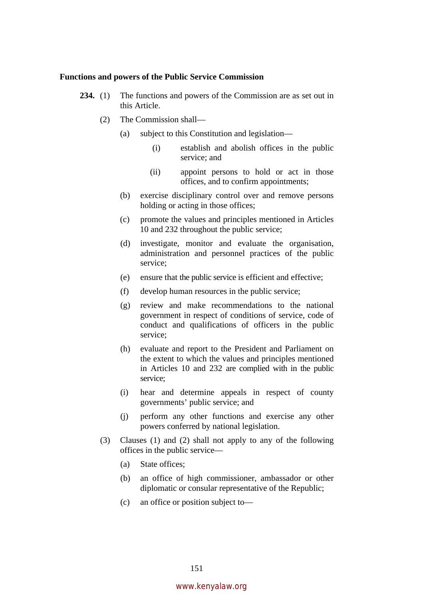#### **Functions and powers of the Public Service Commission**

- **234.** (1) The functions and powers of the Commission are as set out in this Article.
	- (2) The Commission shall—
		- (a) subject to this Constitution and legislation––
			- (i) establish and abolish offices in the public service; and
			- (ii) appoint persons to hold or act in those offices, and to confirm appointments;
		- (b) exercise disciplinary control over and remove persons holding or acting in those offices;
		- (c) promote the values and principles mentioned in Articles 10 and 232 throughout the public service;
		- (d) investigate, monitor and evaluate the organisation, administration and personnel practices of the public service;
		- (e) ensure that the public service is efficient and effective;
		- (f) develop human resources in the public service;
		- (g) review and make recommendations to the national government in respect of conditions of service, code of conduct and qualifications of officers in the public service;
		- (h) evaluate and report to the President and Parliament on the extent to which the values and principles mentioned in Articles 10 and 232 are complied with in the public service;
		- (i) hear and determine appeals in respect of county governments' public service; and
		- (j) perform any other functions and exercise any other powers conferred by national legislation.
	- (3) Clauses (1) and (2) shall not apply to any of the following offices in the public service––
		- (a) State offices;
		- (b) an office of high commissioner, ambassador or other diplomatic or consular representative of the Republic;
		- (c) an office or position subject to––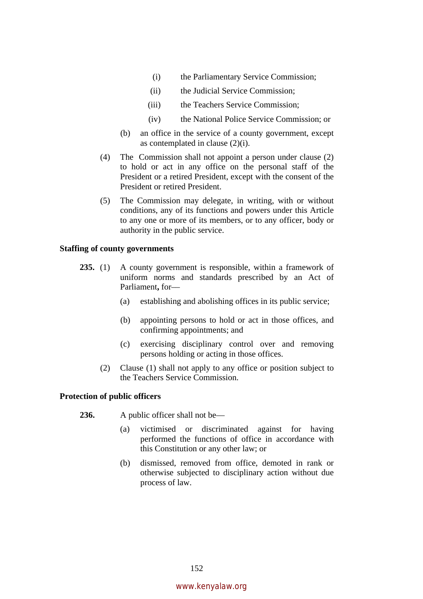- (i) the Parliamentary Service Commission;
- (ii) the Judicial Service Commission;
- (iii) the Teachers Service Commission;
- (iv) the National Police Service Commission; or
- (b) an office in the service of a county government, except as contemplated in clause (2)(i).
- (4) The Commission shall not appoint a person under clause (2) to hold or act in any office on the personal staff of the President or a retired President, except with the consent of the President or retired President.
- (5) The Commission may delegate, in writing, with or without conditions, any of its functions and powers under this Article to any one or more of its members, or to any officer, body or authority in the public service.

## **Staffing of county governments**

- **235.** (1) A county government is responsible, within a framework of uniform norms and standards prescribed by an Act of Parliament**,** for––
	- (a) establishing and abolishing offices in its public service;
	- (b) appointing persons to hold or act in those offices, and confirming appointments; and
	- (c) exercising disciplinary control over and removing persons holding or acting in those offices.
	- (2) Clause (1) shall not apply to any office or position subject to the Teachers Service Commission.

## **Protection of public officers**

- **236.** A public officer shall not be—
	- (a) victimised or discriminated against for having performed the functions of office in accordance with this Constitution or any other law; or
	- (b) dismissed, removed from office, demoted in rank or otherwise subjected to disciplinary action without due process of law.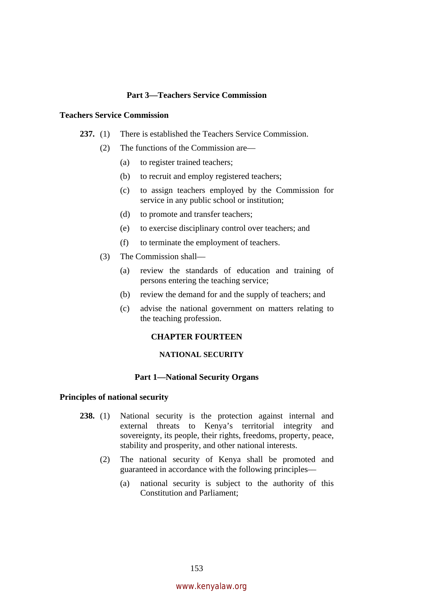## **Part 3—Teachers Service Commission**

### **Teachers Service Commission**

- **237.** (1) There is established the Teachers Service Commission.
	- (2) The functions of the Commission are—
		- (a) to register trained teachers;
		- (b) to recruit and employ registered teachers;
		- (c) to assign teachers employed by the Commission for service in any public school or institution;
		- (d) to promote and transfer teachers;
		- (e) to exercise disciplinary control over teachers; and
		- (f) to terminate the employment of teachers.
	- (3) The Commission shall––
		- (a) review the standards of education and training of persons entering the teaching service;
		- (b) review the demand for and the supply of teachers; and
		- (c) advise the national government on matters relating to the teaching profession.

## **CHAPTER FOURTEEN**

## **NATIONAL SECURITY**

#### **Part 1—National Security Organs**

## **Principles of national security**

- **238.** (1) National security is the protection against internal and external threats to Kenya's territorial integrity and sovereignty, its people, their rights, freedoms, property, peace, stability and prosperity, and other national interests.
	- (2) The national security of Kenya shall be promoted and guaranteed in accordance with the following principles*––*
		- (a) national security is subject to the authority of this Constitution and Parliament;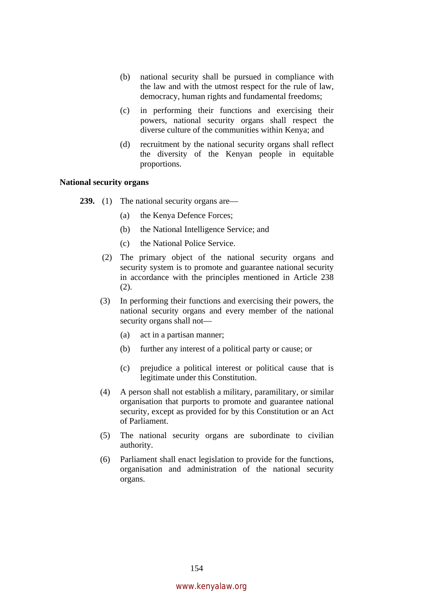- (b) national security shall be pursued in compliance with the law and with the utmost respect for the rule of law, democracy, human rights and fundamental freedoms;
- (c) in performing their functions and exercising their powers, national security organs shall respect the diverse culture of the communities within Kenya; and
- (d) recruitment by the national security organs shall reflect the diversity of the Kenyan people in equitable proportions.

#### **National security organs**

- **239.** (1) The national security organs are—
	- (a) the Kenya Defence Forces;
	- (b) the National Intelligence Service; and
	- (c) the National Police Service.
	- (2) The primary object of the national security organs and security system is to promote and guarantee national security in accordance with the principles mentioned in Article 238 (2).
	- (3) In performing their functions and exercising their powers, the national security organs and every member of the national security organs shall not—
		- (a) act in a partisan manner;
		- (b) further any interest of a political party or cause; or
		- (c) prejudice a political interest or political cause that is legitimate under this Constitution.
	- (4) A person shall not establish a military, paramilitary, or similar organisation that purports to promote and guarantee national security, except as provided for by this Constitution or an Act of Parliament.
	- (5) The national security organs are subordinate to civilian authority.
	- (6) Parliament shall enact legislation to provide for the functions, organisation and administration of the national security organs.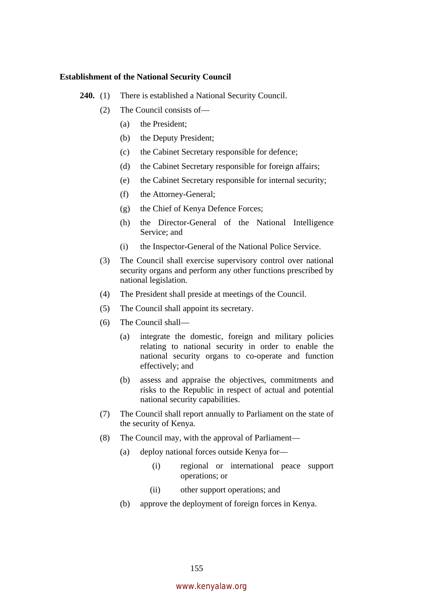### **Establishment of the National Security Council**

- **240.** (1) There is established a National Security Council.
	- (2) The Council consists of—
		- (a) the President;
		- (b) the Deputy President;
		- (c) the Cabinet Secretary responsible for defence;
		- (d) the Cabinet Secretary responsible for foreign affairs;
		- (e) the Cabinet Secretary responsible for internal security;
		- (f) the Attorney-General;
		- (g) the Chief of Kenya Defence Forces;
		- (h) the Director-General of the National Intelligence Service; and
		- (i) the Inspector-General of the National Police Service.
	- (3) The Council shall exercise supervisory control over national security organs and perform any other functions prescribed by national legislation.
	- (4) The President shall preside at meetings of the Council.
	- (5) The Council shall appoint its secretary.
	- (6) The Council shall—
		- (a) integrate the domestic, foreign and military policies relating to national security in order to enable the national security organs to co-operate and function effectively; and
		- (b) assess and appraise the objectives, commitments and risks to the Republic in respect of actual and potential national security capabilities.
	- (7) The Council shall report annually to Parliament on the state of the security of Kenya.
	- (8) The Council may, with the approval of Parliament—
		- (a) deploy national forces outside Kenya for—
			- (i) regional or international peace support operations; or
			- (ii) other support operations; and
		- (b) approve the deployment of foreign forces in Kenya.

## www.kenyalaw.org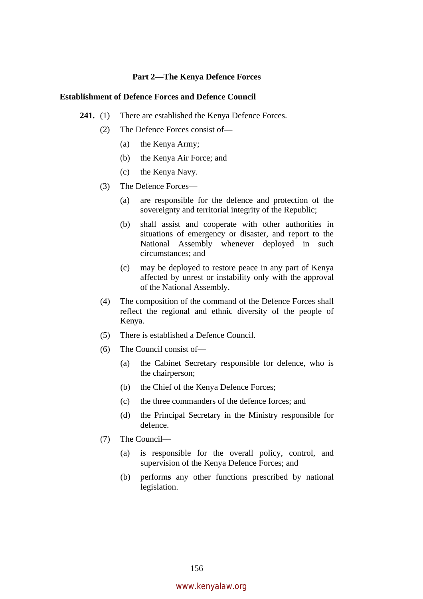### **Part 2—The Kenya Defence Forces**

#### **Establishment of Defence Forces and Defence Council**

- **241.** (1) There are established the Kenya Defence Forces.
	- (2) The Defence Forces consist of—
		- (a) the Kenya Army;
		- (b) the Kenya Air Force; and
		- (c) the Kenya Navy.
	- (3) The Defence Forces—
		- (a) are responsible for the defence and protection of the sovereignty and territorial integrity of the Republic;
		- (b) shall assist and cooperate with other authorities in situations of emergency or disaster, and report to the National Assembly whenever deployed in such circumstances; and
		- (c) may be deployed to restore peace in any part of Kenya affected by unrest or instability only with the approval of the National Assembly.
	- (4) The composition of the command of the Defence Forces shall reflect the regional and ethnic diversity of the people of Kenya.
	- (5) There is established a Defence Council.
	- (6) The Council consist of—
		- (a) the Cabinet Secretary responsible for defence, who is the chairperson;
		- (b) the Chief of the Kenya Defence Forces;
		- (c) the three commanders of the defence forces; and
		- (d) the Principal Secretary in the Ministry responsible for defence.
	- (7) The Council––
		- (a) is responsible for the overall policy, control, and supervision of the Kenya Defence Forces; and
		- (b) perform**s** any other functions prescribed by national legislation.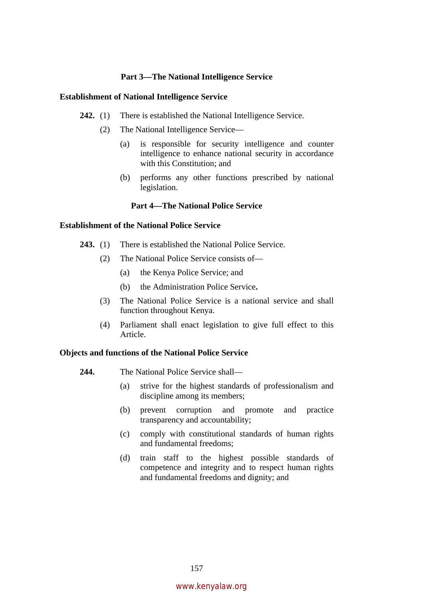## **Part 3—The National Intelligence Service**

### **Establishment of National Intelligence Service**

- **242.** (1) There is established the National Intelligence Service.
	- (2) The National Intelligence Service––
		- (a) is responsible for security intelligence and counter intelligence to enhance national security in accordance with this Constitution; and
		- (b) performs any other functions prescribed by national legislation.

## **Part 4—The National Police Service**

## **Establishment of the National Police Service**

- **243.** (1) There is established the National Police Service.
	- (2) The National Police Service consists of—
		- (a) the Kenya Police Service; and
		- (b) the Administration Police Service**.**
	- (3) The National Police Service is a national service and shall function throughout Kenya.
	- (4) Parliament shall enact legislation to give full effect to this Article.

#### **Objects and functions of the National Police Service**

- **244.** The National Police Service shall—
	- (a) strive for the highest standards of professionalism and discipline among its members;
	- (b) prevent corruption and promote and practice transparency and accountability;
	- (c) comply with constitutional standards of human rights and fundamental freedoms;
	- (d) train staff to the highest possible standards of competence and integrity and to respect human rights and fundamental freedoms and dignity; and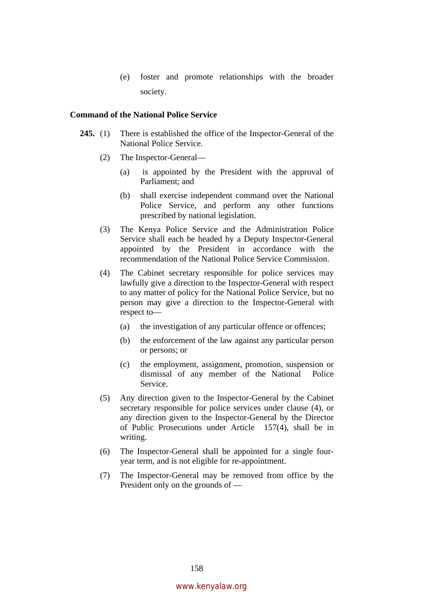(e) foster and promote relationships with the broader society.

## **Command of the National Police Service**

- **245.** (1) There is established the office of the Inspector-General of the National Police Service.
	- (2) The Inspector-General––
		- (a) is appointed by the President with the approval of Parliament; and
		- (b) shall exercise independent command over the National Police Service, and perform any other functions prescribed by national legislation.
	- (3) The Kenya Police Service and the Administration Police Service shall each be headed by a Deputy Inspector-General appointed by the President in accordance with the recommendation of the National Police Service Commission.
	- (4) The Cabinet secretary responsible for police services may lawfully give a direction to the Inspector-General with respect to any matter of policy for the National Police Service, but no person may give a direction to the Inspector-General with respect to—
		- (a) the investigation of any particular offence or offences;
		- (b) the enforcement of the law against any particular person or persons; or
		- (c) the employment, assignment, promotion, suspension or dismissal of any member of the National Police Service.
	- (5) Any direction given to the Inspector-General by the Cabinet secretary responsible for police services under clause (4), or any direction given to the Inspector-General by the Director of Public Prosecutions under Article 157(4), shall be in writing.
	- (6) The Inspector-General shall be appointed for a single fouryear term, and is not eligible for re-appointment.
	- (7) The Inspector-General may be removed from office by the President only on the grounds of —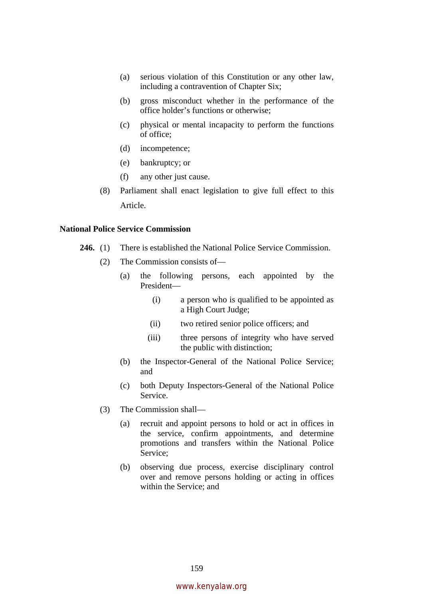- (a) serious violation of this Constitution or any other law, including a contravention of Chapter Six;
- (b) gross misconduct whether in the performance of the office holder's functions or otherwise;
- (c) physical or mental incapacity to perform the functions of office;
- (d) incompetence;
- (e) bankruptcy; or
- (f) any other just cause.
- (8) Parliament shall enact legislation to give full effect to this Article.

#### **National Police Service Commission**

- **246.** (1) There is established the National Police Service Commission.
	- (2) The Commission consists of—
		- (a) the following persons, each appointed by the President—
			- (i) a person who is qualified to be appointed as a High Court Judge;
			- (ii) two retired senior police officers; and
			- (iii) three persons of integrity who have served the public with distinction;
		- (b) the Inspector-General of the National Police Service; and
		- (c) both Deputy Inspectors-General of the National Police Service.
	- (3) The Commission shall—
		- (a) recruit and appoint persons to hold or act in offices in the service, confirm appointments, and determine promotions and transfers within the National Police Service;
		- (b) observing due process, exercise disciplinary control over and remove persons holding or acting in offices within the Service; and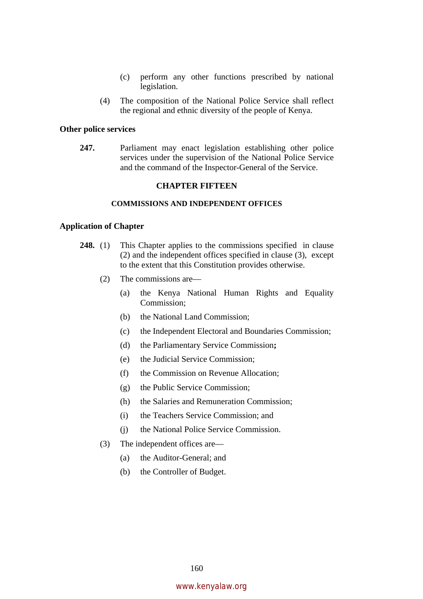- (c) perform any other functions prescribed by national legislation.
- (4) The composition of the National Police Service shall reflect the regional and ethnic diversity of the people of Kenya.

### **Other police services**

**247.** Parliament may enact legislation establishing other police services under the supervision of the National Police Service and the command of the Inspector-General of the Service.

#### **CHAPTER FIFTEEN**

#### **COMMISSIONS AND INDEPENDENT OFFICES**

#### **Application of Chapter**

- 248. (1) This Chapter applies to the commissions specified in clause (2) and the independent offices specified in clause (3), except to the extent that this Constitution provides otherwise.
	- (2) The commissions are—
		- (a) the Kenya National Human Rights and Equality Commission;
		- (b) the National Land Commission;
		- (c) the Independent Electoral and Boundaries Commission;
		- (d) the Parliamentary Service Commission**;**
		- (e) the Judicial Service Commission;
		- (f) the Commission on Revenue Allocation;
		- (g) the Public Service Commission;
		- (h) the Salaries and Remuneration Commission;
		- (i) the Teachers Service Commission; and
		- (j) the National Police Service Commission.
	- (3) The independent offices are—
		- (a) the Auditor-General; and
		- (b) the Controller of Budget.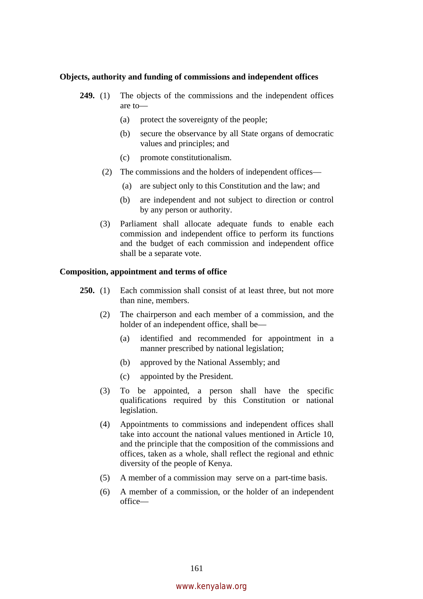### **Objects, authority and funding of commissions and independent offices**

- **249.** (1) The objects of the commissions and the independent offices are to—
	- (a) protect the sovereignty of the people;
	- (b) secure the observance by all State organs of democratic values and principles; and
	- (c) promote constitutionalism.
	- (2) The commissions and the holders of independent offices—
		- (a) are subject only to this Constitution and the law; and
		- (b) are independent and not subject to direction or control by any person or authority.
	- (3) Parliament shall allocate adequate funds to enable each commission and independent office to perform its functions and the budget of each commission and independent office shall be a separate vote.

#### **Composition, appointment and terms of office**

- **250.** (1) Each commission shall consist of at least three, but not more than nine, members.
	- (2) The chairperson and each member of a commission, and the holder of an independent office, shall be—
		- (a) identified and recommended for appointment in a manner prescribed by national legislation;
		- (b) approved by the National Assembly; and
		- (c) appointed by the President.
	- (3) To be appointed, a person shall have the specific qualifications required by this Constitution or national legislation.
	- (4) Appointments to commissions and independent offices shall take into account the national values mentioned in Article 10, and the principle that the composition of the commissions and offices, taken as a whole, shall reflect the regional and ethnic diversity of the people of Kenya.
	- (5) A member of a commission may serve on a part-time basis.
	- (6) A member of a commission, or the holder of an independent office—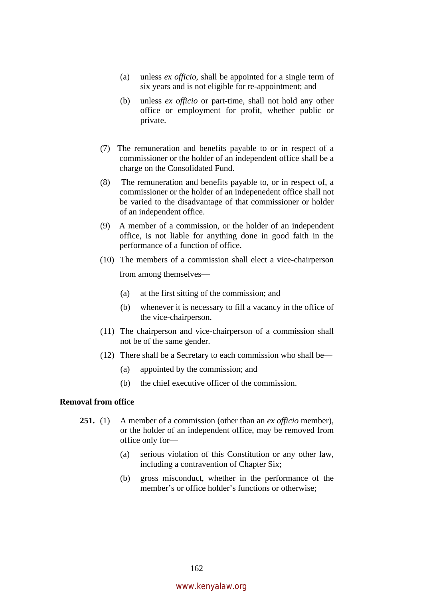- (a) unless *ex officio*, shall be appointed for a single term of six years and is not eligible for re-appointment; and
- (b) unless *ex officio* or part-time, shall not hold any other office or employment for profit, whether public or private.
- (7) The remuneration and benefits payable to or in respect of a commissioner or the holder of an independent office shall be a charge on the Consolidated Fund.
- (8) The remuneration and benefits payable to, or in respect of, a commissioner or the holder of an indepenedent office shall not be varied to the disadvantage of that commissioner or holder of an independent office.
- (9) A member of a commission, or the holder of an independent office, is not liable for anything done in good faith in the performance of a function of office.
- (10) The members of a commission shall elect a vice-chairperson from among themselves—
	- (a) at the first sitting of the commission; and
	- (b) whenever it is necessary to fill a vacancy in the office of the vice-chairperson.
- (11) The chairperson and vice-chairperson of a commission shall not be of the same gender.
- (12) There shall be a Secretary to each commission who shall be—
	- (a) appointed by the commission; and
	- (b) the chief executive officer of the commission.

#### **Removal from office**

- **251.** (1) A member of a commission (other than an *ex officio* member), or the holder of an independent office, may be removed from office only for—
	- (a) serious violation of this Constitution or any other law, including a contravention of Chapter Six;
	- (b) gross misconduct, whether in the performance of the member's or office holder's functions or otherwise;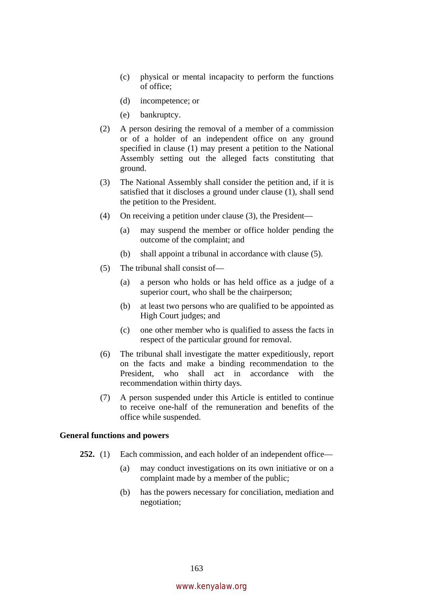- (c) physical or mental incapacity to perform the functions of office;
- (d) incompetence; or
- (e) bankruptcy.
- (2) A person desiring the removal of a member of a commission or of a holder of an independent office on any ground specified in clause (1) may present a petition to the National Assembly setting out the alleged facts constituting that ground.
- (3) The National Assembly shall consider the petition and, if it is satisfied that it discloses a ground under clause (1), shall send the petition to the President.
- (4) On receiving a petition under clause (3), the President—
	- (a) may suspend the member or office holder pending the outcome of the complaint; and
	- (b) shall appoint a tribunal in accordance with clause (5).
- (5) The tribunal shall consist of—
	- (a) a person who holds or has held office as a judge of a superior court, who shall be the chairperson;
	- (b) at least two persons who are qualified to be appointed as High Court judges; and
	- (c) one other member who is qualified to assess the facts in respect of the particular ground for removal.
- (6) The tribunal shall investigate the matter expeditiously, report on the facts and make a binding recommendation to the President, who shall act in accordance with the recommendation within thirty days.
- (7) A person suspended under this Article is entitled to continue to receive one-half of the remuneration and benefits of the office while suspended.

## **General functions and powers**

- **252.** (1) Each commission, and each holder of an independent office—
	- (a) may conduct investigations on its own initiative or on a complaint made by a member of the public;
	- (b) has the powers necessary for conciliation, mediation and negotiation;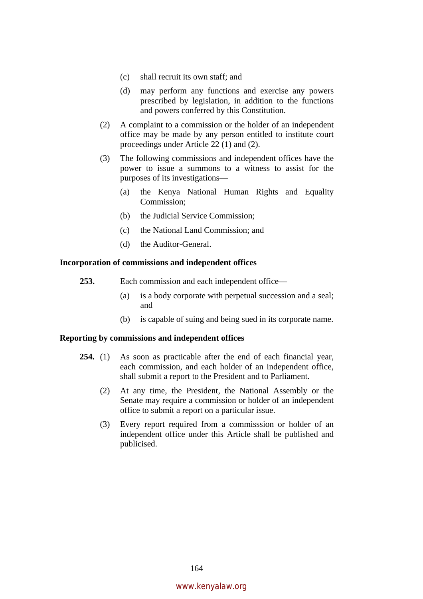- (c) shall recruit its own staff; and
- (d) may perform any functions and exercise any powers prescribed by legislation, in addition to the functions and powers conferred by this Constitution.
- (2) A complaint to a commission or the holder of an independent office may be made by any person entitled to institute court proceedings under Article 22 (1) and (2).
- (3) The following commissions and independent offices have the power to issue a summons to a witness to assist for the purposes of its investigations—
	- (a) the Kenya National Human Rights and Equality Commission;
	- (b) the Judicial Service Commission;
	- (c) the National Land Commission; and
	- (d) the Auditor-General.

### **Incorporation of commissions and independent offices**

- **253.** Each commission and each independent office—
	- (a) is a body corporate with perpetual succession and a seal; and
	- (b) is capable of suing and being sued in its corporate name.

### **Reporting by commissions and independent offices**

- **254.** (1) As soon as practicable after the end of each financial year, each commission, and each holder of an independent office, shall submit a report to the President and to Parliament.
	- (2) At any time, the President, the National Assembly or the Senate may require a commission or holder of an independent office to submit a report on a particular issue.
	- (3) Every report required from a commisssion or holder of an independent office under this Article shall be published and publicised.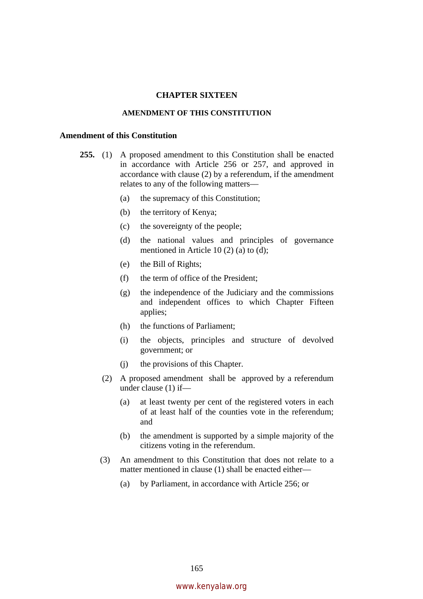#### **CHAPTER SIXTEEN**

## **AMENDMENT OF THIS CONSTITUTION**

### **Amendment of this Constitution**

- **255.** (1) A proposed amendment to this Constitution shall be enacted in accordance with Article 256 or 257, and approved in accordance with clause (2) by a referendum, if the amendment relates to any of the following matters*––*
	- (a) the supremacy of this Constitution;
	- (b) the territory of Kenya;
	- (c) the sovereignty of the people;
	- (d) the national values and principles of governance mentioned in Article 10 (2) (a) to (d);
	- (e) the Bill of Rights;
	- (f) the term of office of the President;
	- (g) the independence of the Judiciary and the commissions and independent offices to which Chapter Fifteen applies;
	- (h) the functions of Parliament;
	- (i) the objects, principles and structure of devolved government; or
	- (j) the provisions of this Chapter.
	- (2) A proposed amendment shall be approved by a referendum under clause (1) if––
		- (a) at least twenty per cent of the registered voters in each of at least half of the counties vote in the referendum; and
		- (b) the amendment is supported by a simple majority of the citizens voting in the referendum.
	- (3) An amendment to this Constitution that does not relate to a matter mentioned in clause (1) shall be enacted either—
		- (a) by Parliament, in accordance with Article 256; or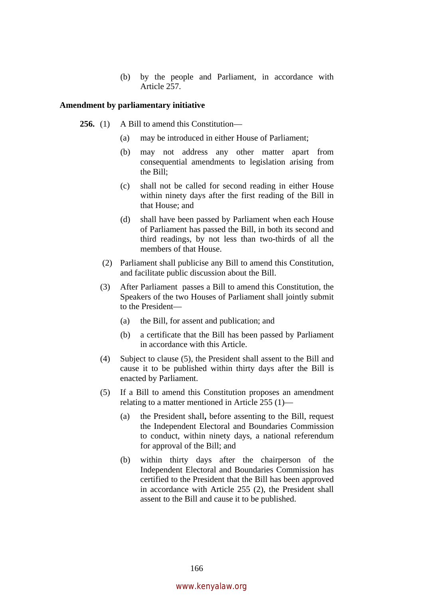(b) by the people and Parliament, in accordance with Article 257.

#### **Amendment by parliamentary initiative**

- **256.** (1) A Bill to amend this Constitution—
	- (a) may be introduced in either House of Parliament;
	- (b) may not address any other matter apart from consequential amendments to legislation arising from the Bill;
	- (c) shall not be called for second reading in either House within ninety days after the first reading of the Bill in that House; and
	- (d) shall have been passed by Parliament when each House of Parliament has passed the Bill, in both its second and third readings, by not less than two-thirds of all the members of that House.
	- (2) Parliament shall publicise any Bill to amend this Constitution, and facilitate public discussion about the Bill.
	- (3) After Parliament passes a Bill to amend this Constitution, the Speakers of the two Houses of Parliament shall jointly submit to the President—
		- (a) the Bill, for assent and publication; and
		- (b) a certificate that the Bill has been passed by Parliament in accordance with this Article.
	- (4) Subject to clause (5), the President shall assent to the Bill and cause it to be published within thirty days after the Bill is enacted by Parliament.
	- (5) If a Bill to amend this Constitution proposes an amendment relating to a matter mentioned in Article 255 (1)—
		- (a) the President shall**,** before assenting to the Bill, request the Independent Electoral and Boundaries Commission to conduct, within ninety days, a national referendum for approval of the Bill; and
		- (b) within thirty days after the chairperson of the Independent Electoral and Boundaries Commission has certified to the President that the Bill has been approved in accordance with Article 255 (2), the President shall assent to the Bill and cause it to be published.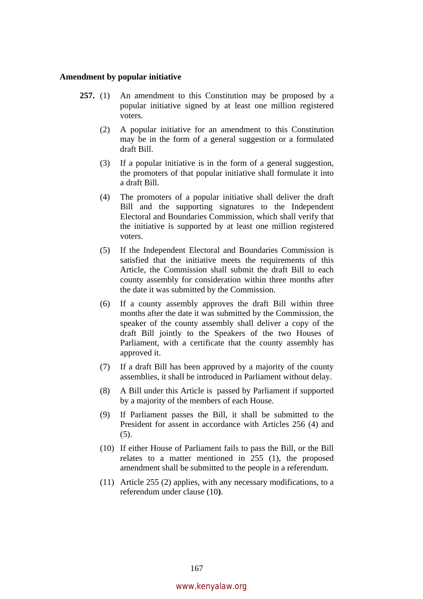### **Amendment by popular initiative**

- **257.** (1) An amendment to this Constitution may be proposed by a popular initiative signed by at least one million registered voters.
	- (2) A popular initiative for an amendment to this Constitution may be in the form of a general suggestion or a formulated draft Bill.
	- (3) If a popular initiative is in the form of a general suggestion, the promoters of that popular initiative shall formulate it into a draft Bill.
	- (4) The promoters of a popular initiative shall deliver the draft Bill and the supporting signatures to the Independent Electoral and Boundaries Commission, which shall verify that the initiative is supported by at least one million registered voters.
	- (5) If the Independent Electoral and Boundaries Commission is satisfied that the initiative meets the requirements of this Article, the Commission shall submit the draft Bill to each county assembly for consideration within three months after the date it was submitted by the Commission.
	- (6) If a county assembly approves the draft Bill within three months after the date it was submitted by the Commission, the speaker of the county assembly shall deliver a copy of the draft Bill jointly to the Speakers of the two Houses of Parliament, with a certificate that the county assembly has approved it.
	- (7) If a draft Bill has been approved by a majority of the county assemblies, it shall be introduced in Parliament without delay.
	- (8) A Bill under this Article is passed by Parliament if supported by a majority of the members of each House.
	- (9) If Parliament passes the Bill, it shall be submitted to the President for assent in accordance with Articles 256 (4) and (5).
	- (10) If either House of Parliament fails to pass the Bill, or the Bill relates to a matter mentioned in 255 (1), the proposed amendment shall be submitted to the people in a referendum.
	- (11) Article 255 (2) applies, with any necessary modifications, to a referendum under clause (10**)**.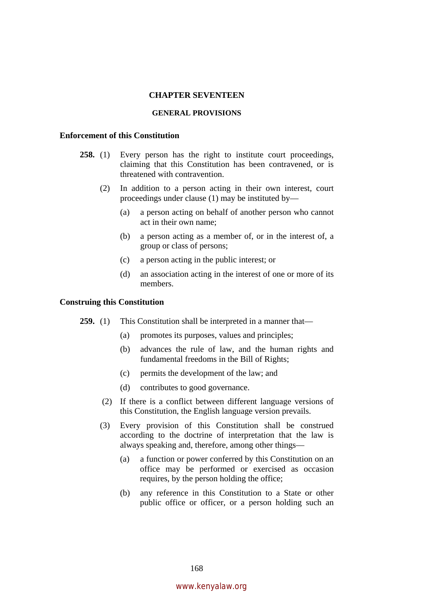#### **CHAPTER SEVENTEEN**

### **GENERAL PROVISIONS**

### **Enforcement of this Constitution**

- **258.** (1) Every person has the right to institute court proceedings, claiming that this Constitution has been contravened, or is threatened with contravention.
	- (2) In addition to a person acting in their own interest, court proceedings under clause (1) may be instituted by—
		- (a) a person acting on behalf of another person who cannot act in their own name;
		- (b) a person acting as a member of, or in the interest of, a group or class of persons;
		- (c) a person acting in the public interest; or
		- (d) an association acting in the interest of one or more of its members.

### **Construing this Constitution**

- **259.** (1) This Constitution shall be interpreted in a manner that—
	- (a) promotes its purposes, values and principles;
	- (b) advances the rule of law, and the human rights and fundamental freedoms in the Bill of Rights;
	- (c) permits the development of the law; and
	- (d) contributes to good governance.
	- (2) If there is a conflict between different language versions of this Constitution, the English language version prevails.
	- (3) Every provision of this Constitution shall be construed according to the doctrine of interpretation that the law is always speaking and, therefore, among other things—
		- (a) a function or power conferred by this Constitution on an office may be performed or exercised as occasion requires, by the person holding the office;
		- (b) any reference in this Constitution to a State or other public office or officer, or a person holding such an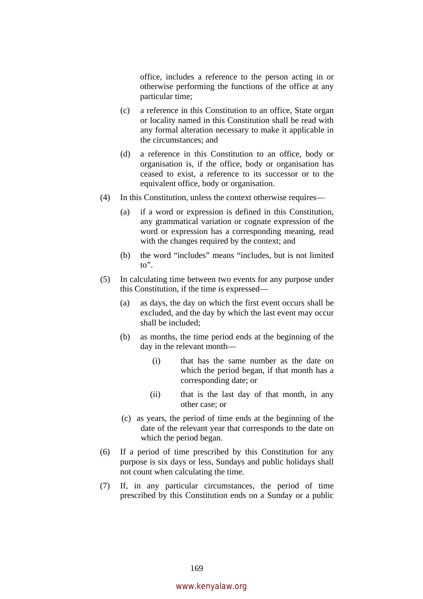office, includes a reference to the person acting in or otherwise performing the functions of the office at any particular time;

- (c) a reference in this Constitution to an office, State organ or locality named in this Constitution shall be read with any formal alteration necessary to make it applicable in the circumstances; and
- (d) a reference in this Constitution to an office, body or organisation is, if the office, body or organisation has ceased to exist, a reference to its successor or to the equivalent office, body or organisation.
- (4) In this Constitution, unless the context otherwise requires—
	- (a) if a word or expression is defined in this Constitution, any grammatical variation or cognate expression of the word or expression has a corresponding meaning, read with the changes required by the context; and
	- (b) the word "includes" means "includes, but is not limited to".
- (5) In calculating time between two events for any purpose under this Constitution, if the time is expressed—
	- (a) as days, the day on which the first event occurs shall be excluded, and the day by which the last event may occur shall be included;
	- (b) as months, the time period ends at the beginning of the day in the relevant month—
		- (i) that has the same number as the date on which the period began, if that month has a corresponding date; or
		- (ii) that is the last day of that month, in any other case; or
	- (c) as years, the period of time ends at the beginning of the date of the relevant year that corresponds to the date on which the period began.
- (6) If a period of time prescribed by this Constitution for any purpose is six days or less, Sundays and public holidays shall not count when calculating the time.
- (7) If, in any particular circumstances, the period of time prescribed by this Constitution ends on a Sunday or a public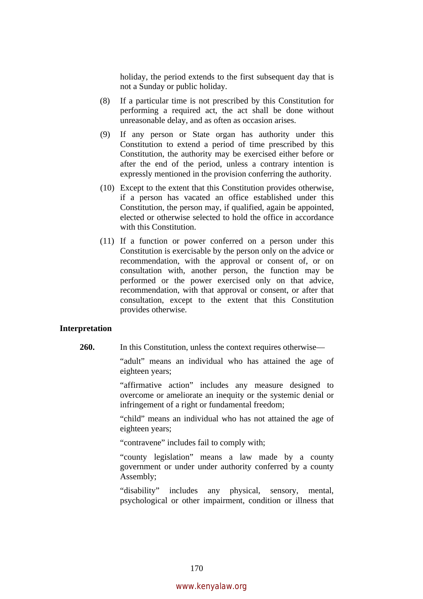holiday, the period extends to the first subsequent day that is not a Sunday or public holiday.

- (8) If a particular time is not prescribed by this Constitution for performing a required act, the act shall be done without unreasonable delay, and as often as occasion arises.
- (9) If any person or State organ has authority under this Constitution to extend a period of time prescribed by this Constitution, the authority may be exercised either before or after the end of the period, unless a contrary intention is expressly mentioned in the provision conferring the authority.
- (10) Except to the extent that this Constitution provides otherwise, if a person has vacated an office established under this Constitution, the person may, if qualified, again be appointed, elected or otherwise selected to hold the office in accordance with this Constitution.
- (11) If a function or power conferred on a person under this Constitution is exercisable by the person only on the advice or recommendation, with the approval or consent of, or on consultation with, another person, the function may be performed or the power exercised only on that advice, recommendation, with that approval or consent, or after that consultation, except to the extent that this Constitution provides otherwise.

### **Interpretation**

260. In this Constitution, unless the context requires otherwise—

"adult" means an individual who has attained the age of eighteen years;

"affirmative action" includes any measure designed to overcome or ameliorate an inequity or the systemic denial or infringement of a right or fundamental freedom;

"child" means an individual who has not attained the age of eighteen years;

"contravene" includes fail to comply with;

"county legislation" means a law made by a county government or under under authority conferred by a county Assembly;

"disability" includes any physical, sensory, mental, psychological or other impairment, condition or illness that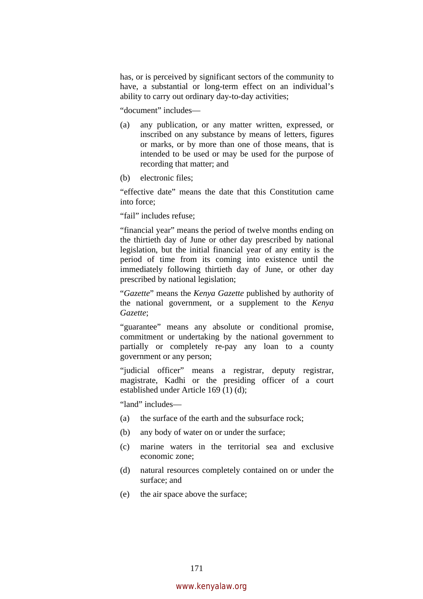has, or is perceived by significant sectors of the community to have, a substantial or long-term effect on an individual's ability to carry out ordinary day-to-day activities;

"document" includes––

- (a) any publication, or any matter written, expressed, or inscribed on any substance by means of letters, figures or marks, or by more than one of those means, that is intended to be used or may be used for the purpose of recording that matter; and
- (b) electronic files;

"effective date" means the date that this Constitution came into force;

"fail" includes refuse;

"financial year" means the period of twelve months ending on the thirtieth day of June or other day prescribed by national legislation, but the initial financial year of any entity is the period of time from its coming into existence until the immediately following thirtieth day of June, or other day prescribed by national legislation;

"*Gazette*" means the *Kenya Gazette* published by authority of the national government, or a supplement to the *Kenya Gazette*;

"guarantee" means any absolute or conditional promise, commitment or undertaking by the national government to partially or completely re-pay any loan to a county government or any person;

"judicial officer" means a registrar, deputy registrar, magistrate, Kadhi or the presiding officer of a court established under Article 169 (1) (d);

"land" includes—

- (a) the surface of the earth and the subsurface rock;
- (b) any body of water on or under the surface;
- (c) marine waters in the territorial sea and exclusive economic zone;
- (d) natural resources completely contained on or under the surface; and
- (e) the air space above the surface;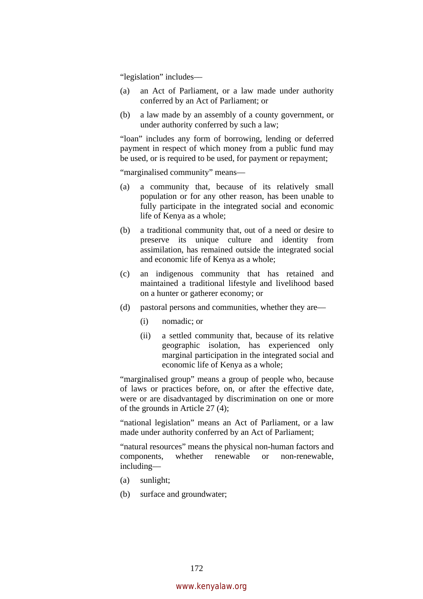"legislation" includes––

- (a) an Act of Parliament, or a law made under authority conferred by an Act of Parliament; or
- (b) a law made by an assembly of a county government, or under authority conferred by such a law;

"loan" includes any form of borrowing, lending or deferred payment in respect of which money from a public fund may be used, or is required to be used, for payment or repayment;

"marginalised community" means—

- (a) a community that, because of its relatively small population or for any other reason, has been unable to fully participate in the integrated social and economic life of Kenya as a whole;
- (b) a traditional community that, out of a need or desire to preserve its unique culture and identity from assimilation, has remained outside the integrated social and economic life of Kenya as a whole;
- (c) an indigenous community that has retained and maintained a traditional lifestyle and livelihood based on a hunter or gatherer economy; or
- (d) pastoral persons and communities, whether they are—
	- (i) nomadic; or
	- (ii) a settled community that, because of its relative geographic isolation, has experienced only marginal participation in the integrated social and economic life of Kenya as a whole;

"marginalised group" means a group of people who, because of laws or practices before, on, or after the effective date, were or are disadvantaged by discrimination on one or more of the grounds in Article 27 (4);

"national legislation" means an Act of Parliament, or a law made under authority conferred by an Act of Parliament;

"natural resources" means the physical non-human factors and components, whether renewable or non-renewable, including—

- (a) sunlight;
- (b) surface and groundwater;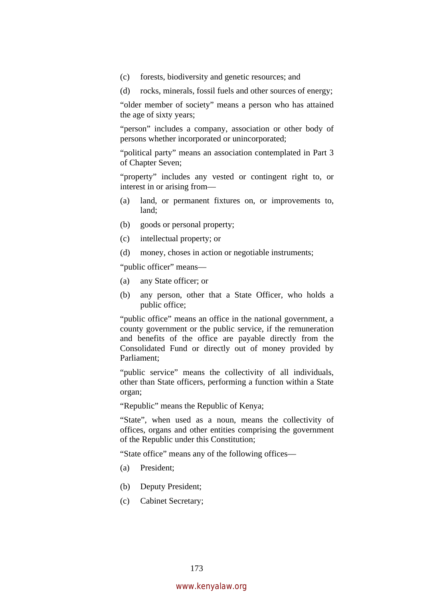- (c) forests, biodiversity and genetic resources; and
- (d) rocks, minerals, fossil fuels and other sources of energy;

"older member of society" means a person who has attained the age of sixty years;

"person" includes a company, association or other body of persons whether incorporated or unincorporated;

"political party" means an association contemplated in Part 3 of Chapter Seven;

"property" includes any vested or contingent right to, or interest in or arising from—

- (a) land, or permanent fixtures on, or improvements to, land;
- (b) goods or personal property;
- (c) intellectual property; or
- (d) money, choses in action or negotiable instruments;

"public officer" means—

- (a) any State officer; or
- (b) any person, other that a State Officer, who holds a public office;

"public office" means an office in the national government, a county government or the public service, if the remuneration and benefits of the office are payable directly from the Consolidated Fund or directly out of money provided by Parliament;

"public service" means the collectivity of all individuals, other than State officers, performing a function within a State organ;

"Republic" means the Republic of Kenya;

"State", when used as a noun, means the collectivity of offices, organs and other entities comprising the government of the Republic under this Constitution;

"State office" means any of the following offices*––*

- (a) President;
- (b) Deputy President;
- (c) Cabinet Secretary;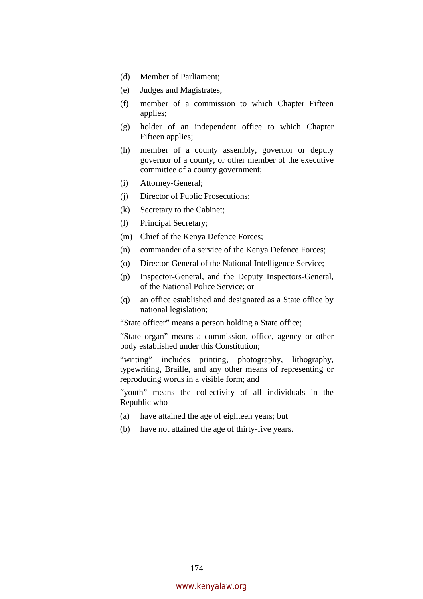- (d) Member of Parliament;
- (e) Judges and Magistrates;
- (f) member of a commission to which Chapter Fifteen applies;
- (g) holder of an independent office to which Chapter Fifteen applies;
- (h) member of a county assembly, governor or deputy governor of a county, or other member of the executive committee of a county government;
- (i) Attorney-General;
- (j) Director of Public Prosecutions;
- (k) Secretary to the Cabinet;
- (l) Principal Secretary;
- (m) Chief of the Kenya Defence Forces;
- (n) commander of a service of the Kenya Defence Forces;
- (o) Director-General of the National Intelligence Service;
- (p) Inspector-General, and the Deputy Inspectors-General, of the National Police Service; or
- (q) an office established and designated as a State office by national legislation;

"State officer" means a person holding a State office;

"State organ" means a commission, office, agency or other body established under this Constitution;

"writing" includes printing, photography, lithography, typewriting, Braille, and any other means of representing or reproducing words in a visible form; and

"youth" means the collectivity of all individuals in the Republic who—

- (a) have attained the age of eighteen years; but
- (b) have not attained the age of thirty-five years.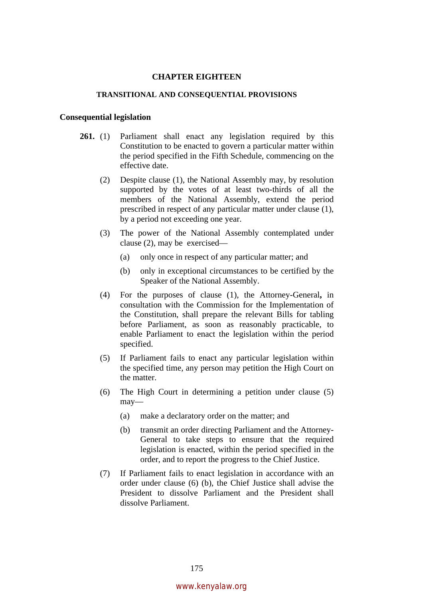### **CHAPTER EIGHTEEN**

#### **TRANSITIONAL AND CONSEQUENTIAL PROVISIONS**

#### **Consequential legislation**

- **261.** (1) Parliament shall enact any legislation required by this Constitution to be enacted to govern a particular matter within the period specified in the Fifth Schedule, commencing on the effective date.
	- (2) Despite clause (1), the National Assembly may, by resolution supported by the votes of at least two-thirds of all the members of the National Assembly, extend the period prescribed in respect of any particular matter under clause (1), by a period not exceeding one year.
	- (3) The power of the National Assembly contemplated under clause (2), may be exercised—
		- (a) only once in respect of any particular matter; and
		- (b) only in exceptional circumstances to be certified by the Speaker of the National Assembly.
	- (4) For the purposes of clause (1), the Attorney-General**,** in consultation with the Commission for the Implementation of the Constitution, shall prepare the relevant Bills for tabling before Parliament, as soon as reasonably practicable, to enable Parliament to enact the legislation within the period specified.
	- (5) If Parliament fails to enact any particular legislation within the specified time, any person may petition the High Court on the matter.
	- (6) The High Court in determining a petition under clause (5) may—
		- (a) make a declaratory order on the matter; and
		- (b) transmit an order directing Parliament and the Attorney-General to take steps to ensure that the required legislation is enacted, within the period specified in the order, and to report the progress to the Chief Justice.
	- (7) If Parliament fails to enact legislation in accordance with an order under clause (6) (b), the Chief Justice shall advise the President to dissolve Parliament and the President shall dissolve Parliament.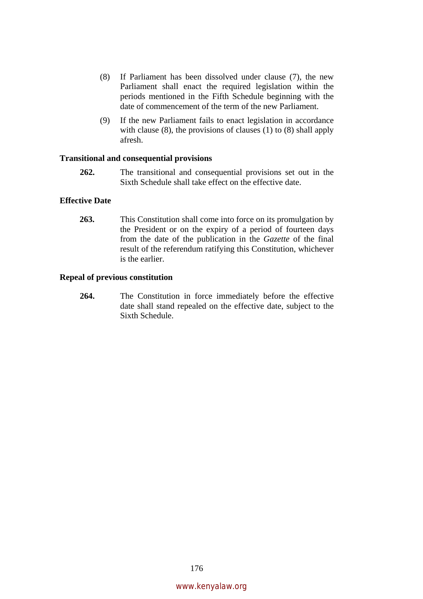- (8) If Parliament has been dissolved under clause (7), the new Parliament shall enact the required legislation within the periods mentioned in the Fifth Schedule beginning with the date of commencement of the term of the new Parliament.
- (9) If the new Parliament fails to enact legislation in accordance with clause (8), the provisions of clauses (1) to (8) shall apply afresh.

## **Transitional and consequential provisions**

**262.** The transitional and consequential provisions set out in the Sixth Schedule shall take effect on the effective date.

## **Effective Date**

**263.** This Constitution shall come into force on its promulgation by the President or on the expiry of a period of fourteen days from the date of the publication in the *Gazette* of the final result of the referendum ratifying this Constitution, whichever is the earlier.

## **Repeal of previous constitution**

**264.** The Constitution in force immediately before the effective date shall stand repealed on the effective date, subject to the Sixth Schedule.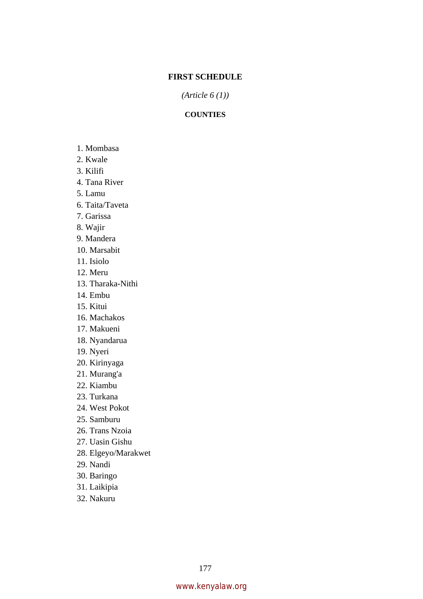## **FIRST SCHEDULE**

*(Article 6 (1))* 

## **COUNTIES**

- 1. Mombasa
- 2. Kwale
- 3. Kilifi
- 4. Tana River
- 5. Lamu
- 6. Taita/Taveta
- 7. Garissa
- 8. Wajir
- 9. Mandera
- 10. Marsabit
- 11. Isiolo
- 12. Meru
- 13. Tharaka-Nithi
- 14. Embu
- 15. Kitui
- 16. Machakos
- 17. Makueni
- 18. Nyandarua
- 19. Nyeri
- 20. Kirinyaga
- 21. Murang'a
- 22. Kiambu
- 23. Turkana
- 24. West Pokot
- 25. Samburu
- 26. Trans Nzoia
- 27. Uasin Gishu
- 28. Elgeyo/Marakwet
- 29. Nandi
- 30. Baringo
- 31. Laikipia
- 32. Nakuru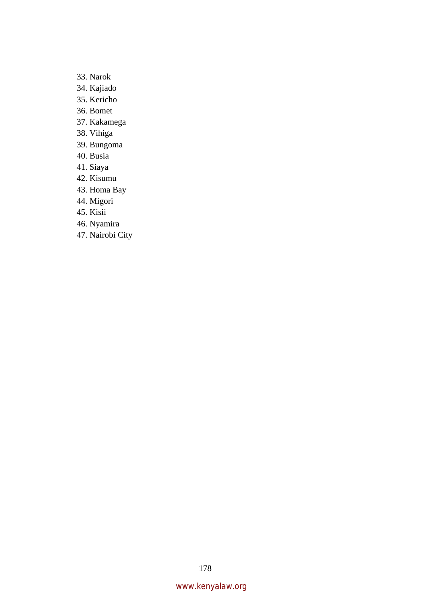- 33. Narok
- 34. Kajiado
- 35. Kericho
- 36. Bomet
- 37. Kakamega
- 38. Vihiga
- 39. Bungoma
- 40. Busia
- 41. Siaya
- 42. Kisumu
- 43. Homa Bay
- 44. Migori
- 45. Kisii
- 46. Nyamira
- 47. Nairobi City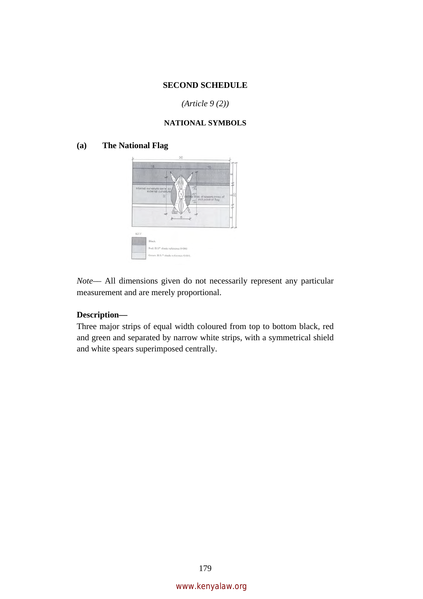## **SECOND SCHEDULE**

*(Article 9 (2))* 

## **NATIONAL SYMBOLS**

# **(a) The National Flag**



*Note––* All dimensions given do not necessarily represent any particular measurement and are merely proportional.

## **Description***––*

Three major strips of equal width coloured from top to bottom black, red and green and separated by narrow white strips, with a symmetrical shield and white spears superimposed centrally.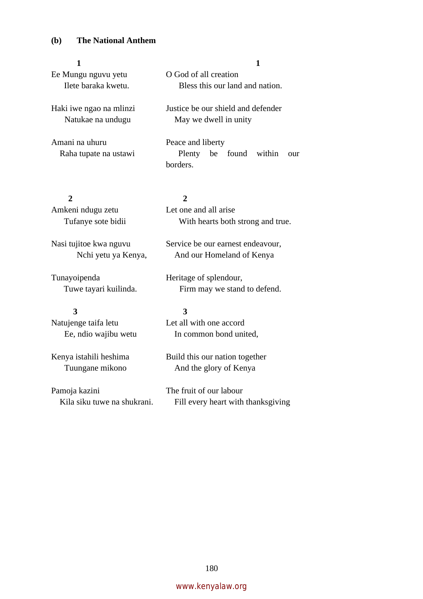## **(b) The National Anthem**

| Ee Mungu nguvu yetu                          | O God of all creation                                       |
|----------------------------------------------|-------------------------------------------------------------|
| Ilete baraka kwetu.                          | Bless this our land and nation.                             |
| Haki iwe ngao na mlinzi<br>Natukae na undugu | Justice be our shield and defender<br>May we dwell in unity |
| Amani na uhuru                               | Peace and liberty                                           |
| Raha tupate na ustawi                        | within<br>found<br>Plenty<br>be<br>$_{OIII}$                |
|                                              | <b>borders</b>                                              |

## **2** 2

Amkeni ndugu zetu Let one and all arise Tufanye sote bidii With hearts both strong and true.

Nasi tujitoe kwa nguvu Service be our earnest endeavour, Nchi yetu ya Kenya, And our Homeland of Kenya

Tunayoipenda Heritage of splendour, Tuwe tayari kuilinda. Firm may we stand to defend.

## **3 3**

Natujenge taifa letu Let all with one accord Ee, ndio wajibu wetu In common bond united,

Tuungane mikono And the glory of Kenya

Kenya istahili heshima Build this our nation together

Kila siku tuwe na shukrani. Fill every heart with thanksgiving

Pamoja kazini The fruit of our labour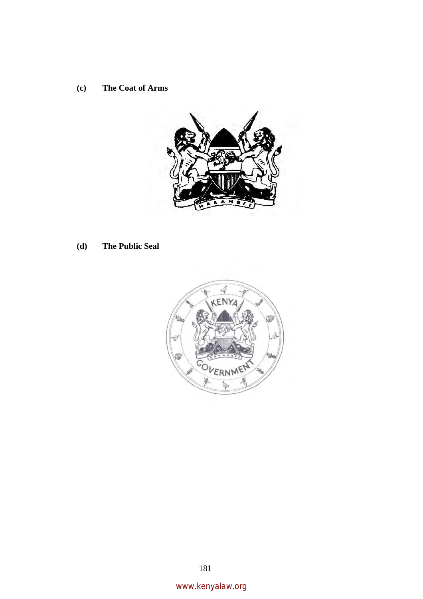**(c) The Coat of Arms** 



**(d) The Public Seal** 

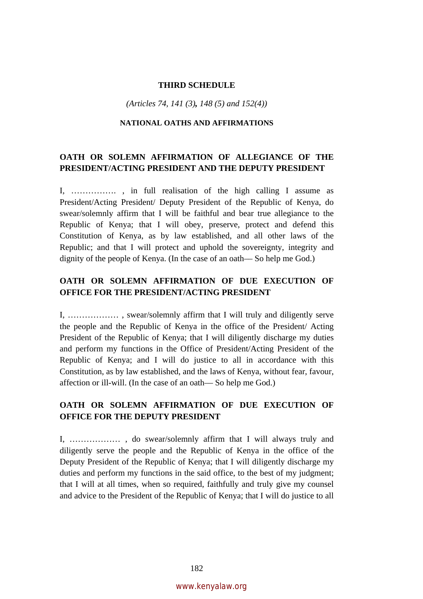#### **THIRD SCHEDULE**

*(Articles 74, 141 (3), 148 (5) and 152(4))* 

# **NATIONAL OATHS AND AFFIRMATIONS**

# **OATH OR SOLEMN AFFIRMATION OF ALLEGIANCE OF THE PRESIDENT/ACTING PRESIDENT AND THE DEPUTY PRESIDENT**

I, ……………. , in full realisation of the high calling I assume as President/Acting President/ Deputy President of the Republic of Kenya, do swear/solemnly affirm that I will be faithful and bear true allegiance to the Republic of Kenya; that I will obey, preserve, protect and defend this Constitution of Kenya, as by law established, and all other laws of the Republic; and that I will protect and uphold the sovereignty, integrity and dignity of the people of Kenya. (In the case of an oath*––* So help me God.)

# **OATH OR SOLEMN AFFIRMATION OF DUE EXECUTION OF OFFICE FOR THE PRESIDENT/ACTING PRESIDENT**

I, ……………… , swear/solemnly affirm that I will truly and diligently serve the people and the Republic of Kenya in the office of the President/ Acting President of the Republic of Kenya; that I will diligently discharge my duties and perform my functions in the Office of President/Acting President of the Republic of Kenya; and I will do justice to all in accordance with this Constitution, as by law established, and the laws of Kenya, without fear, favour, affection or ill-will. (In the case of an oath*––* So help me God.)

# **OATH OR SOLEMN AFFIRMATION OF DUE EXECUTION OF OFFICE FOR THE DEPUTY PRESIDENT**

I, ……………… , do swear/solemnly affirm that I will always truly and diligently serve the people and the Republic of Kenya in the office of the Deputy President of the Republic of Kenya; that I will diligently discharge my duties and perform my functions in the said office, to the best of my judgment; that I will at all times, when so required, faithfully and truly give my counsel and advice to the President of the Republic of Kenya; that I will do justice to all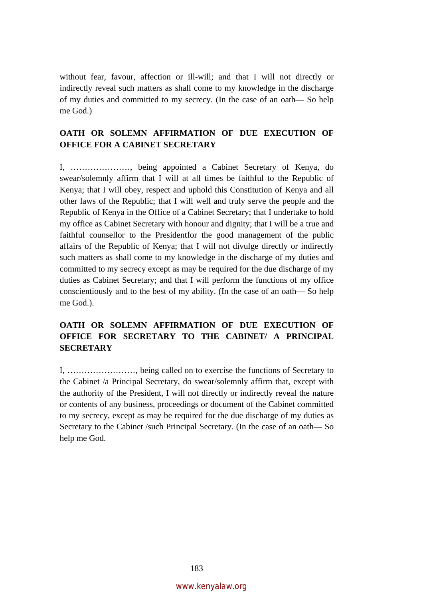without fear, favour, affection or ill-will; and that I will not directly or indirectly reveal such matters as shall come to my knowledge in the discharge of my duties and committed to my secrecy. (In the case of an oath*––* So help me God.)

# **OATH OR SOLEMN AFFIRMATION OF DUE EXECUTION OF OFFICE FOR A CABINET SECRETARY**

I, …………………, being appointed a Cabinet Secretary of Kenya, do swear/solemnly affirm that I will at all times be faithful to the Republic of Kenya; that I will obey, respect and uphold this Constitution of Kenya and all other laws of the Republic; that I will well and truly serve the people and the Republic of Kenya in the Office of a Cabinet Secretary; that I undertake to hold my office as Cabinet Secretary with honour and dignity; that I will be a true and faithful counsellor to the Presidentfor the good management of the public affairs of the Republic of Kenya; that I will not divulge directly or indirectly such matters as shall come to my knowledge in the discharge of my duties and committed to my secrecy except as may be required for the due discharge of my duties as Cabinet Secretary; and that I will perform the functions of my office conscientiously and to the best of my ability. (In the case of an oath*––* So help me God.).

# **OATH OR SOLEMN AFFIRMATION OF DUE EXECUTION OF OFFICE FOR SECRETARY TO THE CABINET/ A PRINCIPAL SECRETARY**

I, ……………………, being called on to exercise the functions of Secretary to the Cabinet /a Principal Secretary, do swear/solemnly affirm that, except with the authority of the President, I will not directly or indirectly reveal the nature or contents of any business, proceedings or document of the Cabinet committed to my secrecy, except as may be required for the due discharge of my duties as Secretary to the Cabinet /such Principal Secretary. (In the case of an oath*––* So help me God.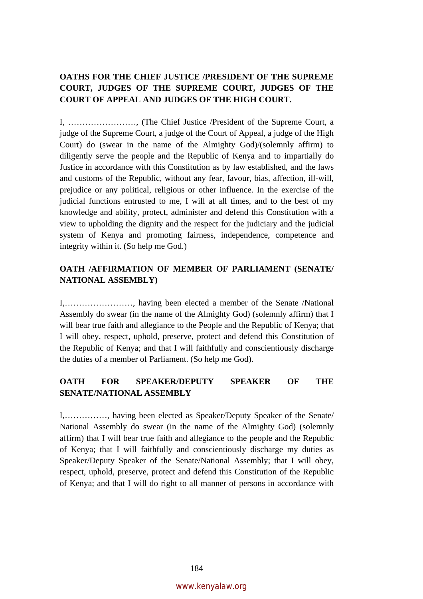# **OATHS FOR THE CHIEF JUSTICE /PRESIDENT OF THE SUPREME COURT, JUDGES OF THE SUPREME COURT, JUDGES OF THE COURT OF APPEAL AND JUDGES OF THE HIGH COURT.**

I, ……………………, (The Chief Justice /President of the Supreme Court, a judge of the Supreme Court, a judge of the Court of Appeal, a judge of the High Court) do (swear in the name of the Almighty God)/(solemnly affirm) to diligently serve the people and the Republic of Kenya and to impartially do Justice in accordance with this Constitution as by law established, and the laws and customs of the Republic, without any fear, favour, bias, affection, ill-will, prejudice or any political, religious or other influence. In the exercise of the judicial functions entrusted to me, I will at all times, and to the best of my knowledge and ability, protect, administer and defend this Constitution with a view to upholding the dignity and the respect for the judiciary and the judicial system of Kenya and promoting fairness, independence, competence and integrity within it. (So help me God.)

# **OATH /AFFIRMATION OF MEMBER OF PARLIAMENT (SENATE/ NATIONAL ASSEMBLY)**

I,……………………, having been elected a member of the Senate /National Assembly do swear (in the name of the Almighty God) (solemnly affirm) that I will bear true faith and allegiance to the People and the Republic of Kenya; that I will obey, respect, uphold, preserve, protect and defend this Constitution of the Republic of Kenya; and that I will faithfully and conscientiously discharge the duties of a member of Parliament. (So help me God).

# **OATH FOR SPEAKER/DEPUTY SPEAKER OF THE SENATE/NATIONAL ASSEMBLY**

I,……………, having been elected as Speaker/Deputy Speaker of the Senate/ National Assembly do swear (in the name of the Almighty God) (solemnly affirm) that I will bear true faith and allegiance to the people and the Republic of Kenya; that I will faithfully and conscientiously discharge my duties as Speaker/Deputy Speaker of the Senate/National Assembly; that I will obey, respect, uphold, preserve, protect and defend this Constitution of the Republic of Kenya; and that I will do right to all manner of persons in accordance with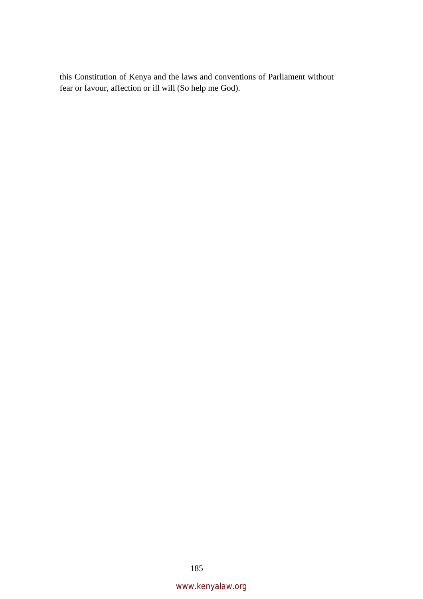this Constitution of Kenya and the laws and conventions of Parliament without fear or favour, affection or ill will (So help me God).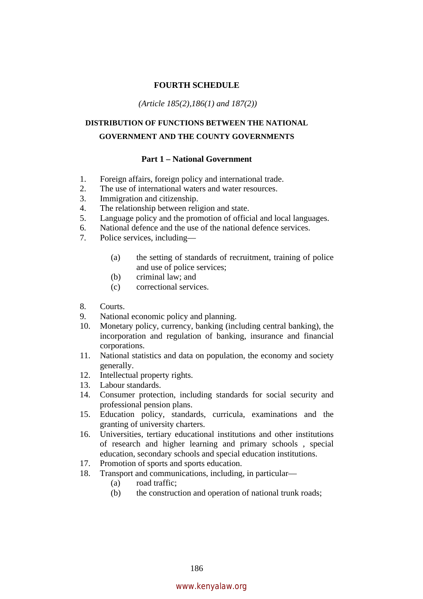# **FOURTH SCHEDULE**

 *(Article 185(2),186(1) and 187(2))*

# **DISTRIBUTION OF FUNCTIONS BETWEEN THE NATIONAL GOVERNMENT AND THE COUNTY GOVERNMENTS**

# **Part 1 – National Government**

- 1. Foreign affairs, foreign policy and international trade.
- 2. The use of international waters and water resources.
- 3. Immigration and citizenship.
- 4. The relationship between religion and state.
- 5. Language policy and the promotion of official and local languages.
- 6. National defence and the use of the national defence services.
- 7. Police services, including—
	- (a) the setting of standards of recruitment, training of police and use of police services;
	- (b) criminal law; and
	- (c) correctional services.
- 8. Courts.
- 9. National economic policy and planning.
- 10. Monetary policy, currency, banking (including central banking), the incorporation and regulation of banking, insurance and financial corporations.
- 11. National statistics and data on population, the economy and society generally.
- 12. Intellectual property rights.
- 13. Labour standards.
- 14. Consumer protection, including standards for social security and professional pension plans.
- 15. Education policy, standards, curricula, examinations and the granting of university charters.
- 16. Universities, tertiary educational institutions and other institutions of research and higher learning and primary schools , special education, secondary schools and special education institutions.
- 17. Promotion of sports and sports education.
- 18. Transport and communications, including, in particular—
	- (a) road traffic;
	- (b) the construction and operation of national trunk roads;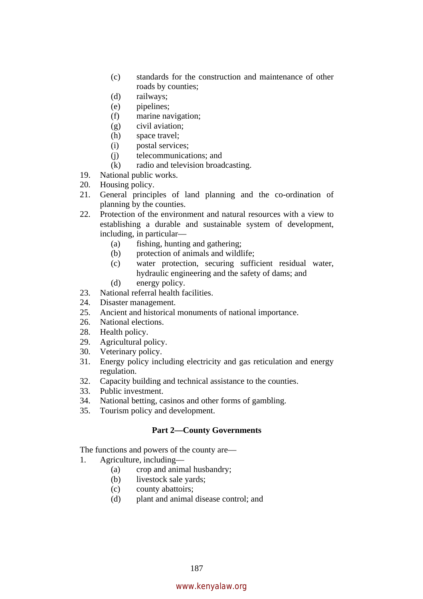- (c) standards for the construction and maintenance of other roads by counties;
- (d) railways;
- (e) pipelines;
- (f) marine navigation;
- (g) civil aviation;
- (h) space travel;
- (i) postal services;
- (j) telecommunications; and
- (k) radio and television broadcasting.
- 19. National public works.
- 20. Housing policy.
- 21. General principles of land planning and the co-ordination of planning by the counties.
- 22. Protection of the environment and natural resources with a view to establishing a durable and sustainable system of development, including, in particular—
	- (a) fishing, hunting and gathering;
	- (b) protection of animals and wildlife;
	- (c) water protection, securing sufficient residual water, hydraulic engineering and the safety of dams; and
	- (d) energy policy.
- 23. National referral health facilities.
- 24. Disaster management.
- 25. Ancient and historical monuments of national importance.
- 26. National elections.
- 28. Health policy.
- 29. Agricultural policy.
- 30. Veterinary policy.
- 31. Energy policy including electricity and gas reticulation and energy regulation.
- 32. Capacity building and technical assistance to the counties.
- 33. Public investment.
- 34. National betting, casinos and other forms of gambling.
- 35. Tourism policy and development.

# **Part 2—County Governments**

The functions and powers of the county are—

- 1. Agriculture, including—
	- (a) crop and animal husbandry;
	- (b) livestock sale yards;
	- (c) county abattoirs;
	- (d) plant and animal disease control; and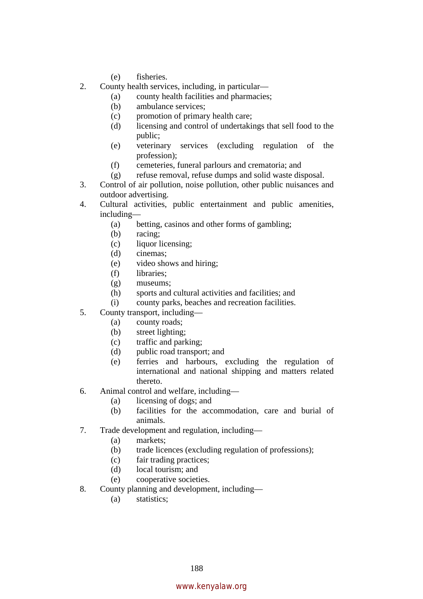- (e) fisheries.
- 2. County health services, including, in particular—
	- (a) county health facilities and pharmacies;
	- (b) ambulance services;
	- (c) promotion of primary health care;
	- (d) licensing and control of undertakings that sell food to the public;
	- (e) veterinary services (excluding regulation of the profession);
	- (f) cemeteries, funeral parlours and crematoria; and
	- (g) refuse removal, refuse dumps and solid waste disposal.
- 3. Control of air pollution, noise pollution, other public nuisances and outdoor advertising.
- 4. Cultural activities, public entertainment and public amenities, including—
	- (a) betting, casinos and other forms of gambling;
	- (b) racing;
	- (c) liquor licensing;
	- (d) cinemas;
	- (e) video shows and hiring;
	- (f) libraries;
	- (g) museums;
	- (h) sports and cultural activities and facilities; and
	- (i) county parks, beaches and recreation facilities.
- 5. County transport, including—
	- (a) county roads;
	- (b) street lighting;
	- (c) traffic and parking;
	- (d) public road transport; and
	- (e) ferries and harbours, excluding the regulation of international and national shipping and matters related thereto.
- 6. Animal control and welfare, including—
	- (a) licensing of dogs; and
	- (b) facilities for the accommodation, care and burial of animals.
- 7. Trade development and regulation, including—
	- (a) markets;
	- (b) trade licences (excluding regulation of professions);
	- (c) fair trading practices;
	- (d) local tourism; and
	- (e) cooperative societies.
- 8. County planning and development, including—
	- (a) statistics;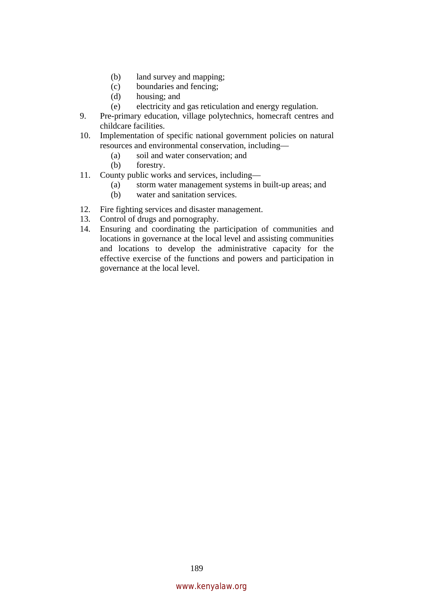- (b) land survey and mapping;
- (c) boundaries and fencing;
- (d) housing; and
- (e) electricity and gas reticulation and energy regulation.
- 9. Pre-primary education, village polytechnics, homecraft centres and childcare facilities.
- 10. Implementation of specific national government policies on natural resources and environmental conservation, including—
	- (a) soil and water conservation; and
	- (b) forestry.
- 11. County public works and services, including—
	- (a) storm water management systems in built-up areas; and
	- (b) water and sanitation services.
- 12. Fire fighting services and disaster management.
- 13. Control of drugs and pornography.
- 14. Ensuring and coordinating the participation of communities and locations in governance at the local level and assisting communities and locations to develop the administrative capacity for the effective exercise of the functions and powers and participation in governance at the local level.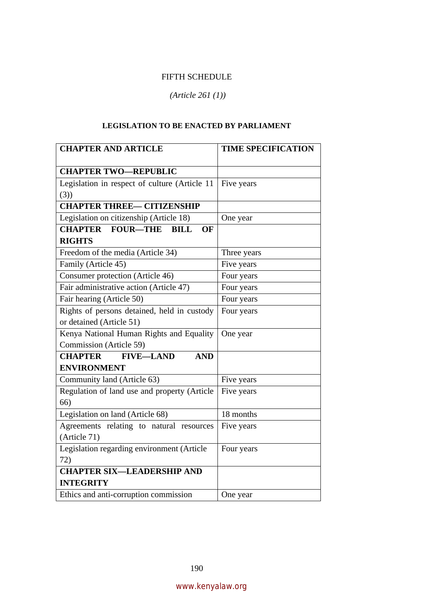# FIFTH SCHEDULE

# *(Article 261 (1))*

# **LEGISLATION TO BE ENACTED BY PARLIAMENT**

| <b>CHAPTER AND ARTICLE</b>                                    | <b>TIME SPECIFICATION</b> |
|---------------------------------------------------------------|---------------------------|
|                                                               |                           |
| <b>CHAPTER TWO-REPUBLIC</b>                                   |                           |
| Legislation in respect of culture (Article 11                 | Five years                |
| (3))                                                          |                           |
| <b>CHAPTER THREE-- CITIZENSHIP</b>                            |                           |
| Legislation on citizenship (Article 18)                       | One year                  |
| <b>CHAPTER</b><br><b>FOUR-THE</b><br><b>BILL</b><br><b>OF</b> |                           |
| <b>RIGHTS</b>                                                 |                           |
| Freedom of the media (Article 34)                             | Three years               |
| Family (Article 45)                                           | Five years                |
| Consumer protection (Article 46)                              | Four years                |
| Fair administrative action (Article 47)                       | Four years                |
| Fair hearing (Article 50)                                     | Four years                |
| Rights of persons detained, held in custody                   | Four years                |
| or detained (Article 51)                                      |                           |
| Kenya National Human Rights and Equality                      | One year                  |
| Commission (Article 59)                                       |                           |
| <b>FIVE-LAND</b><br><b>CHAPTER</b><br><b>AND</b>              |                           |
| <b>ENVIRONMENT</b>                                            |                           |
| Community land (Article 63)                                   | Five years                |
| Regulation of land use and property (Article                  | Five years                |
| 66)                                                           |                           |
| Legislation on land (Article 68)                              | 18 months                 |
| Agreements relating to natural resources                      | Five years                |
| (Article 71)                                                  |                           |
| Legislation regarding environment (Article                    | Four years                |
| 72)                                                           |                           |
| <b>CHAPTER SIX-LEADERSHIP AND</b>                             |                           |
| <b>INTEGRITY</b>                                              |                           |
| Ethics and anti-corruption commission                         | One year                  |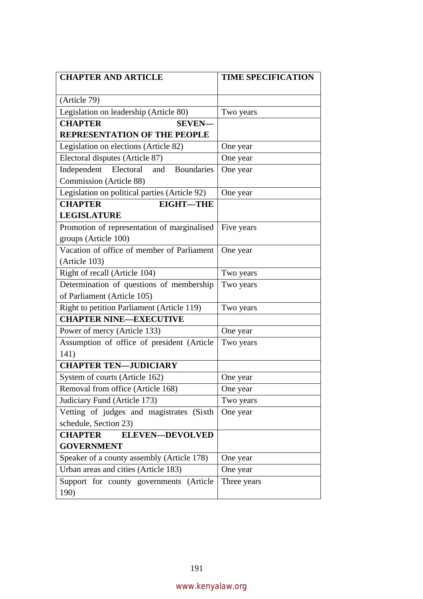| <b>CHAPTER AND ARTICLE</b>                      | <b>TIME SPECIFICATION</b> |
|-------------------------------------------------|---------------------------|
| (Article 79)                                    |                           |
| Legislation on leadership (Article 80)          | Two years                 |
| <b>CHAPTER</b><br><b>SEVEN-</b>                 |                           |
| <b>REPRESENTATION OF THE PEOPLE</b>             |                           |
| Legislation on elections (Article 82)           | One year                  |
| Electoral disputes (Article 87)                 | One year                  |
| Independent Electoral<br>and Boundaries         | One year                  |
| Commission (Article 88)                         |                           |
| Legislation on political parties (Article 92)   | One year                  |
| <b>CHAPTER</b><br><b>EIGHT-THE</b>              |                           |
| <b>LEGISLATURE</b>                              |                           |
| Promotion of representation of marginalised     | Five years                |
| groups (Article 100)                            |                           |
| Vacation of office of member of Parliament      | One year                  |
| (Article 103)                                   |                           |
| Right of recall (Article 104)                   | Two years                 |
| Determination of questions of membership        | Two years                 |
| of Parliament (Article 105)                     |                           |
| Right to petition Parliament (Article 119)      | Two years                 |
| <b>CHAPTER NINE-EXECUTIVE</b>                   |                           |
| Power of mercy (Article 133)                    | One year                  |
| Assumption of office of president (Article      | Two years                 |
| 141)                                            |                           |
| <b>CHAPTER TEN-JUDICIARY</b>                    |                           |
| System of courts (Article 162)                  | One year                  |
| Removal from office (Article 168)               | One year                  |
| Judiciary Fund (Article 173)                    | Two years                 |
| Vetting of judges and magistrates (Sixth        | One year                  |
| schedule, Section 23)                           |                           |
| <b>CHAPTER</b><br><b>ELEVEN-DEVOLVED</b>        |                           |
| <b>GOVERNMENT</b>                               |                           |
| Speaker of a county assembly (Article 178)      | One year                  |
| Urban areas and cities (Article 183)            | One year                  |
| Support for county governments (Article<br>190) | Three years               |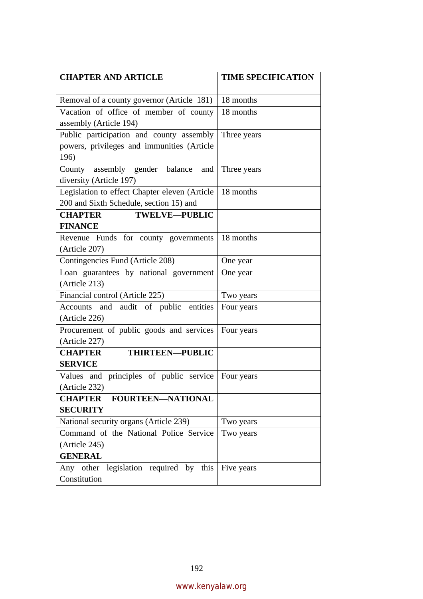| <b>CHAPTER AND ARTICLE</b>                    | <b>TIME SPECIFICATION</b> |
|-----------------------------------------------|---------------------------|
|                                               |                           |
| Removal of a county governor (Article 181)    | 18 months                 |
| Vacation of office of member of county        | 18 months                 |
| assembly (Article 194)                        |                           |
| Public participation and county assembly      | Three years               |
| powers, privileges and immunities (Article    |                           |
| 196)                                          |                           |
| County assembly gender balance<br>and         | Three years               |
| diversity (Article 197)                       |                           |
| Legislation to effect Chapter eleven (Article | 18 months                 |
| 200 and Sixth Schedule, section 15) and       |                           |
| <b>TWELVE-PUBLIC</b><br><b>CHAPTER</b>        |                           |
| <b>FINANCE</b>                                |                           |
| Revenue Funds for county governments          | 18 months                 |
| (Article 207)                                 |                           |
| Contingencies Fund (Article 208)              | One year                  |
| Loan guarantees by national government        | One year                  |
| (Article 213)                                 |                           |
| Financial control (Article 225)               | Two years                 |
| Accounts and audit of public entities         | Four years                |
| (Article 226)                                 |                           |
| Procurement of public goods and services      | Four years                |
| (Article 227)                                 |                           |
| <b>CHAPTER</b><br><b>THIRTEEN-PUBLIC</b>      |                           |
| <b>SERVICE</b>                                |                           |
| Values and principles of public service       | Four years                |
| (Article 232)                                 |                           |
| <b>CHAPTER FOURTEEN-NATIONAL</b>              |                           |
| <b>SECURITY</b>                               |                           |
| National security organs (Article 239)        | Two years                 |
| Command of the National Police Service        | Two years                 |
| (Article 245)                                 |                           |
| <b>GENERAL</b>                                |                           |
| Any other legislation required by this        | Five years                |
| Constitution                                  |                           |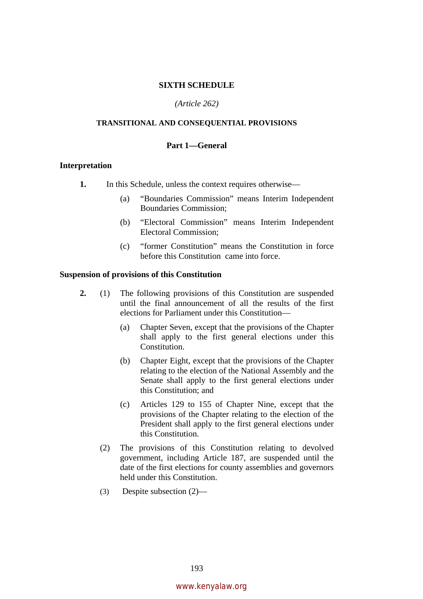### **SIXTH SCHEDULE**

#### *(Article 262)*

### **TRANSITIONAL AND CONSEQUENTIAL PROVISIONS**

#### **Part 1—General**

#### **Interpretation**

- 1. In this Schedule, unless the context requires otherwise—
	- (a) "Boundaries Commission" means Interim Independent Boundaries Commission;
	- (b) "Electoral Commission" means Interim Independent Electoral Commission;
	- (c) "former Constitution" means the Constitution in force before this Constitution came into force.

#### **Suspension of provisions of this Constitution**

- **2.** (1) The following provisions of this Constitution are suspended until the final announcement of all the results of the first elections for Parliament under this Constitution––
	- (a) Chapter Seven, except that the provisions of the Chapter shall apply to the first general elections under this Constitution.
	- (b) Chapter Eight, except that the provisions of the Chapter relating to the election of the National Assembly and the Senate shall apply to the first general elections under this Constitution; and
	- (c) Articles 129 to 155 of Chapter Nine, except that the provisions of the Chapter relating to the election of the President shall apply to the first general elections under this Constitution.
	- (2) The provisions of this Constitution relating to devolved government, including Article 187, are suspended until the date of the first elections for county assemblies and governors held under this Constitution.
	- (3) Despite subsection (2)—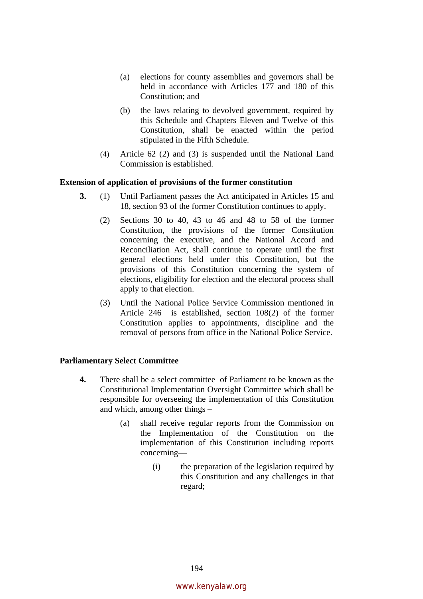- (a) elections for county assemblies and governors shall be held in accordance with Articles 177 and 180 of this Constitution; and
- (b) the laws relating to devolved government, required by this Schedule and Chapters Eleven and Twelve of this Constitution, shall be enacted within the period stipulated in the Fifth Schedule.
- (4) Article 62 (2) and (3) is suspended until the National Land Commission is established.

## **Extension of application of provisions of the former constitution**

- **3.** (1) Until Parliament passes the Act anticipated in Articles 15 and 18, section 93 of the former Constitution continues to apply.
	- (2) Sections 30 to 40, 43 to 46 and 48 to 58 of the former Constitution, the provisions of the former Constitution concerning the executive, and the National Accord and Reconciliation Act, shall continue to operate until the first general elections held under this Constitution, but the provisions of this Constitution concerning the system of elections, eligibility for election and the electoral process shall apply to that election.
	- (3) Until the National Police Service Commission mentioned in Article 246 is established, section 108(2) of the former Constitution applies to appointments, discipline and the removal of persons from office in the National Police Service.

# **Parliamentary Select Committee**

- **4.** There shall be a select committee of Parliament to be known as the Constitutional Implementation Oversight Committee which shall be responsible for overseeing the implementation of this Constitution and which, among other things –
	- (a) shall receive regular reports from the Commission on the Implementation of the Constitution on the implementation of this Constitution including reports concerning—
		- (i) the preparation of the legislation required by this Constitution and any challenges in that regard;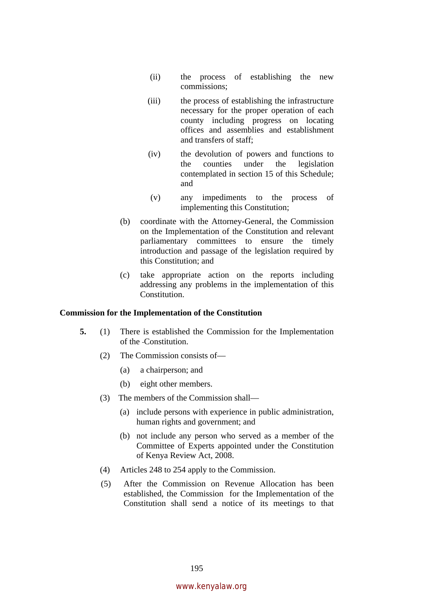- (ii) the process of establishing the new commissions;
- (iii) the process of establishing the infrastructure necessary for the proper operation of each county including progress on locating offices and assemblies and establishment and transfers of staff;
- (iv) the devolution of powers and functions to the counties under the legislation contemplated in section 15 of this Schedule; and
- (v) any impediments to the process of implementing this Constitution;
- (b) coordinate with the Attorney-General, the Commission on the Implementation of the Constitution and relevant parliamentary committees to ensure the timely introduction and passage of the legislation required by this Constitution; and
- (c) take appropriate action on the reports including addressing any problems in the implementation of this **Constitution**

# **Commission for the Implementation of the Constitution**

- **5.** (1) There is established the Commission for the Implementation of the Constitution.
	- (2) The Commission consists of—
		- (a) a chairperson; and
		- (b) eight other members.
	- (3) The members of the Commission shall—
		- (a) include persons with experience in public administration, human rights and government; and
		- (b) not include any person who served as a member of the Committee of Experts appointed under the Constitution of Kenya Review Act, 2008.
	- (4) Articles 248 to 254 apply to the Commission.
	- (5) After the Commission on Revenue Allocation has been established, the Commission for the Implementation of the Constitution shall send a notice of its meetings to that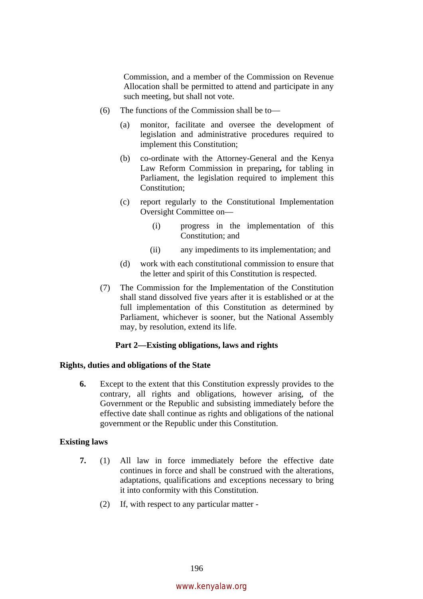Commission, and a member of the Commission on Revenue Allocation shall be permitted to attend and participate in any such meeting, but shall not vote.

- (6) The functions of the Commission shall be to—
	- (a) monitor, facilitate and oversee the development of legislation and administrative procedures required to implement this Constitution;
	- (b) co-ordinate with the Attorney-General and the Kenya Law Reform Commission in preparing**,** for tabling in Parliament, the legislation required to implement this Constitution;
	- (c) report regularly to the Constitutional Implementation Oversight Committee on—
		- (i) progress in the implementation of this Constitution; and
		- (ii) any impediments to its implementation; and
	- (d) work with each constitutional commission to ensure that the letter and spirit of this Constitution is respected.
- (7) The Commission for the Implementation of the Constitution shall stand dissolved five years after it is established or at the full implementation of this Constitution as determined by Parliament, whichever is sooner, but the National Assembly may, by resolution, extend its life.

# **Part 2—Existing obligations, laws and rights**

#### **Rights, duties and obligations of the State**

**6.** Except to the extent that this Constitution expressly provides to the contrary, all rights and obligations, however arising, of the Government or the Republic and subsisting immediately before the effective date shall continue as rights and obligations of the national government or the Republic under this Constitution.

### **Existing laws**

- **7.** (1) All law in force immediately before the effective date continues in force and shall be construed with the alterations, adaptations, qualifications and exceptions necessary to bring it into conformity with this Constitution.
	- (2) If, with respect to any particular matter -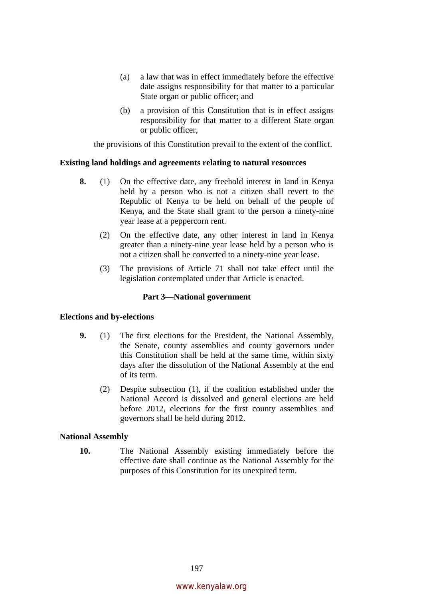- (a) a law that was in effect immediately before the effective date assigns responsibility for that matter to a particular State organ or public officer; and
- (b) a provision of this Constitution that is in effect assigns responsibility for that matter to a different State organ or public officer,

the provisions of this Constitution prevail to the extent of the conflict.

## **Existing land holdings and agreements relating to natural resources**

- **8.** (1) On the effective date, any freehold interest in land in Kenya held by a person who is not a citizen shall revert to the Republic of Kenya to be held on behalf of the people of Kenya, and the State shall grant to the person a ninety-nine year lease at a peppercorn rent.
	- (2) On the effective date, any other interest in land in Kenya greater than a ninety-nine year lease held by a person who is not a citizen shall be converted to a ninety-nine year lease.
	- (3) The provisions of Article 71 shall not take effect until the legislation contemplated under that Article is enacted.

## **Part 3—National government**

#### **Elections and by-elections**

- **9.** (1) The first elections for the President, the National Assembly, the Senate, county assemblies and county governors under this Constitution shall be held at the same time, within sixty days after the dissolution of the National Assembly at the end of its term.
	- (2) Despite subsection (1), if the coalition established under the National Accord is dissolved and general elections are held before 2012, elections for the first county assemblies and governors shall be held during 2012.

#### **National Assembly**

**10.** The National Assembly existing immediately before the effective date shall continue as the National Assembly for the purposes of this Constitution for its unexpired term.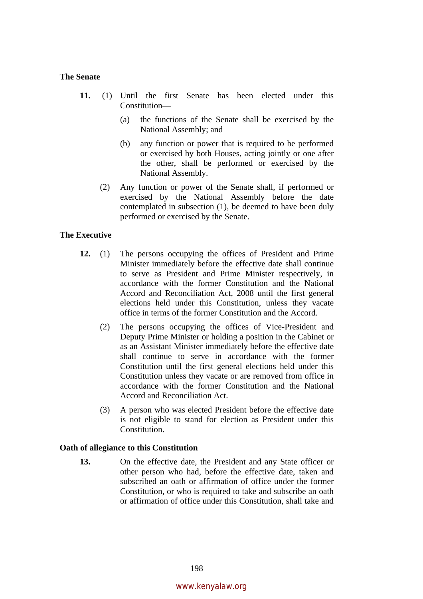### **The Senate**

- **11.** (1) Until the first Senate has been elected under this Constitution—
	- (a) the functions of the Senate shall be exercised by the National Assembly; and
	- (b) any function or power that is required to be performed or exercised by both Houses, acting jointly or one after the other, shall be performed or exercised by the National Assembly.
	- (2) Any function or power of the Senate shall, if performed or exercised by the National Assembly before the date contemplated in subsection (1), be deemed to have been duly performed or exercised by the Senate.

## **The Executive**

- **12.** (1) The persons occupying the offices of President and Prime Minister immediately before the effective date shall continue to serve as President and Prime Minister respectively, in accordance with the former Constitution and the National Accord and Reconciliation Act, 2008 until the first general elections held under this Constitution, unless they vacate office in terms of the former Constitution and the Accord.
	- (2) The persons occupying the offices of Vice-President and Deputy Prime Minister or holding a position in the Cabinet or as an Assistant Minister immediately before the effective date shall continue to serve in accordance with the former Constitution until the first general elections held under this Constitution unless they vacate or are removed from office in accordance with the former Constitution and the National Accord and Reconciliation Act.
	- (3) A person who was elected President before the effective date is not eligible to stand for election as President under this Constitution.

### **Oath of allegiance to this Constitution**

**13.** On the effective date, the President and any State officer or other person who had, before the effective date, taken and subscribed an oath or affirmation of office under the former Constitution, or who is required to take and subscribe an oath or affirmation of office under this Constitution, shall take and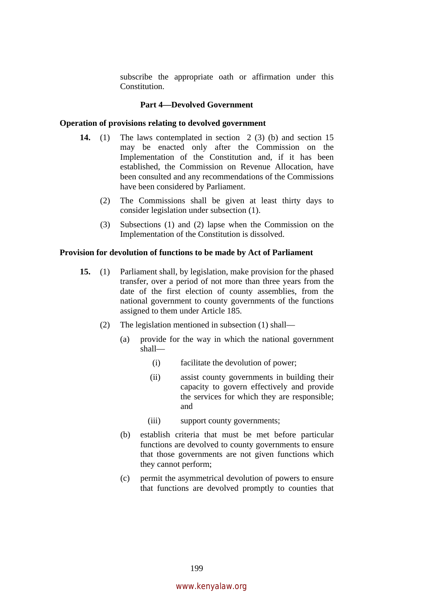subscribe the appropriate oath or affirmation under this Constitution.

### **Part 4—Devolved Government**

#### **Operation of provisions relating to devolved government**

- **14.** (1) The laws contemplated in section 2 (3) (b) and section 15 may be enacted only after the Commission on the Implementation of the Constitution and, if it has been established, the Commission on Revenue Allocation, have been consulted and any recommendations of the Commissions have been considered by Parliament.
	- (2) The Commissions shall be given at least thirty days to consider legislation under subsection (1).
	- (3) Subsections (1) and (2) lapse when the Commission on the Implementation of the Constitution is dissolved.

### **Provision for devolution of functions to be made by Act of Parliament**

- **15.** (1) Parliament shall, by legislation, make provision for the phased transfer, over a period of not more than three years from the date of the first election of county assemblies, from the national government to county governments of the functions assigned to them under Article 185.
	- (2) The legislation mentioned in subsection (1) shall—
		- (a) provide for the way in which the national government shall—
			- (i) facilitate the devolution of power;
			- (ii) assist county governments in building their capacity to govern effectively and provide the services for which they are responsible; and
			- (iii) support county governments;
		- (b) establish criteria that must be met before particular functions are devolved to county governments to ensure that those governments are not given functions which they cannot perform;
		- (c) permit the asymmetrical devolution of powers to ensure that functions are devolved promptly to counties that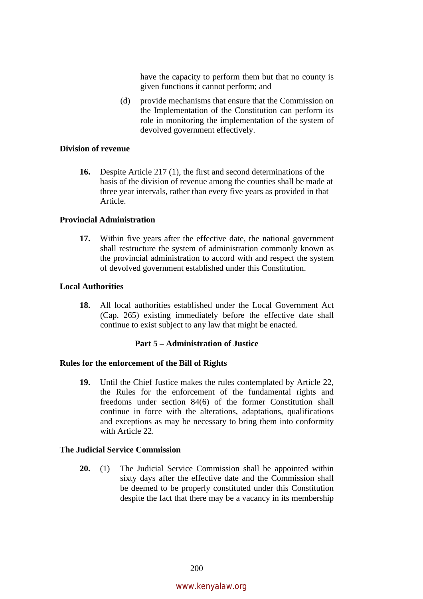have the capacity to perform them but that no county is given functions it cannot perform; and

(d) provide mechanisms that ensure that the Commission on the Implementation of the Constitution can perform its role in monitoring the implementation of the system of devolved government effectively.

#### **Division of revenue**

**16.** Despite Article 217 (1), the first and second determinations of the basis of the division of revenue among the counties shall be made at three year intervals, rather than every five years as provided in that Article.

#### **Provincial Administration**

**17.** Within five years after the effective date, the national government shall restructure the system of administration commonly known as the provincial administration to accord with and respect the system of devolved government established under this Constitution.

#### **Local Authorities**

**18.** All local authorities established under the Local Government Act (Cap. 265) existing immediately before the effective date shall continue to exist subject to any law that might be enacted.

#### **Part 5 – Administration of Justice**

#### **Rules for the enforcement of the Bill of Rights**

**19.** Until the Chief Justice makes the rules contemplated by Article 22, the Rules for the enforcement of the fundamental rights and freedoms under section 84(6) of the former Constitution shall continue in force with the alterations, adaptations, qualifications and exceptions as may be necessary to bring them into conformity with Article 22.

#### **The Judicial Service Commission**

**20.** (1) The Judicial Service Commission shall be appointed within sixty days after the effective date and the Commission shall be deemed to be properly constituted under this Constitution despite the fact that there may be a vacancy in its membership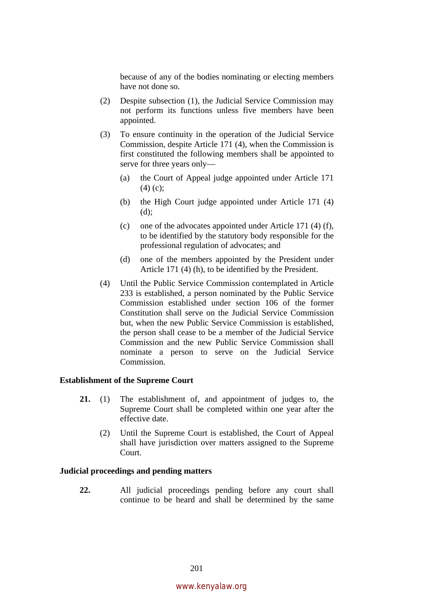because of any of the bodies nominating or electing members have not done so.

- (2) Despite subsection (1), the Judicial Service Commission may not perform its functions unless five members have been appointed.
- (3) To ensure continuity in the operation of the Judicial Service Commission, despite Article 171 (4), when the Commission is first constituted the following members shall be appointed to serve for three years only—
	- (a) the Court of Appeal judge appointed under Article 171 (4) (c);
	- (b) the High Court judge appointed under Article 171 (4) (d);
	- (c) one of the advocates appointed under Article 171 (4) (f), to be identified by the statutory body responsible for the professional regulation of advocates; and
	- (d) one of the members appointed by the President under Article 171 (4) (h), to be identified by the President.
- (4) Until the Public Service Commission contemplated in Article 233 is established, a person nominated by the Public Service Commission established under section 106 of the former Constitution shall serve on the Judicial Service Commission but, when the new Public Service Commission is established, the person shall cease to be a member of the Judicial Service Commission and the new Public Service Commission shall nominate a person to serve on the Judicial Service Commission.

# **Establishment of the Supreme Court**

- **21.** (1)The establishment of, and appointment of judges to, the Supreme Court shall be completed within one year after the effective date.
	- (2) Until the Supreme Court is established, the Court of Appeal shall have jurisdiction over matters assigned to the Supreme Court.

#### **Judicial proceedings and pending matters**

**22.** All judicial proceedings pending before any court shall continue to be heard and shall be determined by the same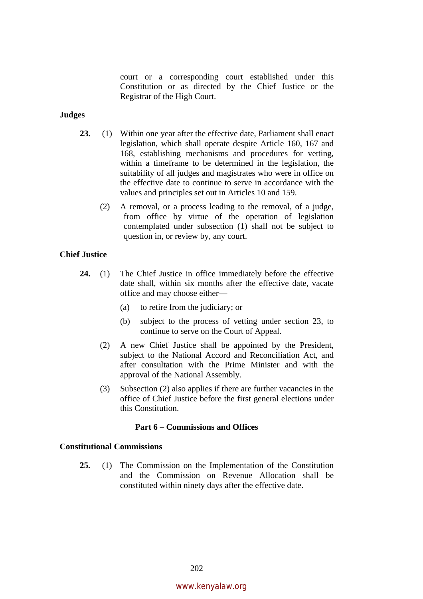court or a corresponding court established under this Constitution or as directed by the Chief Justice or the Registrar of the High Court.

### **Judges**

- **23.** (1) Within one year after the effective date, Parliament shall enact legislation, which shall operate despite Article 160, 167 and 168, establishing mechanisms and procedures for vetting, within a timeframe to be determined in the legislation, the suitability of all judges and magistrates who were in office on the effective date to continue to serve in accordance with the values and principles set out in Articles 10 and 159.
	- (2) A removal, or a process leading to the removal, of a judge, from office by virtue of the operation of legislation contemplated under subsection (1) shall not be subject to question in, or review by, any court.

# **Chief Justice**

- **24.** (1) The Chief Justice in office immediately before the effective date shall, within six months after the effective date, vacate office and may choose either—
	- (a) to retire from the judiciary; or
	- (b) subject to the process of vetting under section 23, to continue to serve on the Court of Appeal.
	- (2) A new Chief Justice shall be appointed by the President, subject to the National Accord and Reconciliation Act, and after consultation with the Prime Minister and with the approval of the National Assembly.
	- (3) Subsection (2) also applies if there are further vacancies in the office of Chief Justice before the first general elections under this Constitution.

#### **Part 6 – Commissions and Offices**

#### **Constitutional Commissions**

**25.** (1) The Commission on the Implementation of the Constitution and the Commission on Revenue Allocation shall be constituted within ninety days after the effective date.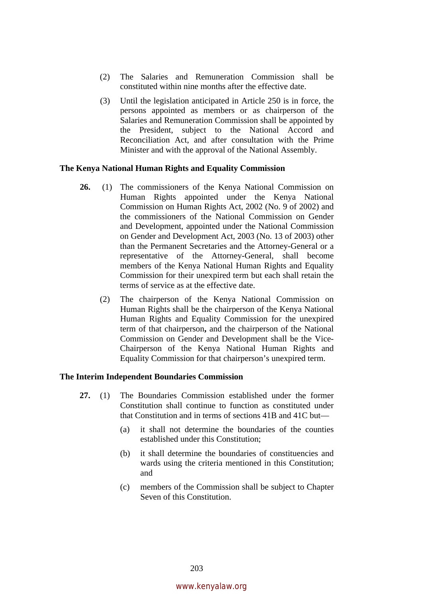- (2) The Salaries and Remuneration Commission shall be constituted within nine months after the effective date.
- (3) Until the legislation anticipated in Article 250 is in force, the persons appointed as members or as chairperson of the Salaries and Remuneration Commission shall be appointed by the President, subject to the National Accord and Reconciliation Act, and after consultation with the Prime Minister and with the approval of the National Assembly.

#### **The Kenya National Human Rights and Equality Commission**

- **26.** (1) The commissioners of the Kenya National Commission on Human Rights appointed under the Kenya National Commission on Human Rights Act, 2002 (No. 9 of 2002) and the commissioners of the National Commission on Gender and Development, appointed under the National Commission on Gender and Development Act, 2003 (No. 13 of 2003) other than the Permanent Secretaries and the Attorney-General or a representative of the Attorney-General, shall become members of the Kenya National Human Rights and Equality Commission for their unexpired term but each shall retain the terms of service as at the effective date.
	- (2) The chairperson of the Kenya National Commission on Human Rights shall be the chairperson of the Kenya National Human Rights and Equality Commission for the unexpired term of that chairperson**,** and the chairperson of the National Commission on Gender and Development shall be the Vice-Chairperson of the Kenya National Human Rights and Equality Commission for that chairperson's unexpired term.

#### **The Interim Independent Boundaries Commission**

- **27.** (1) The Boundaries Commission established under the former Constitution shall continue to function as constituted under that Constitution and in terms of sections 41B and 41C but—
	- (a) it shall not determine the boundaries of the counties established under this Constitution;
	- (b) it shall determine the boundaries of constituencies and wards using the criteria mentioned in this Constitution; and
	- (c) members of the Commission shall be subject to Chapter Seven of this Constitution.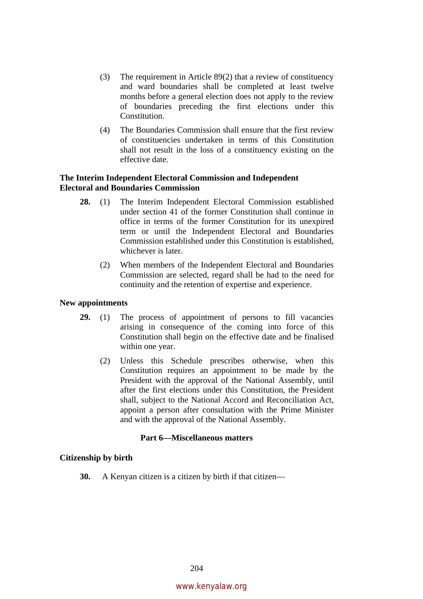- (3) The requirement in Article 89(2) that a review of constituency and ward boundaries shall be completed at least twelve months before a general election does not apply to the review of boundaries preceding the first elections under this Constitution.
- (4) The Boundaries Commission shall ensure that the first review of constituencies undertaken in terms of this Constitution shall not result in the loss of a constituency existing on the effective date.

# **The Interim Independent Electoral Commission and Independent Electoral and Boundaries Commission**

- **28.** (1) The Interim Independent Electoral Commission established under section 41 of the former Constitution shall continue in office in terms of the former Constitution for its unexpired term or until the Independent Electoral and Boundaries Commission established under this Constitution is established, whichever is later.
	- (2) When members of the Independent Electoral and Boundaries Commission are selected, regard shall be had to the need for continuity and the retention of expertise and experience.

# **New appointments**

- **29.** (1) The process of appointment of persons to fill vacancies arising in consequence of the coming into force of this Constitution shall begin on the effective date and be finalised within one year.
	- (2) Unless this Schedule prescribes otherwise, when this Constitution requires an appointment to be made by the President with the approval of the National Assembly, until after the first elections under this Constitution, the President shall, subject to the National Accord and Reconciliation Act, appoint a person after consultation with the Prime Minister and with the approval of the National Assembly.

# **Part 6—Miscellaneous matters**

# **Citizenship by birth**

**30.** A Kenyan citizen is a citizen by birth if that citizen—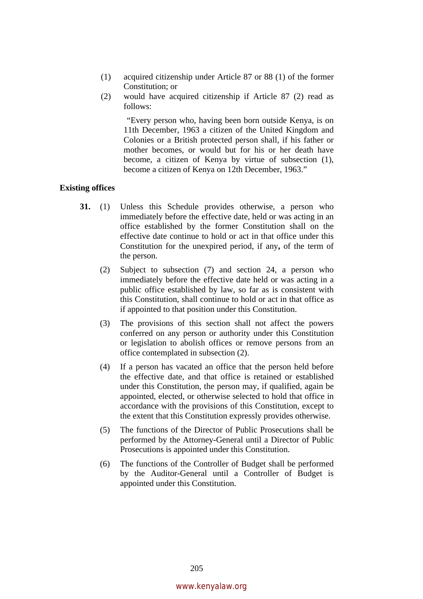- (1) acquired citizenship under Article 87 or 88 (1) of the former Constitution; or
- (2) would have acquired citizenship if Article 87 (2) read as follows:

"Every person who, having been born outside Kenya, is on 11th December, 1963 a citizen of the United Kingdom and Colonies or a British protected person shall, if his father or mother becomes, or would but for his or her death have become, a citizen of Kenya by virtue of subsection (1), become a citizen of Kenya on 12th December, 1963."

#### **Existing offices**

- **31.** (1) Unless this Schedule provides otherwise, a person who immediately before the effective date, held or was acting in an office established by the former Constitution shall on the effective date continue to hold or act in that office under this Constitution for the unexpired period, if any**,** of the term of the person.
	- (2) Subject to subsection (7) and section 24, a person who immediately before the effective date held or was acting in a public office established by law, so far as is consistent with this Constitution, shall continue to hold or act in that office as if appointed to that position under this Constitution.
	- (3) The provisions of this section shall not affect the powers conferred on any person or authority under this Constitution or legislation to abolish offices or remove persons from an office contemplated in subsection (2).
	- (4) If a person has vacated an office that the person held before the effective date, and that office is retained or established under this Constitution, the person may, if qualified, again be appointed, elected, or otherwise selected to hold that office in accordance with the provisions of this Constitution, except to the extent that this Constitution expressly provides otherwise.
	- (5) The functions of the Director of Public Prosecutions shall be performed by the Attorney-General until a Director of Public Prosecutions is appointed under this Constitution.
	- (6) The functions of the Controller of Budget shall be performed by the Auditor-General until a Controller of Budget is appointed under this Constitution.